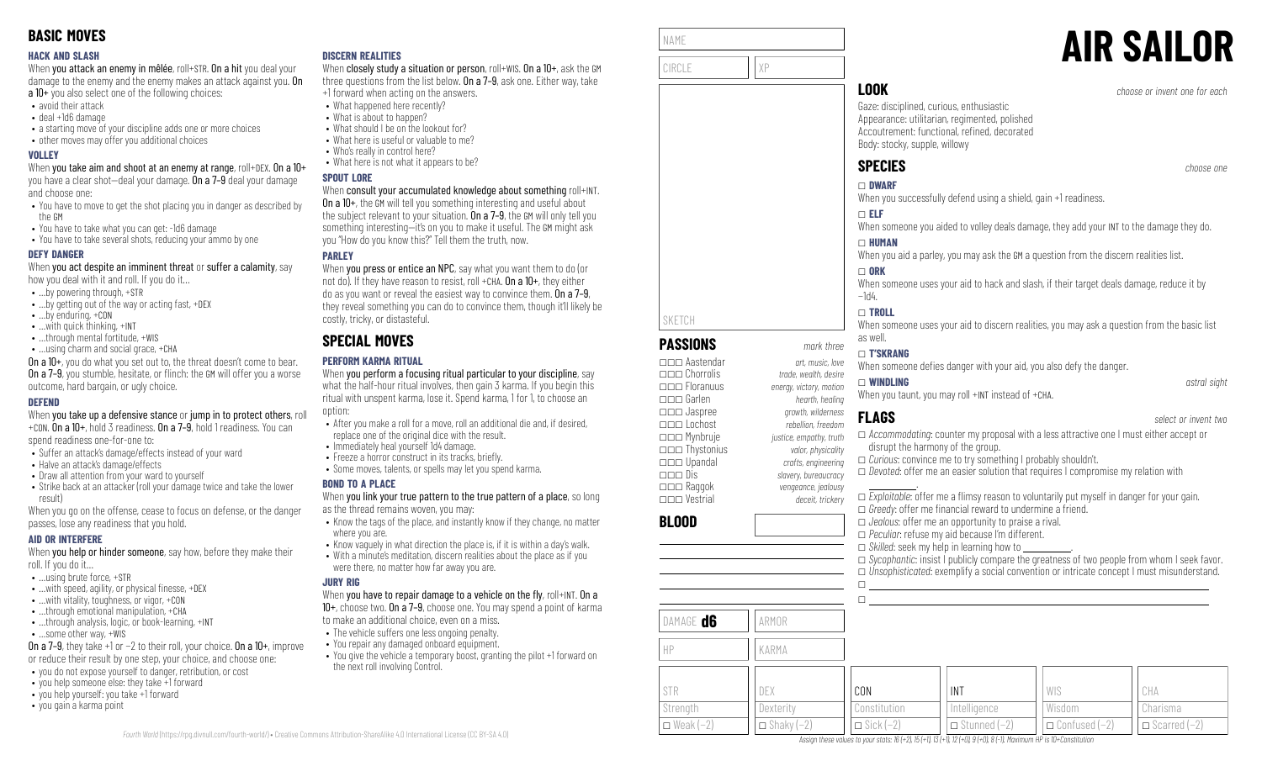### **HACK AND SLASH**

When you attack an enemy in mêlée, roll+STR. On a hit you deal your damage to the enemy and the enemy makes an attack against you. On a 10+ you also select one of the following choices:

- avoid their attack
- deal +1d6 damage
- a starting move of your discipline adds one or more choices
- other moves may offer you additional choices

### **VOLLEY**

When you take aim and shoot at an enemy at range, roll+DEX. On a 10+ you have a clear shot—deal your damage. On a 7–9 deal your damage and choose one:

- You have to move to get the shot placing you in danger as described by the GM
- You have to take what you can get: -1d6 damage
- You have to take several shots, reducing your ammo by one

### **DEFY DANGER**

When you act despite an imminent threat or suffer a calamity, say how you deal with it and roll. If you do it…

- …by powering through, +STR
- …by getting out of the way or acting fast, +DEX
- …by enduring, +CON
- …with quick thinking, +INT
- ...through mental fortitude, +WIS
- …using charm and social grace, +CHA

On a 10+, you do what you set out to, the threat doesn't come to bear. **On a 7–9**, you stumble, hesitate, or flinch: the GM will offer you a worse outcome, hard bargain, or ugly choice.

### **DEFEND**

When you take up a defensive stance or jump in to protect others, roll +CON. On a 10+, hold 3 readiness. On a 7–9, hold 1 readiness. You can

spend readiness one-for-one to:

- Suffer an attack's damage/effects instead of your ward
- Halve an attack's damage/effects
- Draw all attention from your ward to yourself
- Strike back at an attacker (roll your damage twice and take the lower result)

When you go on the offense, cease to focus on defense, or the danger passes, lose any readiness that you hold.

### **AID OR INTERFERE**

When you help or hinder someone, say how, before they make their roll. If you do it…

- …using brute force, +STR
- $\bullet$  ... with speed, agility, or physical finesse,  $+$ DEX
- …with vitality, toughness, or vigor, +CON
- …through emotional manipulation, +CHA • ...through analysis, logic, or book-learning, +INT
- …some other way, +WIS

On a 7–9, they take +1 or −2 to their roll, your choice. On a 10+, improve

or reduce their result by one step, your choice, and choose one: • you do not expose yourself to danger, retribution, or cost

- you help someone else: they take +1 forward
- you help yourself: you take +1 forward
- you gain a karma point

### **DISCERN REALITIES**

When closely study a situation or person, roll+WIS. On a 10+, ask the GM three questions from the list below. On a 7-9, ask one. Either way, take +1 forward when acting on the answers.

- What happened here recently?
	- What is about to happen?
- What should I be on the lookout for?
- What here is useful or valuable to me?
- Who's really in control here?
- What here is not what it appears to be?

### **SPOUT LORE**

### When consult your accumulated knowledge about something roll+INT.

On a 10+, the GM will tell you something interesting and useful about the subject relevant to your situation. On a 7-9, the GM will only tell you something interesting—it's on you to make it useful. The GM might ask you "How do you know this?" Tell them the truth, now.

### **PARLEY**

When **you press or entice an NPC**, say what you want them to do (or not do). If they have reason to resist, roll +CHA,  $0n a 10+$ , they either do as you want or reveal the easiest way to convince them. On a 7–9, they reveal something you can do to convince them, though it'll likely be costly, tricky, or distasteful.

# **SPECIAL MOVES**

### **PERFORM KARMA RITUAL**

When you perform a focusing ritual particular to your discipline, say what the half-hour ritual involves, then gain 3 karma. If you begin this ritual with unspent karma, lose it. Spend karma, 1 for 1, to choose an option:

- After you make a roll for a move, roll an additional die and, if desired, replace one of the original dice with the result.
- Immediately heal yourself 1d4 damage.
- Freeze a horror construct in its tracks, briefly.
- Some moves, talents, or spells may let you spend karma.

### **BOND TO A PLACE**

When you link your true pattern to the true pattern of a place, so long as the thread remains woven, you may:

- Know the tags of the place, and instantly know if they change, no matter where you are.
- Know vaguely in what direction the place is, if it is within a day's walk. • With a minute's meditation, discern realities about the place as if you were there, no matter how far away you are.

### **JURY RIG**

*Fourth World* [\(https://rpg.divnull.com/fourth-world/\)](https://rpg.divnull.com/fourth-world/) • Creative Commons Attribution-ShareAlike 4.0 International License (CC [BY-SA](https://creativecommons.org/licenses/by-sa/4.0/) 4.0)

### When you have to repair damage to a vehicle on the fly,  $roll+INT$ . On a 10+, choose two. On a 7–9, choose one. You may spend a point of karma

to make an additional choice, even on a miss.

- The vehicle suffers one less ongoing penalty.
- You repair any damaged onboard equipment.
- You give the vehicle a temporary boost, granting the pilot +1 forward on the next roll involving Control.

| NAME   |    |
|--------|----|
|        |    |
| CIRCLE | χp |
|        |    |

**PASSIONS** *mark three* \_\_\_ Aastendar *art, music, love*

\_\_\_ Floranuus *energy, victory, motion* \_\_\_ Garlen *hearth, healing*

\_\_\_ Lochost *rebellion, freedom* \_\_\_ Mynbruje *justice, empathy, truth* \_\_\_ Thystonius *valor, physicality* \_\_\_ Upandal *crafts, engineering* \_\_\_ Dis *slavery, bureaucracy*

\_\_\_ Vestrial *deceit, trickery*

\_\_\_ Chorrolis *trade, wealth, desire*

\_\_\_ Jaspree *growth, wilderness*

\_\_\_ Raggok *vengeance, jealousy*

SKETCH

**BLOOD**

# **AIR SAILOR**

**LOOK** *choose or invent one for each*

Gaze: disciplined, curious, enthusiastic Appearance: utilitarian, regimented, polished Accoutrement: functional, refined, decorated Body: stocky, supple, willowy

# **SPECIES** *choose one*

# \_ **DWARF**

When you successfully defend using a shield, gain +1 readiness.

### \_ **ELF**

When someone you aided to volley deals damage, they add your INT to the damage they do.

### \_ **HUMAN**

When you aid a parley, you may ask the GM a question from the discern realities list.

### $\Box$  ORK

When someone uses your aid to hack and slash, if their target deals damage, reduce it by −1d4.

### \_ **TROLL**

When someone uses your aid to discern realities, you may ask a question from the basic list as well.

### \_ **T'SKRANG**

When someone defies danger with your aid, you also defy the danger.

# \_ **WINDLING** *astral sight*

When you taunt, you may roll +INT instead of +CHA.

INT Intelligence \_ Stunned (−2)

Assian these values to your stats: 16 (+2), 15 (+1), 13 (+1), 12 (+0), 9 (+0), 8 (-1). Maximum HP is 10+Constitution

# **FLAGS** *select or invent two*

### \_ *Accommodating*: counter my proposal with a less attractive one I must either accept or disrupt the harmony of the group.

□ *Curious*: convince me to try something I probably shouldn't.

□ *Devoted*: offer me an easier solution that requires I compromise my relation with

 .  $\Box$  *Exploitable*: offer me a flimsy reason to voluntarily put myself in danger for your gain. □ *Greedy*: offer me financial reward to undermine a friend. \_ *Jealous*: offer me an opportunity to praise a rival. \_ *Peculiar*: refuse my aid because I'm different.  $\Box$  *Skilled*: seek my help in learning how to □ *Sycophantic*: insist I publicly compare the greatness of two people from whom I seek favor. \_ *Unsophisticated*: exemplify a social convention or intricate concept I must misunderstand.

> WIS Wisdom

\_ Confused (−2)

CHA Charisma \_ Scarred (−2)

| DAMAGE <b>d6</b> | ARMOR             |                    |
|------------------|-------------------|--------------------|
| HР               | KARMA             |                    |
| <b>STR</b>       | DEX               | CON                |
| Strength         | Dexterity         | Constitution       |
| $\Box$ Weak (-2) | $\Box$ Shaky (-2) | $\Box$ Sick $(-2)$ |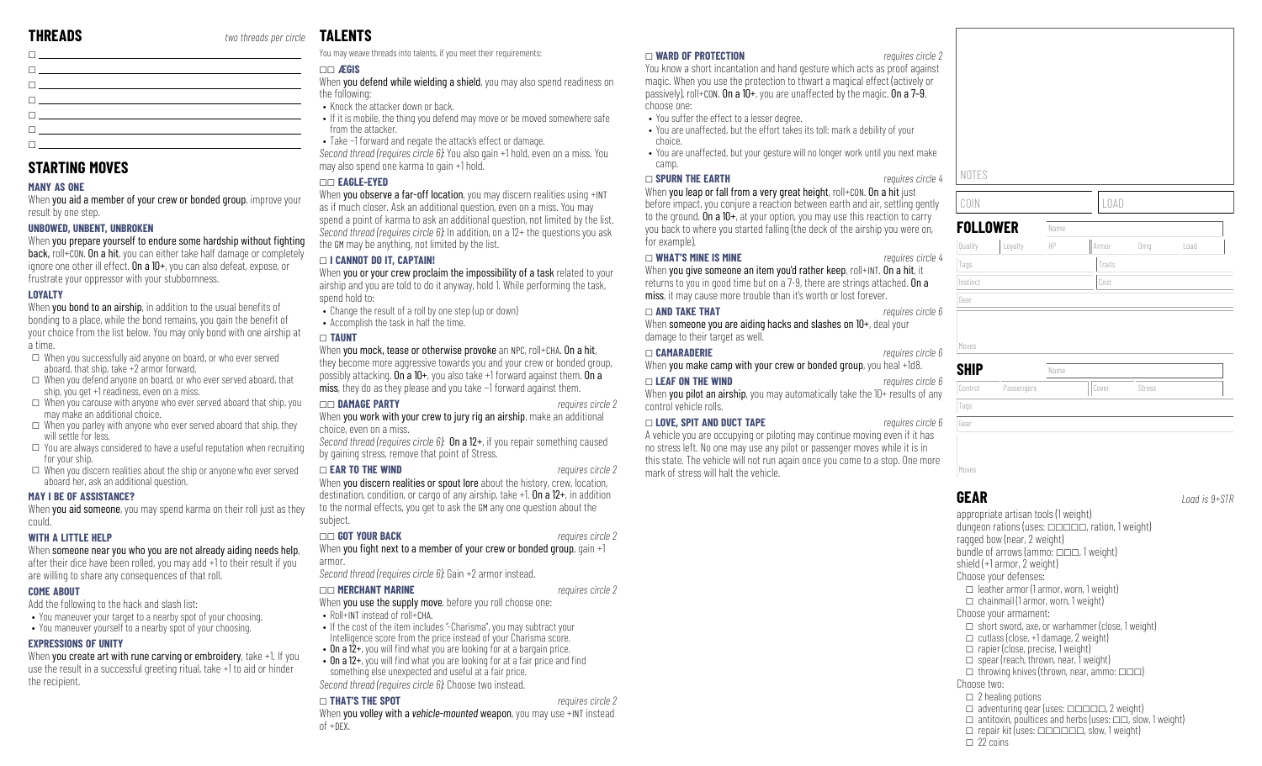| П <u>оменение у селото на страниците на страниците на страниците на страниците на страниците на страниците на страниците на страниците на страниците на страниците на страниците на страниците на страниците на страниците на ст</u> |  |
|--------------------------------------------------------------------------------------------------------------------------------------------------------------------------------------------------------------------------------------|--|
| The contract of the contract of the contract of the contract of the contract of                                                                                                                                                      |  |
|                                                                                                                                                                                                                                      |  |
| $\Box$ and the contract of the contract of the contract of the contract of the contract of the contract of the contract of the contract of the contract of the contract of the contract of the contract of the contract of the       |  |
| the contract of the contract of the contract of the contract of the contract of the contract of the contract of                                                                                                                      |  |
|                                                                                                                                                                                                                                      |  |
| <b>El producto de la contrada de la contrada de la contrada de la contrada de la contrada de la contrada de la c</b>                                                                                                                 |  |

### **STARTING MOVES**

### **MANY AS ONE**

When you aid a member of your crew or bonded group, improve your result by one step.

### **UNBOWED, UNBENT, UNBROKEN**

When you prepare yourself to endure some hardship without fighting back, roll+CON. On a hit, you can either take half damage or completely ignore one other ill effect. On a 10+, you can also defeat, expose, or frustrate your oppressor with your stubbornness.

### **LOYALTY**

When you bond to an airship, in addition to the usual benefits of bonding to a place, while the bond remains, you gain the benefit of your choice from the list below. You may only bond with one airship at a time.

- $\square$  When you successfully aid anyone on board, or who ever served aboard, that ship, take +2 armor forward.
- $\square$  When you defend anyone on board, or who ever served aboard, that ship, you get +1 readiness, even on a miss.
- $\Box$  When you carouse with anyone who ever served aboard that ship, you may make an additional choice.
- $\square$  When you parley with anyone who ever served aboard that ship, they will settle for less.
- $\square$  You are always considered to have a useful reputation when recruiting for your ship.
- $\Box$  When you discern realities about the ship or anyone who ever served aboard her, ask an additional question.

### **MAY I BE OF ASSISTANCE?**

When you aid someone, you may spend karma on their roll just as they could.

### **WITH A LITTLE HELP**

### When someone near you who you are not already aiding needs help, after their dice have been rolled, you may add +1 to their result if you are willing to share any consequences of that roll.

### **COME ABOUT**

Add the following to the hack and slash list:

- You maneuver your target to a nearby spot of your choosing.
- You maneuver yourself to a nearby spot of your choosing.

### **EXPRESSIONS OF UNITY**

When you create art with rune carving or embroidery, take +1. If you use the result in a successful greeting ritual, take +1 to aid or hinder the recipient.

# **TALENTS**

You may weave threads into talents, if you meet their requirements:

### \_\_ **ÆGIS**

When **you defend while wielding a shield**, you may also spend readiness on the following:

- Knock the attacker down or back.
- If it is mobile, the thing you defend may move or be moved somewhere safe from the attacker.
- Take −1 forward and negate the attack's effect or damage.

*Second thread (requires circle 6):* You also gain +1 hold, even on a miss. You may also spend one karma to gain +1 hold.

### \_\_ **EAGLE-EYED**

When you observe a far-off location, you may discern realities using +INT as if much closer. Ask an additional question, even on a miss. You may spend a point of karma to ask an additional question, not limited by the list. *Second thread (requires circle 6):* In addition, on a 12+ the questions you ask the GM may be anything, not limited by the list.

### \_ **I CANNOT DO IT, CAPTAIN!**

When you or your crew proclaim the impossibility of a task related to your airship and you are told to do it anyway, hold 1. While performing the task, spend hold to:

- Change the result of a roll by one step (up or down)
- Accomplish the task in half the time.

### \_ **TAUNT**

When you mock, tease or otherwise provoke an NPC, roll+CHA. On a hit, they become more aggressive towards you and your crew or bonded group, possibly attacking. On a 10+, you also take +1 forward against them. On a miss, they do as they please and you take −1 forward against them.

### \_\_ **DAMAGE PARTY** *requires circle 2*

When you work with your crew to jury rig an airship, make an additional choice, even on a miss.

*Second thread (requires circle 6):* On a 12+, if you repair something caused by gaining stress, remove that point of Stress.

### \_ **EAR TO THE WIND** *requires circle 2*

When you discern realities or spout lore about the history, crew, location, destination, condition, or cargo of any airship, take  $+1$ . On a  $12+$ , in addition to the normal effects, you get to ask the GM any one question about the subject.

### \_\_ **GOT YOUR BACK** *requires circle 2*

When you fight next to a member of your crew or bonded group, gain  $+1$ armor.

*Second thread (requires circle 6):* Gain +2 armor instead.

### \_\_ **MERCHANT MARINE** *requires circle 2*

- When you use the supply move, before you roll choose one:
	- Roll+INT instead of roll+CHA.
	- If the cost of the item includes "-Charisma", you may subtract your Intelligence score from the price instead of your Charisma score.
	- On a  $12+$ , you will find what you are looking for at a bargain price.
	- On a  $12+$ , you will find what you are looking for at a fair price and find something else unexpected and useful at a fair price. *Second thread (requires circle 6):* Choose two instead.

### \_ **THAT'S THE SPOT** *requires circle 2*

When **you volley with a** *vehicle-mounted* weapon, you may use +INT instead  $of +$ DEX.

### \_ **WARD OF PROTECTION** *requires circle 2*

You know a short incantation and hand gesture which acts as proof against magic. When you use the protection to thwart a magical effect (actively or passively), roll+CON. On a 10+, you are unaffected by the magic. On a 7–9, choose one:

- You suffer the effect to a lesser degree.
- You are unaffected, but the effort takes its toll: mark a debility of your choice.
- You are unaffected, but your gesture will no longer work until you next make camp.

### \_ **SPURN THE EARTH** *requires circle 4*

When you leap or fall from a very great height, roll+CON. On a hit just before impact, you conjure a reaction between earth and air, settling gently to the ground. On a 10+, at your option, you may use this reaction to carry you back to where you started falling (the deck of the airship you were on, for example).

### \_ **WHAT'S MINE IS MINE** *requires circle 4*

When you give someone an item you'd rather keep, roll+INT. On a hit, it returns to you in good time but on a 7-9, there are strings attached. On a miss, it may cause more trouble than it's worth or lost forever.

\_ **AND TAKE THAT** *requires circle 6* When someone you are aiding hacks and slashes on 10+, deal your damage to their target as well.

### \_ **CAMARADERIE** *requires circle 6*

When you make camp with your crew or bonded group, you heal +1d8.

### \_ **LEAF ON THE WIND** *requires circle 6*

When **you pilot an airship**, you may automatically take the  $10+$  results of any control vehicle rolls.

### \_ **LOVE, SPIT AND DUCT TAPE** *requires circle 6*

A vehicle you are occupying or piloting may continue moving even if it has no stress left. No one may use any pilot or passenger moves while it is in this state. The vehicle will not run again once you come to a stop. One more mark of stress will halt the vehicle.

# **FOLLOWER** Quality | Loyalty

| Moves       |            |      |       |        |
|-------------|------------|------|-------|--------|
|             |            |      |       |        |
| <b>SHIP</b> |            | Name |       |        |
| Control     | Passengers |      | Cover | Stress |
| Tags        |            |      |       |        |
| Gear        |            |      |       |        |
|             |            |      |       |        |
|             |            |      |       |        |
| Moves       |            |      |       |        |

NOTES

COIN

Tags Instinct Gear

**GEAR** *Load is 9+STR*

appropriate artisan tools (1 weight) dungeon rations (uses:  $\Box$  $\Box$  $\Box$  $\Box$ , ration, 1 weight) ragged bow (near, 2 weight) bundle of arrows (ammo:  $\Box \Box \Box$ , 1 weight) shield (+1 armor, 2 weight) Choose your defenses:  $\Box$  leather armor (1 armor, worn, 1 weight)  $\Box$  chainmail (1 armor, worn, 1 weight) Choose your armament:  $\Box$  short sword, axe, or warhammer (close, 1 weight)  $\Box$  cutlass (close, +1 damage, 2 weight)  $\Box$  rapier (close, precise, 1 weight)  $\Box$  spear (reach, thrown, near, 1 weight)  $\Box$  throwing knives (thrown, near, ammo:  $\Box \Box$ ) Choose two:  $\square$  2 healing potions  $\Box$  adventuring gear (uses:  $\Box$  $\Box$  $\Box$  $\Box$ , 2 weight)  $\Box$  antitoxin, poultices and herbs (uses:  $\Box \Box$ , slow, 1 weight)  $\Box$  repair kit (uses:  $\Box$  $\Box$  $\Box$  $\Box$  $\Box$ , slow, 1 weight)  $\Box$  22 coins

|     | LOAD                           |  |
|-----|--------------------------------|--|
| ame |                                |  |
|     | –<br>Load<br>Armor<br>Dmg<br>I |  |
|     | Traits                         |  |
|     | Cost                           |  |
|     |                                |  |
|     |                                |  |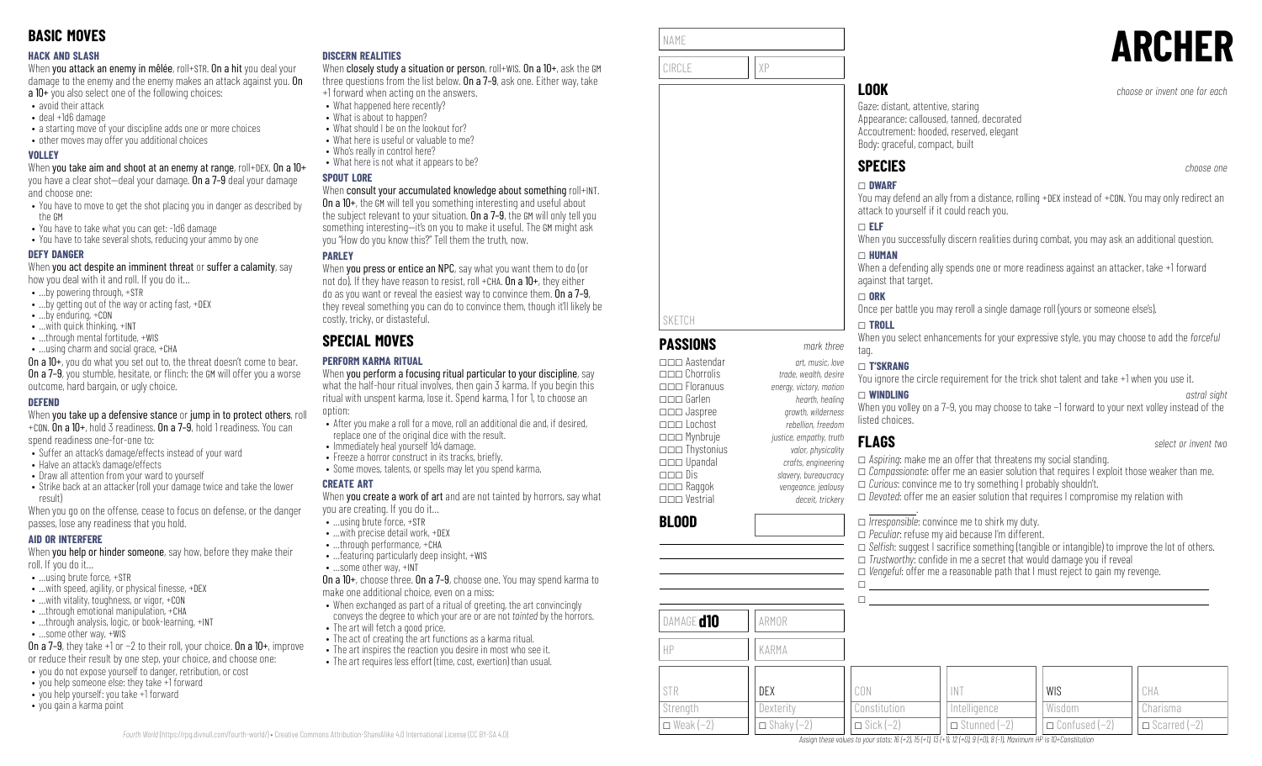### **HACK AND SLASH**

When you attack an enemy in mêlée, roll+STR. On a hit you deal your damage to the enemy and the enemy makes an attack against you. On a 10+ you also select one of the following choices:

- avoid their attack
- deal +1d6 damage
- a starting move of your discipline adds one or more choices
- other moves may offer you additional choices

### **VOLLEY**

When you take aim and shoot at an enemy at range, roll+DEX. On a 10+ you have a clear shot—deal your damage. On a 7–9 deal your damage and choose one:

- You have to move to get the shot placing you in danger as described by the GM
- You have to take what you can get: -1d6 damage
- You have to take several shots, reducing your ammo by one

### **DEFY DANGER**

When you act despite an imminent threat or suffer a calamity, say how you deal with it and roll. If you do it…

- …by powering through, +STR
- …by getting out of the way or acting fast, +DEX
- …by enduring, +CON
- …with quick thinking, +INT
- ...through mental fortitude, +WIS
- …using charm and social grace, +CHA

On a 10+, you do what you set out to, the threat doesn't come to bear. **On a 7–9**, you stumble, hesitate, or flinch: the GM will offer you a worse outcome, hard bargain, or ugly choice.

### **DEFEND**

When you take up a defensive stance or jump in to protect others, roll +CON. On a 10+, hold 3 readiness. On a 7–9, hold 1 readiness. You can

spend readiness one-for-one to:

- Suffer an attack's damage/effects instead of your ward
- Halve an attack's damage/effects
- Draw all attention from your ward to yourself
- Strike back at an attacker (roll your damage twice and take the lower result)

When you go on the offense, cease to focus on defense, or the danger passes, lose any readiness that you hold.

### **AID OR INTERFERE**

When you help or hinder someone, say how, before they make their roll. If you do it…

- …using brute force, +STR
- $\bullet$  ... with speed, agility, or physical finesse,  $+$ DEX
- …with vitality, toughness, or vigor, +CON
- ...through emotional manipulation, +CHA • ...through analysis, logic, or book-learning, +INT
- …some other way, +WIS
- 

On a 7–9, they take +1 or −2 to their roll, your choice. On a 10+, improve or reduce their result by one step, your choice, and choose one:

- you do not expose yourself to danger, retribution, or cost
- you help someone else: they take +1 forward
- you help yourself: you take +1 forward
- you gain a karma point

### **DISCERN REALITIES**

When closely study a situation or person, roll+WIS. On a 10+, ask the GM three questions from the list below. On a 7–9, ask one. Either way, take +1 forward when acting on the answers.

- What happened here recently?
	- What is about to happen?
- What should I be on the lookout for?
- What here is useful or valuable to me?
- Who's really in control here?
- What here is not what it appears to be?

### **SPOUT LORE**

### When consult your accumulated knowledge about something roll+INT.

On a 10+, the GM will tell you something interesting and useful about the subject relevant to your situation. On a 7-9, the GM will only tell you something interesting—it's on you to make it useful. The GM might ask you "How do you know this?" Tell them the truth, now.

### **PARLEY**

When you press or entice an NPC, say what you want them to do (or not do). If they have reason to resist, roll +CHA,  $0n a 10+$ , they either do as you want or reveal the easiest way to convince them. On a 7–9, they reveal something you can do to convince them, though it'll likely be costly, tricky, or distasteful.

# **SPECIAL MOVES**

### **PERFORM KARMA RITUAL**

When you perform a focusing ritual particular to your discipline, say what the half-hour ritual involves, then gain 3 karma. If you begin this ritual with unspent karma, lose it. Spend karma, 1 for 1, to choose an option:

- After you make a roll for a move, roll an additional die and, if desired, replace one of the original dice with the result.
- Immediately heal yourself 1d4 damage.
- Freeze a horror construct in its tracks, briefly.
- Some moves, talents, or spells may let you spend karma.

### **CREATE ART**

*Fourth World* [\(https://rpg.divnull.com/fourth-world/\)](https://rpg.divnull.com/fourth-world/) • Creative Commons Attribution-ShareAlike 4.0 International License (CC [BY-SA](https://creativecommons.org/licenses/by-sa/4.0/) 4.0)

When **vou create a work of art** and are not tainted by horrors, say what you are creating. If you do it…

- …using brute force, +STR
- …with precise detail work, +DEX
- …through performance, +CHA • …featuring particularly deep insight, +WIS
- …some other way, +INT
- 

On a 10+, choose three. On a 7–9, choose one. You may spend karma to make one additional choice, even on a miss:

- When exchanged as part of a ritual of greeting, the art convincingly conveys the degree to which your are or are not *tainted* by the horrors. • The art will fetch a good price.
- 
- The act of creating the art functions as a karma ritual. • The art inspires the reaction you desire in most who see it.
- The art requires less effort (time, cost, exertion) than usual.

| NAME   |    |
|--------|----|
| CIRCLE | VР |

# **LOOK** *choose or invent one for each*

Gaze: distant, attentive, staring Appearance: calloused, tanned, decorated Accoutrement: hooded, reserved, elegant Body: graceful, compact, built

# **SPECIES** *choose one*

# \_ **DWARF**

**ARCHER**

### You may defend an ally from a distance, rolling +DEX instead of +CON. You may only redirect an attack to yourself if it could reach you.

### \_ **ELF**

When you successfully discern realities during combat, you may ask an additional question.

### \_ **HUMAN**

When a defending ally spends one or more readiness against an attacker, take +1 forward against that target.

### \_ **ORK**

Once per battle you may reroll a single damage roll (yours or someone else's).

### \_ **TROLL**

When you select enhancements for your expressive style, you may choose to add the *forceful* tag.

**FLAGS** *select or invent two*

### \_ **T'SKRANG**

listed choices.

You ignore the circle requirement for the trick shot talent and take +1 when you use it.

### \_\_\_ Floranuus *energy, victory, motion* \_ **WINDLING** *astral sight* When you volley on a 7-9, you may choose to take −1 forward to your next volley instead of the

\_\_\_ Garlen *hearth, healing* \_\_\_ Jaspree *growth, wilderness* \_\_\_ Lochost *rebellion, freedom* \_\_\_ Mynbruje *justice, empathy, truth*

\_\_\_ Chorrolis *trade, wealth, desire*

\_\_\_ Raggok *vengeance, jealousy*

\_\_\_ Thystonius *valor, physicality* \_\_\_ Upandal *crafts, engineering*

**PASSIONS** *mark three* \_\_\_ Aastendar *art, music, love*

\_\_\_ Dis *slavery, bureaucracy* \_\_\_ Vestrial *deceit, trickery*

## **BLOOD**

SKETCH

\_ *Irresponsible*: convince me to shirk my duty. \_ *Peculiar*: refuse my aid because I'm different. □ *Selfish:* suggest I sacrifice something (tangible or intangible) to improve the lot of others.  $\Box$  *Trustworthy:* confide in me a secret that would damage you if reveal \_ *Vengeful*: offer me a reasonable path that I must reject to gain my revenge.  $\Box$ 

> WIS Wisdom

\_ Confused (−2)

### $\Box$ DAMAGE **d10** ARMOR HP KARMA STR **Strength**  $\Box$  Weak (−2) DEX **Dexterity**  $\Box$  Shaky (-2) CON Constitution  $\Box$  Sick (−2)

\_ *Compassionate*: offer me an easier solution that requires I exploit those weaker than me. \_ *Curious*: convince me to try something I probably shouldn't. □ *Devoted*: offer me an easier solution that requires I compromise my relation with

> CHA Charisma \_ Scarred (−2)

## .

□ *Aspiring*: make me an offer that threatens my social standing.

INT **Intelligence**  $\Box$  Stunned (−2)

Assian these values to your stats: 16 (+2), 15 (+1), 13 (+1), 12 (+0), 9 (+0), 8 (-1). Maximum HP is 10+Constitution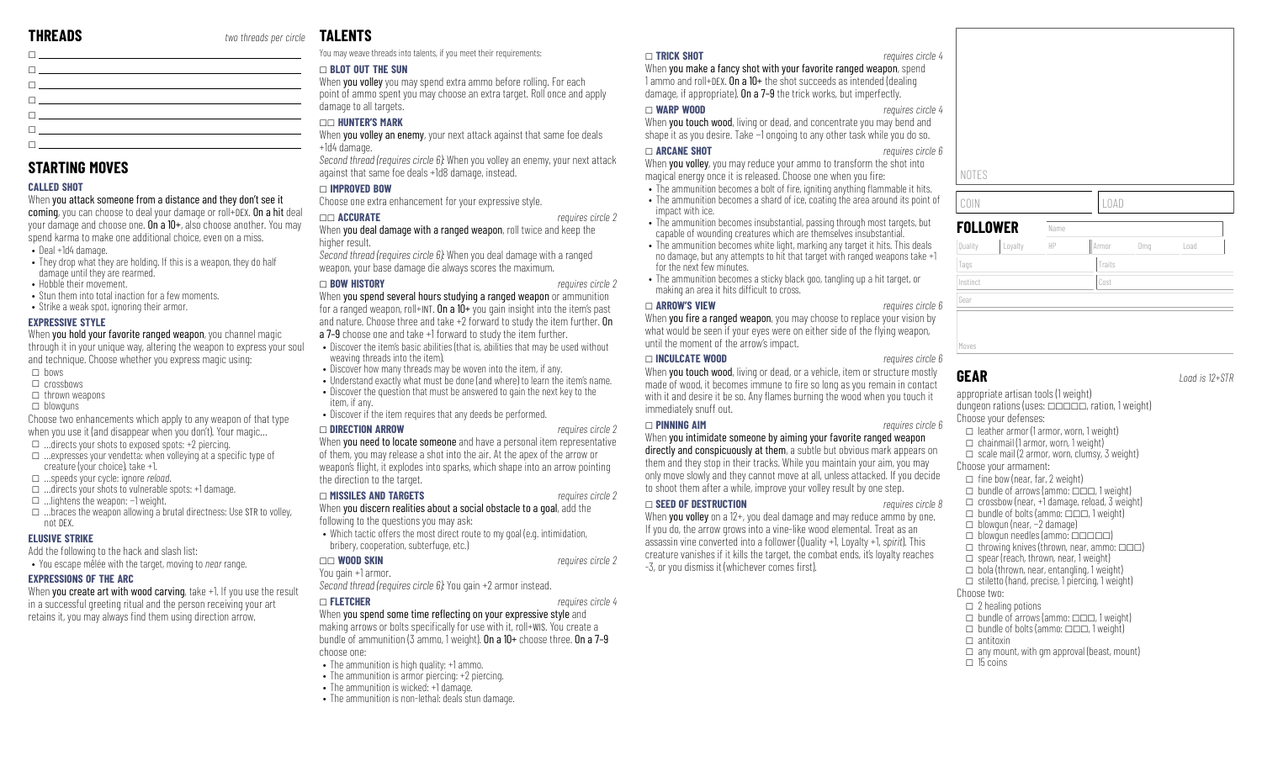| <u> Discovered and the second control of the second control of the second control of the second control of the second</u>                                                                                                       |  |
|---------------------------------------------------------------------------------------------------------------------------------------------------------------------------------------------------------------------------------|--|
| <u> El provincia de la capacidad de la capacidad de la capacidad de la capacidad de la capacidad de la capacidad d</u>                                                                                                          |  |
| $\Box$ . The contract of the contract of the contract of the contract of the contract of the contract of the contract of the contract of the contract of the contract of the contract of the contract of the contract of the co |  |
| The company of the company of the company of the company of the company of the company of                                                                                                                                       |  |
| $\Box$ . The contract of the contract of the contract of the contract of the contract of the contract of the contract of the contract of the contract of the contract of the contract of the contract of the contract of the co |  |

### **STARTING MOVES**

### **CALLED SHOT**

When you attack someone from a distance and they don't see it coming, you can choose to deal your damage or roll+DEX. On a hit deal your damage and choose one. On a 10+, also choose another. You may spend karma to make one additional choice, even on a miss.

- Deal +1d4 damage.
- They drop what they are holding. If this is a weapon, they do half damage until they are rearmed.
- Hobble their movement.
- Stun them into total inaction for a few moments.
- Strike a weak spot, ignoring their armor.

### **EXPRESSIVE STYLE**

When you hold your favorite ranged weapon, you channel magic through it in your unique way, altering the weapon to express your soul and technique. Choose whether you express magic using:

- $\Box$  bows
- $\Box$  crossbows
- $\Box$  thrown weapons
- $\Box$  blowguns
- Choose two enhancements which apply to any weapon of that type when you use it (and disappear when you don't). Your magic…
- $\Box$  …directs your shots to exposed spots: +2 piercing.
- $\square$  …expresses your vendetta: when volleying at a specific type of creature (your choice), take +1.
- \_ …speeds your cycle: ignore *reload*.
- $\Box$  …directs your shots to vulnerable spots: +1 damage.
- \_ …lightens the weapon: −1 weight.
- $\Box$  ...braces the weapon allowing a brutal directness: Use STR to volley, not DEX.

### **ELUSIVE STRIKE**

Add the following to the hack and slash list:

• You escape mêlée with the target, moving to *near* range.

### **EXPRESSIONS OF THE ARC**

When you create art with wood carving, take +1. If you use the result in a successful greeting ritual and the person receiving your art retains it, you may always find them using direction arrow.

# **TALENTS**

You may weave threads into talents, if you meet their requirements:

### \_ **BLOT OUT THE SUN**

When **you volley** you may spend extra ammo before rolling. For each point of ammo spent you may choose an extra target. Roll once and apply damage to all targets.

### \_\_ **HUNTER'S MARK**

When you volley an enemy, your next attack against that same foe deals +1d4 damage.

*Second thread (requires circle 6):* When you volley an enemy, your next attack against that same foe deals +1d8 damage, instead.

### \_ **IMPROVED BOW**

Choose one extra enhancement for your expressive style.

### \_\_ **ACCURATE** *requires circle 2*

When you deal damage with a ranged weapon, roll twice and keep the higher result.

*Second thread (requires circle 6):* When you deal damage with a ranged weapon, your base damage die always scores the maximum.

### \_ **BOW HISTORY** *requires circle 2*

When you spend several hours studying a ranged weapon or ammunition for a ranged weapon, roll+INT. On a 10+ you gain insight into the item's past and nature. Choose three and take +2 forward to study the item further. On a 7–9 choose one and take +1 forward to study the item further.

- Discover the item's basic abilities (that is, abilities that may be used without weaving threads into the item).
- Discover how many threads may be woven into the item, if any.
- Understand exactly what must be done (and where) to learn the item's name.
- Discover the question that must be answered to gain the next key to the item, if any.
- Discover if the item requires that any deeds be performed.

### \_ **DIRECTION ARROW** *requires circle 2*

When you need to locate someone and have a personal item representative of them, you may release a shot into the air. At the apex of the arrow or weapon's flight, it explodes into sparks, which shape into an arrow pointing the direction to the target.

### \_ **MISSILES AND TARGETS** *requires circle 2*

### When you discern realities about a social obstacle to a goal, add the following to the questions you may ask:

• Which tactic offers the most direct route to my goal (e.g. intimidation, bribery, cooperation, subterfuge, etc.)

### \_\_ **WOOD SKIN** *requires circle 2*

### You gain +1 armor.

*Second thread (requires circle 6):* You gain +2 armor instead.

# \_ **FLETCHER** *requires circle 4*

When you spend some time reflecting on your expressive style and making arrows or bolts specifically for use with it, roll+WIS. You create a bundle of ammunition (3 ammo, 1 weight). On a 10+ choose three. On a 7–9 choose one:

- The ammunition is high quality: +1 ammo.
- The ammunition is armor piercing: +2 piercing.
- The ammunition is wicked: +1 damage.
- The ammunition is non-lethal: deals stun damage.

### \_ **TRICK SHOT** *requires circle 4*

When you make a fancy shot with your favorite ranged weapon, spend 1 ammo and roll+DEX. On a 10+ the shot succeeds as intended (dealing damage, if appropriate). On a 7–9 the trick works, but imperfectly.

### \_ **WARP WOOD** *requires circle 4*

When you touch wood, living or dead, and concentrate you may bend and shape it as you desire. Take −1 ongoing to any other task while you do so.

### \_ **ARCANE SHOT** *requires circle 6*

When you volley, you may reduce your ammo to transform the shot into magical energy once it is released. Choose one when you fire:

- The ammunition becomes a bolt of fire, igniting anything flammable it hits.
- The ammunition becomes a shard of ice, coating the area around its point of impact with ice.
- The ammunition becomes insubstantial, passing through most targets, but capable of wounding creatures which are themselves insubstantial.
- The ammunition becomes white light, marking any target it hits. This deals no damage, but any attempts to hit that target with ranged weapons take +1 for the next few minutes.
- The ammunition becomes a sticky black goo, tangling up a hit target, or making an area it hits difficult to cross.

### \_ **ARROW'S VIEW** *requires circle 6*

When you fire a ranged weapon, you may choose to replace your vision by what would be seen if your eyes were on either side of the flying weapon, until the moment of the arrow's impact.

### \_ **INCULCATE WOOD** *requires circle 6*

When you touch wood, living or dead, or a vehicle, item or structure mostly made of wood, it becomes immune to fire so long as you remain in contact with it and desire it be so. Any flames burning the wood when you touch it immediately snuff out.

### \_ **PINNING AIM** *requires circle 6*

When you intimidate someone by aiming your favorite ranged weapon directly and conspicuously at them, a subtle but obvious mark appears on them and they stop in their tracks. While you maintain your aim, you may only move slowly and they cannot move at all, unless attacked. If you decide to shoot them after a while, improve your volley result by one step.

### \_ **SEED OF DESTRUCTION** *requires circle 8*

When you volley on a  $12+$ , you deal damage and may reduce ammo by one. If you do, the arrow grows into a vine-like wood elemental. Treat as an assassin vine converted into a follower (Quality +1, Loyalty +1, *spirit*). This creature vanishes if it kills the target, the combat ends, it's loyalty reaches -3, or you dismiss it (whichever comes first).



Gear

NOTES

**GEAR** *Load is 12+STR*

appropriate artisan tools (1 weight) dungeon rations (uses:  $\Box$  $\Box$  $\Box$ , ration, 1 weight) Choose your defenses:  $\Box$  leather armor (1 armor, worn, 1 weight)  $\Box$  chainmail (1 armor, worn, 1 weight)  $\Box$  scale mail (2 armor, worn, clumsy, 3 weight)

COIN LOAD

Tags Tags Traits Traits Traits Traits Traits Traits Traits Traits Traits Traits Traits Traits Traits Traits Traits Traits Traits Traits Traits Traits Traits Traits Traits Traits Traits Traits Traits Traits Traits Traits Tr Instinct Cost

Quality |Loyalty || HP || Armor || Dmg || Load

**FOLLOWER** Name

Choose your armament:

- $\Box$  fine bow (near, far, 2 weight)
- $\Box$  bundle of arrows (ammo:  $\Box$  $\Box$ , 1 weight)  $\Box$  crossbow (near, +1 damage, reload, 3 weight)
- $\Box$  bundle of bolts (ammo:  $\Box$  $\Box$ , 1 weight)
- \_ blowgun (near, −2 damage)
- $\Box$  blowgun needles (ammo:  $\Box$  $\Box$  $\Box$  $\Box$ )
- $\Box$  throwing knives (thrown, near, ammo:  $\Box \Box$ )
- $\Box$  spear (reach, thrown, near, 1 weight)
- $\Box$  bola (thrown, near, entangling, 1 weight)
- $\Box$  stiletto (hand, precise, 1 piercing, 1 weight)

### Choose two:

 $\Box$  antitoxin

 $\Box$  15 coins

- $\Box$  2 healing potions
- $\Box$  bundle of arrows (ammo:  $\Box \Box \Box$  1 weight)  $\Box$  bundle of bolts (ammo:  $\Box \Box \Box$  1 weight)

 $\Box$  any mount, with gm approval (beast, mount)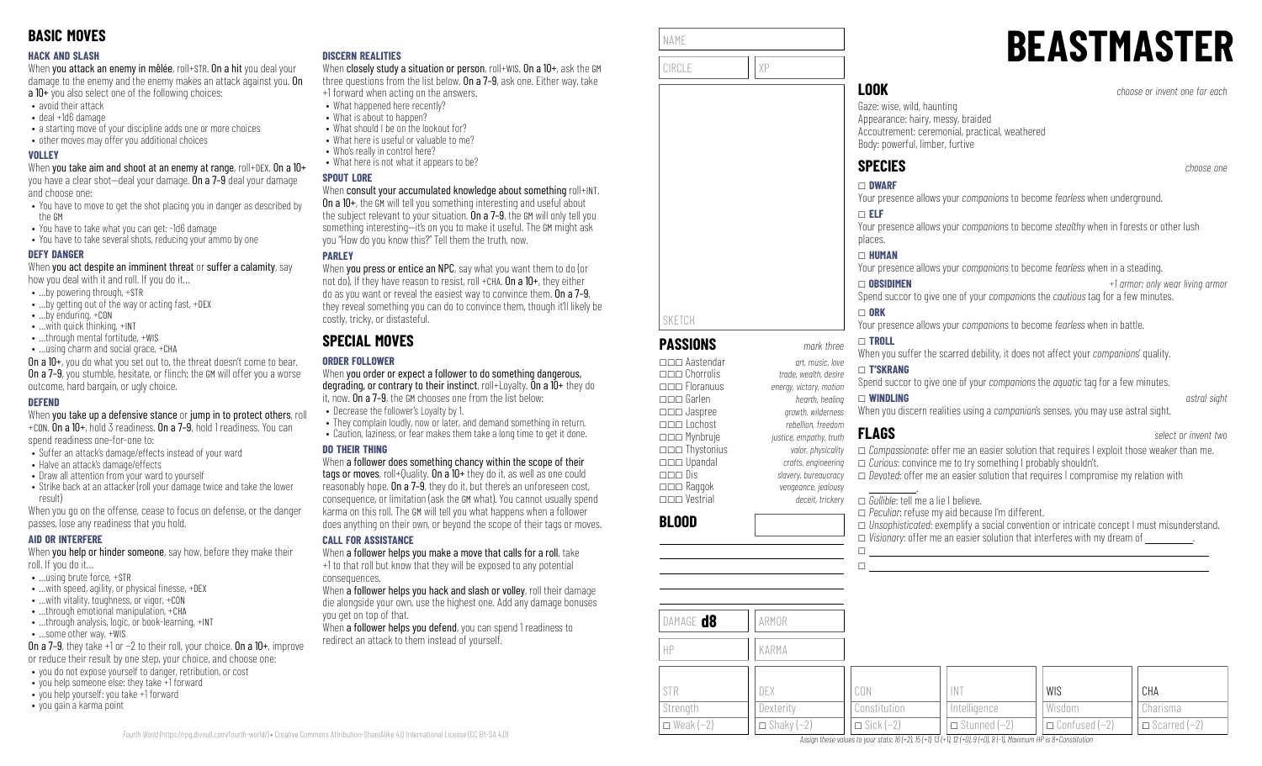### **HACK AND SLASH**

When you attack an enemy in mêlée, roll+STR. On a hit you deal your damage to the enemy and the enemy makes an attack against you. On a 10+ you also select one of the following choices:

- avoid their attack
- deal +1d6 damage
- a starting move of your discipline adds one or more choices
- other moves may offer you additional choices

### **VOLLEY**

When you take aim and shoot at an enemy at range, roll+DEX. On a 10+ you have a clear shot—deal your damage. On a 7–9 deal your damage and choose one:

- You have to move to get the shot placing you in danger as described by the GM
- You have to take what you can get: -1d6 damage
- You have to take several shots, reducing your ammo by one

### **DEFY DANGER**

When you act despite an imminent threat or suffer a calamity, say how you deal with it and roll. If you do it…

- …by powering through, +STR
- …by getting out of the way or acting fast, +DEX
- …by enduring, +CON
- …with quick thinking, +INT
- ...through mental fortitude, +WIS
- …using charm and social grace, +CHA

On a 10+, you do what you set out to, the threat doesn't come to bear. **On a 7–9**, you stumble, hesitate, or flinch: the GM will offer you a worse outcome, hard bargain, or ugly choice.

### **DEFEND**

When you take up a defensive stance or jump in to protect others, roll +CON. On a 10+, hold 3 readiness. On a 7–9, hold 1 readiness. You can

spend readiness one-for-one to:

- Suffer an attack's damage/effects instead of your ward
- Halve an attack's damage/effects
- Draw all attention from your ward to yourself
- Strike back at an attacker (roll your damage twice and take the lower result)

When you go on the offense, cease to focus on defense, or the danger passes, lose any readiness that you hold.

### **AID OR INTERFERE**

When you help or hinder someone, say how, before they make their roll. If you do it…

- …using brute force, +STR
- $\bullet$  ... with speed, agility, or physical finesse,  $+$ DEX
- …with vitality, toughness, or vigor, +CON
- …through emotional manipulation, +CHA
- ...through analysis, logic, or book-learning, +INT • …some other way, +WIS

On a 7–9, they take +1 or −2 to their roll, your choice. On a 10+, improve or reduce their result by one step, your choice, and choose one:

- you do not expose yourself to danger, retribution, or cost
- you help someone else: they take +1 forward • you help yourself: you take +1 forward
- you gain a karma point

### **DISCERN REALITIES**

When closely study a situation or person, roll+WIS. On a 10+, ask the GM three questions from the list below. On a 7-9, ask one. Either way, take +1 forward when acting on the answers.

- What happened here recently?
	- What is about to happen?
- What should I be on the lookout for?
- What here is useful or valuable to me?
- Who's really in control here?
- What here is not what it appears to be?

### **SPOUT LORE**

### When consult your accumulated knowledge about something roll+INT.

On a 10+, the GM will tell you something interesting and useful about the subject relevant to your situation. On a 7-9, the GM will only tell you something interesting—it's on you to make it useful. The GM might ask you "How do you know this?" Tell them the truth, now.

### **PARLEY**

When **you press or entice an NPC**, say what you want them to do (or not do). If they have reason to resist, roll +CHA,  $0n a 10+$ , they either do as you want or reveal the easiest way to convince them. On a 7–9, they reveal something you can do to convince them, though it'll likely be costly, tricky, or distasteful.

# **SPECIAL MOVES**

### **ORDER FOLLOWER**

When you order or expect a follower to do something dangerous, degrading, or contrary to their instinct, roll+Loyalty. On a 10+ they do it, now. On a 7–9, the GM chooses one from the list below:

- Decrease the follower's Loyalty by 1.
- They complain loudly, now or later, and demand something in return. • Caution, laziness, or fear makes them take a long time to get it done.

### **DO THEIR THING**

When a follower does something chancy within the scope of their tags or moves, roll+Quality. On a 10+ they do it, as well as one could reasonably hope. On a 7–9, they do it, but there's an unforeseen cost, consequence, or limitation (ask the GM what). You cannot usually spend karma on this roll. The GM will tell you what happens when a follower does anything on their own, or beyond the scope of their tags or moves.

### **CALL FOR ASSISTANCE**

When a follower helps you make a move that calls for a roll, take +1 to that roll but know that they will be exposed to any potential consequences.

When a follower helps you hack and slash or volley, roll their damage die alongside your own, use the highest one. Add any damage bonuses you get on top of that.

When a follower helps you defend, you can spend 1 readiness to redirect an attack to them instead of yourself.

| NAME          |    |
|---------------|----|
|               |    |
| <b>CIRCLE</b> | χP |
|               |    |
|               |    |

# **BEASTMASTER**

**LOOK** *choose or invent one for each*

Gaze: wise, wild, haunting Appearance: hairy, messy, braided Accoutrement: ceremonial, practical, weathered Body: powerful, limber, furtive

# **SPECIES** *choose one*

## \_ **DWARF**

Your presence allows your *companion*s to become *fearless* when underground.

### \_ **ELF**

Your presence allows your *companion*s to become *stealthy* when in forests or other lush places.

### \_ **HUMAN**

Your presence allows your *companion*s to become *fearless* when in a steading.

\_ **OBSIDIMEN** *+1 armor; only wear living armor* Spend succor to give one of your *companion*s the *cautious* tag for a few minutes.

### $\Box$  ORK

 $\Box$ 

Your presence allows your *companion*s to become *fearless* when in battle.

### \_ **TROLL**

When you suffer the scarred debility, it does not affect your *companion*s' quality.

### \_ **T'SKRANG**

Spend succor to give one of your *companion*s the *aquatic* tag for a few minutes. \_ **WINDLING** *astral sight*

When you discern realities using a *companion*'s senses, you may use astral sight.

\_ *Compassionate*: offer me an easier solution that requires I exploit those weaker than me. \_ *Curious*: convince me to try something I probably shouldn't. \_ *Devoted*: offer me an easier solution that requires I compromise my relation with .

\_ *Gullible*: tell me a lie I believe.

### \_ *Peculiar*: refuse my aid because I'm different. \_ *Unsophisticated*: exemplify a social convention or intricate concept I must misunderstand.  $\Box$  *Visionary:* offer me an easier solution that interferes with my dream of  $\Box$  $\Box$

| DAMAGE <b>d8</b>   | ARMOR               |                    |                       |                        |                                  |
|--------------------|---------------------|--------------------|-----------------------|------------------------|----------------------------------|
| HP                 | KARMA               |                    |                       |                        |                                  |
| <b>STR</b>         | DEX                 | CON                | INT                   | <b>WIS</b>             | CHA                              |
| Strength           | Dexterity           | Constitution       | Intelligence          | Wisdom                 | Charisma                         |
| $\Box$ Weak $(-2)$ | $\Box$ Shaky $(-2)$ | $\Box$ Sick $(-2)$ | $\Box$ Stunned $(-2)$ | $\Box$ Confused $(-2)$ | $\Box$ Scarred $\overline{(-2)}$ |

Assian these values to vour stats: 16 (+2), 15 (+1), 13 (+1), 12 (+0), 9 (+0), 8 (-1), Maximum HP is 8+Constitution

**FLAGS** *select or invent two*

\_\_\_ Lochost *rebellion, freedom* \_\_\_ Mynbruje *justice, empathy, truth* \_\_\_ Thystonius *valor, physicality* \_\_\_ Upandal *crafts, engineering*

\_\_\_ Raggok *vengeance, jealousy*

\_\_\_ Jaspree *growth, wilderness*

\_\_\_ Chorrolis *trade, wealth, desire*

\_\_\_ Dis *slavery, bureaucracy*

**PASSIONS** *mark three* \_\_\_ Aastendar *art, music, love*

\_\_\_ Floranuus *energy, victory, motion* \_\_\_ Garlen *hearth, healing*

\_\_\_ Vestrial *deceit, trickery*

**BLOOD**

SKETCH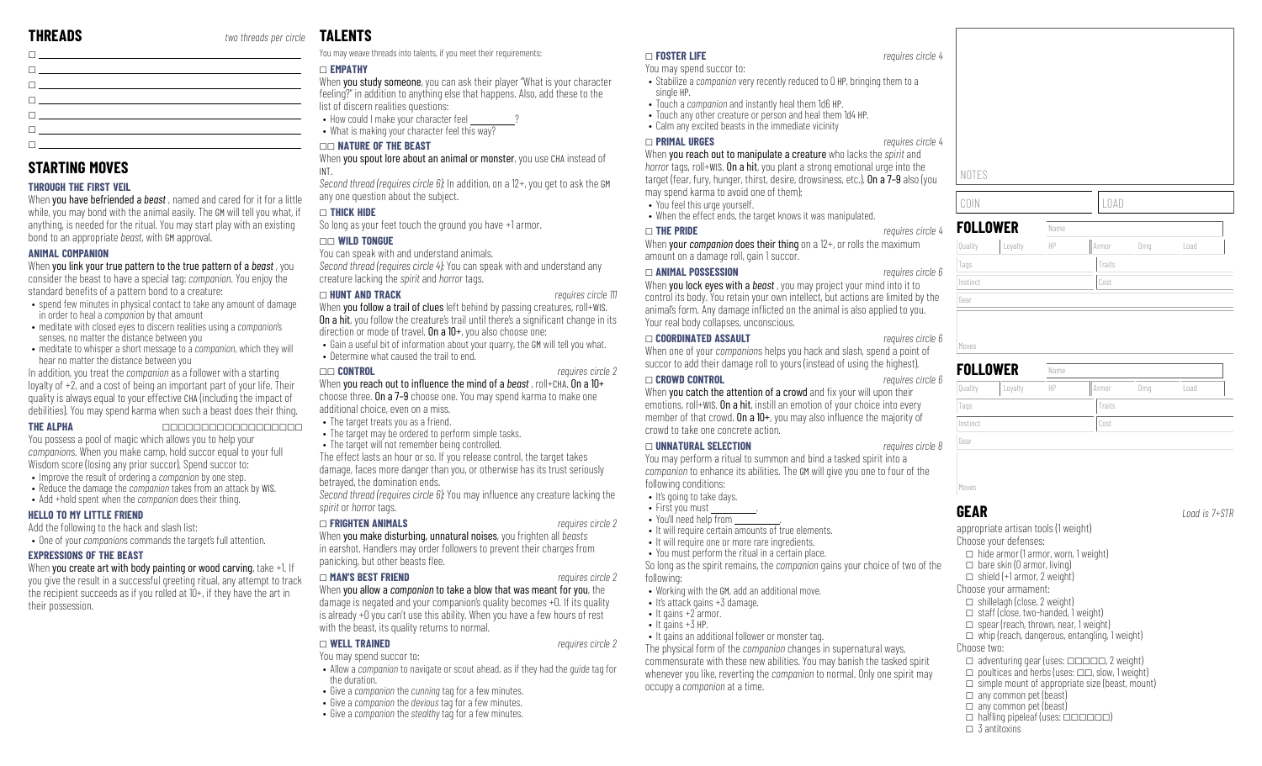| $\Box$ . The contract of the contract of the contract of the contract of the contract of the contract of the contract of the contract of the contract of the contract of the contract of the contract of the contract of the co      |  |
|--------------------------------------------------------------------------------------------------------------------------------------------------------------------------------------------------------------------------------------|--|
|                                                                                                                                                                                                                                      |  |
| The contract of the contract of the contract of the contract of the contract of                                                                                                                                                      |  |
| $\Box$ . The contract of the contract of the contract of the contract of the contract of the contract of the contract of the contract of the contract of the contract of the contract of the contract of the contract of the co      |  |
| <b>The contract of the contract of the contract of the contract of the contract of the contract of the contract of the contract of the contract of the contract of the contract of the contract of the contract of the contract </b> |  |
| $\Box$ . The contract of the contract of the contract of the contract of the contract of the contract of the contract of the contract of the contract of the contract of the contract of the contract of the contract of the co      |  |
|                                                                                                                                                                                                                                      |  |

### **STARTING MOVES**

### **THROUGH THE FIRST VEIL**

When you have befriended a *beast* , named and cared for it for a little while, you may bond with the animal easily. The GM will tell you what, if anything, is needed for the ritual. You may start play with an existing bond to an appropriate *beast*, with GM approval.

### **ANIMAL COMPANION**

When you link your true pattern to the true pattern of a *beast* , you consider the beast to have a special tag: *companion*. You enjoy the standard benefits of a pattern bond to a creature:

- spend few minutes in physical contact to take any amount of damage in order to heal a *companion* by that amount
- meditate with closed eyes to discern realities using a *companion*'s senses, no matter the distance between you
- meditate to whisper a short message to a *companion*, which they will hear no matter the distance between you

In addition, you treat the *companion* as a follower with a starting loyalty of +2, and a cost of being an important part of your life. Their quality is always equal to your effective CHA (including the impact of debilities). You may spend karma when such a beast does their thing.

**THE ALPHA** \_\_\_\_\_\_\_\_\_\_\_\_\_\_\_\_\_\_ You possess a pool of magic which allows you to help your *companion*s. When you make camp, hold succor equal to your full Wisdom score (losing any prior succor). Spend succor to:

- Improve the result of ordering a *companion* by one step. • Reduce the damage the *companion* takes from an attack by WIS.
- Add +hold spent when the *companion* does their thing.

### **HELLO TO MY LITTLE FRIEND**

- Add the following to the hack and slash list:
- One of your *companion*s commands the target's full attention.

### **EXPRESSIONS OF THE BEAST**

When you create art with body painting or wood carving, take +1. If you give the result in a successful greeting ritual, any attempt to track the recipient succeeds as if you rolled at 10+, if they have the art in their possession.

# **TALENTS**

You may weave threads into talents, if you meet their requirements:

### \_ **EMPATHY**

When **you study someone**, you can ask their player "What is your character feeling?" in addition to anything else that happens. Also, add these to the list of discern realities questions:

- How could I make your character feel
- What is making your character feel this way?

### \_\_ **NATURE OF THE BEAST**

### When you spout lore about an animal or monster, you use CHA instead of INT.

*Second thread (requires circle 6):* In addition, on a 12+, you get to ask the GM any one question about the subject.

### \_ **THICK HIDE**

So long as your feet touch the ground you have +1 armor.

### \_\_ **WILD TONGUE**

You can speak with and understand animals.

*Second thread (requires circle 4):* You can speak with and understand any creature lacking the *spirit* and *horror* tags.

### \_ **HUNT AND TRACK** *requires circle 111*

When you follow a trail of clues left behind by passing creatures, roll+WIS. On a hit, you follow the creature's trail until there's a significant change in its direction or mode of travel. On a 10+, you also choose one:

• Gain a useful bit of information about your quarry, the GM will tell you what. • Determine what caused the trail to end.

### \_\_ **CONTROL** *requires circle 2*

When you reach out to influence the mind of a *beast*, roll+CHA. On a 10+ choose three. On a 7–9 choose one. You may spend karma to make one additional choice, even on a miss.

- The target treats you as a friend.
- The target may be ordered to perform simple tasks.
- The target will not remember being controlled.

The effect lasts an hour or so. If you release control, the target takes damage, faces more danger than you, or otherwise has its trust seriously betrayed, the domination ends.

*Second thread (requires circle 6):* You may influence any creature lacking the *spirit* or *horror* tags.

### \_ **FRIGHTEN ANIMALS** *requires circle 2*

When you make disturbing, unnatural noises, you frighten all *beasts* in earshot. Handlers may order followers to prevent their charges from panicking, but other beasts flee.

### \_ **MAN'S BEST FRIEND** *requires circle 2*

When you allow a *companion* to take a blow that was meant for you, the damage is negated and your companion's quality becomes +0. If its quality is already +0 you can't use this ability. When you have a few hours of rest with the beast, its quality returns to normal.

### \_ **WELL TRAINED** *requires circle 2*

- You may spend succor to:
- Allow a *companion* to navigate or scout ahead, as if they had the *guide* tag for the duration.
- Give a *companion* the *cunning* tag for a few minutes.
- Give a *companion* the *devious* tag for a few minutes.
- Give a *companion* the *stealthy* tag for a few minutes.

### \_ **FOSTER LIFE** *requires circle 4*

You may spend succor to:

- Stabilize a *companion* very recently reduced to 0 HP, bringing them to a single HP.
- Touch a *companion* and instantly heal them 1d6 HP.
- Touch any other creature or person and heal them 1d4 HP. • Calm any excited beasts in the immediate vicinity
- 

### \_ **PRIMAL URGES** *requires circle 4*

When you reach out to manipulate a creature who lacks the *spirit* and *horror* tags, roll+WIS. On a hit, you plant a strong emotional urge into the target (fear, fury, hunger, thirst, desire, drowsiness, etc.). On a 7–9 also (you may spend karma to avoid one of them):

- You feel this urge yourself
- When the effect ends, the target knows it was manipulated.

### \_ **THE PRIDE** *requires circle 4*

When **your** *companion* does their thing on a 12+, or rolls the maximum amount on a damage roll, gain 1 succor.

### \_ **ANIMAL POSSESSION** *requires circle 6*

When **you lock eyes with a** *beast*, you may project your mind into it to control its body. You retain your own intellect, but actions are limited by the animal's form. Any damage inflicted on the animal is also applied to you. Your real body collapses, unconscious.

### \_ **COORDINATED ASSAULT** *requires circle 6*

When one of your *companion*s helps you hack and slash, spend a point of succor to add their damage roll to yours (instead of using the highest).

### \_ **CROWD CONTROL** *requires circle 6*

When you catch the attention of a crowd and fix your will upon their emotions, roll+WIS. On a hit, instill an emotion of your choice into every member of that crowd. On a  $10+$ , you may also influence the majority of crowd to take one concrete action.

### \_ **UNNATURAL SELECTION** *requires circle 8*

You may perform a ritual to summon and bind a tasked spirit into a *companion* to enhance its abilities. The GM will give you one to four of the following conditions:

- It's going to take days.
- First you must .  $\bullet$  You'll need help from
- It will require certain amounts of true elements.
- It will require one or more rare ingredients.
- You must perform the ritual in a certain place.

So long as the spirit remains, the *companion* gains your choice of two of the following:

- Working with the GM, add an additional move.
- - It gains +2 armor.
	- $\bullet$  It gains  $+3$  HP.
	- It gains an additional follower or monster tag.

commensurate with these new abilities. You may banish the tasked spirit whenever you like, reverting the *companion* to normal. Only one spirit may occupy a *companion* at a time.

| NOTES    |                 |      |        |     |      |  |
|----------|-----------------|------|--------|-----|------|--|
| COIN     |                 |      | LOAD   |     |      |  |
|          | <b>FOLLOWER</b> | Name |        |     |      |  |
| Quality  | Loyalty         | HP   | Armor  | Dmg | Load |  |
| Tags     |                 |      | Traits |     |      |  |
| Instinct |                 |      | Cost   |     |      |  |
| Gear     |                 |      |        |     |      |  |
|          |                 |      |        |     |      |  |
|          |                 |      |        |     |      |  |

|          | <b>FOLLOWER</b> | Name |        |     |      |
|----------|-----------------|------|--------|-----|------|
| Quality  | Loyalty         | HP   | Armor  | Dmg | Load |
| Tags     |                 |      | Traits |     |      |
| Instinct |                 |      | Cost   |     |      |
| Gear     |                 |      |        |     |      |

### **GEAR** *Load is 7+STR*

appropriate artisan tools (1 weight) Choose your defenses:  $\Box$  hide armor (1 armor, worn, 1 weight)  $\Box$  bare skin (0 armor, living)  $\Box$  shield (+1 armor, 2 weight) Choose your armament:  $\Box$  shillelagh (close, 2 weight)  $\Box$  staff (close, two-handed, 1 weight)  $\Box$  spear (reach, thrown, near, 1 weight)  $\Box$  whip (reach, dangerous, entangling, 1 weight) Choose two:  $\Box$  adventuring gear (uses:  $\Box$  $\Box$  $\Box$  $\Box$ , 2 weight)  $\Box$  poultices and herbs (uses:  $\Box \Box$ , slow, 1 weight)  $\Box$  simple mount of appropriate size (beast, mount)  $\Box$  any common pet (beast)  $\Box$  any common pet (beast)  $\Box$  halfling pipeleaf (uses:  $\Box$  $\Box$  $\Box$  $\Box$  $\Box$ )  $\Box$  3 antitoxins

- 
- It's attack gains +3 damage.

- 
- The physical form of the *companion* changes in supernatural ways,

NOTES

COIN LOAD **FOLL** 

Moves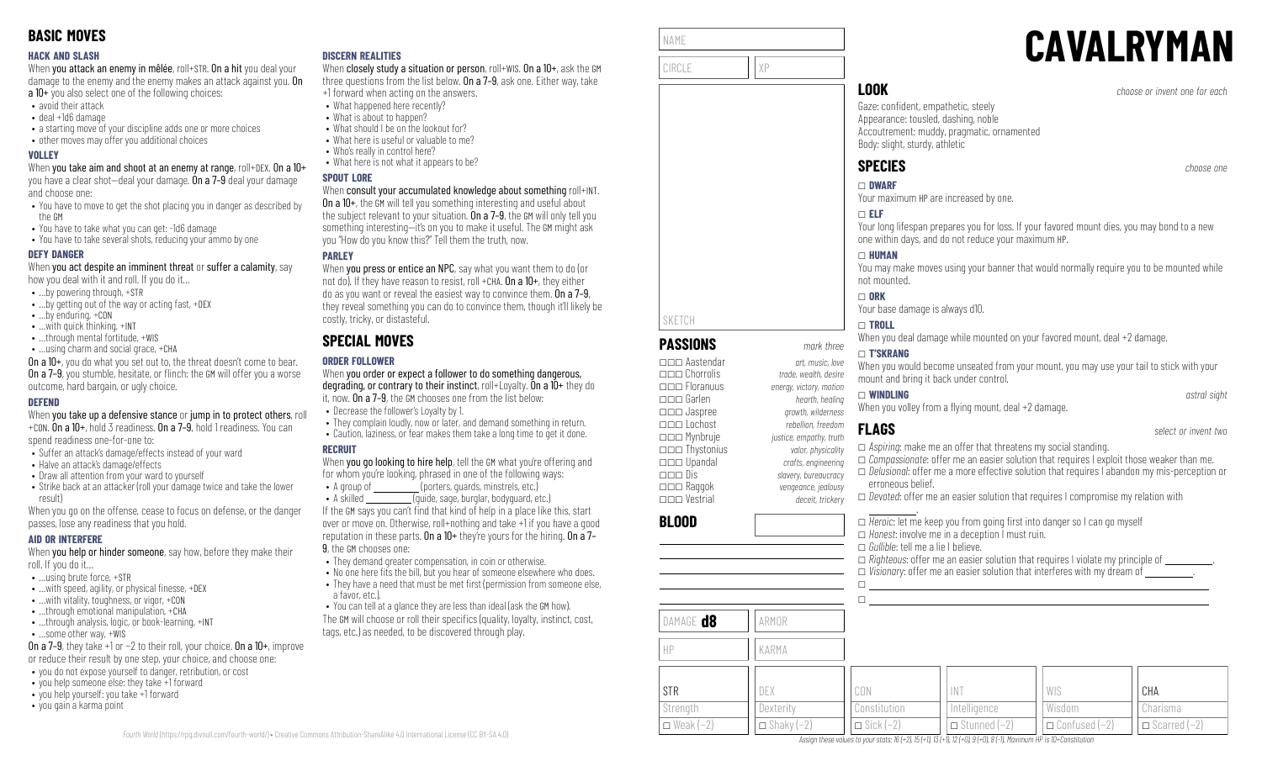### **HACK AND SLASH**

When you attack an enemy in mêlée, roll+STR. On a hit you deal your damage to the enemy and the enemy makes an attack against you. On a 10+ you also select one of the following choices:

- avoid their attack
- deal +1d6 damage
- a starting move of your discipline adds one or more choices
- other moves may offer you additional choices

### **VOLLEY**

When you take aim and shoot at an enemy at range, roll+DEX. On a 10+ you have a clear shot—deal your damage. On a 7–9 deal your damage and choose one:

- You have to move to get the shot placing you in danger as described by the GM
- You have to take what you can get: -1d6 damage
- You have to take several shots, reducing your ammo by one

### **DEFY DANGER**

When you act despite an imminent threat or suffer a calamity, say how you deal with it and roll. If you do it…

- …by powering through, +STR
- …by getting out of the way or acting fast, +DEX
- …by enduring, +CON
- …with quick thinking, +INT
- …through mental fortitude, +WIS
- …using charm and social grace, +CHA

On a 10+, you do what you set out to, the threat doesn't come to bear. **On a 7–9**, you stumble, hesitate, or flinch: the GM will offer you a worse outcome, hard bargain, or ugly choice.

### **DEFEND**

When you take up a defensive stance or jump in to protect others, roll +CON. On a 10+, hold 3 readiness. On a 7–9, hold 1 readiness. You can

spend readiness one-for-one to:

- Suffer an attack's damage/effects instead of your ward
- Halve an attack's damage/effects
- Draw all attention from your ward to yourself
- Strike back at an attacker (roll your damage twice and take the lower result)

When you go on the offense, cease to focus on defense, or the danger passes, lose any readiness that you hold.

### **AID OR INTERFERE**

When you help or hinder someone, say how, before they make their roll. If you do it…

- …using brute force, +STR
- $\bullet$  ... with speed, agility, or physical finesse,  $+$ DEX
- …with vitality, toughness, or vigor, +CON
- …through emotional manipulation, +CHA
- ...through analysis, logic, or book-learning, +INT • …some other way, +WIS

On a 7–9, they take +1 or −2 to their roll, your choice. On a 10+, improve

- or reduce their result by one step, your choice, and choose one:
- you do not expose yourself to danger, retribution, or cost
- you help someone else: they take +1 forward
- you help yourself: you take +1 forward
- you gain a karma point

### **DISCERN REALITIES**

When closely study a situation or person, roll+WIS. On a 10+, ask the GM three questions from the list below. On a 7–9, ask one. Either way, take +1 forward when acting on the answers.

- What happened here recently?
	- What is about to happen?
- What should I be on the lookout for?
- What here is useful or valuable to me?
- Who's really in control here?
- What here is not what it appears to be?

### **SPOUT LORE**

### When consult your accumulated knowledge about something roll+INT.

On a 10+, the GM will tell you something interesting and useful about the subject relevant to your situation. On a 7-9, the GM will only tell you something interesting—it's on you to make it useful. The GM might ask you "How do you know this?" Tell them the truth, now.

### **PARLEY**

When **you press or entice an NPC**, say what you want them to do (or not do). If they have reason to resist, roll +CHA. On a 10+, they either do as you want or reveal the easiest way to convince them. On a 7–9, they reveal something you can do to convince them, though it'll likely be costly, tricky, or distasteful.

# **SPECIAL MOVES**

### **ORDER FOLLOWER**

When you order or expect a follower to do something dangerous, degrading, or contrary to their instinct, roll+Loyalty. On a 10+ they do it, now. On a 7–9, the GM chooses one from the list below: • Decrease the follower's Loyalty by 1.

- They complain loudly, now or later, and demand something in return.
- Caution, laziness, or fear makes them take a long time to get it done.

### **RECRUIT**

When you go looking to hire help, tell the GM what you're offering and for whom you're looking, phrased in one of the following ways:

• A group of **Calcular Contract Contract** (porters, quards, minstrels, etc.) • A skilled (quide, sage, burglar, bodyguard, etc.)

If the GM says you can't find that kind of help in a place like this, start over or move on. Otherwise, roll+nothing and take +1 if you have a good reputation in these parts. On a 10+ they're yours for the hiring. On a 7– 9, the GM chooses one:

- They demand greater compensation, in coin or otherwise.
- $\cdot$  No one here fits the bill, but you hear of someone elsewhere who does.
- $\bullet$  They have a need that must be met first (permission from someone else, a favor, etc.).
- You can tell at a glance they are less than ideal (ask the GM how). The GM will choose or roll their specifics (quality, loyalty, instinct, cost,
- tags, etc.) as needed, to be discovered through play.

| NAME   |    |
|--------|----|
| CIRCLE | χp |

# **CAVALRYMAN**

**LOOK** *choose or invent one for each*

Gaze: confident, empathetic, steely Appearance: tousled, dashing, noble Accoutrement: muddy, pragmatic, ornamented Body: slight, sturdy, athletic

# **SPECIES** *choose one*

\_ **DWARF**

Your maximum HP are increased by one.

### \_ **ELF**

Your long lifespan prepares you for loss. If your favored mount dies, you may bond to a new one within days, and do not reduce your maximum HP.

### \_ **HUMAN**

You may make moves using your banner that would normally require you to be mounted while not mounted.

### \_ **ORK**

Your base damage is always d10.

### \_ **TROLL**

When you deal damage while mounted on your favored mount, deal +2 damage.

### \_ **T'SKRANG**

When you would become unseated from your mount, you may use your tail to stick with your mount and bring it back under control.

\_ **WINDLING** *astral sight* When you volley from a flying mount, deal  $+2$  damage.

# **FLAGS** *select or invent two*

Constitution  $\Box$  Sick (−2)

| uth        |                                                                                                    |
|------------|----------------------------------------------------------------------------------------------------|
| litv       | $\Box$ Aspiring: make me an offer that threatens my social standing.                               |
| ina        | $\Box$ Compassionate: offer me an easier solution that requires I exploit those weaker than me.    |
| <b>JCV</b> | $\Box$ Delusional: offer me a more effective solution that requires I abandon my mis-perception or |
| <b>JSV</b> | erroneous belief.                                                                                  |
| erv        | $\Box$ Devoted: offer me an easier solution that requires I compromise my relation with            |

Wisdom \_ Confused (−2)

Charisma \_ Scarred (−2)

### **BLOOD**

DAMAGE **d8** 

HP KARMA

STR **Strength** \_ Weak (−2)

|       | $\Box$ Heroic: let me keep you from going first into danger so I can go myself<br>$\Box$ Honest: involve me in a deception I must ruin.<br>$\Box$ Gullible: tell me a lie I believe. | $\Box$ Righteous: offer me an easier solution that requires I violate my principle of $\Box$<br>$\Box$ Visionary: offer me an easier solution that interferes with my dream of $\Box$ |
|-------|--------------------------------------------------------------------------------------------------------------------------------------------------------------------------------------|---------------------------------------------------------------------------------------------------------------------------------------------------------------------------------------|
| ARMOR |                                                                                                                                                                                      |                                                                                                                                                                                       |
| KARMA |                                                                                                                                                                                      |                                                                                                                                                                                       |
| DF)   | N                                                                                                                                                                                    | CHA                                                                                                                                                                                   |

Intelligence \_ Stunned (−2)

Assian these values to your stats: 16 (+2), 15 (+1), 13 (+1), 12 (+0), 9 (+0), 8 (-1). Maximum HP is 10+Constitution

# SKETCH **PASSIONS** *mark three*

\_\_\_ Aastendar *art, music, love* \_\_\_ Chorrolis *trade, wealth, desire* \_\_\_ Floranuus *energy, victory, motion* \_\_\_ Garlen *hearth, healing* \_\_\_ Jaspree *growth, wilderness* \_\_\_ Lochost *rebellion, freedom* \_\_\_ Mynbruje *justice, empathy, truth* \_\_\_ Thystonius *valor, physicality* \_\_\_ Upandal *crafts, engineering* \_\_\_ Dis *slavery, bureaucracy*

> **Dexterity**  $\Box$  Shaky (-2)

\_\_\_ Raggok *vengeance, jealousy* \_\_\_ Vestrial *deceit, trickery*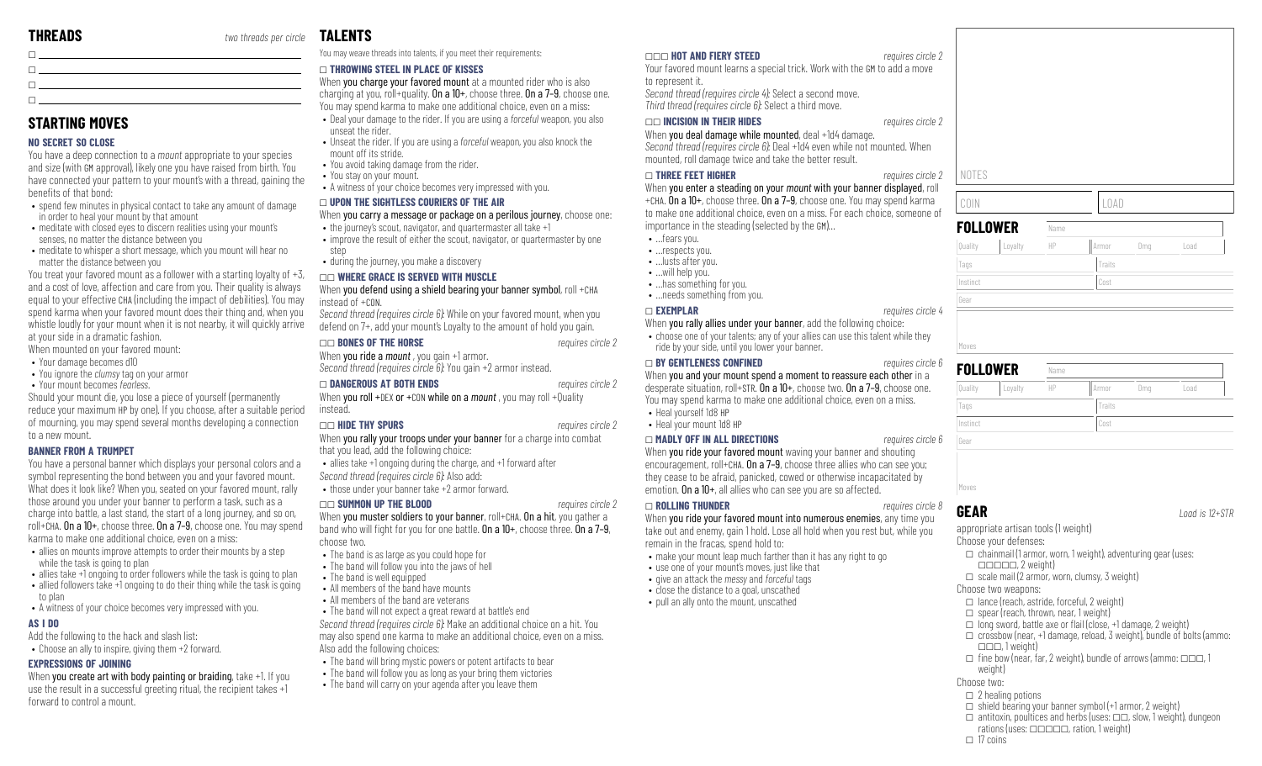$\Box$ **STARTING MOVES NO SECRET SO CLOSE**

benefits of that bond:

 $\Box$ 

You have a deep connection to a *mount* appropriate to your species and size (with GM approval), likely one you have raised from birth. You have connected your pattern to your mount's with a thread, gaining the

• spend few minutes in physical contact to take any amount of damage

• meditate with closed eves to discern realities using your mount's

Should your mount die, you lose a piece of yourself (permanently reduce your maximum HP by one). If you choose, after a suitable period of mourning, you may spend several months developing a connection

You have a personal banner which displays your personal colors and a symbol representing the bond between you and your favored mount. What does it look like? When you, seated on your favored mount, rally those around you under your banner to perform a task, such as a charge into battle, a last stand, the start of a long journey, and so on, roll+CHA. On a 10+, choose three. On a 7–9, choose one. You may spend

• allies on mounts improve attempts to order their mounts by a step

When you create art with body painting or braiding, take +1. If you use the result in a successful greeting ritual, the recipient takes +1

• A witness of your choice becomes very impressed with you.

karma to make one additional choice, even on a miss:

• meditate to whisper a short message, which you mount will hear no

You treat your favored mount as a follower with a starting loyalty of +3, and a cost of love, affection and care from you. Their quality is always equal to your effective CHA (including the impact of debilities). You may spend karma when your favored mount does their thing and, when you whistle loudly for your mount when it is not nearby, it will quickly arrive

\_

in order to heal your mount by that amount

senses, no matter the distance between you

matter the distance between you

at your side in a dramatic fashion. When mounted on your favored mount: • Your damage becomes d10

to a new mount.

to plan

**AS I DO**

**BANNER FROM A TRUMPET**

while the task is going to plan

**EXPRESSIONS OF JOINING**

forward to control a mount.

Add the following to the hack and slash list: • Choose an ally to inspire, giving them +2 forward.

• You ignore the *clumsy* tag on your armor • Your mount becomes *fearless*.

 $\Box$ 

# **TALENTS**

You may weave threads into talents, if you meet their requirements:

### \_ **THROWING STEEL IN PLACE OF KISSES**

When you charge your favored mount at a mounted rider who is also charging at you, roll+quality. On a  $10+$ , choose three. On a  $7-9$ , choose one. You may spend karma to make one additional choice, even on a miss:

- Deal your damage to the rider. If you are using a *forceful* weapon, you also unseat the rider.
- Unseat the rider. If you are using a *forceful* weapon, you also knock the mount off its stride.
- You avoid taking damage from the rider.
- You stay on your mount.
- A witness of your choice becomes very impressed with you.

### \_ **UPON THE SIGHTLESS COURIERS OF THE AIR**

When you carry a message or package on a perilous journey, choose one:

- the journey's scout, navigator, and quartermaster all take +1
- improve the result of either the scout, navigator, or quartermaster by one step
- during the journey, you make a discovery

### \_\_ **WHERE GRACE IS SERVED WITH MUSCLE**

### When you defend using a shield bearing your banner symbol, roll +CHA instead of +CON.

*Second thread (requires circle 6):* While on your favored mount, when you defend on 7+, add your mount's Loyalty to the amount of hold you gain.

### \_\_ **BONES OF THE HORSE** *requires circle 2*

When **you ride a** *mount*, you gain +1 armor. *Second thread (requires circle 6):* You gain +2 armor instead.

### \_ **DANGEROUS AT BOTH ENDS** *requires circle 2*

When you roll +DEX or +CON while on a *mount*, you may roll +Quality instead.

### \_\_ **HIDE THY SPURS** *requires circle 2*

When you rally your troops under your banner for a charge into combat that you lead, add the following choice:

- allies take +1 ongoing during the charge, and +1 forward after
- *Second thread (requires circle 6):* Also add:

• those under your banner take +2 armor forward.

### \_\_ **SUMMON UP THE BLOOD** *requires circle 2*

When you muster soldiers to your banner, roll+CHA. On a hit, you gather a band who will fight for you for one battle. On a  $10+$ , choose three. On a  $7-9$ , choose two.

- The band is as large as you could hope for
- The band will follow you into the jaws of hell
- allies take +1 ongoing to order followers while the task is going to plan • allied followers take +1 ongoing to do their thing while the task is going • The band is well equipped
	- All members of the band have mounts
	- All members of the band are veterans
	- The band will not expect a great reward at battle's end

*Second thread (requires circle 6):* Make an additional choice on a hit. You may also spend one karma to make an additional choice, even on a miss. Also add the following choices:

- The band will bring mystic powers or potent artifacts to bear
- The band will follow you as long as your bring them victories
- The band will carry on your agenda after you leave them

### \_\_\_ **HOT AND FIERY STEED** *requires circle 2*

Your favored mount learns a special trick. Work with the GM to add a move to represent it. *Second thread (requires circle 4):* Select a second move. *Third thread (requires circle 6):* Select a third move.

### \_\_ **INCISION IN THEIR HIDES** *requires circle 2*

When you deal damage while mounted, deal +1d4 damage. *Second thread (requires circle 6):* Deal +1d4 even while not mounted, roll damage twice and take the better result.

### \_ **THREE FEET HIGHER** *requires circle 2*

When you enter a steading on your *mount* with your banner displayed, roll +CHA. On a 10+, choose three. On a 7–9, choose one. You may spend karma to make one additional choice, even on a miss. For each choice, someone of importance in the steading (selected by the GM)…

- …fears you. • …respects you.
- …lusts after you.
- …will help you.
- …has something for you.
- …needs something from you.

### \_ **EXEMPLAR** *requires circle 4*

When you rally allies under your banner, add the following choice:

• choose one of your talents; any of your allies can use this talent while they ride by your side, until you lower your banner.

### \_ **BY GENTLENESS CONFINED** *requires circle 6*

When you and your mount spend a moment to reassure each other in a desperate situation, roll+STR. On a 10+, choose two. On a 7–9, choose one. You may spend karma to make one additional choice, even on a miss.

\_ **MADLY OFF IN ALL DIRECTIONS** *requires circle 6*

When you ride your favored mount waving your banner and shouting encouragement, roll+CHA. On a 7-9, choose three allies who can see you; they cease to be afraid, panicked, cowed or otherwise incapacitated by emotion. On a 10+, all allies who can see you are so affected.

### \_ **ROLLING THUNDER** *requires circle 8*

When you ride your favored mount into numerous enemies, any time you take out and enemy, gain 1 hold. Lose all hold when you rest but, while you remain in the fracas, spend hold to:

- make your mount leap much farther than it has any right to go
- use one of your mount's moves, just like that
- give an attack the *messy* and *forceful* tags • close the distance to a goal, unscathed
- pull an ally onto the mount, unscathed

COIN LOAD **FOLLOWER** Name Quality Loyalty HP Armor Dmg Load Tags Tags Traits Traits Traits Traits Traits Traits Traits Traits Traits Traits Traits Traits Traits Traits Traits Traits Traits Traits Traits Traits Traits Traits Traits Traits Traits Traits Traits Traits Traits Traits Tr Instinct Cost

# Gear Moves

**GEAR** *Load is 12+STR*

appropriate artisan tools (1 weight) Choose your defenses:

- $\Box$  chainmail (1 armor, worn, 1 weight), adventuring gear (uses:  $\Box \Box \Box \Box \Box$ , 2 weight)
- $\Box$  scale mail (2 armor, worn, clumsy, 3 weight)
- Choose two weapons:
- $\Box$  lance (reach, astride, forceful, 2 weight)
- $\Box$  spear (reach, thrown, near, 1 weight)
- $\Box$  long sword, battle axe or flail (close, +1 damage, 2 weight)
- $\Box$  crossbow (near, +1 damage, reload, 3 weight), bundle of bolts (ammo:
	- $\Box \Box \Box$  1 weight)
- $\Box$  fine bow (near, far, 2 weight), bundle of arrows (ammo:  $\Box \Box \Box$ , 1 weinht)
- Choose two:
- $\square$  2 healing potions
- $\Box$  shield bearing your banner symbol (+1 armor, 2 weight)
- $\Box$  antitoxin, poultices and herbs (uses:  $\Box \Box$ , slow, 1 weight), dungeon
- rations (uses:  $\Box$  $\Box$  $\Box$ , ration, 1 weight)
- $\Box$  17 coins

| mounted. When     |       |
|-------------------|-------|
| requires circle 2 | NOTES |

| LOAD |  |
|------|--|





- 
- 

# • Heal yourself 1d8 HP

- -

# • Heal your mount 1d8 HP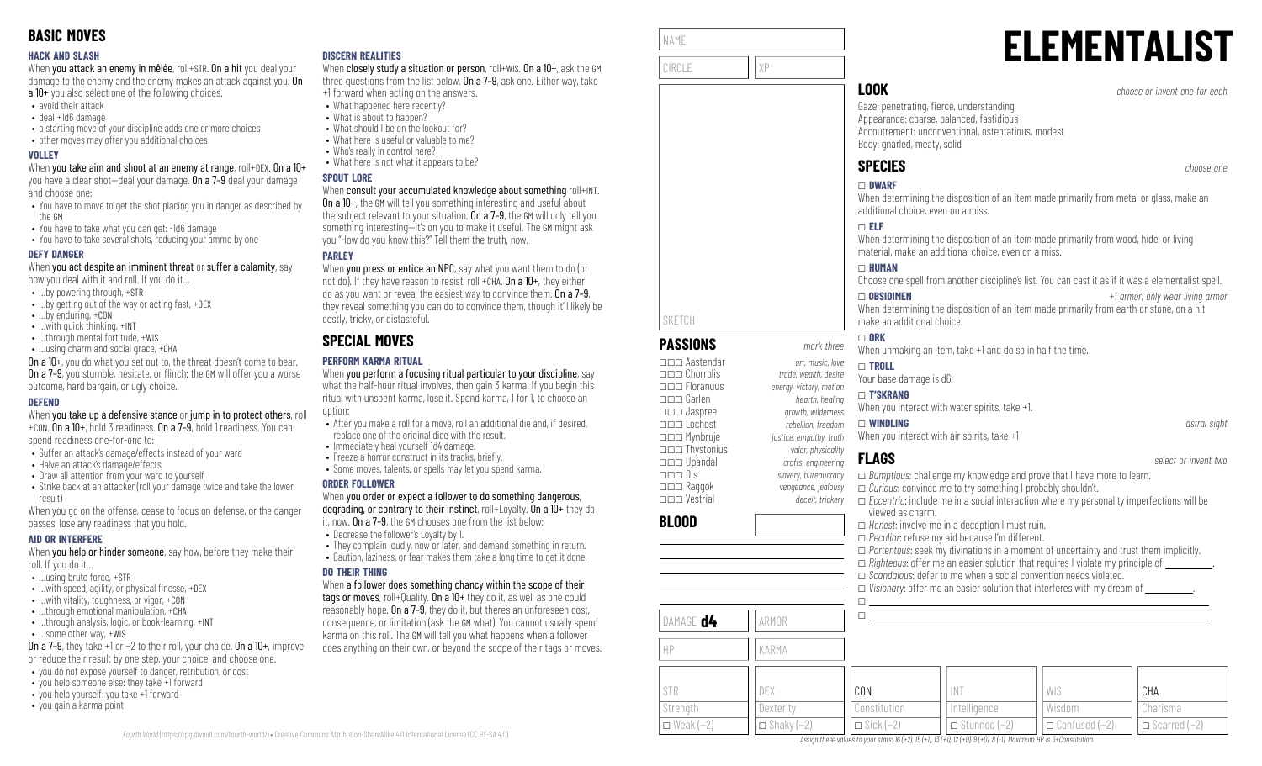### **HACK AND SLASH**

When you attack an enemy in mêlée, roll+STR. On a hit you deal your damage to the enemy and the enemy makes an attack against you. On a 10+ you also select one of the following choices:

- avoid their attack
- deal +1d6 damage
- a starting move of your discipline adds one or more choices
- other moves may offer you additional choices

### **VOLLEY**

When you take aim and shoot at an enemy at range, roll+DEX. On a 10+ you have a clear shot—deal your damage. On a 7–9 deal your damage and choose one:

- You have to move to get the shot placing you in danger as described by the GM
- You have to take what you can get: -1d6 damage
- You have to take several shots, reducing your ammo by one

### **DEFY DANGER**

When you act despite an imminent threat or suffer a calamity, say how you deal with it and roll. If you do it…

- …by powering through, +STR
- …by getting out of the way or acting fast, +DEX
- …by enduring, +CON
- …with quick thinking, +INT
- ...through mental fortitude, +WIS
- …using charm and social grace, +CHA

On a 10+, you do what you set out to, the threat doesn't come to bear. **On a 7–9**, you stumble, hesitate, or flinch: the GM will offer you a worse outcome, hard bargain, or ugly choice.

### **DEFEND**

When you take up a defensive stance or jump in to protect others, roll +CON. On a 10+, hold 3 readiness. On a 7–9, hold 1 readiness. You can

spend readiness one-for-one to:

- Suffer an attack's damage/effects instead of your ward
- Halve an attack's damage/effects
- Draw all attention from your ward to yourself
- Strike back at an attacker (roll your damage twice and take the lower result)

When you go on the offense, cease to focus on defense, or the danger passes, lose any readiness that you hold.

### **AID OR INTERFERE**

When you help or hinder someone, say how, before they make their roll. If you do it…

- …using brute force, +STR
- $\bullet$  ... with speed, agility, or physical finesse,  $+$ DEX
- …with vitality, toughness, or vigor, +CON
- …through emotional manipulation, +CHA • ...through analysis, logic, or book-learning, +INT
- …some other way, +WIS

On a 7–9, they take +1 or −2 to their roll, your choice. On a 10+, improve or reduce their result by one step, your choice, and choose one:

- you do not expose yourself to danger, retribution, or cost
- you help someone else: they take +1 forward
- you help yourself: you take +1 forward
- you gain a karma point

### **DISCERN REALITIES**

When closely study a situation or person, roll+WIS. On a 10+, ask the GM three questions from the list below. On a 7–9, ask one. Either way, take +1 forward when acting on the answers.

- What happened here recently?
	- What is about to happen?
- What should I be on the lookout for?
- What here is useful or valuable to me?
- Who's really in control here?
- What here is not what it appears to be?

### **SPOUT LORE**

### When consult your accumulated knowledge about something roll+INT.

On a 10+, the GM will tell you something interesting and useful about the subject relevant to your situation. On a 7-9, the GM will only tell you something interesting—it's on you to make it useful. The GM might ask you "How do you know this?" Tell them the truth, now.

### **PARLEY**

When **you press or entice an NPC**, say what you want them to do (or not do). If they have reason to resist, roll +CHA. On a 10+, they either do as you want or reveal the easiest way to convince them. On a 7–9, they reveal something you can do to convince them, though it'll likely be costly, tricky, or distasteful.

# **SPECIAL MOVES**

### **PERFORM KARMA RITUAL**

When you perform a focusing ritual particular to your discipline, say what the half-hour ritual involves, then gain 3 karma. If you begin this ritual with unspent karma, lose it. Spend karma, 1 for 1, to choose an option:

- After you make a roll for a move, roll an additional die and, if desired, replace one of the original dice with the result.
- Immediately heal yourself 1d4 damage.
- Freeze a horror construct in its tracks, briefly. • Some moves, talents, or spells may let you spend karma.
- 

### **ORDER FOLLOWER**

When you order or expect a follower to do something dangerous, degrading, or contrary to their instinct, roll+Loyalty. On a 10+ they do it, now. On a 7–9, the GM chooses one from the list below:

- Decrease the follower's Loyalty by 1.
- They complain loudly, now or later, and demand something in return.
- Caution, laziness, or fear makes them take a long time to get it done.

### **DO THEIR THING**

When a follower does something chancy within the scope of their tags or moves, roll+Quality. On a 10+ they do it, as well as one could reasonably hope. On a 7–9, they do it, but there's an unforeseen cost, consequence, or limitation (ask the GM what). You cannot usually spend karma on this roll. The GM will tell you what happens when a follower does anything on their own, or beyond the scope of their tags or moves.

| NAME   |    |  |
|--------|----|--|
| CIRCLE | χP |  |
|        |    |  |

**PASSIONS** *mark three* \_\_\_ Aastendar *art, music, love*

\_\_\_ Floranuus *energy, victory, motion* \_\_\_ Garlen *hearth, healing*

\_\_\_ Lochost *rebellion, freedom* \_\_\_ Mynbruje *justice, empathy, truth* \_\_\_ Thystonius *valor, physicality*

SKETCH

**BLOOD**

STR **Strength**  $\Box$  Weak (−2)

DAMAGE **d4** ARMOR

HP KARMA

DEX **Dexterity**  $\Box$  Shaky (-2)

# **ELEMENTALIST**

**LOOK** *choose or invent one for each*

Gaze: penetrating, fierce, understanding Appearance: coarse, balanced, fastidious Accoutrement: unconventional, ostentatious, modest Body: gnarled, meaty, solid

# **SPECIES** *choose one*

# \_ **DWARF**

When determining the disposition of an item made primarily from metal or glass, make an additional choice, even on a miss.

### \_ **ELF**

When determining the disposition of an item made primarily from wood, hide, or living material, make an additional choice, even on a miss.

### \_ **HUMAN**

Choose one spell from another discipline's list. You can cast it as if it was a elementalist spell.

\_ **OBSIDIMEN** *+1 armor; only wear living armor*

Charisma  $\Box$  Scarred (−2)

When determining the disposition of an item made primarily from earth or stone, on a hit make an additional choice.

### $\Box$  ORK

When unmaking an item, take +1 and do so in half the time.

### \_\_\_ Chorrolis *trade, wealth, desire* \_ **TROLL**

\_\_\_ Jaspree *growth, wilderness*

Your base damage is d6.

# \_ **T'SKRANG**

When you interact with water spirits, take +1.

# \_ **WINDLING** *astral sight*

When you interact with air spirits, take +1

Constitution  $\Box$  Sick (−2)

\_\_\_ Upandal *crafts, engineering* \_\_\_ Dis *slavery, bureaucracy* \_\_\_ Raggok *vengeance, jealousy* \_\_\_ Vestrial *deceit, trickery* \_ *Bumptious*: challenge my knowledge and prove that I have more to learn. \_ *Curious*: convince me to try something I probably shouldn't. \_ *Eccentric*: include me in a social interaction where my personality imperfections will be viewed as charm. \_ *Honest*: involve me in a deception I must ruin. \_ *Peculiar*: refuse my aid because I'm different. \_ *Portentous*: seek my divinations in a moment of uncertainty and trust them implicitly.  $\Box$  *Righteous:* offer me an easier solution that requires I violate my principle of \_ *Scandalous*: defer to me when a social convention needs violated.  $\Box$  *Visionary:* offer me an easier solution that interferes with my dream of  $\Box$  $\Box$  $\Box$ CON INT WIS CHA

Wisdom

\_ Confused (−2)

Assign these values to your stats:  $16 (+2)$ ,  $15 (+1)$ ,  $13 (+1)$ ,  $12 (+0)$ ,  $9 (+0)$ ,  $8 (-1)$ , Maximum HP is 6+Constitution

**Intelligence**  $\Box$  Stunned (−2)

**FLAGS** *select or invent two*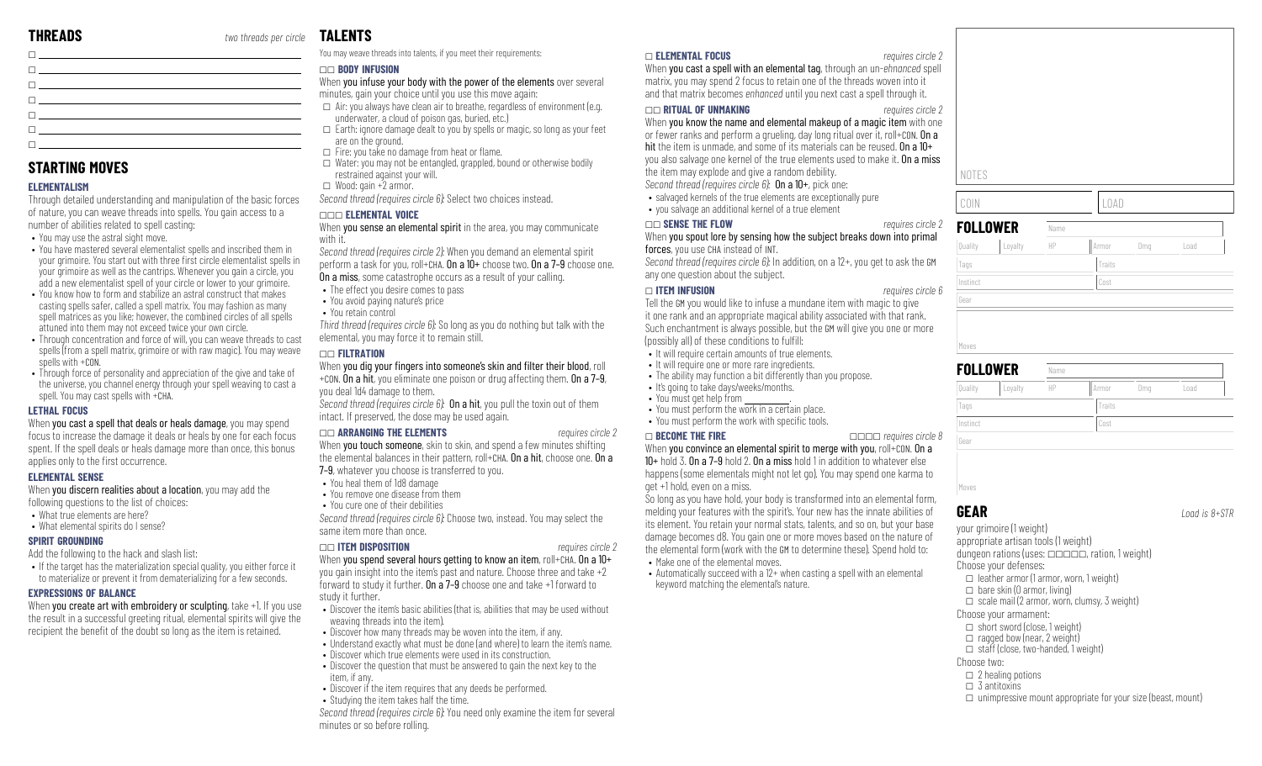| <b>n</b> and the state of the state of the state of the state of the state of the state of the state of the state of                                                                                                                      |  |
|-------------------------------------------------------------------------------------------------------------------------------------------------------------------------------------------------------------------------------------------|--|
| <b>n</b> and the state of the state of the state of the state of the state of the state of the state of the state of                                                                                                                      |  |
| $\Box$ . The contract of the contract of the contract of the contract of the contract of the contract of the contract of the contract of the contract of the contract of the contract of the contract of the contract of the co           |  |
| <b>n</b> <u>and the companies of the companies of the companies of the companies of the companies of the companies of the companies of the companies of the companies of the companies of the companies of the companies of the compa</u> |  |
| $\Box$ . The contract of the contract of the contract of the contract of the contract of the contract of the contract of the contract of the contract of the contract of the contract of the contract of the contract of the co           |  |

### **STARTING MOVES**

### **ELEMENTALISM**

Through detailed understanding and manipulation of the basic forces of nature, you can weave threads into spells. You gain access to a number of abilities related to spell casting:

- You may use the astral sight move.
- You have mastered several elementalist spells and inscribed them in your grimoire. You start out with three first circle elementalist spells in your grimoire as well as the cantrips. Whenever you gain a circle, you add a new elementalist spell of your circle or lower to your grimoire.
- You know how to form and stabilize an astral construct that makes casting spells safer, called a spell matrix. You may fashion as many spell matrices as you like; however, the combined circles of all spells attuned into them may not exceed twice your own circle.
- Through concentration and force of will, you can weave threads to cast spells (from a spell matrix, grimoire or with raw magic). You may weave spells with +CON.
- Through force of personality and appreciation of the give and take of the universe, you channel energy through your spell weaving to cast a spell. You may cast spells with +CHA.

### **LETHAL FOCUS**

When you cast a spell that deals or heals damage, you may spend focus to increase the damage it deals or heals by one for each focus spent. If the spell deals or heals damage more than once, this bonus applies only to the first occurrence.

### **ELEMENTAL SENSE**

When **you discern realities about a location**, you may add the

- following questions to the list of choices:
- What true elements are here?
- What elemental spirits do I sense?

### **SPIRIT GROUNDING**

- Add the following to the hack and slash list: • If the target has the materialization special quality, you either force it
- to materialize or prevent it from dematerializing for a few seconds.

### **EXPRESSIONS OF BALANCE**

When you create art with embroidery or sculpting, take +1. If you use the result in a successful greeting ritual, elemental spirits will give the recipient the benefit of the doubt so long as the item is retained.

### **TALENTS**

You may weave threads into talents, if you meet their requirements:

### $\Box$  **BODY INFUSION**

When you infuse your body with the power of the elements over several

- minutes, gain your choice until you use this move again:  $\Box$  Air: you always have clean air to breathe, regardless of environment (e.g.
- underwater, a cloud of poison gas, buried, etc.)  $\square$  Earth: ignore damage dealt to you by spells or magic, so long as your feet are on the ground.
- $\Box$  Fire: you take no damage from heat or flame.
- $\Box$  Water: you may not be entangled, grappled, bound or otherwise bodily restrained against your will.
- $\Box$  Wood: gain +2 armor.

*Second thread (requires circle 6):* Select two choices instead.

### \_\_\_ **ELEMENTAL VOICE**

When **you sense an elemental spirit** in the area, you may communicate with it.

*Second thread (requires circle 2):* When you demand an elemental spirit perform a task for you, roll+CHA. On a 10+ choose two. On a 7–9 choose one. On a miss, some catastrophe occurs as a result of your calling.

- The effect you desire comes to pass
- You avoid paying nature's price
- You retain control

*Third thread (requires circle 6):* So long as you do nothing but talk with the elemental, you may force it to remain still.

### \_\_ **FILTRATION**

When you dig your fingers into someone's skin and filter their blood, roll +CON. On a hit, you eliminate one poison or drug affecting them. On a 7–9, you deal 1d4 damage to them.

*Second thread (requires circle 6):* On a hit, you pull the toxin out of them intact. If preserved, the dose may be used again.

### \_\_ **ARRANGING THE ELEMENTS** *requires circle 2*

When you touch someone, skin to skin, and spend a few minutes shifting the elemental balances in their pattern, roll+CHA. On a hit, choose one. On a 7–9, whatever you choose is transferred to you.

- You heal them of 1d8 damage
- You remove one disease from them
- You cure one of their debilities

*Second thread (requires circle 6):* Choose two, instead. You may select the same item more than once.

### \_\_ **ITEM DISPOSITION** *requires circle 2*

When you spend several hours getting to know an item, roll+CHA. On a 10+ you gain insight into the item's past and nature. Choose three and take +2 forward to study it further. On a 7–9 choose one and take +1 forward to study it further.

- Discover the item's basic abilities (that is, abilities that may be used without weaving threads into the item).
- Discover how many threads may be woven into the item, if any.
- Understand exactly what must be done (and where) to learn the item's name.
- Discover which true elements were used in its construction.
- Discover the question that must be answered to gain the next key to the item, if any.
- Discover if the item requires that any deeds be performed.
- Studying the item takes half the time.

*Second thread (requires circle 6):* You need only examine the item for several minutes or so before rolling.

### \_ **ELEMENTAL FOCUS** *requires circle 2*

When you cast a spell with an elemental tag, through an un-*ehnanced* spell matrix, you may spend 2 focus to retain one of the threads woven into it and that matrix becomes *enhanced* until you next cast a spell through it.

### \_\_ **RITUAL OF UNMAKING** *requires circle 2*

When you know the name and elemental makeup of a magic item with one or fewer ranks and perform a grueling, day long ritual over it, roll+CON. On a hit the item is unmade, and some of its materials can be reused. On a 10+ you also salvage one kernel of the true elements used to make it. On a miss the item may explode and give a random debility. *Second thread (requires circle 6):* On a 10+, pick one:

• salvaged kernels of the true elements are exceptionally pure • you salvage an additional kernel of a true element

### \_\_ **SENSE THE FLOW** *requires circle 2*

When you spout lore by sensing how the subject breaks down into primal forces, you use CHA instead of INT.

*Second thread (requires circle 6):* In addition, on a 12+, you get to ask the GM any one question about the subject.

### \_ **ITEM INFUSION** *requires circle 6*

Tell the GM you would like to infuse a mundane item with magic to give it one rank and an appropriate magical ability associated with that rank. Such enchantment is always possible, but the GM will give you one or more (possibly all) of these conditions to fulfill:

- It will require certain amounts of true elements.
- It will require one or more rare ingredients.
- The ability may function a bit differently than you propose.
- It's going to take days/weeks/months.
- You must get help from
- You must perform the work in a certain place.
- You must perform the work with specific tools.

### \_ **BECOME THE FIRE** \_\_\_\_ *requires circle 8*

When you convince an elemental spirit to merge with you, roll+CON. On a 10+ hold 3. On a 7–9 hold 2. On a miss hold 1 in addition to whatever else happens (some elementals might not let go). You may spend one karma to get +1 hold, even on a miss.

So long as you have hold, your body is transformed into an elemental form, melding your features with the spirit's. Your new has the innate abilities of its element. You retain your normal stats, talents, and so on, but your base damage becomes d8. You gain one or more moves based on the nature of the elemental form (work with the GM to determine these). Spend hold to:

- Make one of the elemental moves.
- Automatically succeed with a 12+ when casting a spell with an elemental keyword matching the elemental's nature.

| NOTES           |         |        |        |     |      |  |
|-----------------|---------|--------|--------|-----|------|--|
| COIN            |         |        | LOAD   |     |      |  |
| <b>FOLLOWER</b> |         | Name   |        |     |      |  |
| Quality         | Loyalty | HP     | Armor  | Dmg | Load |  |
| Tags            |         |        | Traits |     |      |  |
| Instinct        |         |        | Cost   |     |      |  |
| Gear            |         |        |        |     |      |  |
|                 |         |        |        |     |      |  |
| Moves           |         |        |        |     |      |  |
| EUI I UMED      |         | $\sim$ |        |     |      |  |

| Quality<br>HP<br>Loyalty<br>Dmg<br>Armor |      |
|------------------------------------------|------|
|                                          | Load |
| Traits<br>Tags                           |      |
| Instinct<br>Cost                         |      |
| Gear                                     |      |

**GEAR** *Load is 8+STR*

your grimoire (1 weight) appropriate artisan tools (1 weight) dungeon rations (uses:  $\Box$  $\Box$  $\Box$ , ration, 1 weight) Choose your defenses:  $\Box$  leather armor (1 armor, worn, 1 weight)  $\Box$  bare skin (0 armor, living)  $\Box$  scale mail (2 armor, worn, clumsy, 3 weight) Choose your armament:  $\Box$  short sword (close, 1 weight)  $\Box$  ragged bow (near, 2 weight)  $\Box$  staff (close, two-handed, 1 weight) Choose two:  $\square$  2 healing potions  $\Box$  3 antitoxins  $\Box$  unimpressive mount appropriate for your size (beast, mount)

Gear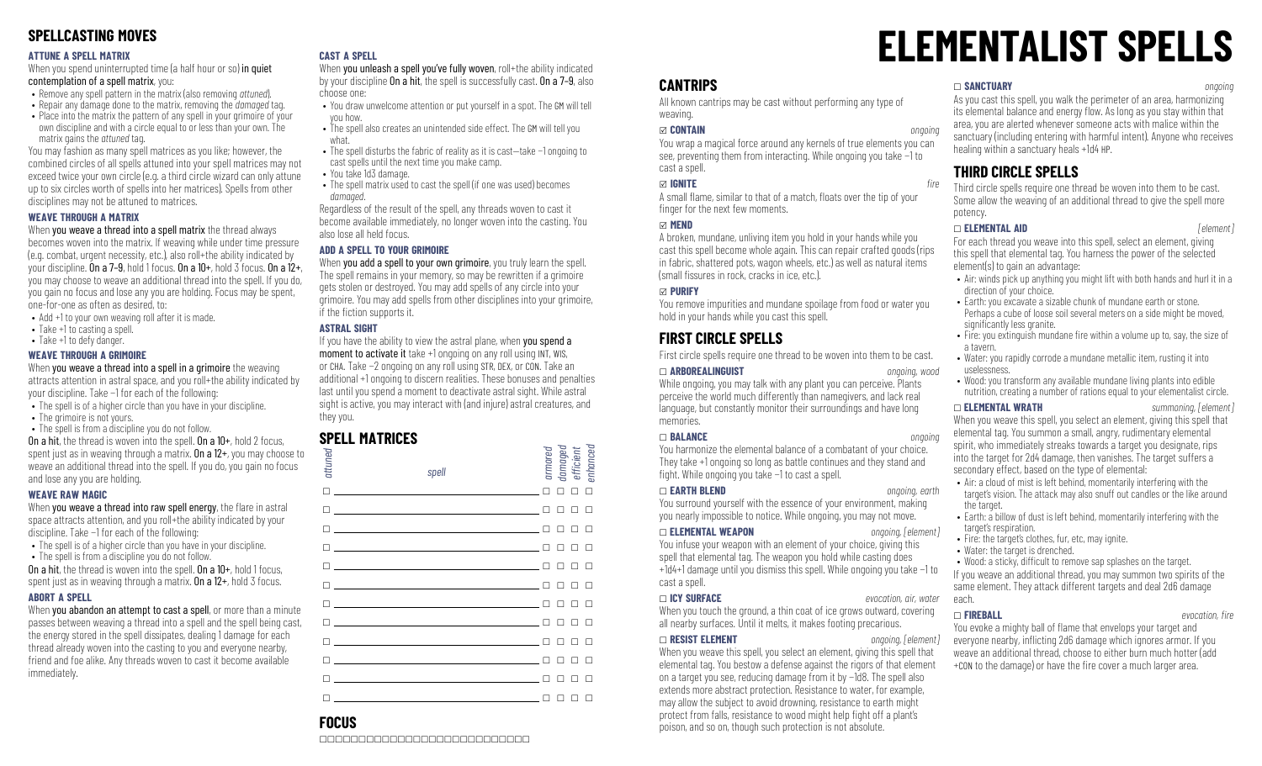## **SPELLCASTING MOVES**

### **ATTUNE A SPELL MATRIX**

When you spend uninterrupted time (a half hour or so) in quiet contemplation of a spell matrix, you:

- Remove any spell pattern in the matrix (also removing *attuned*).
- Repair any damage done to the matrix, removing the *damaged* tag.
- Place into the matrix the pattern of any spell in your grimoire of your own discipline and with a circle equal to or less than your own. The matrix gains the *attuned* tag.

You may fashion as many spell matrices as you like; however, the combined circles of all spells attuned into your spell matrices may not exceed twice your own circle (e.g. a third circle wizard can only attune up to six circles worth of spells into her matrices). Spells from other disciplines may not be attuned to matrices.

### **WEAVE THROUGH A MATRIX**

### When you weave a thread into a spell matrix the thread always

becomes woven into the matrix. If weaving while under time pressure (e.g. combat, urgent necessity, etc.), also roll+the ability indicated by your discipline. On a 7-9, hold 1 focus. On a  $10+$ , hold 3 focus. On a  $12+$ , you may choose to weave an additional thread into the spell. If you do, you gain no focus and lose any you are holding. Focus may be spent, one-for-one as often as desired, to:

- Add +1 to your own weaving roll after it is made.
- Take +1 to casting a spell.
- Take +1 to defy danger.

### **WEAVE THROUGH A GRIMOIRE**

When you weave a thread into a spell in a grimoire the weaving attracts attention in astral space, and you roll+the ability indicated by your discipline. Take −1 for each of the following:

- The spell is of a higher circle than you have in your discipline.
- The grimoire is not yours.
- The spell is from a discipline you do not follow. On a hit, the thread is woven into the spell. On a 10+, hold 2 focus,

spent just as in weaving through a matrix. **On a 12+**, you may choose to weave an additional thread into the spell. If you do, you gain no focus and lose any you are holding.

### **WEAVE RAW MAGIC**

When you weave a thread into raw spell energy, the flare in astral space attracts attention, and you roll+the ability indicated by your discipline. Take −1 for each of the following:

- The spell is of a higher circle than you have in your discipline. • The spell is from a discipline you do not follow.
- On a hit, the thread is woven into the spell. On a  $10+$ , hold 1 focus,

spent just as in weaving through a matrix. **On a**  $12+$ , hold 3 focus.

### **ABORT A SPELL**

When you abandon an attempt to cast a spell, or more than a minute passes between weaving a thread into a spell and the spell being cast, the energy stored in the spell dissipates, dealing 1 damage for each thread already woven into the casting to you and everyone nearby, friend and foe alike. Any threads woven to cast it become available immediately.

### **CAST A SPELL**

When you unleash a spell you've fully woven, roll+the ability indicated by your discipline On a hit, the spell is successfully cast. On a 7–9, also choose one:

- You draw unwelcome attention or put yourself in a spot. The GM will tell you how.
- The spell also creates an unintended side effect. The GM will tell you what.
- The spell disturbs the fabric of reality as it is cast—take −1 ongoing to cast spells until the next time you make camp.
- You take 1d3 damage.
- The spell matrix used to cast the spell (if one was used) becomes *damaged*.

Regardless of the result of the spell, any threads woven to cast it become available immediately, no longer woven into the casting. You also lose all held focus.

### **ADD A SPELL TO YOUR GRIMOIRE**

When you add a spell to your own grimoire, you truly learn the spell. The spell remains in your memory, so may be rewritten if a grimoire gets stolen or destroyed. You may add spells of any circle into your grimoire. You may add spells from other disciplines into your grimoire, if the fiction supports it.

### **ASTRAL SIGHT**

If you have the ability to view the astral plane, when you spend a moment to activate it take +1 ongoing on any roll using INT, WIS, or CHA. Take −2 ongoing on any roll using STR, DEX, or CON. Take an additional +1 ongoing to discern realities. These bonuses and penalties last until you spend a moment to deactivate astral sight. While astral sight is active, you may interact with (and injure) astral creatures, and they you.

### **SPELL MATRICES**

| attuned | spell                                                                                                                  | armored | damaged<br>efficient<br>enhanced |        |
|---------|------------------------------------------------------------------------------------------------------------------------|---------|----------------------------------|--------|
| п       | <u> 1989 - Johann Stein, marwolaethau a bhann an t-Albann an t-Albann an t-Albann an t-Albann an t-Albann an t-Alb</u> | П       | п                                | $\Box$ |
|         | <u> 1990 - Johann Barbara, martin amerikan ba</u>                                                                      |         |                                  |        |
|         |                                                                                                                        |         |                                  |        |
|         | <u> 1989 - Johann Barn, mars and de Brasilian (b. 1989)</u>                                                            |         |                                  | п      |
| п       | <u> 1980 - Johann Barbara, martxa alemaniar a</u>                                                                      |         |                                  | п      |
|         | <u> 1990 - Johann Stein, marwolaethau a bhann an t-</u>                                                                |         |                                  |        |
|         |                                                                                                                        |         |                                  | п      |
|         |                                                                                                                        |         | п                                | п      |
|         |                                                                                                                        |         |                                  |        |
|         |                                                                                                                        |         |                                  |        |
|         |                                                                                                                        |         |                                  |        |
| п       |                                                                                                                        |         |                                  |        |

# **ELEMENTALIST SPELLS**

## **CANTRIPS**

All known cantrips may be cast without performing any type of weaving.

### x **CONTAIN** *ongoing*

You wrap a magical force around any kernels of true elements you can see, preventing them from interacting. While ongoing you take −1 to cast a spell.

### *<u>∞</u> IGNITE <i>fire*

A small flame, similar to that of a match, floats over the tip of your finger for the next few moments.

### x **MEND**

A broken, mundane, unliving item you hold in your hands while you cast this spell become whole again. This can repair crafted goods (rips in fabric, shattered pots, wagon wheels, etc.) as well as natural items  $(s$ mall fissures in rock, cracks in ice, etc.).

### x **PURIFY**

You remove impurities and mundane spoilage from food or water you hold in your hands while you cast this spell.

# **FIRST CIRCLE SPELLS**

First circle spells require one thread to be woven into them to be cast.

\_ **ARBOREALINGUIST** *ongoing, wood*

While ongoing, you may talk with any plant you can perceive. Plants perceive the world much differently than namegivers, and lack real language, but constantly monitor their surroundings and have long memories.

### \_ **BALANCE** *ongoing*

You harmonize the elemental balance of a combatant of your choice. They take +1 ongoing so long as battle continues and they stand and fight. While ongoing you take −1 to cast a spell.

You surround yourself with the essence of your environment, making you nearly impossible to notice. While ongoing, you may not move.

### \_ **ELEMENTAL WEAPON** *ongoing, [element]*

You infuse your weapon with an element of your choice, giving this spell that elemental tag. The weapon you hold while casting does +1d4+1 damage until you dismiss this spell. While ongoing you take −1 to cast a spell.

### \_ **ICY SURFACE** *evocation, air, water*

When you touch the ground, a thin coat of ice grows outward, covering all nearby surfaces. Until it melts, it makes footing precarious.

### \_ **RESIST ELEMENT** *ongoing, [element]*

When you weave this spell, you select an element, giving this spell that elemental tag. You bestow a defense against the rigors of that element on a target you see, reducing damage from it by −1d8. The spell also extends more abstract protection. Resistance to water, for example, may allow the subject to avoid drowning, resistance to earth might protect from falls, resistance to wood might help fight off a plant's poison, and so on, though such protection is not absolute.

### \_ **SANCTUARY** *ongoing*

As you cast this spell, you walk the perimeter of an area, harmonizing its elemental balance and energy flow. As long as you stay within that area, you are alerted whenever someone acts with malice within the sanctuary (including entering with harmful intent). Anyone who receives healing within a sanctuary heals +1d4 HP.

### **THIRD CIRCLE SPELLS**

Third circle spells require one thread be woven into them to be cast. Some allow the weaving of an additional thread to give the spell more potency.

### \_ **ELEMENTAL AID** *[element]*

For each thread you weave into this spell, select an element, giving this spell that elemental tag. You harness the power of the selected element(s) to gain an advantage:

- Air: winds pick up anything you might lift with both hands and hurl it in a direction of your choice.
- Earth: you excavate a sizable chunk of mundane earth or stone. Perhaps a cube of loose soil several meters on a side might be moved. significantly less granite.
- Fire: you extinguish mundane fire within a volume up to, say, the size of a tavern.
- Water: you rapidly corrode a mundane metallic item, rusting it into uselessness.
- Wood: you transform any available mundane living plants into edible nutrition, creating a number of rations equal to your elementalist circle.

\_ **ELEMENTAL WRATH** *summoning, [element]* When you weave this spell, you select an element, giving this spell that elemental tag. You summon a small, angry, rudimentary elemental spirit, who immediately streaks towards a target you designate, rips into the target for 2d4 damage, then vanishes. The target suffers a secondary effect, based on the type of elemental:

- Air: a cloud of mist is left behind, momentarily interfering with the target's vision. The attack may also snuff out candles or the like around the target.
- Earth: a billow of dust is left behind, momentarily interfering with the target's respiration.
- Fire: the target's clothes, fur, etc, may ignite.
- Water: the target is drenched.

• Wood: a sticky, difficult to remove sap splashes on the target. If you weave an additional thread, you may summon two spirits of the same element. They attack different targets and deal 2d6 damage each.

\_ **FIREBALL** *evocation, re*

You evoke a mighty ball of flame that envelops your target and everyone nearby, inflicting 2d6 damage which ignores armor. If you weave an additional thread, choose to either burn much hotter (add +CON to the damage) or have the fire cover a much larger area.

# **FOCUS**

\_\_\_\_\_\_\_\_\_\_\_\_\_\_\_\_\_\_\_\_\_\_\_\_\_\_\_

# \_ **EARTH BLEND** *ongoing, earth*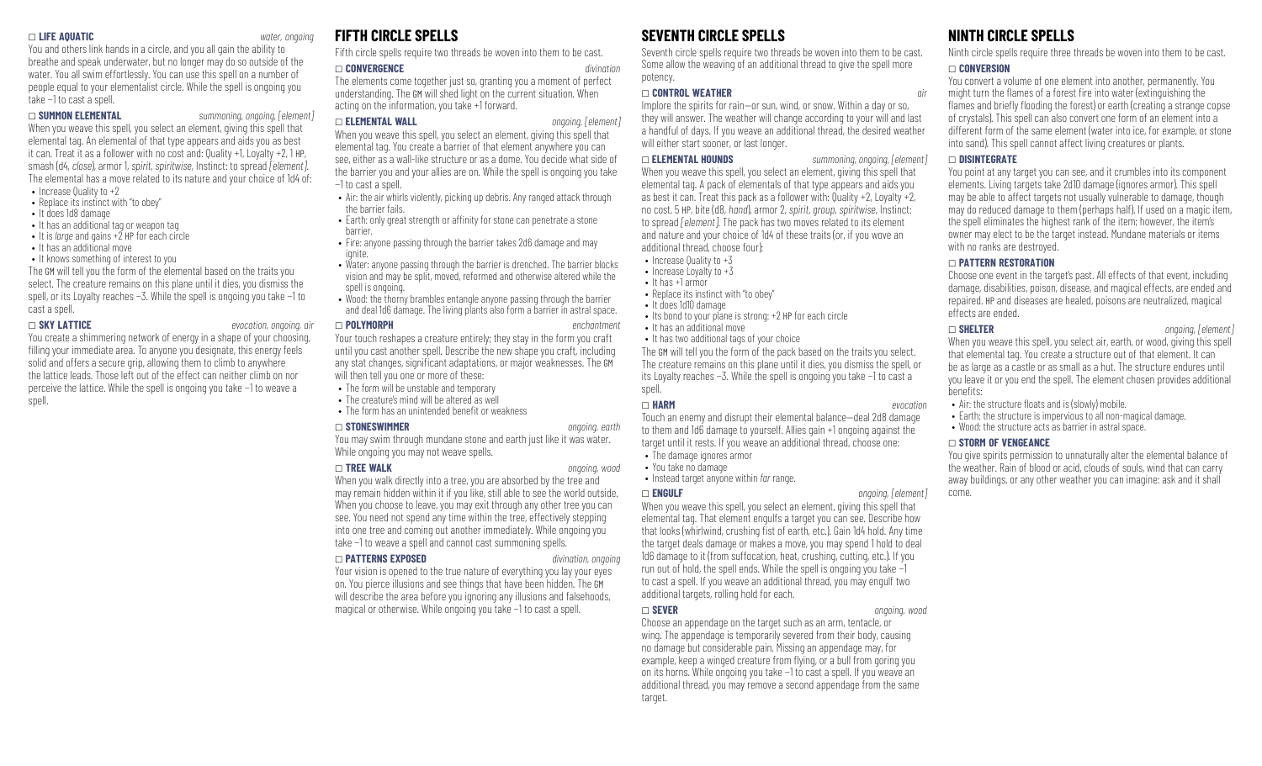### \_ **LIFE AQUATIC** *water, ongoing*

You and others link hands in a circle, and you all gain the ability to breathe and speak underwater, but no longer may do so outside of the water. You all swim effortlessly. You can use this spell on a number of people equal to your elementalist circle. While the spell is ongoing you take −1 to cast a spell.

### \_ **SUMMON ELEMENTAL** *summoning, ongoing, [element]*

When you weave this spell, you select an element, giving this spell that elemental tag. An elemental of that type appears and aids you as best it can. Treat it as a follower with no cost and: Quality +1, Loyalty +2, 1 HP, smash (d4, *close*), armor 1, *spirit*, *spiritwise*, Instinct: to spread *[element]*. The elemental has a move related to its nature and your choice of 1d4 of: • Increase Quality to +2

- Replace its instinct with "to obey"
- It does 1d8 damage
- It has an additional tag or weapon tag
- It is *large* and gains +2 HP for each circle
- It has an additional move
- It knows something of interest to you

The GM will tell you the form of the elemental based on the traits you select. The creature remains on this plane until it dies, you dismiss the spell, or its Loyalty reaches −3. While the spell is ongoing you take −1 to cast a spell.

### \_ **SKY LATTICE** *evocation, ongoing, air*

You create a shimmering network of energy in a shape of your choosing, filling your immediate area. To anyone you designate, this energy feels solid and offers a secure grip, allowing them to climb to anywhere the lattice leads. Those left out of the effect can neither climb on nor perceive the lattice. While the spell is ongoing you take −1 to weave a spell.

### **FIFTH CIRCLE SPELLS**

Fifth circle spells require two threads be woven into them to be cast.

### \_ **CONVERGENCE** *divination*

The elements come together just so, granting you a moment of perfect understanding. The GM will shed light on the current situation. When acting on the information, you take +1 forward.

### \_ **ELEMENTAL WALL** *ongoing, [element]*

When you weave this spell, you select an element, giving this spell that elemental tag. You create a barrier of that element anywhere you can see, either as a wall-like structure or as a dome. You decide what side of the barrier you and your allies are on. While the spell is ongoing you take −1 to cast a spell.

- Air: the air whirls violently, picking up debris. Any ranged attack through the barrier fails. • Earth: only great strength or affinity for stone can penetrate a stone
- barrier. • Fire: anyone passing through the barrier takes 2d6 damage and may
- ignite
- Water: anyone passing through the barrier is drenched. The barrier blocks vision and may be split, moved, reformed and otherwise altered while the spell is ongoing.
- Wood: the thorny brambles entangle anyone passing through the barrier and deal 1d6 damage. The living plants also form a barrier in astral space.

### \_ **POLYMORPH** *enchantment*

Your touch reshapes a creature entirely; they stay in the form you craft until you cast another spell. Describe the new shape you craft, including any stat changes, significant adaptations, or major weaknesses. The GM will then tell you one or more of these:

- The form will be unstable and temporary
- The creature's mind will be altered as well
- $\bullet$  The form has an unintended benefit or weakness

### \_ **STONESWIMMER** *ongoing, earth*

You may swim through mundane stone and earth just like it was water. While ongoing you may not weave spells.

### \_ **TREE WALK** *ongoing, wood*

When you walk directly into a tree, you are absorbed by the tree and may remain hidden within it if you like, still able to see the world outside. When you choose to leave, you may exit through any other tree you can see. You need not spend any time within the tree, effectively stepping into one tree and coming out another immediately. While ongoing you take −1 to weave a spell and cannot cast summoning spells.

### \_ **PATTERNS EXPOSED** *divination, ongoing*

Your vision is opened to the true nature of everything you lay your eyes on. You pierce illusions and see things that have been hidden. The GM will describe the area before you ignoring any illusions and falsehoods, magical or otherwise. While ongoing you take −1 to cast a spell.

## **SEVENTH CIRCLE SPELLS**

Seventh circle spells require two threads be woven into them to be cast. Some allow the weaving of an additional thread to give the spell more potency.

### \_ **CONTROL WEATHER** *air*

Implore the spirits for rain—or sun, wind, or snow. Within a day or so, they will answer. The weather will change according to your will and last a handful of days. If you weave an additional thread, the desired weather will either start sooner, or last longer.

\_ **ELEMENTAL HOUNDS** *summoning, ongoing, [element]* When you weave this spell, you select an element, giving this spell that elemental tag. A pack of elementals of that type appears and aids you as best it can. Treat this pack as a follower with: Quality +2, Loyalty +2, no cost, 5 HP, bite (d8, *hand*), armor 2, *spirit*, *group*, *spiritwise*, Instinct: to spread *[element]*. The pack has two moves related to its element and nature and your choice of 1d4 of these traits (or, if you wove an additional thread, choose four):

- Increase Quality to  $+3$
- Increase Loyalty to  $+3$
- It has +1 armor
	- Replace its instinct with "to obey"
	- It does 1d10 damage
	- Its bond to your plane is strong: +2 HP for each circle
	- It has an additional move

• It has two additional tags of your choice The GM will tell you the form of the pack based on the traits you select. The creature remains on this plane until it dies, you dismiss the spell, or its Loyalty reaches −3. While the spell is ongoing you take −1 to cast a spell.

### \_ **HARM** *evocation*

Touch an enemy and disrupt their elemental balance—deal 2d8 damage to them and 1d6 damage to yourself. Allies gain +1 ongoing against the target until it rests. If you weave an additional thread, choose one:

- The damage ignores armor
- You take no damage
- Instead target anyone within *far* range.

### \_ **ENGULF** *ongoing, [element]*

When you weave this spell, you select an element, giving this spell that elemental tag. That element engulfs a target you can see. Describe how that looks (whirlwind, crushing fist of earth, etc.). Gain 1d4 hold. Any time the target deals damage or makes a move, you may spend 1 hold to deal 1d6 damage to it (from suffocation, heat, crushing, cutting, etc.). If you run out of hold, the spell ends. While the spell is ongoing you take −1 to cast a spell. If you weave an additional thread, you may engulf two additional targets, rolling hold for each.

### \_ **SEVER** *ongoing, wood*

Choose an appendage on the target such as an arm, tentacle, or wing. The appendage is temporarily severed from their body, causing no damage but considerable pain. Missing an appendage may, for example, keep a winged creature from flying, or a bull from goring you on its horns. While ongoing you take −1 to cast a spell. If you weave an additional thread, you may remove a second appendage from the same target.

### **NINTH CIRCLE SPELLS**

Ninth circle spells require three threads be woven into them to be cast.

### \_ **CONVERSION**

You convert a volume of one element into another, permanently. You might turn the flames of a forest fire into water (extinguishing the flames and briefly flooding the forest) or earth (creating a strange copse of crystals). This spell can also convert one form of an element into a different form of the same element (water into ice, for example, or stone into sand). This spell cannot affect living creatures or plants.

### \_ **DISINTEGRATE**

You point at any target you can see, and it crumbles into its component elements. Living targets take 2d10 damage (ignores armor). This spell may be able to affect targets not usually vulnerable to damage, though may do reduced damage to them (perhaps half). If used on a magic item, the spell eliminates the highest rank of the item; however, the item's owner may elect to be the target instead. Mundane materials or items with no ranks are destroyed.

### \_ **PATTERN RESTORATION**

Choose one event in the target's past. All effects of that event, including damage, disabilities, poison, disease, and magical effects, are ended and repaired. HP and diseases are healed, poisons are neutralized, magical effects are ended.

### \_ **SHELTER** *ongoing, [element]*

When you weave this spell, you select air, earth, or wood, giving this spell that elemental tag. You create a structure out of that element. It can be as large as a castle or as small as a hut. The structure endures until you leave it or you end the spell. The element chosen provides additional benets:

- $\bullet$  Air: the structure floats and is (slowly) mobile.
- Farth: the structure is impervious to all non-magical damage.
- Wood: the structure acts as barrier in astral space.

### \_ **STORM OF VENGEANCE**

You give spirits permission to unnaturally alter the elemental balance of the weather. Rain of blood or acid, clouds of souls, wind that can carry away buildings, or any other weather you can imagine: ask and it shall come.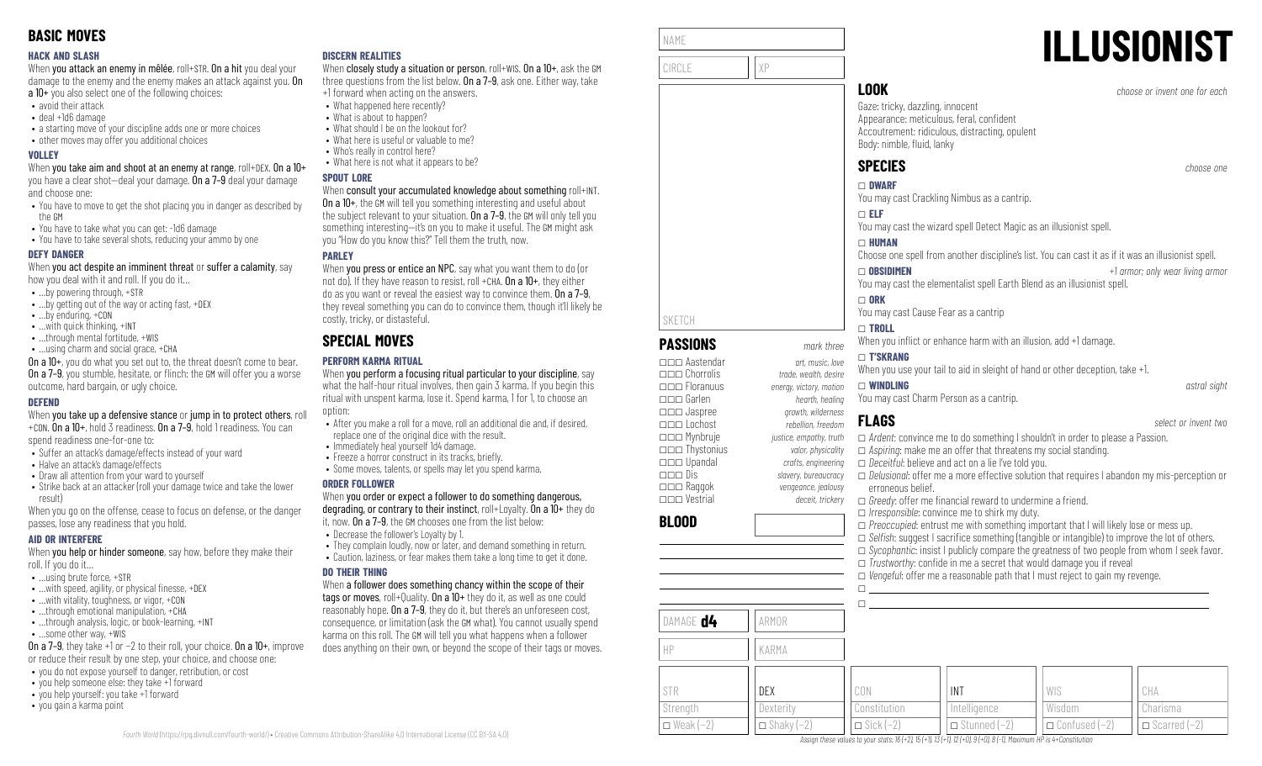### **HACK AND SLASH**

When you attack an enemy in mêlée, roll+STR. On a hit you deal your damage to the enemy and the enemy makes an attack against you. On a 10+ you also select one of the following choices:

- avoid their attack
- deal +1d6 damage
- a starting move of your discipline adds one or more choices
- other moves may offer you additional choices

### **VOLLEY**

When you take aim and shoot at an enemy at range, roll+DEX. On a 10+ you have a clear shot—deal your damage. On a 7–9 deal your damage and choose one:

- You have to move to get the shot placing you in danger as described by the GM
- You have to take what you can get: -1d6 damage
- You have to take several shots, reducing your ammo by one

### **DEFY DANGER**

When you act despite an imminent threat or suffer a calamity, say how you deal with it and roll. If you do it…

- …by powering through, +STR
- …by getting out of the way or acting fast, +DEX
- …by enduring, +CON
- …with quick thinking, +INT
- ...through mental fortitude, +WIS
- …using charm and social grace, +CHA

On a 10+, you do what you set out to, the threat doesn't come to bear. **On a 7–9**, you stumble, hesitate, or flinch: the GM will offer you a worse outcome, hard bargain, or ugly choice.

### **DEFEND**

When you take up a defensive stance or jump in to protect others, roll +CON. On a 10+, hold 3 readiness. On a 7–9, hold 1 readiness. You can

spend readiness one-for-one to:

- Suffer an attack's damage/effects instead of your ward
- Halve an attack's damage/effects
- Draw all attention from your ward to yourself
- Strike back at an attacker (roll your damage twice and take the lower result)

When you go on the offense, cease to focus on defense, or the danger passes, lose any readiness that you hold.

### **AID OR INTERFERE**

When you help or hinder someone, say how, before they make their roll. If you do it…

- …using brute force, +STR
- $\bullet$  ... with speed, agility, or physical finesse,  $+$ DEX
- …with vitality, toughness, or vigor, +CON
- …through emotional manipulation, +CHA • ...through analysis, logic, or book-learning, +INT
- …some other way, +WIS

On a 7–9, they take +1 or −2 to their roll, your choice. On a 10+, improve

- or reduce their result by one step, your choice, and choose one:
- you do not expose yourself to danger, retribution, or cost • you help someone else: they take +1 forward
- you help yourself: you take +1 forward
- you gain a karma point

### **DISCERN REALITIES**

When closely study a situation or person, roll+WIS. On a 10+, ask the GM three questions from the list below. On a 7–9, ask one. Either way, take +1 forward when acting on the answers.

- What happened here recently?
- What is about to happen?
- What should I be on the lookout for?
- What here is useful or valuable to me?
- Who's really in control here?
- What here is not what it appears to be?

### **SPOUT LORE**

### When consult your accumulated knowledge about something roll+INT.

On a 10+, the GM will tell you something interesting and useful about the subject relevant to your situation. On a 7-9, the GM will only tell you something interesting—it's on you to make it useful. The GM might ask you "How do you know this?" Tell them the truth, now.

### **PARLEY**

When **you press or entice an NPC**, say what you want them to do (or not do). If they have reason to resist, roll +CHA,  $0n a 10+$ , they either do as you want or reveal the easiest way to convince them. On a 7–9, they reveal something you can do to convince them, though it'll likely be costly, tricky, or distasteful.

# **SPECIAL MOVES**

### **PERFORM KARMA RITUAL**

When you perform a focusing ritual particular to your discipline, say what the half-hour ritual involves, then gain 3 karma. If you begin this ritual with unspent karma, lose it. Spend karma, 1 for 1, to choose an option:

- After you make a roll for a move, roll an additional die and, if desired, replace one of the original dice with the result.
- Immediately heal yourself 1d4 damage.
- Freeze a horror construct in its tracks, briefly. • Some moves, talents, or spells may let you spend karma.
- 

### **ORDER FOLLOWER**

When you order or expect a follower to do something dangerous, degrading, or contrary to their instinct, roll+Loyalty. On a 10+ they do it, now. On a 7–9, the GM chooses one from the list below:

- Decrease the follower's Loyalty by 1.
- They complain loudly, now or later, and demand something in return.
- Caution, laziness, or fear makes them take a long time to get it done.

### **DO THEIR THING**

When a follower does something chancy within the scope of their tags or moves, roll+Quality. On a 10+ they do it, as well as one could reasonably hope. On a 7–9, they do it, but there's an unforeseen cost, consequence, or limitation (ask the GM what). You cannot usually spend karma on this roll. The GM will tell you what happens when a follower does anything on their own, or beyond the scope of their tags or moves.

| NAME   |    |
|--------|----|
| CIRCLE | χP |
|        |    |

**PASSIONS** *mark three* \_\_\_ Aastendar *art, music, love*

\_\_\_ Floranuus *energy, victory, motion* \_\_\_ Garlen *hearth, healing*

SKETCH

**BLOOD**

DAMAGE **d4** ARMOR

HP KARMA

# **ILLUSIONIST**

**LOOK** *choose or invent one for each*

Gaze: tricky, dazzling, innocent Appearance: meticulous, feral, confident Accoutrement: ridiculous, distracting, opulent Body: nimble, fluid, lanky

**SPECIES** *choose one*

\_ **DWARF** You may cast Crackling Nimbus as a cantrip.

You may cast the wizard spell Detect Magic as an illusionist spell.

### \_ **HUMAN**

\_ **ELF**

Choose one spell from another discipline's list. You can cast it as if it was an illusionist spell.

### \_ **OBSIDIMEN** *+1 armor; only wear living armor* You may cast the elementalist spell Earth Blend as an illusionist spell.

\_\_\_ Chorrolis *trade, wealth, desire*

\_\_\_ Jaspree *growth, wilderness*

 $\Box$  ORK You may cast Cause Fear as a cantrip

### \_ **TROLL**

When you inflict or enhance harm with an illusion, add +1 damage.

### \_ **T'SKRANG**

When you use your tail to aid in sleight of hand or other deception, take  $+1$ .

\_ **WINDLING** *astral sight* You may cast Charm Person as a cantrip.

\_\_\_ Lochost *rebellion, freedom* \_\_\_ Mynbruje *justice, empathy, truth* \_\_\_ Thystonius *valor, physicality* \_\_\_ Upandal *crafts, engineering* \_\_\_ Dis *slavery, bureaucracy* \_\_\_ Raggok *vengeance, jealousy* \_\_\_ Vestrial *deceit, trickery* \_ *Ardent*: convince me to do something I shouldn't in order to please a Passion. \_ *Aspiring*: make me an offer that threatens my social standing. □ *Deceitful*: believe and act on a lie I've told you. \_ *Delusional*: offer me a more effective solution that requires I abandon my mis-perception or erroneous belief. □ *Greedy*: offer me financial reward to undermine a friend. \_ *Irresponsible*: convince me to shirk my duty.  $\Box$  *Preoccupied*: entrust me with something important that I will likely lose or mess up. □ *Selfish:* suggest I sacrifice something (tangible or intangible) to improve the lot of others. \_ *Sycophantic*: insist I publicly compare the greatness of two people from whom I seek favor.  $\Box$  *Trustworthy:* confide in me a secret that would damage you if reveal □ *Vengeful:* offer me a reasonable path that I must reject to gain my revenge.  $\Box$  $\Box$ 

| <b>STR</b>         | DEX               | CON              | . INT               | WIS                  | CHA                   |
|--------------------|-------------------|------------------|---------------------|----------------------|-----------------------|
| Strength           | Dexterity         | Constitution     | Intelligence        | Wisdom               | Charisma              |
| $\Box$ Weak $(-2)$ | $\Box$ Shaky (-2) | $\Box$ Sick (-2) | $\Box$ Stunned (-2) | $\Box$ Confused (–2) | $\Box$ Scarred $(-2)$ |

Assian these values to vour stats: 16 (+2), 15 (+1), 13 (+1), 12 (+0), 9 (+0), 8 (-1). Maximum HP is 4+Constitution

**FLAGS** *select or invent two*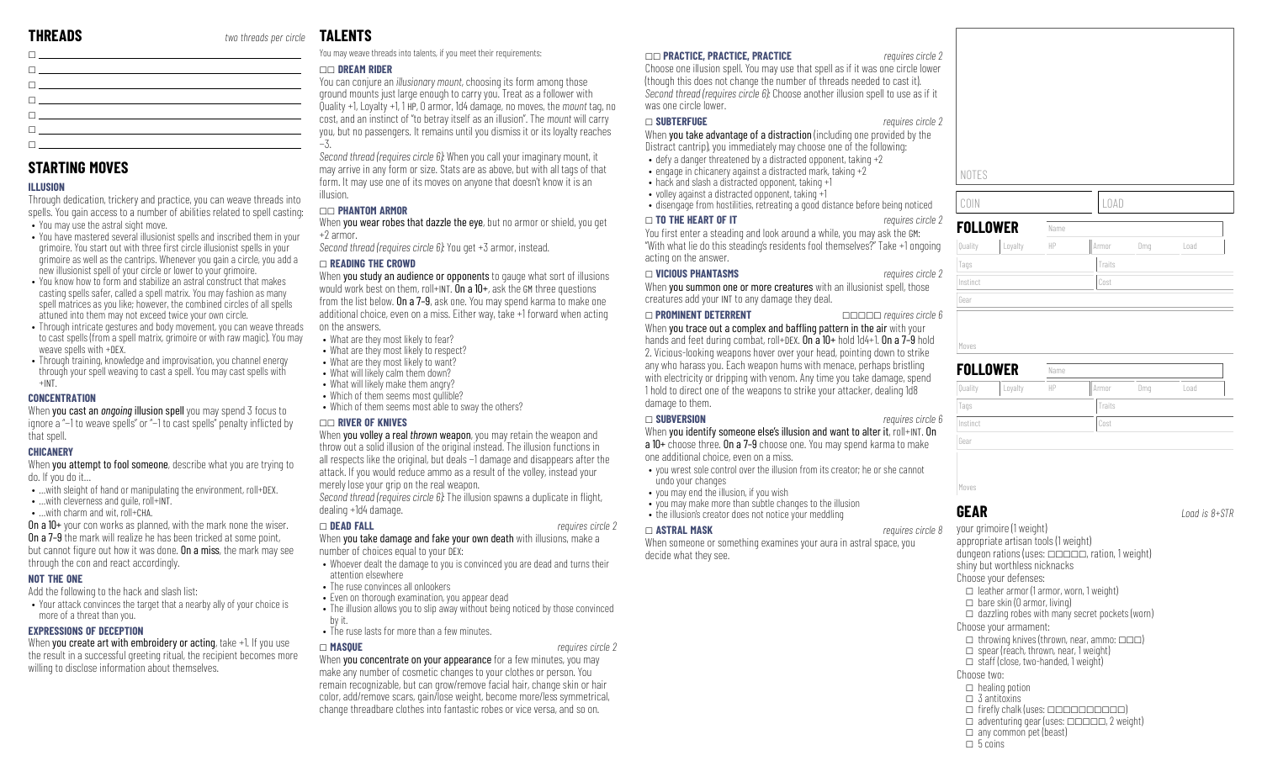**STARTING MOVES**

• You may use the astral sight move.

weave spells with +DEX.

**ILLUSION**

+INT. **CONCENTRATION**

that spell. **CHICANERY**

do. If you do it…

**NOT THE ONE**

• …with cleverness and quile, roll+INT. • …with charm and wit, roll+CHA.

through the con and react accordingly.

more of a threat than you. **EXPRESSIONS OF DECEPTION**

Add the following to the hack and slash list:

willing to disclose information about themselves.

 $\Box$ 

 $\Box$ 

\_ \_ \_ \_  $\Box$ 

Through dedication, trickery and practice, you can weave threads into spells. You gain access to a number of abilities related to spell casting:

• You have mastered several illusionist spells and inscribed them in your grimoire. You start out with three first circle illusionist spells in your grimoire as well as the cantrips. Whenever you gain a circle, you add a new illusionist spell of your circle or lower to your grimoire. • You know how to form and stabilize an astral construct that makes casting spells safer, called a spell matrix. You may fashion as many spell matrices as you like; however, the combined circles of all spells

• Through intricate gestures and body movement, you can weave threads to cast spells (from a spell matrix, grimoire or with raw magic). You may

• Through training, knowledge and improvisation, you channel energy through your spell weaving to cast a spell. You may cast spells with

When you cast an *ongoing* illusion spell you may spend 3 focus to ignore a "−1 to weave spells" or "−1 to cast spells" penalty inflicted by

When you attempt to fool someone, describe what you are trying to

• …with sleight of hand or manipulating the environment, roll+DEX.

On a 10+ your con works as planned, with the mark none the wiser. On a 7–9 the mark will realize he has been tricked at some point, but cannot figure out how it was done. On a miss, the mark may see

• Your attack convinces the target that a nearby ally of your choice is

When you create art with embroidery or acting, take +1. If you use the result in a successful greeting ritual, the recipient becomes more

attuned into them may not exceed twice your own circle.

### **TALENTS**

You may weave threads into talents, if you meet their requirements:

### \_\_ **DREAM RIDER**

You can conjure an *illusionary mount*, choosing its form among those ground mounts just large enough to carry you. Treat as a follower with Quality +1, Loyalty +1, 1 HP, 0 armor, 1d4 damage, no moves, the *mount* tag, no cost, and an instinct of "to betray itself as an illusion". The *mount* will carry you, but no passengers. It remains until you dismiss it or its loyalty reaches −3.

*Second thread (requires circle 6):* When you call your imaginary mount, it may arrive in any form or size. Stats are as above, but with all tags of that form. It may use one of its moves on anyone that doesn't know it is an illusion.

### \_\_ **PHANTOM ARMOR**

When you wear robes that dazzle the eye, but no armor or shield, you get +2 armor.

*Second thread (requires circle 6):* You get +3 armor, instead.

### \_ **READING THE CROWD**

When you study an audience or opponents to gauge what sort of illusions would work best on them, roll+INT. On a  $10+$ , ask the GM three questions from the list below. On a 7–9, ask one. You may spend karma to make one additional choice, even on a miss. Either way, take +1 forward when acting on the answers.

- What are they most likely to fear?
- What are they most likely to respect?
- What are they most likely to want?
- What will likely calm them down? • What will likely make them angry?
- Which of them seems most quilible?
- Which of them seems most able to sway the others?

### \_\_ **RIVER OF KNIVES**

When you volley a real *thrown* weapon, you may retain the weapon and throw out a solid illusion of the original instead. The illusion functions in all respects like the original, but deals −1 damage and disappears after the attack. If you would reduce ammo as a result of the volley, instead your merely lose your grip on the real weapon.

*Second thread (requires circle 6):* The illusion spawns a duplicate in flight, dealing +1d4 damage.

When you take damage and fake your own death with illusions, make a number of choices equal to your DEX:

- Whoever dealt the damage to you is convinced you are dead and turns their attention elsewhere
- The ruse convinces all onlookers
- Even on thorough examination, you appear dead
- The illusion allows you to slip away without being noticed by those convinced by it.
- The ruse lasts for more than a few minutes.

When you concentrate on your appearance for a few minutes, you may make any number of cosmetic changes to your clothes or person. You remain recognizable, but can grow/remove facial hair, change skin or hair color, add/remove scars, gain/lose weight, become more/less symmetrical, change threadbare clothes into fantastic robes or vice versa, and so on.

### \_\_ **PRACTICE, PRACTICE, PRACTICE** *requires circle 2*

Choose one illusion spell. You may use that spell as if it was one circle lower (though this does not change the number of threads needed to cast it). *Second thread (requires circle 6):* Choose another illusion spell to use as if it was one circle lower.

### \_ **SUBTERFUGE** *requires circle 2*

When **you take advantage of a distraction** (including one provided by the Distract cantrip), you immediately may choose one of the following:

- defy a danger threatened by a distracted opponent, taking +2
- engage in chicanery against a distracted mark, taking +2
- hack and slash a distracted opponent, taking +1
- volley against a distracted opponent, taking +1
- disengage from hostilities, retreating a good distance before being noticed

### \_ **TO THE HEART OF IT** *requires circle 2*

You first enter a steading and look around a while, you may ask the GM: "With what lie do this steading's residents fool themselves?" Take +1 ongoing acting on the answer.

When you summon one or more creatures with an illusionist spell, those creatures add your INT to any damage they deal.

### \_ **PROMINENT DETERRENT** \_\_\_\_\_ *requires circle 6*

When you trace out a complex and baffling pattern in the air with your hands and feet during combat, roll+DFX. On a 10+ hold 1d4+1. On a 7-9 hold 2. Vicious-looking weapons hover over your head, pointing down to strike any who harass you. Each weapon hums with menace, perhaps bristling with electricity or dripping with venom. Any time you take damage, spendi 1 hold to direct one of the weapons to strike your attacker, dealing damage to them.

### \_ **SUBVERSION** *requires circle 6*

When you identify someone else's illusion and want to alter it, roll+INT. On a 10+ choose three. On a 7–9 choose one. You may spend karma to make

one additional choice, even on a miss.

- you wrest sole control over the illusion from its creator; he or she cannot undo your changes
- you may end the illusion, if you wish
- you may make more than subtle changes to the illusion
- the illusion's creator does not notice your meddling

### \_ **ASTRAL MASK** *requires circle 8*

When someone or something examines your aura in astral space, you decide what they see.



| Quality<br>HP<br>Loyalty<br>Armor<br>Dmg |      |
|------------------------------------------|------|
|                                          | Load |
| Tags<br>Traits                           |      |
| Instinct<br>Cost                         |      |
| Gear                                     |      |

**GEAR** *Load is 8+STR*

your grimoire (1 weight) appropriate artisan tools (1 weight) dungeon rations (uses:  $\Box$  $\Box$  $\Box$ , ration, 1 weight) shiny but worthless nicknacks Choose your defenses:  $\Box$  leather armor (1 armor, worn, 1 weight)  $\Box$  bare skin (0 armor, living)  $\Box$  dazzling robes with many secret pockets (worn) Choose your armament:  $\Box$  throwing knives (thrown, near, ammo:  $\Box \Box \Box$ )  $\Box$  spear (reach, thrown, near, 1 weight)  $\Box$  staff (close, two-handed, 1 weight) Choose two:  $\Box$  healing potion  $\Box$  3 antitoxins  $\Box$  firefly chalk (uses:  $\Box\Box\Box\Box\Box\Box\Box$ )  $\Box$  adventuring gear (uses:  $\Box$  $\Box$  $\Box$  $\Box$ , 2 weight)  $\Box$  any common pet (beast)  $\Box$  5 coins

\_ **DEAD FALL** *requires circle 2*

- 
- 
- 
- 
- -

\_ **MASQUE** *requires circle 2*

# \_ **VICIOUS PHANTASMS** *requires circle 2* Gear

| Ouality |  |
|---------|--|
| lags    |  |
|         |  |

| ł<br>1 U U    |          |  |
|---------------|----------|--|
|               |          |  |
| ires circle 6 | Instinct |  |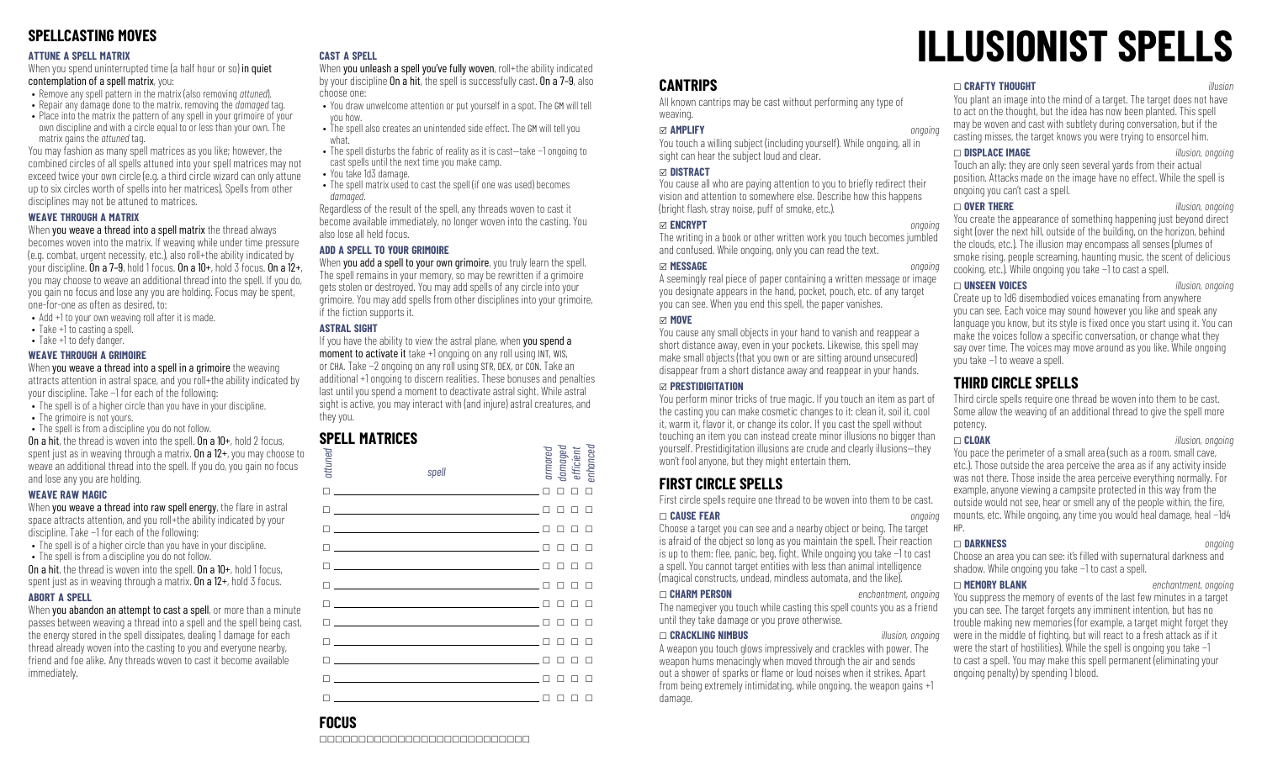## **SPELLCASTING MOVES**

### **ATTUNE A SPELL MATRIX**

When you spend uninterrupted time (a half hour or so) in quiet contemplation of a spell matrix, you:

- Remove any spell pattern in the matrix (also removing *attuned*).
- Repair any damage done to the matrix, removing the *damaged* tag.
- Place into the matrix the pattern of any spell in your grimoire of your own discipline and with a circle equal to or less than your own. The matrix gains the *attuned* tag.

You may fashion as many spell matrices as you like; however, the combined circles of all spells attuned into your spell matrices may not exceed twice your own circle (e.g. a third circle wizard can only attune up to six circles worth of spells into her matrices). Spells from other disciplines may not be attuned to matrices.

### **WEAVE THROUGH A MATRIX**

### When you weave a thread into a spell matrix the thread always

becomes woven into the matrix. If weaving while under time pressure (e.g. combat, urgent necessity, etc.), also roll+the ability indicated by your discipline. On a 7-9, hold 1 focus. On a  $10+$ , hold 3 focus. On a  $12+$ , you may choose to weave an additional thread into the spell. If you do, you gain no focus and lose any you are holding. Focus may be spent, one-for-one as often as desired, to:

- Add +1 to your own weaving roll after it is made.
- Take +1 to casting a spell.
- Take +1 to defy danger.

### **WEAVE THROUGH A GRIMOIRE**

When you weave a thread into a spell in a grimoire the weaving attracts attention in astral space, and you roll+the ability indicated by your discipline. Take −1 for each of the following:

- The spell is of a higher circle than you have in your discipline.
- The grimoire is not yours.
- The spell is from a discipline you do not follow. On a hit, the thread is woven into the spell. On a 10+, hold 2 focus,

spent just as in weaving through a matrix. **On a 12+**, you may choose to weave an additional thread into the spell. If you do, you gain no focus and lose any you are holding.

### **WEAVE RAW MAGIC**

When you weave a thread into raw spell energy, the flare in astral space attracts attention, and you roll+the ability indicated by your discipline. Take −1 for each of the following:

- The spell is of a higher circle than you have in your discipline. • The spell is from a discipline you do not follow.
- On a hit, the thread is woven into the spell. On a  $10+$ , hold 1 focus,

spent just as in weaving through a matrix. **On a**  $12+$ , hold 3 focus.

### **ABORT A SPELL**

When you abandon an attempt to cast a spell, or more than a minute passes between weaving a thread into a spell and the spell being cast, the energy stored in the spell dissipates, dealing 1 damage for each thread already woven into the casting to you and everyone nearby, friend and foe alike. Any threads woven to cast it become available immediately.

### **CAST A SPELL**

When you unleash a spell you've fully woven, roll+the ability indicated by your discipline On a hit, the spell is successfully cast. On a 7–9, also choose one:

- You draw unwelcome attention or put yourself in a spot. The GM will tell you how.
- The spell also creates an unintended side effect. The GM will tell you what.
- The spell disturbs the fabric of reality as it is cast—take −1 ongoing to cast spells until the next time you make camp.
- You take 1d3 damage.
- The spell matrix used to cast the spell (if one was used) becomes *damaged*.

Regardless of the result of the spell, any threads woven to cast it become available immediately, no longer woven into the casting. You also lose all held focus.

### **ADD A SPELL TO YOUR GRIMOIRE**

When you add a spell to your own grimoire, you truly learn the spell. The spell remains in your memory, so may be rewritten if a grimoire gets stolen or destroyed. You may add spells of any circle into your grimoire. You may add spells from other disciplines into your grimoire, if the fiction supports it.

### **ASTRAL SIGHT**

If you have the ability to view the astral plane, when you spend a moment to activate it take +1 ongoing on any roll using INT, WIS, or CHA. Take −2 ongoing on any roll using STR, DEX, or CON. Take an additional +1 ongoing to discern realities. These bonuses and penalties last until you spend a moment to deactivate astral sight. While astral sight is active, you may interact with (and injure) astral creatures, and they you.

## **SPELL MATRICES**

| attuned | spell                                                                                                                 | armored |   | damaged<br>efficient<br>enhanced |   |  |
|---------|-----------------------------------------------------------------------------------------------------------------------|---------|---|----------------------------------|---|--|
| П       | the control of the control of the control of the control of                                                           |         |   | п                                |   |  |
| п       | <u> 1989 - John Harry Harry Harry Harry Harry Harry Harry Harry Harry Harry Harry Harry Harry Harry Harry Harry</u>   |         |   |                                  |   |  |
|         | <u> 1989 - Andrea Barbara, poeta esperanto-poeta esperanto-poeta esperanto-poeta esperanto-poeta esperanto-poeta</u>  |         |   |                                  |   |  |
|         |                                                                                                                       |         |   |                                  |   |  |
|         | <u> 1989 - Johann Stein, mars an deutscher Stein († 1958)</u>                                                         |         |   |                                  |   |  |
|         | <u> 1999 - Johann Harry Harry Harry Harry Harry Harry Harry Harry Harry Harry Harry Harry Harry Harry Harry Harry</u> |         |   |                                  |   |  |
|         | <u> 1989 - Andrea Stadt Britain, amerikansk politiker (</u>                                                           |         |   |                                  |   |  |
|         | the control of the control of the control of the control of the control of                                            |         |   |                                  |   |  |
| п       |                                                                                                                       |         |   |                                  |   |  |
|         | the control of the control of the control of the control of                                                           |         |   |                                  |   |  |
|         |                                                                                                                       |         |   |                                  |   |  |
|         |                                                                                                                       | П       | □ | □                                | □ |  |

# **ILLUSIONIST SPELLS**

### **CANTRIPS**

All known cantrips may be cast without performing any type of weaving.

### x **AMPLIFY** *ongoing*

You touch a willing subject (including yourself). While ongoing, all in sight can hear the subject loud and clear.

### x **DISTRACT**

You cause all who are paying attention to you to briefly redirect their vision and attention to somewhere else. Describe how this happens  $\theta$  (bright flash, stray noise, puff of smoke, etc.).

### x **ENCRYPT** *ongoing*

The writing in a book or other written work you touch becomes jumbled and confused. While ongoing, only you can read the text.

### x **MESSAGE** *ongoing*

A seemingly real piece of paper containing a written message or image you designate appears in the hand, pocket, pouch, etc. of any target you can see. When you end this spell, the paper vanishes.

### x **MOVE**

You cause any small objects in your hand to vanish and reappear a short distance away, even in your pockets. Likewise, this spell may make small objects (that you own or are sitting around unsecured) disappear from a short distance away and reappear in your hands.

### x **PRESTIDIGITATION**

You perform minor tricks of true magic. If you touch an item as part of the casting you can make cosmetic changes to it: clean it, soil it, cool it, warm it, flavor it, or change its color. If you cast the spell without touching an item you can instead create minor illusions no bigger than yourself. Prestidigitation illusions are crude and clearly illusions—they won't fool anyone, but they might entertain them.

# **FIRST CIRCLE SPELLS**

First circle spells require one thread to be woven into them to be cast.

### \_ **CAUSE FEAR** *ongoing*

Choose a target you can see and a nearby object or being. The target is afraid of the object so long as you maintain the spell. Their reaction is up to them: flee, panic, beg, fight. While ongoing you take −1 to cast a spell. You cannot target entities with less than animal intelligence (magical constructs, undead, mindless automata, and the like).

### \_ **CHARM PERSON** *enchantment, ongoing*

The namegiver you touch while casting this spell counts you as a friend until they take damage or you prove otherwise.

### \_ **CRACKLING NIMBUS** *illusion, ongoing*

A weapon you touch glows impressively and crackles with power. The weapon hums menacingly when moved through the air and sends out a shower of sparks or flame or loud noises when it strikes. Apart from being extremely intimidating, while ongoing, the weapon gains +1 damage.

### \_ **CRAFTY THOUGHT** *illusion*

You plant an image into the mind of a target. The target does not have to act on the thought, but the idea has now been planted. This spell may be woven and cast with subtlety during conversation, but if the casting misses, the target knows you were trying to ensorcel him.

\_ **DISPLACE IMAGE** *illusion, ongoing* Touch an ally: they are only seen several yards from their actual position. Attacks made on the image have no effect. While the spell is ongoing you can't cast a spell.

### \_ **OVER THERE** *illusion, ongoing*

You create the appearance of something happening just beyond direct sight (over the next hill, outside of the building, on the horizon, behind the clouds, etc.). The illusion may encompass all senses (plumes of smoke rising, people screaming, haunting music, the scent of delicious cooking, etc.). While ongoing you take −1 to cast a spell.

\_ **UNSEEN VOICES** *illusion, ongoing* Create up to 1d6 disembodied voices emanating from anywhere you can see. Each voice may sound however you like and speak any language you know, but its style is fixed once you start using it. You can make the voices follow a specific conversation, or change what they say over time. The voices may move around as you like. While ongoing you take −1 to weave a spell.

### **THIRD CIRCLE SPELLS**

Third circle spells require one thread be woven into them to be cast. Some allow the weaving of an additional thread to give the spell more potency.

\_ **CLOAK** *illusion, ongoing*

You pace the perimeter of a small area (such as a room, small cave, etc.). Those outside the area perceive the area as if any activity inside was not there. Those inside the area perceive everything normally. For example, anyone viewing a campsite protected in this way from the outside would not see, hear or smell any of the people within, the fire, mounts, etc. While ongoing, any time you would heal damage, heal −1d4 HP.

\_ **DARKNESS** *ongoing* Choose an area you can see: it's filled with supernatural darkness and shadow. While ongoing you take −1 to cast a spell.

\_ **MEMORY BLANK** *enchantment, ongoing* You suppress the memory of events of the last few minutes in a target you can see. The target forgets any imminent intention, but has no trouble making new memories (for example, a target might forget they were in the middle of fighting, but will react to a fresh attack as if it were the start of hostilities). While the spell is ongoing you take −1 to cast a spell. You may make this spell permanent (eliminating your ongoing penalty) by spending 1 blood.

# **FOCUS**

\_\_\_\_\_\_\_\_\_\_\_\_\_\_\_\_\_\_\_\_\_\_\_\_\_\_\_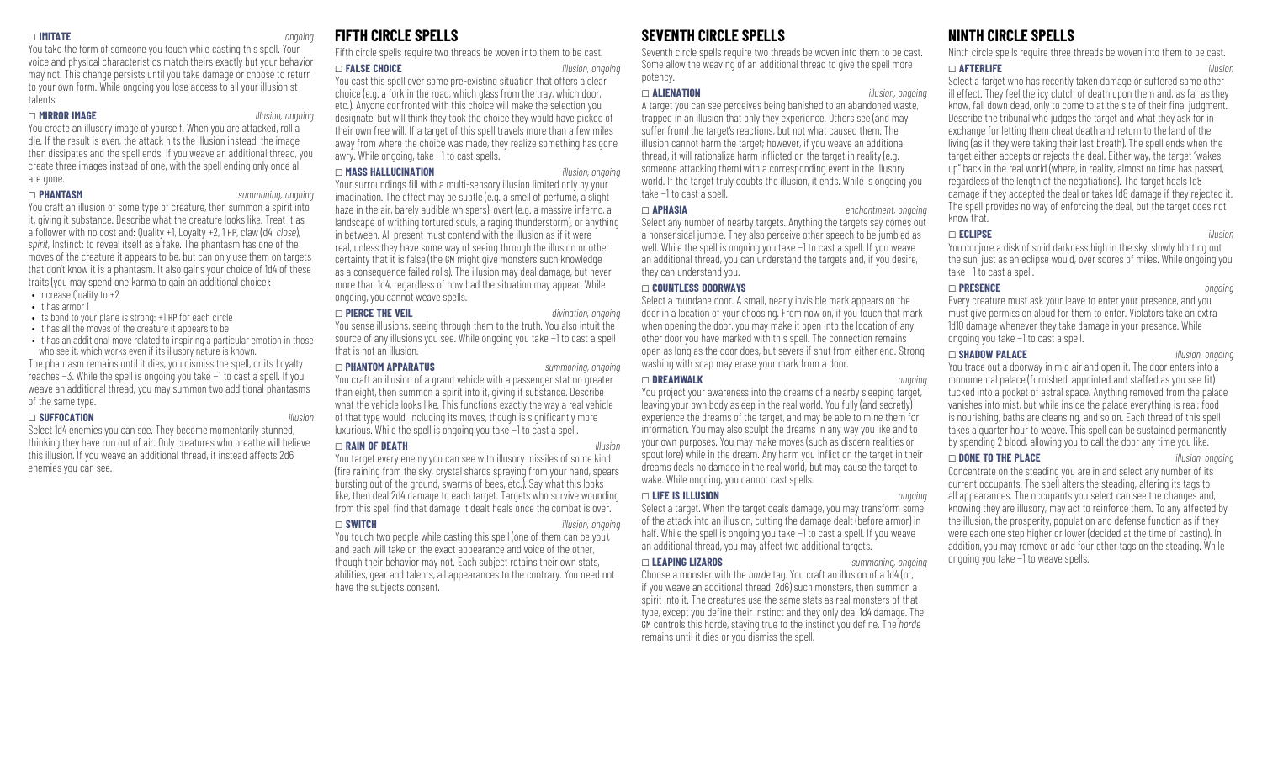### \_ **IMITATE** *ongoing*

You take the form of someone you touch while casting this spell. Your voice and physical characteristics match theirs exactly but your behavior may not. This change persists until you take damage or choose to return to your own form. While ongoing you lose access to all your illusionist talents.

### \_ **MIRROR IMAGE** *illusion, ongoing*

You create an illusory image of yourself. When you are attacked, roll a die. If the result is even, the attack hits the illusion instead, the image then dissipates and the spell ends. If you weave an additional thread, you create three images instead of one, with the spell ending only once all are gone.

### \_ **PHANTASM** *summoning, ongoing*

You craft an illusion of some type of creature, then summon a spirit into it, giving it substance. Describe what the creature looks like. Treat it as a follower with no cost and: Quality +1, Loyalty +2, 1 HP, claw (d4, *close*), *spirit*, Instinct: to reveal itself as a fake. The phantasm has one of the moves of the creature it appears to be, but can only use them on targets that don't know it is a phantasm. It also gains your choice of 1d4 of these traits (you may spend one karma to gain an additional choice): • Increase Quality to  $+2$ 

- It has armor 1
- Its bond to your plane is strong: +1 HP for each circle
- It has all the moves of the creature it appears to be
- It has an additional move related to inspiring a particular emotion in those who see it, which works even if its illusory nature is known.

The phantasm remains until it dies, you dismiss the spell, or its Loyalty reaches −3. While the spell is ongoing you take −1 to cast a spell. If you weave an additional thread, you may summon two additional phantasms of the same type.

### \_ **SUFFOCATION** *illusion*

Select 1d4 enemies you can see. They become momentarily stunned, thinking they have run out of air. Only creatures who breathe will believe this illusion. If you weave an additional thread, it instead affects 2d6 enemies you can see.

### **FIFTH CIRCLE SPELLS**

Fifth circle spells require two threads be woven into them to be cast.

### \_ **FALSE CHOICE** *illusion, ongoing*

You cast this spell over some pre-existing situation that offers a clear choice (e.g. a fork in the road, which glass from the tray, which door, etc.). Anyone confronted with this choice will make the selection you designate, but will think they took the choice they would have picked of their own free will. If a target of this spell travels more than a few miles away from where the choice was made, they realize something has gone awry. While ongoing, take −1 to cast spells.

### \_ **MASS HALLUCINATION** *illusion, ongoing*

Your surroundings fill with a multi-sensory illusion limited only by your imagination. The effect may be subtle (e.g. a smell of perfume, a slight haze in the air, barely audible whispers), overt (e.g. a massive inferno, a landscape of writhing tortured souls, a raging thunderstorm), or anything in between. All present must contend with the illusion as if it were real, unless they have some way of seeing through the illusion or other certainty that it is false (the GM might give monsters such knowledge as a consequence failed rolls). The illusion may deal damage, but never more than 1d4, regardless of how bad the situation may appear. While ongoing, you cannot weave spells.

### \_ **PIERCE THE VEIL** *divination, ongoing*

You sense illusions, seeing through them to the truth. You also intuit the source of any illusions you see. While ongoing you take −1 to cast a spell that is not an illusion.

### \_ **PHANTOM APPARATUS** *summoning, ongoing*

You craft an illusion of a grand vehicle with a passenger stat no greater than eight, then summon a spirit into it, giving it substance. Describe what the vehicle looks like. This functions exactly the way a real vehicle of that type would, including its moves, though is significantly more luxurious. While the spell is ongoing you take −1 to cast a spell.

### \_ **RAIN OF DEATH** *illusion*

You target every enemy you can see with illusory missiles of some kind (fire raining from the sky, crystal shards spraying from your hand, spears) bursting out of the ground, swarms of bees, etc.). Say what this looks like, then deal 2d4 damage to each target. Targets who survive wounding from this spell find that damage it dealt heals once the combat is over.

### \_ **SWITCH** *illusion, ongoing*

You touch two people while casting this spell (one of them can be you), and each will take on the exact appearance and voice of the other, though their behavior may not. Each subject retains their own stats, abilities, gear and talents, all appearances to the contrary. You need not have the subject's consent.

## **SEVENTH CIRCLE SPELLS**

Seventh circle spells require two threads be woven into them to be cast. Some allow the weaving of an additional thread to give the spell more potency.

### \_ **ALIENATION** *illusion, ongoing*

A target you can see perceives being banished to an abandoned waste, trapped in an illusion that only they experience. Others see (and may suffer from) the target's reactions, but not what caused them. The illusion cannot harm the target; however, if you weave an additional thread, it will rationalize harm inflicted on the target in reality (e.g. someone attacking them) with a corresponding event in the illusory world. If the target truly doubts the illusion, it ends. While is ongoing you take −1 to cast a spell.

\_ **APHASIA** *enchantment, ongoing* Select any number of nearby targets. Anything the targets say comes out a nonsensical jumble. They also perceive other speech to be jumbled as well. While the spell is ongoing you take −1 to cast a spell. If you weave an additional thread, you can understand the targets and, if you desire, they can understand you.

### \_ **COUNTLESS DOORWAYS**

Select a mundane door. A small, nearly invisible mark appears on the door in a location of your choosing. From now on, if you touch that mark when opening the door, you may make it open into the location of any other door you have marked with this spell. The connection remains open as long as the door does, but severs if shut from either end. Strong washing with soap may erase your mark from a door.

### \_ **DREAMWALK** *ongoing*

You project your awareness into the dreams of a nearby sleeping target, leaving your own body asleep in the real world. You fully (and secretly) experience the dreams of the target, and may be able to mine them for information. You may also sculpt the dreams in any way you like and to your own purposes. You may make moves (such as discern realities or spout lore) while in the dream. Any harm you inflict on the target in their dreams deals no damage in the real world, but may cause the target to wake. While ongoing, you cannot cast spells.

### \_ **LIFE IS ILLUSION** *ongoing*

Select a target. When the target deals damage, you may transform some of the attack into an illusion, cutting the damage dealt (before armor) in half. While the spell is ongoing you take −1 to cast a spell. If you weave an additional thread, you may affect two additional targets.

### \_ **LEAPING LIZARDS** *summoning, ongoing*

Choose a monster with the *horde* tag. You craft an illusion of a 1d4 (or, if you weave an additional thread, 2d6) such monsters, then summon a spirit into it. The creatures use the same stats as real monsters of that type, except you define their instinct and they only deal 1d4 damage. The GM controls this horde, staying true to the instinct you define. The *horde* remains until it dies or you dismiss the spell.

## **NINTH CIRCLE SPELLS**

Ninth circle spells require three threads be woven into them to be cast.

### \_ **AFTERLIFE** *illusion*

Select a target who has recently taken damage or suffered some other ill effect. They feel the icy clutch of death upon them and, as far as they know, fall down dead, only to come to at the site of their final judgment. Describe the tribunal who judges the target and what they ask for in exchange for letting them cheat death and return to the land of the living (as if they were taking their last breath). The spell ends when the target either accepts or rejects the deal. Either way, the target "wakes up" back in the real world (where, in reality, almost no time has passed, regardless of the length of the negotiations). The target heals 1d8 damage if they accepted the deal or takes 1d8 damage if they rejected it. The spell provides no way of enforcing the deal, but the target does not know that.

### \_ **ECLIPSE** *illusion*

You conjure a disk of solid darkness high in the sky, slowly blotting out the sun, just as an eclipse would, over scores of miles. While ongoing you take −1 to cast a spell.

### \_ **PRESENCE** *ongoing*

Every creature must ask your leave to enter your presence, and you must give permission aloud for them to enter. Violators take an extra 1d10 damage whenever they take damage in your presence. While ongoing you take −1 to cast a spell.

### \_ **SHADOW PALACE** *illusion, ongoing*

You trace out a doorway in mid air and open it. The door enters into a monumental palace (furnished, appointed and staffed as you see fit) tucked into a pocket of astral space. Anything removed from the palace vanishes into mist, but while inside the palace everything is real; food is nourishing, baths are cleansing, and so on. Each thread of this spell takes a quarter hour to weave. This spell can be sustained permanently by spending 2 blood, allowing you to call the door any time you like.

\_ **DONE TO THE PLACE** *illusion, ongoing*

Concentrate on the steading you are in and select any number of its current occupants. The spell alters the steading, altering its tags to all appearances. The occupants you select can see the changes and, knowing they are illusory, may act to reinforce them. To any affected by the illusion, the prosperity, population and defense function as if they were each one step higher or lower (decided at the time of casting). In addition, you may remove or add four other tags on the steading. While ongoing you take −1 to weave spells.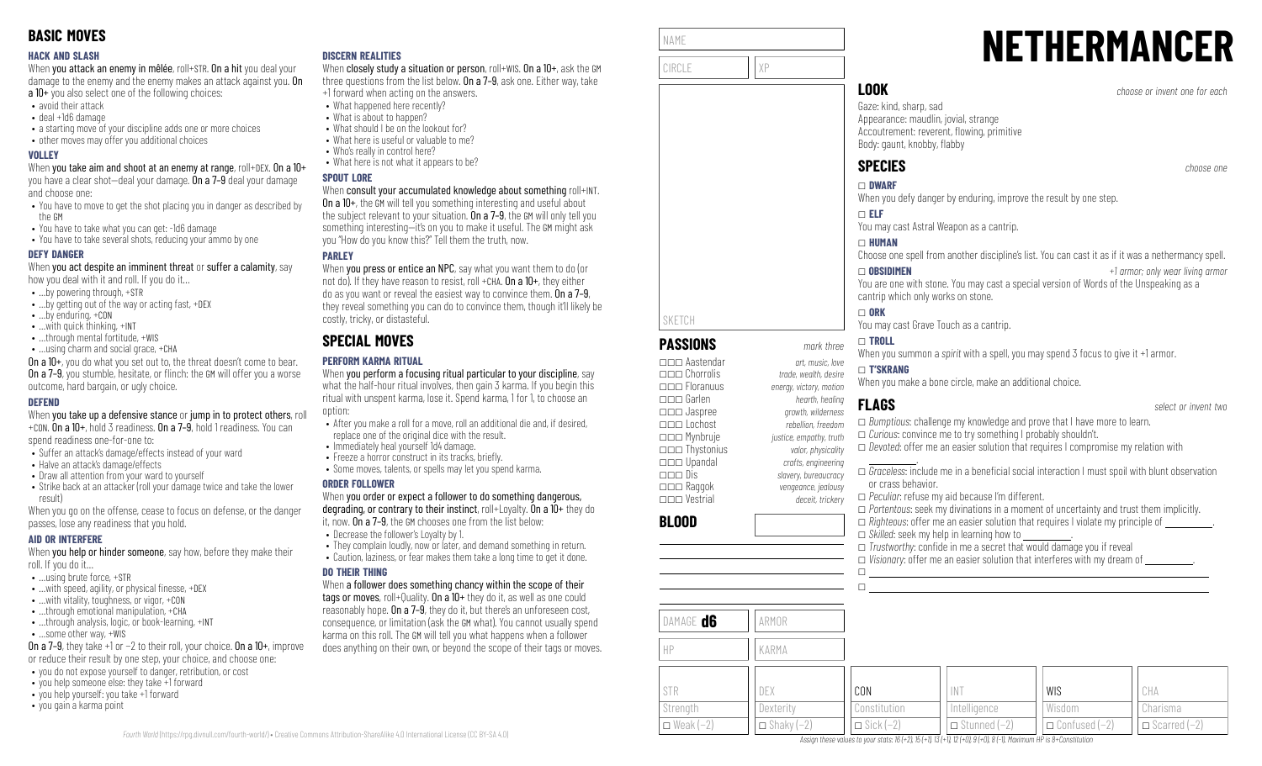### **HACK AND SLASH**

When you attack an enemy in mêlée, roll+STR. On a hit you deal your damage to the enemy and the enemy makes an attack against you. On a 10+ you also select one of the following choices:

- avoid their attack
- deal +1d6 damage
- a starting move of your discipline adds one or more choices
- other moves may offer you additional choices

### **VOLLEY**

When you take aim and shoot at an enemy at range, roll+DEX. On a 10+ you have a clear shot—deal your damage. On a 7–9 deal your damage and choose one:

- You have to move to get the shot placing you in danger as described by the GM
- You have to take what you can get: -1d6 damage
- You have to take several shots, reducing your ammo by one

### **DEFY DANGER**

When you act despite an imminent threat or suffer a calamity, say how you deal with it and roll. If you do it…

- …by powering through, +STR
- …by getting out of the way or acting fast, +DEX
- …by enduring, +CON
- …with quick thinking, +INT
- ...through mental fortitude, +WIS
- …using charm and social grace, +CHA

On a 10+, you do what you set out to, the threat doesn't come to bear. **On a 7–9**, you stumble, hesitate, or flinch: the GM will offer you a worse outcome, hard bargain, or ugly choice.

### **DEFEND**

When you take up a defensive stance or jump in to protect others, roll +CON. On a 10+, hold 3 readiness. On a 7–9, hold 1 readiness. You can

spend readiness one-for-one to:

- Suffer an attack's damage/effects instead of your ward
- Halve an attack's damage/effects
- Draw all attention from your ward to yourself
- Strike back at an attacker (roll your damage twice and take the lower result)

When you go on the offense, cease to focus on defense, or the danger passes, lose any readiness that you hold.

### **AID OR INTERFERE**

When you help or hinder someone, say how, before they make their roll. If you do it…

- …using brute force, +STR
- $\bullet$  ... with speed, agility, or physical finesse,  $+$ DEX
- …with vitality, toughness, or vigor, +CON
- …through emotional manipulation, +CHA • ...through analysis, logic, or book-learning, +INT
- …some other way, +WIS

On a 7–9, they take +1 or −2 to their roll, your choice. On a 10+, improve

- or reduce their result by one step, your choice, and choose one:
- you do not expose yourself to danger, retribution, or cost • you help someone else: they take  $+1$  forward
- you help yourself: you take +1 forward
- you gain a karma point

### **DISCERN REALITIES**

When closely study a situation or person, roll+WIS. On a 10+, ask the GM three questions from the list below. On a 7–9, ask one. Either way, take +1 forward when acting on the answers.

- What happened here recently?
	- What is about to happen?
- What should I be on the lookout for?
- What here is useful or valuable to me?
- Who's really in control here?
- What here is not what it appears to be?

### **SPOUT LORE**

### When consult your accumulated knowledge about something roll+INT.

On a 10+, the GM will tell you something interesting and useful about the subject relevant to your situation. On a 7-9, the GM will only tell you something interesting—it's on you to make it useful. The GM might ask you "How do you know this?" Tell them the truth, now.

### **PARLEY**

When **you press or entice an NPC**, say what you want them to do (or not do). If they have reason to resist, roll +CHA. On a 10+, they either do as you want or reveal the easiest way to convince them. On a 7–9, they reveal something you can do to convince them, though it'll likely be costly, tricky, or distasteful.

# **SPECIAL MOVES**

### **PERFORM KARMA RITUAL**

When you perform a focusing ritual particular to your discipline, say what the half-hour ritual involves, then gain 3 karma. If you begin this ritual with unspent karma, lose it. Spend karma, 1 for 1, to choose an option:

- After you make a roll for a move, roll an additional die and, if desired, replace one of the original dice with the result.
- Immediately heal yourself 1d4 damage.
- Freeze a horror construct in its tracks, briefly.
- Some moves, talents, or spells may let you spend karma.

### **ORDER FOLLOWER**

When you order or expect a follower to do something dangerous, degrading, or contrary to their instinct, roll+Loyalty. On a 10+ they do

- it, now. On a 7–9, the GM chooses one from the list below: • Decrease the follower's Loyalty by 1.
- 
- They complain loudly, now or later, and demand something in return. • Caution, laziness, or fear makes them take a long time to get it done.

### **DO THEIR THING**

When a follower does something chancy within the scope of their tags or moves, roll+Quality. On a 10+ they do it, as well as one could reasonably hope. On a 7–9, they do it, but there's an unforeseen cost, consequence, or limitation (ask the GM what). You cannot usually spend karma on this roll. The GM will tell you what happens when a follower does anything on their own, or beyond the scope of their tags or moves.



# **NETHERMANCER**

Appearance: maudlin, jovial, strange Accoutrement: reverent, flowing, primitive

When you defy danger by enduring, improve the result by one step.

You may cast Astral Weapon as a cantrip.

Choose one spell from another discipline's list. You can cast it as if it was a nethermancy spell.

You are one with stone. You may cast a special version of Words of the Unspeaking as a cantrip which only works on stone.

You may cast Grave Touch as a cantrip.

When you summon a *spirit* with a spell, you may spend 3 focus to give it +1 armor.

### \_ **T'SKRANG**

When you make a bone circle, make an additional choice.

### **FLAGS** *select or invent two* \_ *Bumptious*: challenge my knowledge and prove that I have more to learn. \_ *Curious*: convince me to try something I probably shouldn't. \_ *Devoted*: offer me an easier solution that requires I compromise my relation with .  $\Box$  *Graceless*: include me in a beneficial social interaction I must spoil with blunt observation or crass behavior. \_ *Peculiar*: refuse my aid because I'm different. \_ *Portentous*: seek my divinations in a moment of uncertainty and trust them implicitly.

 $\Box$  *Skilled*: seek my help in learning how to

 $\Box$  *Trustworthy:* confide in me a secret that would damage you if reveal  $\Box$  *Visionary*: offer me an easier solution that interferes with my dream of

> WIS Wisdom

\_ Confused (−2)

CHA Charisma  $\Box$  Scarred (−2)

| DAMAGE <b>d6</b> | ARMOR             |                  |                     |
|------------------|-------------------|------------------|---------------------|
| HP               | KARMA             |                  |                     |
|                  |                   |                  |                     |
| STR              | DEX               | CON              | IN1                 |
| Strength         | Dexterity         | Constitution     | Intelligence        |
| $\Box$ Weak (-2) | $\Box$ Shaky (-2) | $\Box$ Sick (-2) | $\Box$ Stunned (-2) |

Assign these values to your stats: 16 (+2), 15 (+1), 13 (+1), 12 (+0), 9 (+0), 8 (-1), Maximum HP is 8+Constitution

|  | select or invent two |  |
|--|----------------------|--|

\_\_\_ Garlen *hearth, healing*

 $\Box$ 

\_\_\_ Jaspree *growth, wilderness* \_\_\_ Lochost *rebellion, freedom* \_\_\_ Mynbruje *justice, empathy, truth*

\_\_\_ Thystonius *valor, physicality* \_\_\_ Upandal *crafts, engineering* \_\_\_ Dis *slavery, bureaucracy* \_\_\_ Raggok *vengeance, jealousy*

\_\_\_ Floranuus *energy, victory, motion*

# \_\_\_ Vestrial *deceit, trickery*

# **BLOOD**

SKETCH

NAME

 $\Box$  *Righteous*: offer me an easier solution that requires I violate my principle of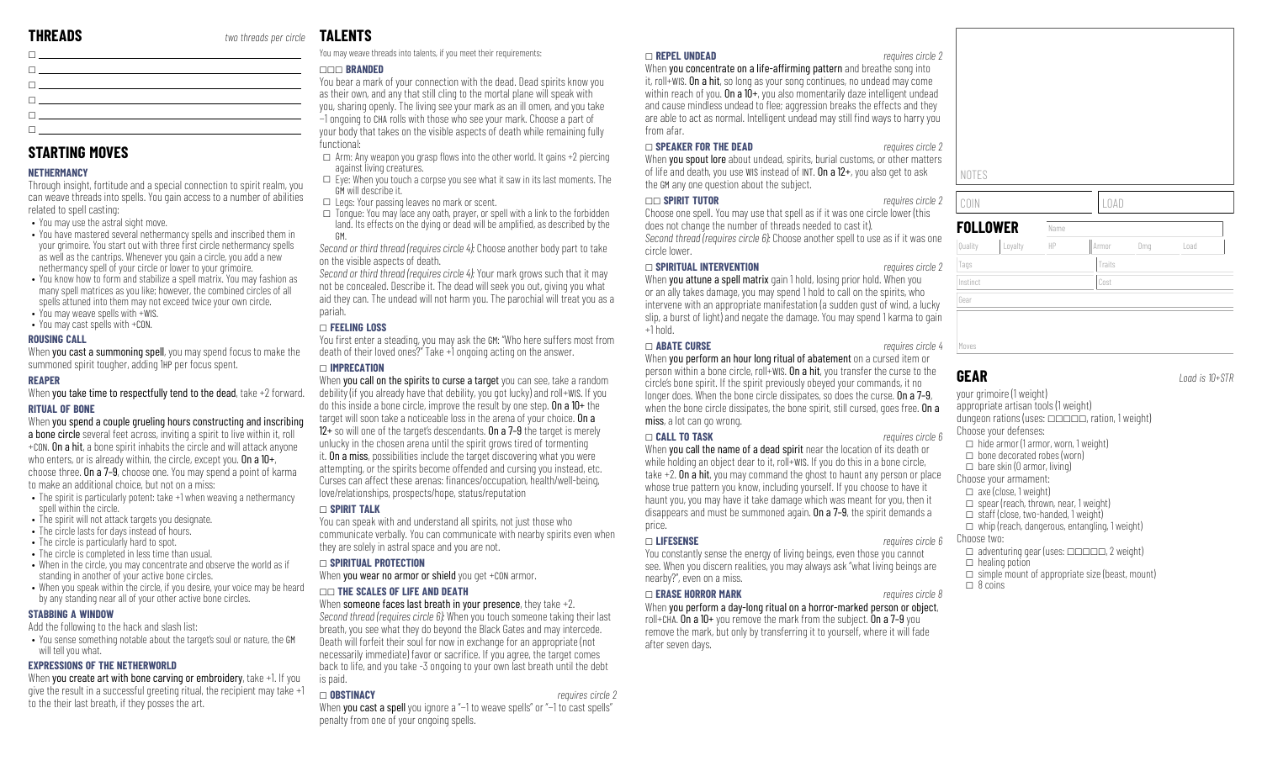**STARTING MOVES**

related to spell casting:

• You may use the astral sight move.

 $\bullet$  You may weave spells with  $+\mathsf{WIS}$ . • You may cast spells with +CON.

**NETHERMANCY**

**ROUSING CALL**

**RITUAL OF BONE**

spell within the circle.

**STABBING A WINDOW**

will tell you what.

**REAPER**

\_

\_ \_ \_ \_  $\overline{\mathsf{L}}$ 

Through insight, fortitude and a special connection to spirit realm, you can weave threads into spells. You gain access to a number of abilities

• You have mastered several nethermancy spells and inscribed them in your grimoire. You start out with three first circle nethermancy spells as well as the cantrips. Whenever you gain a circle, you add a new nethermancy spell of your circle or lower to your grimoire. • You know how to form and stabilize a spell matrix. You may fashion as many spell matrices as you like; however, the combined circles of all spells attuned into them may not exceed twice your own circle.

When **you cast a summoning spell**, you may spend focus to make the

When you take time to respectfully tend to the dead, take +2 forward.

When you spend a couple grueling hours constructing and inscribing a bone circle several feet across, inviting a spirit to live within it, roll +CON. On a hit, a bone spirit inhabits the circle and will attack anyone who enters, or is already within, the circle, except you. On a  $10+$ , choose three. On a 7–9, choose one. You may spend a point of karma

• The spirit is particularly potent: take +1 when weaving a nethermancy

• When in the circle, you may concentrate and observe the world as if

• When you speak within the circle, if you desire, your voice may be heard

• You sense something notable about the target's soul or nature, the GM

When you create art with bone carving or embroidery, take +1. If you give the result in a successful greeting ritual, the recipient may take +1

summoned spirit tougher, adding 1HP per focus spent.

to make an additional choice, but not on a miss:

• The spirit will not attack targets you designate. • The circle lasts for days instead of hours. • The circle is particularly hard to spot. • The circle is completed in less time than usual.

standing in another of your active bone circles.

Add the following to the hack and slash list:

to the their last breath, if they posses the art.

**EXPRESSIONS OF THE NETHERWORLD**

by any standing near all of your other active bone circles.

### **TALENTS**

You may weave threads into talents, if you meet their requirements:

### \_\_\_ **BRANDED**

You bear a mark of your connection with the dead. Dead spirits know you as their own, and any that still cling to the mortal plane will speak with you, sharing openly. The living see your mark as an ill omen, and you take −1 ongoing to CHA rolls with those who see your mark. Choose a part of your body that takes on the visible aspects of death while remaining fully functional:

 $\Box$  Arm: Any weapon you grasp flows into the other world. It gains +2 piercing against living creatures.

 $\square$  Eye: When you touch a corpse you see what it saw in its last moments. The GM will describe it.

- $\Box$  Legs: Your passing leaves no mark or scent.
- $\square$  Tongue: You may lace any oath, prayer, or spell with a link to the forbidden land. Its effects on the dying or dead will be amplified, as described by the GM.

*Second or third thread (requires circle 4):* Choose another body part to take on the visible aspects of death.

*Second or third thread (requires circle 4):* Your mark grows such that it may not be concealed. Describe it. The dead will seek you out, giving you what aid they can. The undead will not harm you. The parochial will treat you as a pariah.

### \_ **FEELING LOSS**

You first enter a steading, you may ask the GM: "Who here suffers most from death of their loved ones?" Take +1 ongoing acting on the answer.

### \_ **IMPRECATION**

When you call on the spirits to curse a target you can see, take a random debility (if you already have that debility, you got lucky) and roll+WIS. If you do this inside a bone circle, improve the result by one step. On a 10+ the target will soon take a noticeable loss in the arena of your choice. On a 12 $+$  so will one of the target's descendants. On a 7-9 the target is merely unlucky in the chosen arena until the spirit grows tired of tormenting it. On a miss, possibilities include the target discovering what you were attempting, or the spirits become offended and cursing you instead, etc. Curses can affect these arenas: finances/occupation, health/well-being, love/relationships, prospects/hope, status/reputation

### \_ **SPIRIT TALK**

You can speak with and understand all spirits, not just those who communicate verbally. You can communicate with nearby spirits even when they are solely in astral space and you are not.

### \_ **SPIRITUAL PROTECTION**

When you wear no armor or shield you get +CON armor.

### \_\_ **THE SCALES OF LIFE AND DEATH**

When someone faces last breath in your presence, they take  $+2$ . *Second thread (requires circle 6):* When you touch someone taking their last breath, you see what they do beyond the Black Gates and may intercede. Death will forfeit their soul for now in exchange for an appropriate (not necessarily immediate) favor or sacrifice. If you agree, the target comes back to life, and you take -3 ongoing to your own last breath until the debt is paid.

### \_ **OBSTINACY** *requires circle 2*

When you cast a spell you ignore a "-1 to weave spells" or "-1 to cast spells" penalty from one of your ongoing spells.

### \_ **REPEL UNDEAD** *requires circle 2*

When you concentrate on a life-affirming pattern and breathe song into it, roll+WIS. On a hit, so long as your song continues, no undead may come within reach of you. On a  $10+$ , you also momentarily daze intelligent undead and cause mindless undead to flee; aggression breaks the effects and they are able to act as normal. Intelligent undead may still find ways to harry you from afar.

### \_ **SPEAKER FOR THE DEAD** *requires circle 2*

When you spout lore about undead, spirits, burial customs, or other matters of life and death, you use WIS instead of INT. On a 12+, you also get to ask the GM any one question about the subject.

### \_\_ **SPIRIT TUTOR** *requires circle 2*

Choose one spell. You may use that spell as if it was one circle lower (this does not change the number of threads needed to cast it). *Second thread (requires circle 6):* Choose another spell to use as if it was one circle lower.

### \_ **SPIRITUAL INTERVENTION** *requires circle 2*

When you attune a spell matrix gain 1 hold, losing prior hold. When you or an ally takes damage, you may spend 1 hold to call on the spirits, who intervene with an appropriate manifestation (a sudden gust of wind, a lucky slip, a burst of light) and negate the damage. You may spend 1 karma to gain  $+1$  hold.

### \_ **ABATE CURSE** *requires circle 4*

When you perform an hour long ritual of abatement on a cursed item or person within a bone circle, roll+WIS. On a hit, you transfer the curse to the circle's bone spirit. If the spirit previously obeyed your commands, it no longer does. When the bone circle dissipates, so does the curse. On a 7-9, when the bone circle dissipates, the bone spirit, still cursed, goes free. On a miss, a lot can go wrong.

### \_ **CALL TO TASK** *requires circle 6*

When you call the name of a dead spirit near the location of its death or while holding an object dear to it, roll+WIS. If you do this in a bone circle, take +2. On a hit, you may command the ghost to haunt any person or place whose true pattern you know, including yourself. If you choose to have it haunt you, you may have it take damage which was meant for you, then it disappears and must be summoned again. On a 7–9, the spirit demands a price.

### \_ **LIFESENSE** *requires circle 6*

You constantly sense the energy of living beings, even those you cannot see. When you discern realities, you may always ask "what living beings are nearby?", even on a miss.

### \_ **ERASE HORROR MARK** *requires circle 8*

When you perform a day-long ritual on a horror-marked person or object, roll+CHA. On a 10+ you remove the mark from the subject. On a 7–9 you remove the mark, but only by transferring it to yourself, where it will fade after seven days.

NOTES

COIN LOAD

| <b>FOLLOWER</b> |         | Name |        |     |      |
|-----------------|---------|------|--------|-----|------|
| Quality         | Loyalty | HP   | Armor  | Dmg | Load |
| Tags            |         |      | Traits |     |      |
| Instinct        |         |      | Cost   |     |      |
| Gear            |         |      |        |     |      |

your grimoire (1 weight) appropriate artisan tools (1 weight) dungeon rations (uses:  $\Box$  $\Box$  $\Box$  $\Box$ , ration, 1 weight) Choose your defenses:  $\Box$  hide armor (1 armor, worn, 1 weight)  $\Box$  bone decorated robes (worn)  $\Box$  bare skin (0 armor, living) Choose your armament:  $\Box$  axe (close, 1 weight)  $\Box$  spear (reach, thrown, near, 1 weight)  $\Box$  staff (close, two-handed, 1 weight)  $\Box$  whip (reach, dangerous, entangling, 1 weight) Choose two:  $\Box$  adventuring gear (uses:  $\Box$  $\Box$  $\Box$  $\Box$  $\Box$ , 2 weight)  $\Box$  healing potion  $\Box$  simple mount of appropriate size (beast, mount)  $\Box$  8 coins

| Gear  |  |  |  |
|-------|--|--|--|
|       |  |  |  |
|       |  |  |  |
| Moves |  |  |  |
|       |  |  |  |
|       |  |  |  |

### **GEAR** *Load is 10+STR*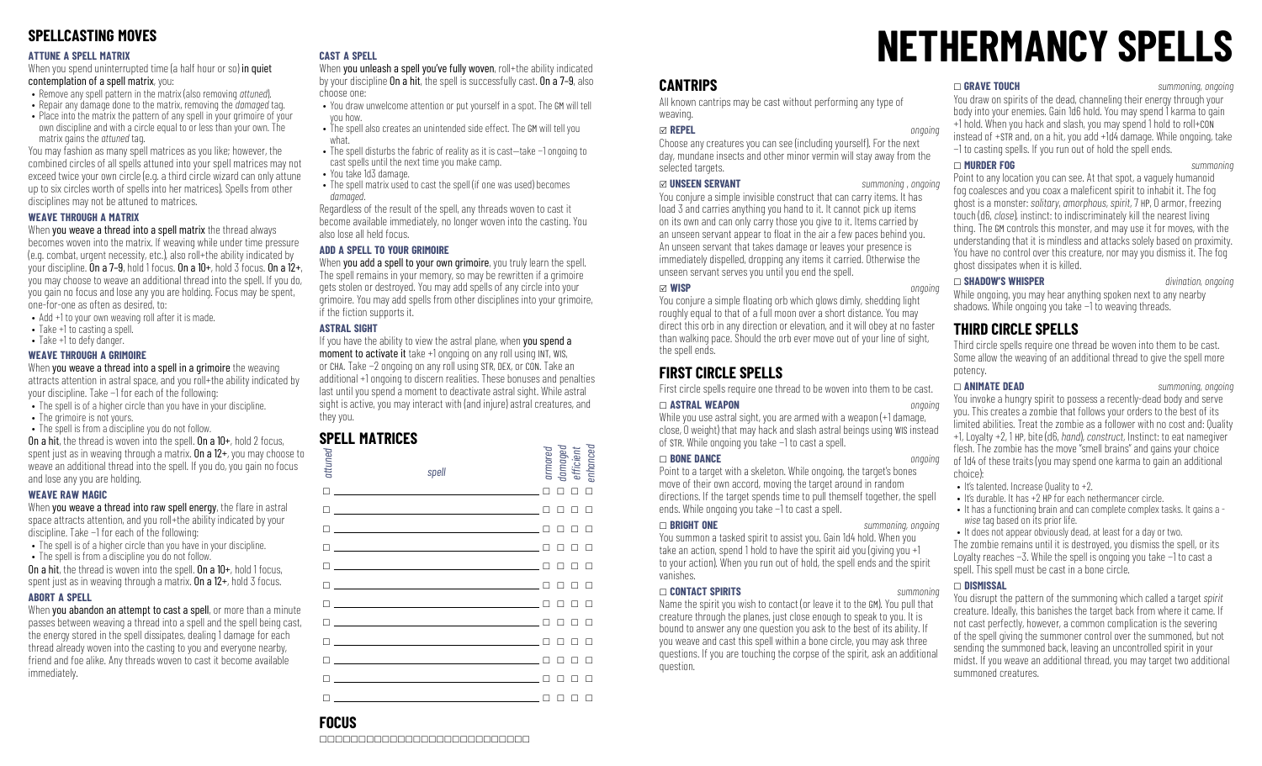## **SPELLCASTING MOVES**

### **ATTUNE A SPELL MATRIX**

When you spend uninterrupted time (a half hour or so) in quiet contemplation of a spell matrix, you:

- Remove any spell pattern in the matrix (also removing *attuned*).
- Repair any damage done to the matrix, removing the *damaged* tag.
- Place into the matrix the pattern of any spell in your grimoire of your own discipline and with a circle equal to or less than your own. The matrix gains the *attuned* tag.

You may fashion as many spell matrices as you like; however, the combined circles of all spells attuned into your spell matrices may not exceed twice your own circle (e.g. a third circle wizard can only attune up to six circles worth of spells into her matrices). Spells from other disciplines may not be attuned to matrices.

### **WEAVE THROUGH A MATRIX**

### When you weave a thread into a spell matrix the thread always

becomes woven into the matrix. If weaving while under time pressure (e.g. combat, urgent necessity, etc.), also roll+the ability indicated by your discipline. On a 7-9, hold 1 focus. On a  $10+$ , hold 3 focus. On a  $12+$ , you may choose to weave an additional thread into the spell. If you do, you gain no focus and lose any you are holding. Focus may be spent, one-for-one as often as desired, to:

- Add +1 to your own weaving roll after it is made.
- Take +1 to casting a spell.
- Take +1 to defy danger.

### **WEAVE THROUGH A GRIMOIRE**

When you weave a thread into a spell in a grimoire the weaving attracts attention in astral space, and you roll+the ability indicated by your discipline. Take −1 for each of the following:

- The spell is of a higher circle than you have in your discipline.
- The grimoire is not yours.
- The spell is from a discipline you do not follow. On a hit, the thread is woven into the spell. On a 10+, hold 2 focus,

spent just as in weaving through a matrix. On a 12+, you may choose to weave an additional thread into the spell. If you do, you gain no focus and lose any you are holding.

### **WEAVE RAW MAGIC**

When you weave a thread into raw spell energy, the flare in astral space attracts attention, and you roll+the ability indicated by your discipline. Take −1 for each of the following:

- The spell is of a higher circle than you have in your discipline. • The spell is from a discipline you do not follow.
- On a hit, the thread is woven into the spell. On a  $10+$ , hold 1 focus,

spent just as in weaving through a matrix. **On a**  $12+$ , hold 3 focus.

### **ABORT A SPELL**

When you abandon an attempt to cast a spell, or more than a minute passes between weaving a thread into a spell and the spell being cast, the energy stored in the spell dissipates, dealing 1 damage for each thread already woven into the casting to you and everyone nearby, friend and foe alike. Any threads woven to cast it become available immediately.

### **CAST A SPELL**

When you unleash a spell you've fully woven, roll+the ability indicated by your discipline On a hit, the spell is successfully cast. On a 7–9, also choose one:

- You draw unwelcome attention or put yourself in a spot. The GM will tell you how.
- The spell also creates an unintended side effect. The GM will tell you what.
- The spell disturbs the fabric of reality as it is cast—take −1 ongoing to cast spells until the next time you make camp.
- You take 1d3 damage.
- The spell matrix used to cast the spell (if one was used) becomes *damaged*.

Regardless of the result of the spell, any threads woven to cast it become available immediately, no longer woven into the casting. You also lose all held focus.

### **ADD A SPELL TO YOUR GRIMOIRE**

When you add a spell to your own grimoire, you truly learn the spell. The spell remains in your memory, so may be rewritten if a grimoire gets stolen or destroyed. You may add spells of any circle into your grimoire. You may add spells from other disciplines into your grimoire, if the fiction supports it.

### **ASTRAL SIGHT**

If you have the ability to view the astral plane, when you spend a moment to activate it take +1 ongoing on any roll using INT, WIS, or CHA. Take −2 ongoing on any roll using STR, DEX, or CON. Take an additional +1 ongoing to discern realities. These bonuses and penalties last until you spend a moment to deactivate astral sight. While astral sight is active, you may interact with (and injure) astral creatures, and they you.

## **SPELL MATRICES**

| attuned                                         | spell                                                                                                                                                                                                                                | armored |   | damaged<br>efficient<br>enhanced |   |  |
|-------------------------------------------------|--------------------------------------------------------------------------------------------------------------------------------------------------------------------------------------------------------------------------------------|---------|---|----------------------------------|---|--|
| П.                                              |                                                                                                                                                                                                                                      |         |   | п                                |   |  |
| п                                               | the control of the control of the control of the control of the control of                                                                                                                                                           |         |   |                                  |   |  |
| п                                               | <u> 1989 - Andrea Stadt, fransk politik (d. 1989)</u>                                                                                                                                                                                |         |   |                                  |   |  |
| п                                               | <u> 1989 - Andrea Stadt Britain, amerikansk politiker (</u>                                                                                                                                                                          |         |   |                                  |   |  |
| П                                               | <u>and the state of the state of the state of the state of the state of the state of the state of the state of the state of the state of the state of the state of the state of the state of the state of the state of the state</u> | П       |   | п                                | П |  |
| п                                               | <u> 1990 - John Stein, markin am de Britannia (b. 1980)</u>                                                                                                                                                                          |         |   |                                  |   |  |
|                                                 |                                                                                                                                                                                                                                      |         |   |                                  |   |  |
|                                                 |                                                                                                                                                                                                                                      |         |   |                                  |   |  |
|                                                 |                                                                                                                                                                                                                                      |         |   |                                  |   |  |
|                                                 | the control of the control of the control of the                                                                                                                                                                                     |         |   |                                  |   |  |
|                                                 |                                                                                                                                                                                                                                      |         |   |                                  |   |  |
| $\Box$ . The set of $\Box$ is the set of $\Box$ |                                                                                                                                                                                                                                      | □       | □ | □                                | □ |  |

# **NETHERMANCY SPELLS**

### **CANTRIPS**

All known cantrips may be cast without performing any type of weaving.

### x **REPEL** *ongoing*

Choose any creatures you can see (including yourself). For the next day, mundane insects and other minor vermin will stay away from the selected targets.

### x **UNSEEN SERVANT** *summoning , ongoing*

You conjure a simple invisible construct that can carry items. It has load 3 and carries anything you hand to it. It cannot pick up items on its own and can only carry those you give to it. Items carried by an unseen servant appear to float in the air a few paces behind you. An unseen servant that takes damage or leaves your presence is immediately dispelled, dropping any items it carried. Otherwise the unseen servant serves you until you end the spell.

x **WISP** *ongoing* You conjure a simple floating orb which glows dimly, shedding light roughly equal to that of a full moon over a short distance. You may direct this orb in any direction or elevation, and it will obey at no faster than walking pace. Should the orb ever move out of your line of sight, the spell ends.

# **FIRST CIRCLE SPELLS**

First circle spells require one thread to be woven into them to be cast.

### \_ **ASTRAL WEAPON** *ongoing*

While you use astral sight, you are armed with a weapon (+1 damage, close, 0 weight) that may hack and slash astral beings using WIS instead of STR. While ongoing you take −1 to cast a spell.

### \_ **BONE DANCE** *ongoing*

Point to a target with a skeleton. While ongoing, the target's bones move of their own accord, moving the target around in random directions. If the target spends time to pull themself together, the spell ends. While ongoing you take −1 to cast a spell.

### \_ **BRIGHT ONE** *summoning, ongoing*

You summon a tasked spirit to assist you. Gain 1d4 hold. When you take an action, spend 1 hold to have the spirit aid you (giving you +1 to your action). When you run out of hold, the spell ends and the spirit vanishes.

### \_ **CONTACT SPIRITS** *summoning*

Name the spirit you wish to contact (or leave it to the GM). You pull that creature through the planes, just close enough to speak to you. It is bound to answer any one question you ask to the best of its ability. If you weave and cast this spell within a bone circle, you may ask three questions. If you are touching the corpse of the spirit, ask an additional question.

### \_ **GRAVE TOUCH** *summoning, ongoing*

You draw on spirits of the dead, channeling their energy through your body into your enemies. Gain 1d6 hold. You may spend 1 karma to gain +1 hold. When you hack and slash, you may spend 1 hold to roll+CON instead of +STR and, on a hit, you add +1d4 damage. While ongoing, take −1 to casting spells. If you run out of hold the spell ends.

### \_ **MURDER FOG** *summoning*

Point to any location you can see. At that spot, a vaguely humanoid fog coalesces and you coax a maleficent spirit to inhabit it. The fog ghost is a monster: *solitary*, *amorphous*, *spirit*, 7 HP, 0 armor, freezing touch (d6, *close*), instinct: to indiscriminately kill the nearest living thing. The GM controls this monster, and may use it for moves, with the understanding that it is mindless and attacks solely based on proximity. You have no control over this creature, nor may you dismiss it. The fog ghost dissipates when it is killed.

\_ **SHADOW'S WHISPER** *divination, ongoing* While ongoing, you may hear anything spoken next to any nearby shadows. While ongoing you take −1 to weaving threads.

### **THIRD CIRCLE SPELLS**

Third circle spells require one thread be woven into them to be cast. Some allow the weaving of an additional thread to give the spell more potency.

\_ **ANIMATE DEAD** *summoning, ongoing* You invoke a hungry spirit to possess a recently-dead body and serve you. This creates a zombie that follows your orders to the best of its limited abilities. Treat the zombie as a follower with no cost and: Quality +1, Loyalty +2, 1 HP, bite (d6, *hand*), *construct*, Instinct: to eat namegiver flesh. The zombie has the move "smell brains" and gains your choice of 1d4 of these traits (you may spend one karma to gain an additional choice):

- It's talented. Increase Quality to +2.
- It's durable. It has +2 HP for each nethermancer circle.
- It has a functioning brain and can complete complex tasks. It gains a  *wise* tag based on its prior life.
- It does not appear obviously dead, at least for a day or two.

The zombie remains until it is destroyed, you dismiss the spell, or its Loyalty reaches −3. While the spell is ongoing you take −1 to cast a spell. This spell must be cast in a bone circle.

### \_ **DISMISSAL**

You disrupt the pattern of the summoning which called a target *spirit* creature. Ideally, this banishes the target back from where it came. If not cast perfectly, however, a common complication is the severing of the spell giving the summoner control over the summoned, but not sending the summoned back, leaving an uncontrolled spirit in your midst. If you weave an additional thread, you may target two additional summoned creatures.

# **FOCUS**

\_\_\_\_\_\_\_\_\_\_\_\_\_\_\_\_\_\_\_\_\_\_\_\_\_\_\_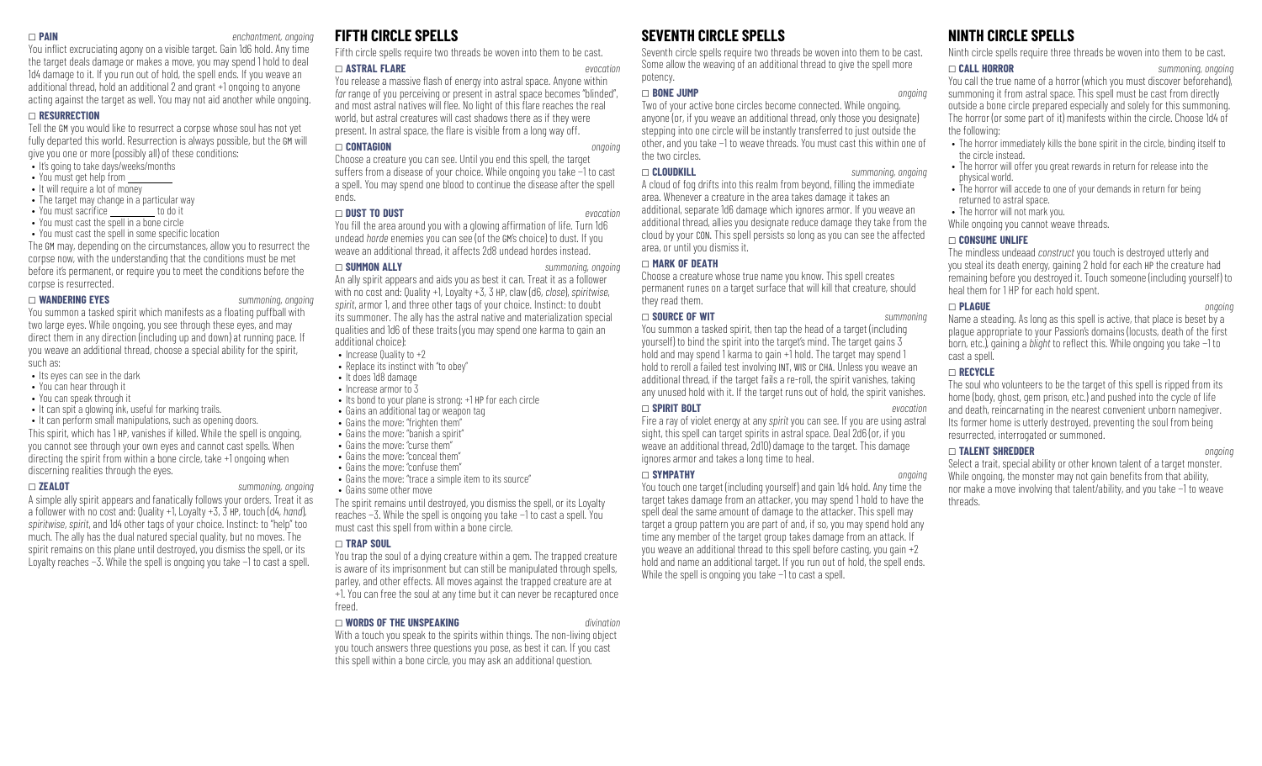### \_ **PAIN** *enchantment, ongoing*

You inflict excruciating agony on a visible target. Gain 1d6 hold. Any time the target deals damage or makes a move, you may spend 1 hold to deal 1d4 damage to it. If you run out of hold, the spell ends. If you weave an additional thread, hold an additional 2 and grant +1 ongoing to anyone acting against the target as well. You may not aid another while ongoing.

### \_ **RESURRECTION**

Tell the GM you would like to resurrect a corpse whose soul has not yet fully departed this world. Resurrection is always possible, but the GM will give you one or more (possibly all) of these conditions:

- It's going to take days/weeks/months
- You must get help from
- It will require a lot of money
- The target may change in a particular way<br>• You must sacrifice the dolit
- $\bullet$  You must sacrifice  $\sim$
- You must cast the spell in a bone circle

• You must cast the spell in some specific location The GM may, depending on the circumstances, allow you to resurrect the corpse now, with the understanding that the conditions must be met before it's permanent, or require you to meet the conditions before the corpse is resurrected.

### \_ **WANDERING EYES** *summoning, ongoing*

You summon a tasked spirit which manifests as a floating puffball with two large eyes. While ongoing, you see through these eyes, and may direct them in any direction (including up and down) at running pace. If you weave an additional thread, choose a special ability for the spirit, such as:

- Its eyes can see in the dark
- You can hear through it
- You can speak through it
- It can spit a glowing ink, useful for marking trails.
- It can perform small manipulations, such as opening doors.

This spirit, which has 1 HP, vanishes if killed. While the spell is ongoing, you cannot see through your own eyes and cannot cast spells. When directing the spirit from within a bone circle, take +1 ongoing when discerning realities through the eyes.

### \_ **ZEALOT** *summoning, ongoing*

A simple ally spirit appears and fanatically follows your orders. Treat it as a follower with no cost and: Quality +1, Loyalty +3, 3 HP, touch (d4, *hand*), *spiritwise*, *spirit*, and 1d4 other tags of your choice. Instinct: to "help" too much. The ally has the dual natured special quality, but no moves. The spirit remains on this plane until destroyed, you dismiss the spell, or its Loyalty reaches −3. While the spell is ongoing you take −1 to cast a spell.

### **FIFTH CIRCLE SPELLS**

Fifth circle spells require two threads be woven into them to be cast.

### \_ **ASTRAL FLARE** *evocation*

You release a massive flash of energy into astral space. Anyone within *far* range of you perceiving or present in astral space becomes "blinded", and most astral natives will flee. No light of this flare reaches the real world, but astral creatures will cast shadows there as if they were present. In astral space, the flare is visible from a long way off.

### \_ **CONTAGION** *ongoing*

Choose a creature you can see. Until you end this spell, the target suffers from a disease of your choice. While ongoing you take −1 to cast a spell. You may spend one blood to continue the disease after the spell ends.

### \_ **DUST TO DUST** *evocation*

You fill the area around you with a glowing affirmation of life. Turn 1d6 undead *horde* enemies you can see (of the GM's choice) to dust. If you weave an additional thread, it affects 2d8 undead hordes instead.

### \_ **SUMMON ALLY** *summoning, ongoing*

An ally spirit appears and aids you as best it can. Treat it as a follower with no cost and: Quality +1, Loyalty +3, 3 HP, claw (d6, *close*), *spiritwise*, *spirit*, armor 1, and three other tags of your choice. Instinct: to doubt its summoner. The ally has the astral native and materialization special qualities and 1d6 of these traits (you may spend one karma to gain an additional choice):

- Increase Quality to +2
- Replace its instinct with "to obey"
- It does 1d8 damage
- Increase armor to 3
- Its bond to your plane is strong: +1 HP for each circle
- Gains an additional tag or weapon tag
- Gains the move: "frighten them"
- Gains the move: "banish a spirit"
- Gains the move: "curse them"
- Gains the move: "conceal them"
- Gains the move: "confuse them"
- Gains the move: "trace a simple item to its source"
- Gains some other move The spirit remains until destroyed, you dismiss the spell, or its Loyalty reaches −3. While the spell is ongoing you take −1 to cast a spell. You must cast this spell from within a bone circle.

### \_ **TRAP SOUL**

You trap the soul of a dying creature within a gem. The trapped creature is aware of its imprisonment but can still be manipulated through spells, parley, and other effects. All moves against the trapped creature are at +1. You can free the soul at any time but it can never be recaptured once freed.

### \_ **WORDS OF THE UNSPEAKING** *divination*

With a touch you speak to the spirits within things. The non-living object you touch answers three questions you pose, as best it can. If you cast this spell within a bone circle, you may ask an additional question.

### **SEVENTH CIRCLE SPELLS**

Seventh circle spells require two threads be woven into them to be cast. Some allow the weaving of an additional thread to give the spell more potency.

### \_ **BONE JUMP** *ongoing*

Two of your active bone circles become connected. While ongoing, anyone (or, if you weave an additional thread, only those you designate) stepping into one circle will be instantly transferred to just outside the other, and you take −1 to weave threads. You must cast this within one of the two circles.

### \_ **CLOUDKILL** *summoning, ongoing*

A cloud of fog drifts into this realm from beyond, filling the immediate area. Whenever a creature in the area takes damage it takes an additional, separate 1d6 damage which ignores armor. If you weave an additional thread, allies you designate reduce damage they take from the cloud by your CON. This spell persists so long as you can see the affected area, or until you dismiss it.

### \_ **MARK OF DEATH**

Choose a creature whose true name you know. This spell creates permanent runes on a target surface that will kill that creature, should they read them.

### \_ **SOURCE OF WIT** *summoning*

You summon a tasked spirit, then tap the head of a target (including yourself) to bind the spirit into the target's mind. The target gains 3 hold and may spend 1 karma to gain  $+1$  hold. The target may spend 1 hold to reroll a failed test involving INT, WIS or CHA. Unless you weave an additional thread, if the target fails a re-roll, the spirit vanishes, taking any unused hold with it. If the target runs out of hold, the spirit vanishes.

### \_ **SPIRIT BOLT** *evocation*

Fire a ray of violet energy at any *spirit* you can see. If you are using astral sight, this spell can target spirits in astral space. Deal 2d6 (or, if you weave an additional thread, 2d10) damage to the target. This damage ignores armor and takes a long time to heal.

### \_ **SYMPATHY** *ongoing*

You touch one target (including yourself) and gain 1d4 hold. Any time the target takes damage from an attacker, you may spend 1 hold to have the spell deal the same amount of damage to the attacker. This spell may target a group pattern you are part of and, if so, you may spend hold any time any member of the target group takes damage from an attack. If you weave an additional thread to this spell before casting, you gain +2 hold and name an additional target. If you run out of hold, the spell ends. While the spell is ongoing you take −1 to cast a spell.

## **NINTH CIRCLE SPELLS**

Ninth circle spells require three threads be woven into them to be cast.

### \_ **CALL HORROR** *summoning, ongoing*

You call the true name of a horror (which you must discover beforehand), summoning it from astral space. This spell must be cast from directly outside a bone circle prepared especially and solely for this summoning. The horror (or some part of it) manifests within the circle. Choose 1d4 of the following:

- The horror immediately kills the bone spirit in the circle, binding itself to the circle instead.
- The horror will offer you great rewards in return for release into the physical world.
- The horror will accede to one of your demands in return for being returned to astral space.
- The horror will not mark you.

While ongoing you cannot weave threads.

### \_ **CONSUME UNLIFE**

The mindless undeaad *construct* you touch is destroyed utterly and you steal its death energy, gaining 2 hold for each HP the creature had remaining before you destroyed it. Touch someone (including yourself) to heal them for 1 HP for each hold spent.

### \_ **PLAGUE** *ongoing*

Name a steading. As long as this spell is active, that place is beset by a plague appropriate to your Passion's domains (locusts, death of the first born, etc.), gaining a *blight* to reflect this. While ongoing you take −1 to cast a spell.

### \_ **RECYCLE**

The soul who volunteers to be the target of this spell is ripped from its home (body, ghost, gem prison, etc.) and pushed into the cycle of life and death, reincarnating in the nearest convenient unborn namegiver. Its former home is utterly destroyed, preventing the soul from being resurrected, interrogated or summoned.

### \_ **TALENT SHREDDER** *ongoing*

Select a trait, special ability or other known talent of a target monster. While ongoing, the monster may not gain benefits from that ability, nor make a move involving that talent/ability, and you take −1 to weave threads.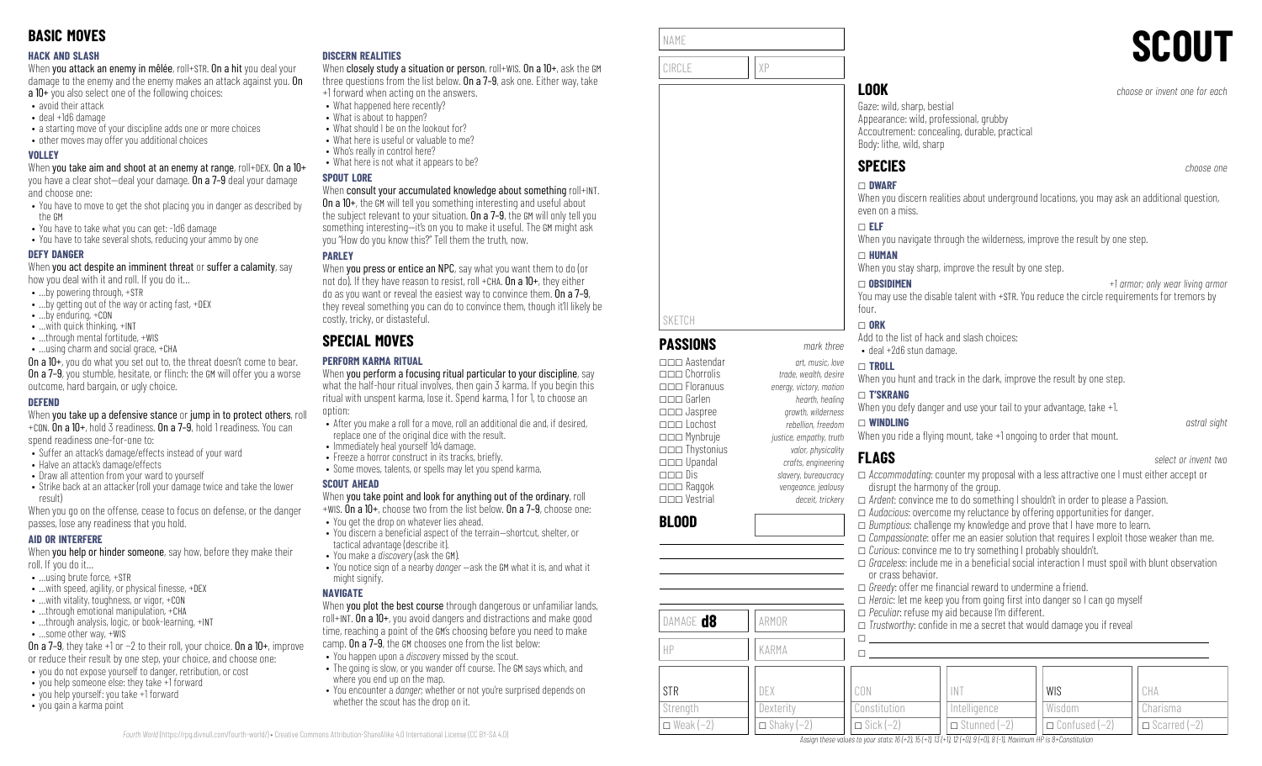### **HACK AND SLASH**

When you attack an enemy in mêlée, roll+STR. On a hit you deal your damage to the enemy and the enemy makes an attack against you. On a 10+ you also select one of the following choices:

- avoid their attack
- deal +1d6 damage
- a starting move of your discipline adds one or more choices
- other moves may offer you additional choices

### **VOLLEY**

When you take aim and shoot at an enemy at range, roll+DEX. On a 10+ you have a clear shot—deal your damage. On a 7–9 deal your damage and choose one:

- You have to move to get the shot placing you in danger as described by the GM
- You have to take what you can get: -1d6 damage
- You have to take several shots, reducing your ammo by one

### **DEFY DANGER**

When you act despite an imminent threat or suffer a calamity, say how you deal with it and roll. If you do it…

- …by powering through, +STR
- …by getting out of the way or acting fast, +DEX
- …by enduring, +CON
- …with quick thinking, +INT
- ...through mental fortitude, +WIS
- …using charm and social grace, +CHA

On a 10+, you do what you set out to, the threat doesn't come to bear. **On a 7–9**, you stumble, hesitate, or flinch: the GM will offer you a worse outcome, hard bargain, or ugly choice.

### **DEFEND**

When you take up a defensive stance or jump in to protect others, roll +CON. On a 10+, hold 3 readiness. On a 7–9, hold 1 readiness. You can

spend readiness one-for-one to:

- Suffer an attack's damage/effects instead of your ward
- Halve an attack's damage/effects
- Draw all attention from your ward to yourself
- Strike back at an attacker (roll your damage twice and take the lower result)

When you go on the offense, cease to focus on defense, or the danger passes, lose any readiness that you hold.

### **AID OR INTERFERE**

When you help or hinder someone, say how, before they make their roll. If you do it…

- …using brute force, +STR
- $\bullet$  ... with speed, agility, or physical finesse,  $+$ DEX
- …with vitality, toughness, or vigor, +CON
- …through emotional manipulation, +CHA • ...through analysis, logic, or book-learning, +INT
- …some other way, +WIS

On a 7–9, they take +1 or −2 to their roll, your choice. On a 10+, improve or reduce their result by one step, your choice, and choose one:

- you do not expose yourself to danger, retribution, or cost
- you help someone else: they take +1 forward
- you help yourself: you take +1 forward
- you gain a karma point

### **DISCERN REALITIES**

When closely study a situation or person, roll+WIS. On a 10+, ask the GM three questions from the list below. On a 7–9, ask one. Either way, take +1 forward when acting on the answers.

- What happened here recently?
	- What is about to happen?
- What should I be on the lookout for?
- What here is useful or valuable to me?
- Who's really in control here?
- What here is not what it appears to be?

### **SPOUT LORE**

### When consult your accumulated knowledge about something roll+INT.

On a 10+, the GM will tell you something interesting and useful about the subject relevant to your situation. On a 7-9, the GM will only tell you something interesting—it's on you to make it useful. The GM might ask you "How do you know this?" Tell them the truth, now.

### **PARLEY**

When **you press or entice an NPC**, say what you want them to do (or not do). If they have reason to resist, roll +CHA,  $0n a 10+$ , they either do as you want or reveal the easiest way to convince them. On a 7–9, they reveal something you can do to convince them, though it'll likely be costly, tricky, or distasteful.

# **SPECIAL MOVES**

### **PERFORM KARMA RITUAL**

When you perform a focusing ritual particular to your discipline, say what the half-hour ritual involves, then gain 3 karma. If you begin this ritual with unspent karma, lose it. Spend karma, 1 for 1, to choose an option:

- After you make a roll for a move, roll an additional die and, if desired, replace one of the original dice with the result.
- Immediately heal yourself 1d4 damage.
- Freeze a horror construct in its tracks, briefly. • Some moves, talents, or spells may let you spend karma.
- 

### **SCOUT AHEAD**

When you take point and look for anything out of the ordinary, roll +WIS. On a 10+, choose two from the list below. On a 7–9, choose one:

- You get the drop on whatever lies ahead.
- You discern a beneficial aspect of the terrain—shortcut, shelter, or tactical advantage (describe it).
- You make a *discovery* (ask the GM).
- You notice sign of a nearby *danger* —ask the GM what it is, and what it might signify.

### **NAVIGATE**

*Fourth World* [\(https://rpg.divnull.com/fourth-world/\)](https://rpg.divnull.com/fourth-world/) • Creative Commons Attribution-ShareAlike 4.0 International License (CC [BY-SA](https://creativecommons.org/licenses/by-sa/4.0/) 4.0)

When you plot the best course through dangerous or unfamiliar lands, roll+INT. On a 10+, you avoid dangers and distractions and make good time, reaching a point of the GM's choosing before you need to make camp. On a 7–9, the GM chooses one from the list below:

- You happen upon a *discovery* missed by the scout.
- The going is slow, or you wander off course. The GM says which, and where you end up on the map.
- You encounter a *danger*; whether or not you're surprised depends on whether the scout has the drop on it.

| NAME   | <b>SCOUT</b> |
|--------|--------------|
| CIRCL. |              |

**PASSIONS** *mark three* \_\_\_ Aastendar *art, music, love*

\_\_\_ Jaspree *growth, wilderness* \_\_\_ Lochost *rebellion, freedom* \_\_\_ Mynbruje *justice, empathy, truth* \_\_\_ Thystonius *valor, physicality* \_\_\_ Upandal *crafts, engineering*

SKETCH

**BLOOD**

STR **Strength**  $\square$  Weak (−2)

DAMAGE **d8** ARMOR

HP KARMA

DEX **Dexterity**  $\Box$  Shaky (-2)

# **LOOK** *choose or invent one for each*

Gaze: wild, sharp, bestial Appearance: wild, professional, grubby Accoutrement: concealing, durable, practical Body: lithe, wild, sharp

# **SPECIES** *choose one*

# \_ **DWARF**

When you discern realities about underground locations, you may ask an additional question, even on a miss.

### \_ **ELF**

When you navigate through the wilderness, improve the result by one step.

### \_ **HUMAN**

When you stay sharp, improve the result by one step.

\_ **OBSIDIMEN** *+1 armor; only wear living armor* You may use the disable talent with +STR. You reduce the circle requirements for tremors by

### four.  $\Box$  ORK

Add to the list of hack and slash choices:

### • deal +2d6 stun damage.

\_ **TROLL**

When you hunt and track in the dark, improve the result by one step.

### \_\_\_ Floranuus *energy, victory, motion* \_\_\_ Garlen *hearth, healing* \_ **T'SKRANG**

\_\_\_ Chorrolis *trade, wealth, desire*

When you defy danger and use your tail to your advantage, take  $+1$ .

### \_ **WINDLING** *astral sight*

When you ride a flying mount, take +1 ongoing to order that mount.

# **FLAGS** *select or invent two*

 $\Box$  Sick (−2)

\_\_\_ Dis *slavery, bureaucracy* \_\_\_ Raggok *vengeance, jealousy* \_\_\_ Vestrial *deceit, trickery* \_ *Accommodating*: counter my proposal with a less attractive one I must either accept or disrupt the harmony of the group. \_ *Ardent*: convince me to do something I shouldn't in order to please a Passion. □ *Audacious*: overcome my reluctance by offering opportunities for danger. □ *Bumptious*: challenge my knowledge and prove that I have more to learn. \_ *Compassionate*: offer me an easier solution that requires I exploit those weaker than me. □ *Curious*: convince me to try something I probably shouldn't.  $\Box$  *Graceless*: include me in a beneficial social interaction I must spoil with blunt observation or crass behavior. □ *Greedy*: offer me financial reward to undermine a friend.  $\Box$  *Heroic*: let me keep you from going first into danger so I can go myself \_ *Peculiar*: refuse my aid because I'm different.  $\Box$  *Trustworthy:* confide in me a secret that would damage you if reveal  $\Box$  $\square$ CON Constitution INT Intelligence WIS Wisdom \_ Confused (−2) CHA Charisma  $\Box$  Scarred (−2)

 $\Box$  Stunned (−2)

Assign these values to your stats:  $16 (+2)$ ,  $15 (+1)$ ,  $13 (+1)$ ,  $12 (+0)$ ,  $9 (+0)$ ,  $8 (-1)$ , Maximum HP is 8+Constitution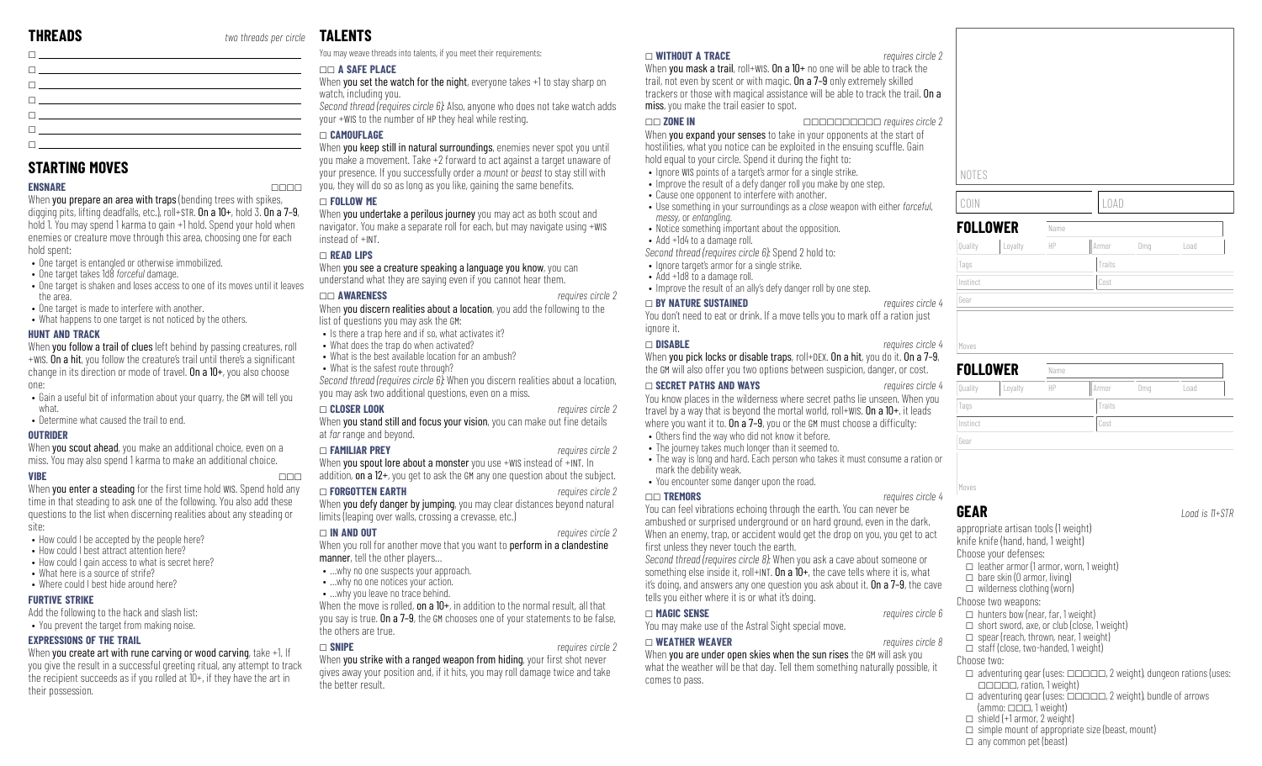**STARTING MOVES**

hold spent:

the area.

one:

what.

**OUTRIDER**

site:

**HUNT AND TRACK**

 $\Box$ 

 $\Box$ 

• One target is entangled or otherwise immobilized. • One target takes 1d8 *forceful* damage.

• One target is made to interfere with another. • What happens to one target is not noticed by the others.

• Determine what caused the trail to end.

• How could I be accepted by the people here? • How could I best attract attention here? • How could I gain access to what is secret here?

Add the following to the hack and slash list: • You prevent the target from making noise.

• What here is a source of strife? • Where could I best hide around here?

**EXPRESSIONS OF THE TRAIL**

**FURTIVE STRIKE**

their possession.

\_ \_ a <u>di secondo della contra dell'India di Sala</u> \_  $\Box$ 

**ENSNARE** \_\_\_\_ When you prepare an area with traps (bending trees with spikes, digging pits, lifting deadfalls, etc.), roll+STR. On a 10+, hold 3. On a 7-9, hold 1. You may spend 1 karma to gain +1 hold. Spend your hold when enemies or creature move through this area, choosing one for each

• One target is shaken and loses access to one of its moves until it leaves

When you follow a trail of clues left behind by passing creatures, roll +WIS. On a hit, you follow the creature's trail until there's a significant change in its direction or mode of travel. On a 10+, you also choose

• Gain a useful bit of information about your quarry, the GM will tell you

When **you scout ahead**, you make an additional choice, even on a miss. You may also spend 1 karma to make an additional choice. **VIBE** \_\_\_ When you enter a steading for the first time hold WIS. Spend hold any time in that steading to ask one of the following. You also add these questions to the list when discerning realities about any steading or

When you create art with rune carving or wood carving, take +1. If you give the result in a successful greeting ritual, any attempt to track the recipient succeeds as if you rolled at 10+, if they have the art in

# **TALENTS**

You may weave threads into talents, if you meet their requirements:

### \_\_ **A SAFE PLACE**

When you set the watch for the night, everyone takes +1 to stay sharp on watch, including you.

*Second thread (requires circle 6):* Also, anyone who does not take watch adds your +WIS to the number of HP they heal while resting.

### \_ **CAMOUFLAGE**

When you keep still in natural surroundings, enemies never spot you until you make a movement. Take +2 forward to act against a target unaware of your presence. If you successfully order a *mount* or *beast* to stay still with you, they will do so as long as you like, gaining the same benefits.

### \_ **FOLLOW ME**

When you undertake a perilous journey you may act as both scout and navigator. You make a separate roll for each, but may navigate using +WIS instead of +INT.

### \_ **READ LIPS**

When you see a creature speaking a language you know, you can understand what they are saying even if you cannot hear them.

### \_\_ **AWARENESS** *requires circle 2*

When you discern realities about a location, you add the following to the list of questions you may ask the GM:

- Is there a trap here and if so, what activates it?
- What does the trap do when activated?
- What is the best available location for an ambush?
- What is the safest route through?
- *Second thread (requires circle 6):* When you discern realities about a location, you may ask two additional questions, even on a miss.

### \_ **CLOSER LOOK** *requires circle 2*

When you stand still and focus your vision, you can make out fine details at *far* range and beyond.

### \_ **FAMILIAR PREY** *requires circle 2*

When you spout lore about a monster you use +WIS instead of +INT. In addition, on a 12+, you get to ask the GM any one question about the subject.

### \_ **FORGOTTEN EARTH** *requires circle 2*

When you defy danger by jumping, you may clear distances beyond natural limits (leaping over walls, crossing a crevasse, etc.)

### \_ **IN AND OUT** *requires circle 2*

- When you roll for another move that you want to **perform in a clandestine** manner, tell the other players...
- …why no one suspects your approach.
- …why no one notices your action.
- ... why you leave no trace behind.

When the move is rolled, on a  $10+$ , in addition to the normal result, all that you say is true. On a 7-9, the GM chooses one of your statements to be false, the others are true.

### \_ **SNIPE** *requires circle 2*

When you strike with a ranged weapon from hiding, your first shot never gives away your position and, if it hits, you may roll damage twice and take the better result.

### \_ **WITHOUT A TRACE** *requires circle 2*

When you mask a trail, roll+WIS. On a 10+ no one will be able to track the trail, not even by scent or with magic. On a 7–9 only extremely skilled trackers or those with magical assistance will be able to track the trail. On a miss, you make the trail easier to spot.

### \_\_ **ZONE IN** \_\_\_\_\_\_\_\_\_\_ *requires circle 2*

When **you expand your senses** to take in your opponents at the start of hostilities, what you notice can be exploited in the ensuing scuffle. Gain hold equal to your circle. Spend it during the fight to:

- Ignore WIS points of a target's armor for a single strike.
- Improve the result of a defy danger roll you make by one step.
- Cause one opponent to interfere with another.
- Use something in your surroundings as a *close* weapon with either *forceful*, *messy*, or *entangling*.
- Notice something important about the opposition.
- Add +1d4 to a damage roll.
- *Second thread (requires circle 6):* Spend 2 hold to:
- Innore target's armor for a single strike.
- Add +1d8 to a damage roll.
- Improve the result of an ally's defy danger roll by one step.

### \_ **BY NATURE SUSTAINED** *requires circle 4*

You don't need to eat or drink. If a move tells you to mark off a ration just ignore it.

When you pick locks or disable traps, roll+DEX. On a hit, you do it. On a 7-9, the GM will also offer you two options between suspicion, danger, or cost.

You know places in the wilderness where secret paths lie unseen. When you travel by a way that is beyond the mortal world, roll+WIS. On a 10+, it leads where you want it to.  $0n a 7-9$ , you or the GM must choose a difficulty:

- 
- 
- mark the debility weak.
- 

You can feel vibrations echoing through the earth. You can never be ambushed or surprised underground or on hard ground, even in the dark. When an enemy, trap, or accident would get the drop on you, you get to act first unless they never touch the earth.

*Second thread (requires circle 8):* When you ask a cave about someone or something else inside it, roll+INT. On a  $10+$ , the cave tells where it is, what it's doing, and answers any one question you ask about it. On a 7–9, the cave tells you either where it is or what it's doing.

### \_ **MAGIC SENSE** *requires circle 6*

You may make use of the Astral Sight special move.

### \_ **WEATHER WEAVER** *requires circle 8*

When you are under open skies when the sun rises the GM will ask you what the weather will be that day. Tell them something naturally possible, it comes to pass.

**FOLLOWER**  $\theta$  Quality  $\theta$  Loyalty

Instinct Cost

| COIN     |         |      |        | ∟OAD |      |  |  |
|----------|---------|------|--------|------|------|--|--|
| FOLLOWER |         | Name |        |      |      |  |  |
| Quality  | Loyalty | HP   | Armor  | Dma  | Load |  |  |
| Tags     |         |      | Traits |      |      |  |  |

# **FOLLOWER Name** Quality |Loyalty || HP || Armor || Dmg || Load Tags Tags Traits Traits Traits Traits Traits Traits Traits Traits Traits Traits Traits Traits Traits Traits Traits Traits Traits Traits Traits Traits Traits Traits Traits Traits Traits Traits Traits Traits Traits Traits Tr Instinct Cost Gear Moves

**GEAR** *Load is 11+STR*

knife knife (hand, hand, 1 weight) Choose your defenses:  $\Box$  leather armor (1 armor, worn, 1 weight)  $\Box$  bare skin (0 armor, living)  $\Box$  wilderness clothing (worn) Choose two weapons:  $\Box$  hunters bow (near, far, 1 weight)  $\Box$  short sword, axe, or club (close, 1 weight)  $\Box$  spear (reach, thrown, near, 1 weight)  $\Box$  staff (close, two-handed, 1 weight) Choose two:  $\Box$  adventuring gear (uses:  $\Box$  $\Box$  $\Box$  $\Box$ , 2 weight), dungeon rations (uses:  $\Box$  $\Box$  $\Box$  $\Box$ , ration, 1 weight)  $\Box$  adventuring gear (uses:  $\Box$  $\Box$  $\Box$  $\Box$ , 2 weight), bundle of arrows  ${\rm (ammo: \nightharpoonup \nightharpoonup \nightharpoonup} \nightharpoonup \nightharpoonup \nightharpoonup \nightharpoonup \nightharpoonup \nightharpoonup \nightharpoonup \nightharpoonup \nightharpoonup \nightharpoonup \nightharpoonup \nightharpoonup \nightharpoonup \nightharpoonup \nightharpoonup \nightharpoonup \nightharpoonup \nightharpoonup \nightharpoonup \nightharpoonup \nightharpoonup \nightharpoonup \nightharpoonup \nightharpoonup \nightharpoonup \nightharpoonup \nightharpoonup \nightharpoonup \nightharpoonup \nightharpoonup \nightharpoonup \nightharpoonup \nighth$  $\Box$  shield (+1 armor, 2 weight)

 $\Box$  simple mount of appropriate size (beast, mount)  $\Box$  any common pet (beast)

# \_ **SECRET PATHS AND WAYS** *requires circle 4*

- $\bullet$  Others find the way who did not know it before.
- The journey takes much longer than it seemed to.
- The way is long and hard. Each person who takes it must consume a ration or
- You encounter some danger upon the road.
- \_\_ **TREMORS** *requires circle 4*

# \_ **DISABLE** *requires circle 4* Moves

Gear

appropriate artisan tools (1 weight)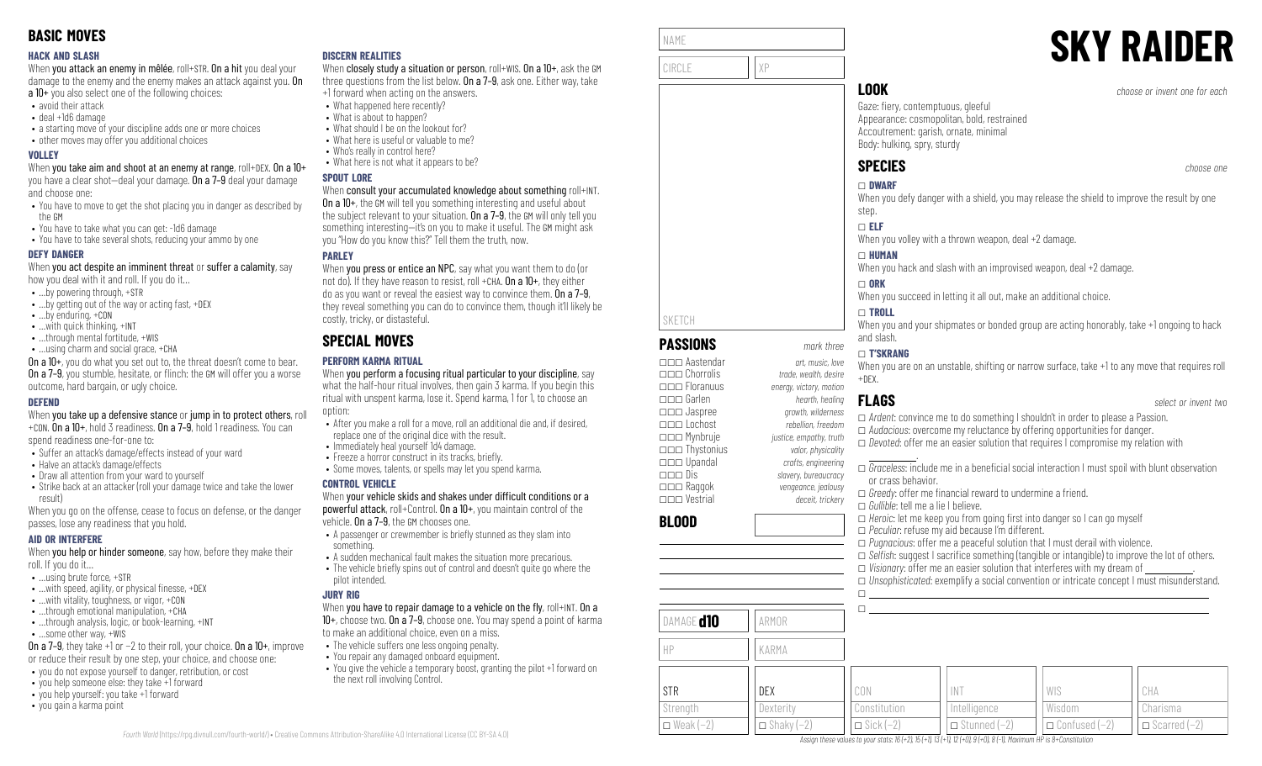### **HACK AND SLASH**

When you attack an enemy in mêlée, roll+STR. On a hit you deal your damage to the enemy and the enemy makes an attack against you. On a 10+ you also select one of the following choices:

- avoid their attack
- deal +1d6 damage
- a starting move of your discipline adds one or more choices
- other moves may offer you additional choices

### **VOLLEY**

When you take aim and shoot at an enemy at range, roll+DEX. On a 10+ you have a clear shot—deal your damage. On a 7–9 deal your damage and choose one:

- You have to move to get the shot placing you in danger as described by the GM
- You have to take what you can get: -1d6 damage
- You have to take several shots, reducing your ammo by one

### **DEFY DANGER**

When you act despite an imminent threat or suffer a calamity, say how you deal with it and roll. If you do it…

- …by powering through, +STR
- …by getting out of the way or acting fast, +DEX
- …by enduring, +CON
- …with quick thinking, +INT
- ...through mental fortitude, +WIS
- …using charm and social grace, +CHA

On a 10+, you do what you set out to, the threat doesn't come to bear. **On a 7–9**, you stumble, hesitate, or flinch: the GM will offer you a worse outcome, hard bargain, or ugly choice.

### **DEFEND**

When you take up a defensive stance or jump in to protect others, roll +CON. On a 10+, hold 3 readiness. On a 7–9, hold 1 readiness. You can

spend readiness one-for-one to:

- Suffer an attack's damage/effects instead of your ward
- Halve an attack's damage/effects
- Draw all attention from your ward to yourself
- Strike back at an attacker (roll your damage twice and take the lower result)

When you go on the offense, cease to focus on defense, or the danger passes, lose any readiness that you hold.

### **AID OR INTERFERE**

When you help or hinder someone, say how, before they make their roll. If you do it…

- …using brute force, +STR
- $\bullet$  ... with speed, agility, or physical finesse,  $+$ DEX
- …with vitality, toughness, or vigor, +CON
- …through emotional manipulation, +CHA
- ...through analysis, logic, or book-learning, +INT
- …some other way, +WIS

On a 7–9, they take +1 or −2 to their roll, your choice. On a 10+, improve or reduce their result by one step, your choice, and choose one:

- you do not expose yourself to danger, retribution, or cost
- you help someone else: they take +1 forward
- you help yourself: you take +1 forward
- you gain a karma point

### **DISCERN REALITIES**

When closely study a situation or person, roll+WIS. On a 10+, ask the GM three questions from the list below. On a 7–9, ask one. Either way, take +1 forward when acting on the answers.

- What happened here recently?
	- What is about to happen?
- What should I be on the lookout for?
- What here is useful or valuable to me?
- Who's really in control here?
- What here is not what it appears to be?

### **SPOUT LORE**

### When consult your accumulated knowledge about something roll+INT.

On a 10+, the GM will tell you something interesting and useful about the subject relevant to your situation. On a 7-9, the GM will only tell you something interesting—it's on you to make it useful. The GM might ask you "How do you know this?" Tell them the truth, now.

### **PARLEY**

When you press or entice an NPC, say what you want them to do (or not do). If they have reason to resist, roll +CHA,  $0n a 10+$ , they either do as you want or reveal the easiest way to convince them. On a 7–9, they reveal something you can do to convince them, though it'll likely be costly, tricky, or distasteful.

# **SPECIAL MOVES**

### **PERFORM KARMA RITUAL**

When you perform a focusing ritual particular to your discipline, say what the half-hour ritual involves, then gain 3 karma. If you begin this ritual with unspent karma, lose it. Spend karma, 1 for 1, to choose an option:

- After you make a roll for a move, roll an additional die and, if desired, replace one of the original dice with the result.
- Immediately heal yourself 1d4 damage.
- Freeze a horror construct in its tracks, briefly.
- Some moves, talents, or spells may let you spend karma.

### **CONTROL VEHICLE**

When your vehicle skids and shakes under difficult conditions or a powerful attack, roll+Control. On a 10+, you maintain control of the vehicle. On a 7–9, the GM chooses one.

- A passenger or crewmember is briefly stunned as they slam into something.
- A sudden mechanical fault makes the situation more precarious.  $\bullet$  The vehicle briefly spins out of control and doesn't quite go where the
- pilot intended.

### **JURY RIG**

*Fourth World* [\(https://rpg.divnull.com/fourth-world/\)](https://rpg.divnull.com/fourth-world/) • Creative Commons Attribution-ShareAlike 4.0 International License (CC [BY-SA](https://creativecommons.org/licenses/by-sa/4.0/) 4.0)

When you have to repair damage to a vehicle on the fly,  $roll+INT$ . On a 10+, choose two. On a 7–9, choose one. You may spend a point of karma to make an additional choice, even on a miss.

- The vehicle suffers one less ongoing penalty.
	- You repair any damaged onboard equipment.
	- You give the vehicle a temporary boost, granting the pilot +1 forward on the next roll involving Control.

| NAME   |    |
|--------|----|
|        |    |
| CIRCLE | χp |
|        |    |
|        |    |

**PASSIONS** *mark three* \_\_\_ Aastendar *art, music, love*

\_\_\_ Floranuus *energy, victory, motion* \_\_\_ Garlen *hearth, healing* \_\_\_ Jaspree *growth, wilderness* \_\_\_ Lochost *rebellion, freedom* \_\_\_ Mynbruje *justice, empathy, truth* \_\_\_ Thystonius *valor, physicality* \_\_\_ Upandal *crafts, engineering* \_\_\_ Dis *slavery, bureaucracy*

\_\_\_ Vestrial *deceit, trickery*

DAMAGE**d10 ARMOR** 

HP KARMA

DEX **Dexterity**  $\Box$  Shaky (-2)

\_\_\_ Chorrolis *trade, wealth, desire*

\_\_\_ Raggok *vengeance, jealousy*

SKETCH

**BLOOD**

STR **Strength**  $\Box$  Weak (−2)

# **SKY RAIDER**

**LOOK** *choose or invent one for each*

Gaze: fiery, contemptuous, gleeful Appearance: cosmopolitan, bold, restrained Accoutrement: garish, ornate, minimal Body: hulking, spry, sturdy

# **SPECIES** *choose one*

# \_ **DWARF**

When you defy danger with a shield, you may release the shield to improve the result by one step.

\_ **ELF**

When you volley with a thrown weapon, deal +2 damage.

### $\Box$  **HUMAN**

When you hack and slash with an improvised weapon, deal +2 damage.

### $\Box$  ORK

When you succeed in letting it all out, make an additional choice.

### \_ **TROLL**

When you and your shipmates or bonded group are acting honorably, take  $+1$  ongoing to hack and slash.

### \_ **T'SKRANG**

When you are on an unstable, shifting or narrow surface, take +1 to any move that requires roll  $+$ DEX.

 $\Box$  $\Box$ 

CON Constitution  $\Box$  Sick (−2)

### **FLAGS** *select or invent two*

□ *Ardent*: convince me to do something I shouldn't in order to please a Passion. \_ *Audacious*: overcome my reluctance by offering opportunities for danger.  $\Box$  *Devoted:* offer me an easier solution that requires I compromise my relation with

 .  $\Box$  *Graceless*: include me in a beneficial social interaction I must spoil with blunt observation or crass behavior.

□ *Selfish:* suggest I sacrifice something (tangible or intangible) to improve the lot of others.

\_ *Unsophisticated*: exemplify a social convention or intricate concept I must misunderstand.

WIS Wisdom

\_ Confused (−2)

CHA Charisma  $\Box$  Scarred (−2)

□ *Greedy:* offer me financial reward to undermine a friend.

\_ *Gullible*: tell me a lie I believe.

INT Intelligence  $\Box$  Stunned (−2)

Assign these values to your stats:  $16 (+2)$ ,  $15 (+1)$ ,  $13 (+1)$ ,  $12 (+0)$ ,  $9 (+0)$ ,  $8 (-1)$ , Maximum HP is 8+Constitution

 $\Box$  *Heroic*: let me keep you from going first into danger so I can go myself \_ *Peculiar*: refuse my aid because I'm different. \_ *Pugnacious*: offer me a peaceful solution that I must derail with violence.

 $\Box$  *Visionary*: offer me an easier solution that interferes with my dream of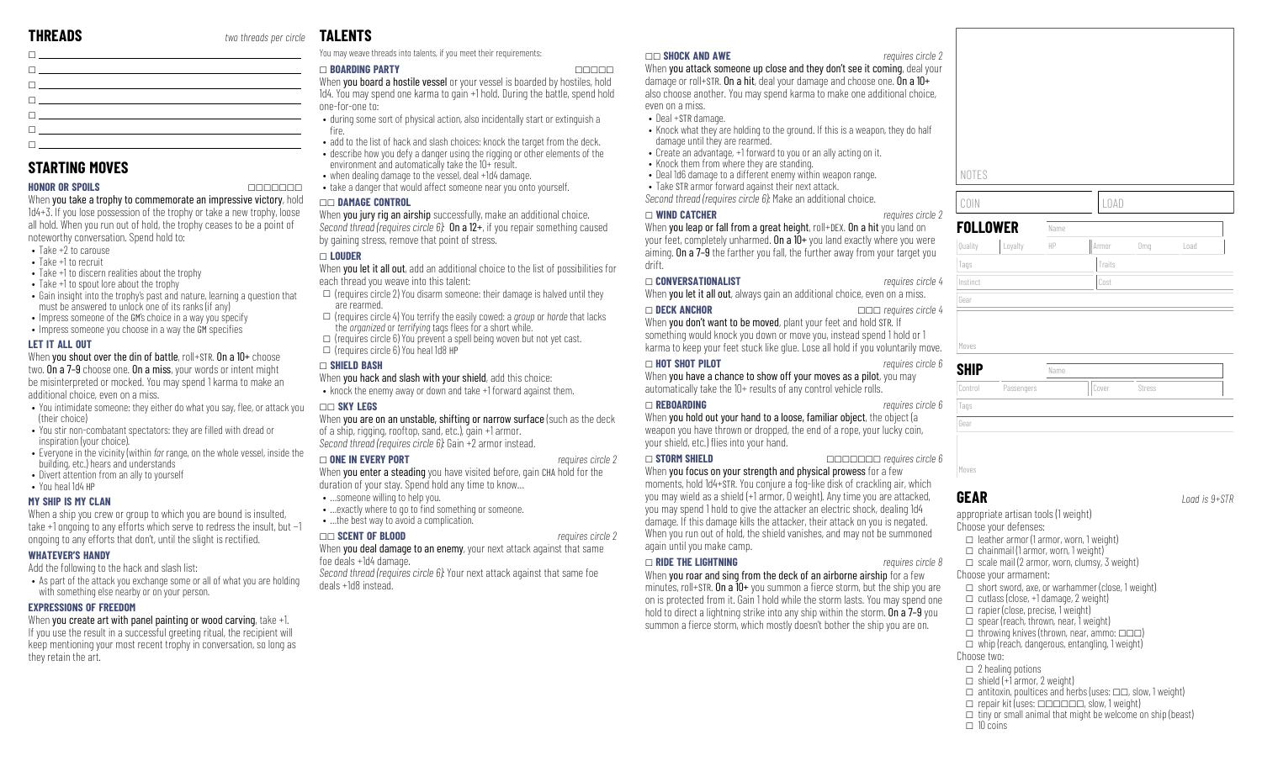# **TALENTS**

| <u>ne se estados de contrar en el contrar en el contrar el contrar el contrar el contrar el contrar el contrar e</u>                                                                                                           |  |
|--------------------------------------------------------------------------------------------------------------------------------------------------------------------------------------------------------------------------------|--|
| $\Box$ and the contract of the contract of the contract of the contract of the contract of the contract of the contract of the contract of the contract of the contract of the contract of the contract of the contract of the |  |
| <u> Name and the second contract of the second contract of the second contract of the second contract of the second</u>                                                                                                        |  |

## **STARTING MOVES**

### **HONOR OR SPOILS** \_\_\_\_\_\_\_

When you take a trophy to commemorate an impressive victory, hold 1d4+3. If you lose possession of the trophy or take a new trophy, loose all hold. When you run out of hold, the trophy ceases to be a point of noteworthy conversation. Spend hold to:

- Take +2 to carouse
- Take +1 to recruit
- Take +1 to discern realities about the trophy
- Take +1 to spout lore about the trophy
- Gain insight into the trophy's past and nature, learning a question that must be answered to unlock one of its ranks (if any)
- Impress someone of the GM's choice in a way you specify
- $\cdot$  Impress someone you choose in a way the GM specifies

### **LET IT ALL OUT**

When you shout over the din of battle, roll+STR. On a 10+ choose two. On a 7–9 choose one. On a miss, your words or intent might be misinterpreted or mocked. You may spend 1 karma to make an additional choice, even on a miss.

- You intimidate someone: they either do what you say, flee, or attack you (their choice)
- You stir non-combatant spectators: they are filled with dread or inspiration (your choice).
- Everyone in the vicinity (within *far* range, on the whole vessel, inside the building, etc.) hears and understands
- Divert attention from an ally to yourself

### • You heal 1d4 HP

**MY SHIP IS MY CLAN** When a ship you crew or group to which you are bound is insulted. take +1 ongoing to any efforts which serve to redress the insult, but −1 ongoing to any efforts that don't, until the slight is rectified.

### **WHATEVER'S HANDY**

Add the following to the hack and slash list:

• As part of the attack you exchange some or all of what you are holding with something else nearby or on your person.

### **EXPRESSIONS OF FREEDOM**

When you create art with panel painting or wood carving, take +1. If you use the result in a successful greeting ritual, the recipient will keep mentioning your most recent trophy in conversation, so long as they retain the art.

### You may weave threads into talents, if you meet their requirements:

### \_ **BOARDING PARTY** \_\_\_\_\_

When **you board a hostile vessel** or your vessel is boarded by hostiles, hold 1d4. You may spend one karma to gain +1 hold. During the battle, spend hold one-for-one to:

- during some sort of physical action, also incidentally start or extinguish a fire.
- add to the list of hack and slash choices: knock the target from the deck. • describe how you defy a danger using the rigging or other elements of the environment and automatically take the 10+ result.
- when dealing damage to the vessel, deal +1d4 damage.
- take a danger that would affect someone near you onto yourself.

### \_\_ **DAMAGE CONTROL**

When you jury rig an airship successfully, make an additional choice. *Second thread (requires circle 6):* On a 12+, if you repair something caused by gaining stress, remove that point of stress.

### \_ **LOUDER**

When you let it all out, add an additional choice to the list of possibilities for each thread you weave into this talent:

- $\square$  (requires circle 2) You disarm someone: their damage is halved until they are rearmed.
- \_ (requires circle 4) You terrify the easily cowed: a *group* or *horde* that lacks the *organized* or *terrifying* tags flees for a short while.
- $\square$  (requires circle 6) You prevent a spell being woven but not yet cast.  $\square$  (requires circle 6) You heal 1d8 HP

### \_ **SHIELD BASH**

When you hack and slash with your shield, add this choice:

• knock the enemy away or down and take +1 forward against them.

### \_\_ **SKY LEGS**

When you are on an unstable, shifting or narrow surface (such as the deck of a ship, rigging, rooftop, sand, etc.), gain +1 armor. *Second thread (requires circle 6):* Gain +2 armor instead.

### \_ **ONE IN EVERY PORT** *requires circle 2*

When you enter a steading you have visited before, gain CHA hold for the duration of your stay. Spend hold any time to know…

- …someone willing to help you.
- ... exactly where to go to find something or someone. • …the best way to avoid a complication.

### \_\_ **SCENT OF BLOOD** *requires circle 2*

When **vou deal damage to an enemy**, your next attack against that same foe deals +1d4 damage.

*Second thread (requires circle 6):* Your next attack against that same foe deals +1d8 instead.

### \_\_ **SHOCK AND AWE** *requires circle 2*

When you attack someone up close and they don't see it coming, deal your damage or roll+STR. On a hit, deal your damage and choose one. On a 10+ also choose another. You may spend karma to make one additional choice, even on a miss.

- Deal +STR damage.
- Knock what they are holding to the ground. If this is a weapon, they do half damage until they are rearmed.
- Create an advantage, +1 forward to you or an ally acting on it.
- Knock them from where they are standing.
- Deal 1d6 damage to a different enemy within weapon range.
- Take STR armor forward against their next attack. *Second thread (requires circle 6):* Make an additional choice.

### \_ **WIND CATCHER** *requires circle 2*

When you leap or fall from a great height, roll+DEX. On a hit you land on your feet, completely unharmed. On a 10+ you land exactly where you were aiming. On a 7–9 the farther you fall, the further away from your target you drift.

### \_ **CONVERSATIONALIST** *requires circle 4*

When you let it all out, always gain an additional choice, even on a miss.

### \_ **DECK ANCHOR** \_\_\_ *requires circle 4*

When you don't want to be moved, plant your feet and hold STR. If something would knock you down or move you, instead spend 1 hold or 1 karma to keep your feet stuck like glue. Lose all hold if you voluntarily move.

### \_ **HOT SHOT PILOT** *requires circle 6*

When you have a chance to show off your moves as a pilot, you may automatically take the 10+ results of any control vehicle rolls.

### \_ **REBOARDING** *requires circle 6*

When you hold out your hand to a loose, familiar object, the object (a weapon you have thrown or dropped, the end of a rope, your lucky coin, your shield, etc.) flies into your hand.

\_ **STORM SHIELD** \_\_\_\_\_\_\_ *requires circle 6* When you focus on your strength and physical prowess for a few moments, hold 1d4+STR. You conjure a fog-like disk of crackling air, which you may wield as a shield (+1 armor, 0 weight). Any time you are attacked, you may spend 1 hold to give the attacker an electric shock, dealing 1d4 damage. If this damage kills the attacker, their attack on you is negated. When you run out of hold, the shield vanishes, and may not be summoned again until you make camp.

### \_ **RIDE THE LIGHTNING** *requires circle 8*

When you roar and sing from the deck of an airborne airship for a few minutes, roll+STR. On a  $10+$  you summon a fierce storm, but the ship you are on is protected from it. Gain 1 hold while the storm lasts. You may spend one hold to direct a lightning strike into any ship within the storm. On a 7–9 you summon a fierce storm, which mostly doesn't bother the ship you are on.

| NOTES           |            |      |        |        |      |
|-----------------|------------|------|--------|--------|------|
| COIN            |            |      | LOAD   |        |      |
| <b>FOLLOWER</b> |            | Name |        |        |      |
| Quality         | Loyalty    | HP   | Armor  | Dmg    | Load |
| Tags            |            |      | Traits |        |      |
| Instinct        |            |      | Cost   |        |      |
| Gear            |            |      |        |        |      |
|                 |            |      |        |        |      |
| Moves           |            |      |        |        |      |
| SHIP            |            | Name |        |        |      |
| Control         | Passengers |      | Cover  | Stress |      |

| SHIP    |            | Name  |        |  |
|---------|------------|-------|--------|--|
| Control | Passengers | Cover | Stress |  |
| Tags    |            |       |        |  |
| Gear    |            |       |        |  |
|         |            |       |        |  |
|         |            |       |        |  |
| Moves   |            |       |        |  |

# **GEAR** *Load is 9+STR*

appropriate artisan tools (1 weight)

- Choose your defenses:
- $\Box$  leather armor (1 armor, worn, 1 weight)
- $\Box$  chainmail (1 armor, worn, 1 weight)
- $\Box$  scale mail (2 armor, worn, clumsy, 3 weight)
- Choose your armament:
- $\Box$  short sword, axe, or warhammer (close, 1 weight)
- $\Box$  cutlass (close, +1 damage, 2 weight)
- $\Box$  rapier (close, precise, 1 weight)  $\Box$  spear (reach, thrown, near, 1 weight)
- $\Box$  throwing knives (thrown, near, ammo:  $\Box \Box \Box$ )
- $\Box$  whip (reach, dangerous, entangling, 1 weight)
- Choose two:
- $\square$  2 healing potions
- $\Box$  shield (+1 armor, 2 weight)
- $\Box$  antitoxin, poultices and herbs (uses:  $\Box \Box$ , slow, 1 weight)
- $\Box$  repair kit (uses:  $\Box$  $\Box$  $\Box$  $\Box$  $\Box$ , slow, 1 weight)
- $\Box$  tiny or small animal that might be welcome on ship (beast)
- $\Box$  10 coins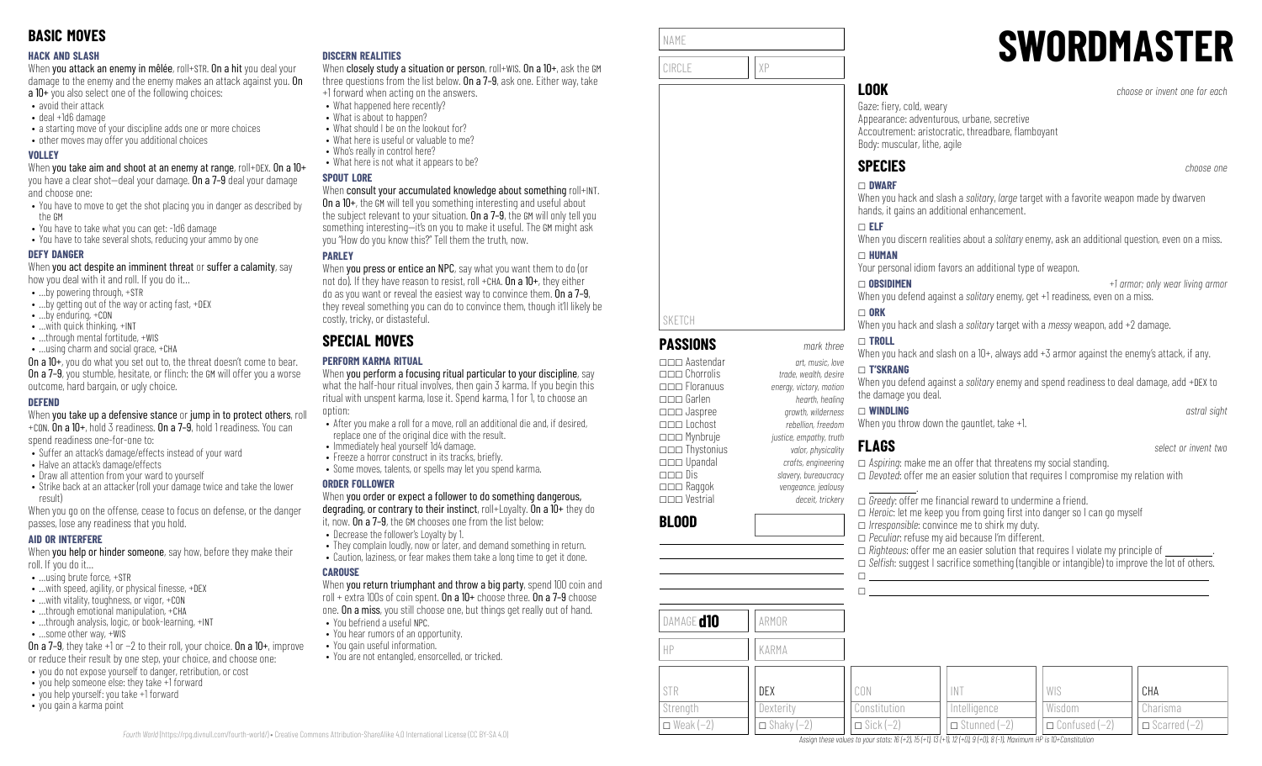### **HACK AND SLASH**

When you attack an enemy in mêlée, roll+STR. On a hit you deal your damage to the enemy and the enemy makes an attack against you. On a 10+ you also select one of the following choices:

- avoid their attack
- deal +1d6 damage
- a starting move of your discipline adds one or more choices
- other moves may offer you additional choices

### **VOLLEY**

When you take aim and shoot at an enemy at range, roll+DEX. On a 10+ you have a clear shot—deal your damage. On a 7–9 deal your damage and choose one:

- You have to move to get the shot placing you in danger as described by the GM
- You have to take what you can get: -1d6 damage
- You have to take several shots, reducing your ammo by one

### **DEFY DANGER**

When you act despite an imminent threat or suffer a calamity, say how you deal with it and roll. If you do it…

- …by powering through, +STR
- …by getting out of the way or acting fast, +DEX
- …by enduring, +CON
- …with quick thinking, +INT
- ...through mental fortitude, +WIS
- …using charm and social grace, +CHA

On a 10+, you do what you set out to, the threat doesn't come to bear. **On a 7–9**, you stumble, hesitate, or flinch: the GM will offer you a worse outcome, hard bargain, or ugly choice.

### **DEFEND**

When you take up a defensive stance or jump in to protect others, roll +CON. On a 10+, hold 3 readiness. On a 7–9, hold 1 readiness. You can

spend readiness one-for-one to:

- Suffer an attack's damage/effects instead of your ward
- Halve an attack's damage/effects
- Draw all attention from your ward to yourself
- Strike back at an attacker (roll your damage twice and take the lower result)

When you go on the offense, cease to focus on defense, or the danger passes, lose any readiness that you hold.

### **AID OR INTERFERE**

When you help or hinder someone, say how, before they make their roll. If you do it…

- …using brute force, +STR
- $\bullet$  ... with speed, agility, or physical finesse,  $+$ DEX
- …with vitality, toughness, or vigor, +CON
- …through emotional manipulation, +CHA • ...through analysis, logic, or book-learning, +INT
- …some other way, +WIS

On a 7–9, they take +1 or −2 to their roll, your choice. On a 10+, improve or reduce their result by one step, your choice, and choose one:

- you do not expose yourself to danger, retribution, or cost
- you help someone else: they take +1 forward
- you help yourself: you take +1 forward
- you gain a karma point

### **DISCERN REALITIES**

When closely study a situation or person, roll+WIS. On a 10+, ask the GM three questions from the list below. On a 7–9, ask one. Either way, take +1 forward when acting on the answers.

- What happened here recently?
	- What is about to happen?
- What should I be on the lookout for?
- What here is useful or valuable to me?
- Who's really in control here?
- What here is not what it appears to be?

### **SPOUT LORE**

### When consult your accumulated knowledge about something roll+INT.

On a 10+, the GM will tell you something interesting and useful about the subject relevant to your situation. On a 7-9, the GM will only tell you something interesting—it's on you to make it useful. The GM might ask you "How do you know this?" Tell them the truth, now.

### **PARLEY**

When **you press or entice an NPC**, say what you want them to do (or not do). If they have reason to resist, roll +CHA,  $0n a 10+$ , they either do as you want or reveal the easiest way to convince them. On a 7–9, they reveal something you can do to convince them, though it'll likely be costly, tricky, or distasteful.

# **SPECIAL MOVES**

### **PERFORM KARMA RITUAL**

When you perform a focusing ritual particular to your discipline, say what the half-hour ritual involves, then gain 3 karma. If you begin this ritual with unspent karma, lose it. Spend karma, 1 for 1, to choose an option:

- After you make a roll for a move, roll an additional die and, if desired, replace one of the original dice with the result.
- Immediately heal yourself 1d4 damage.
- Freeze a horror construct in its tracks, briefly.
- Some moves, talents, or spells may let you spend karma.

### **ORDER FOLLOWER**

When you order or expect a follower to do something dangerous, degrading, or contrary to their instinct, roll+Loyalty. On a 10+ they do

it, now. On a 7–9, the GM chooses one from the list below:

- Decrease the follower's Loyalty by 1.
- They complain loudly, now or later, and demand something in return. • Caution, laziness, or fear makes them take a long time to get it done.

### **CAROUSE**

*Fourth World* [\(https://rpg.divnull.com/fourth-world/\)](https://rpg.divnull.com/fourth-world/) • Creative Commons Attribution-ShareAlike 4.0 International License (CC [BY-SA](https://creativecommons.org/licenses/by-sa/4.0/) 4.0)

When you return triumphant and throw a big party, spend 100 coin and roll + extra 100s of coin spent. On a 10+ choose three. On a 7–9 choose one. On a miss, you still choose one, but things get really out of hand. • You befriend a useful NPC.

- You hear rumors of an opportunity.
- You gain useful information.
- You are not entangled, ensorcelled, or tricked.

| NAME   |  |
|--------|--|
| CIRCLE |  |
|        |  |

**PASSIONS** *mark three* \_\_\_ Aastendar *art, music, love*

\_\_\_ Floranuus *energy, victory, motion*

\_\_\_ Mynbruje *justice, empathy, truth* \_\_\_ Thystonius *valor, physicality* \_\_\_ Upandal *crafts, engineering* \_\_\_ Dis *slavery, bureaucracy*

\_\_\_ Vestrial *deceit, trickery*

DAMAGE **d10** ARMOR

HP KARMA

DEX **Dexterity**  $\Box$  Shaky (-2)

\_\_\_ Chorrolis *trade, wealth, desire*

\_\_\_ Raggok *vengeance, jealousy*

SKETCH

**BLOOD**

STR **Strength**  $\Box$  Weak (−2)

# **SWORDMASTER**

**LOOK** *choose or invent one for each*

Gaze: fiery, cold, weary Appearance: adventurous, urbane, secretive Accoutrement: aristocratic, threadbare, flamboyant Body: muscular, lithe, agile

# **SPECIES** *choose one*

# \_ **DWARF**

When you hack and slash a *solitary*, *large* target with a favorite weapon made by dwarven hands, it gains an additional enhancement.

### \_ **ELF**

When you discern realities about a *solitary* enemy, ask an additional question, even on a miss.

### \_ **HUMAN**

Your personal idiom favors an additional type of weapon.

\_ **OBSIDIMEN** *+1 armor; only wear living armor* When you defend against a *solitary* enemy, get +1 readiness, even on a miss.

### $\Box$  ORK

When you hack and slash a *solitary* target with a *messy* weapon, add +2 damage.

### \_ **TROLL**

When you hack and slash on a 10+, always add +3 armor against the enemy's attack, if any.

### \_ **T'SKRANG**

When you defend against a *solitary* enemy and spend readiness to deal damage, add +DEX to the damage you deal.

### \_\_\_ Garlen *hearth, healing* \_\_\_ Jaspree *growth, wilderness* \_\_\_ Lochost *rebellion, freedom* \_ **WINDLING** *astral sight*

When you throw down the gauntlet, take +1.

\_ *Peculiar*: refuse my aid because I'm different.

INT Intelligence  $\Box$  Stunned (−2)

Assian these values to your stats: 16 (+2), 15 (+1), 13 (+1), 12 (+0), 9 (+0), 8 (-1). Maximum HP is 10+Constitution

## **FLAGS** *select or invent two*

 $\Box$  $\Box$ 

CON Constitution  $\Box$  Sick (−2)

\_ *Aspiring*: make me an offer that threatens my social standing. □ *Devoted*: offer me an easier solution that requires I compromise my relation with

 $\Box$  *Righteous*: offer me an easier solution that requires I violate my principle of

□ *Selfish:* suggest I sacrifice something (tangible or intangible) to improve the lot of others.

WIS Wisdom

\_ Confused (−2)

CHA Charisma  $\Box$  Scarred (−2)

 . □ *Greedy*: offer me financial reward to undermine a friend.  $\Box$  *Heroic*: let me keep you from going first into danger so I can go myself \_ *Irresponsible*: convince me to shirk my duty.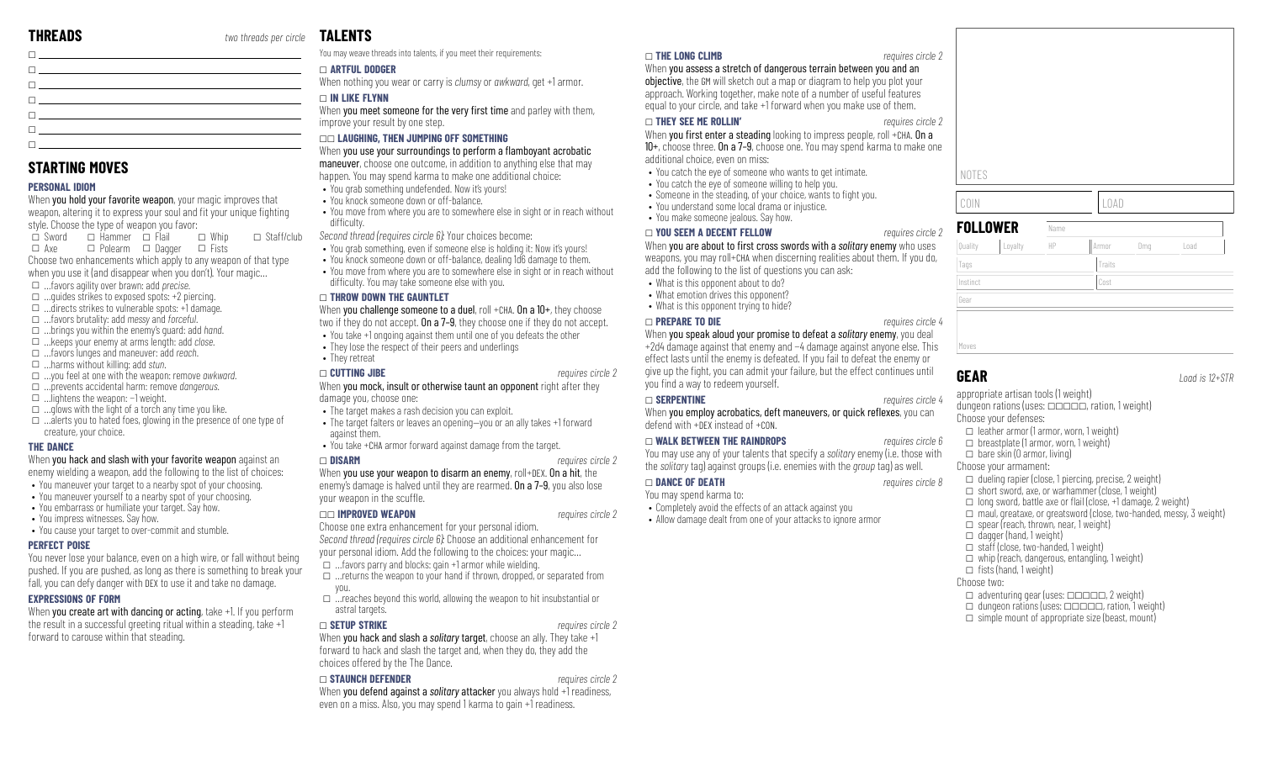| 0 <u>- Andrea Andrew American American American American A</u>                                                                                                                                                                       |  |
|--------------------------------------------------------------------------------------------------------------------------------------------------------------------------------------------------------------------------------------|--|
| <b>The contract of the contract of the contract of the contract of the contract of the contract of the contract of the contract of the contract of the contract of the contract of the contract of the contract of the contract </b> |  |
| $\Box$                                                                                                                                                                                                                               |  |
| The contract of the contract of the contract of the contract of                                                                                                                                                                      |  |
| $\Box$ . The contract of the contract of the contract of the contract of the contract of the contract of the contract of the contract of the contract of the contract of the contract of the contract of the contract of the co      |  |
|                                                                                                                                                                                                                                      |  |

### **STARTING MOVES**

### **PERSONAL IDIOM**

When you hold your favorite weapon, your magic improves that weapon, altering it to express your soul and fit your unique fighting style. Choose the type of weapon you favor:

 $\Box$  Sword  $\Box$  Hammer  $\Box$  Flail  $\square$  Axe □ Polearm □ Dagger □ Fists  $\Box$  Whip  $\square$  Staff/club Choose two enhancements which apply to any weapon of that type when you use it (and disappear when you don't). Your magic…

- \_ …favors agility over brawn: add *precise*.
- $\Box$  ... quides strikes to exposed spots: +2 piercing.
- $\Box$  ...directs strikes to vulnerable spots: +1 damage.
- \_ …favors brutality: add *messy* and *forceful*.
- \_ …brings you within the enemy's guard: add *hand*.
- \_ …keeps your enemy at arms length: add *close*. \_ …favors lunges and maneuver: add *reach*.
- \_ …harms without killing: add *stun*.
- \_ …you feel at one with the weapon: remove *awkward*.
- \_ …prevents accidental harm: remove *dangerous*.
- \_ …lightens the weapon: −1 weight.
- $\Box$  ... glows with the light of a torch any time you like.
- $\Box$  …alerts you to hated foes, glowing in the presence of one type of creature, your choice.

### **THE DANCE**

### When you hack and slash with your favorite weapon against an enemy wielding a weapon, add the following to the list of choices:

- You maneuver your target to a nearby spot of your choosing.
- You maneuver yourself to a nearby spot of your choosing.
- You embarrass or humiliate your target. Say how.
- You impress witnesses. Say how.
- You cause your target to over-commit and stumble.

### **PERFECT POISE**

You never lose your balance, even on a high wire, or fall without being pushed. If you are pushed, as long as there is something to break your fall, you can defy danger with DEX to use it and take no damage.

### **EXPRESSIONS OF FORM**

When you create art with dancing or acting, take +1. If you perform the result in a successful greeting ritual within a steading, take +1 forward to carouse within that steading.

# **TALENTS**

You may weave threads into talents, if you meet their requirements:

### \_ **ARTFUL DODGER**

When nothing you wear or carry is *clumsy* or *awkward*, get +1 armor.

### \_ **IN LIKE FLYNN**

When you meet someone for the very first time and parley with them, improve your result by one step.

### \_\_ **LAUGHING, THEN JUMPING OFF SOMETHING**

When you use your surroundings to perform a flamboyant acrobatic

maneuver, choose one outcome, in addition to anything else that may happen. You may spend karma to make one additional choice: • You grab something undefended. Now it's yours!

- You knock someone down or off-balance.
- You move from where you are to somewhere else in sight or in reach without difficulty.

*Second thread (requires circle 6):* Your choices become:

- You grab something, even if someone else is holding it: Now it's yours!
- You knock someone down or off-balance, dealing 1d6 damage to them.
- You move from where you are to somewhere else in sight or in reach without difficulty. You may take someone else with you.

### \_ **THROW DOWN THE GAUNTLET**

When you challenge someone to a duel, roll +CHA. On a 10+, they choose two if they do not accept. **On a 7–9**, they choose one if they do not accept.

- You take +1 ongoing against them until one of you defeats the other
- They lose the respect of their peers and underlings
- They retreat

### \_ **CUTTING JIBE** *requires circle 2* When you mock, insult or otherwise taunt an opponent right after they damage you, choose one:

- The target makes a rash decision you can exploit.
- The target falters or leaves an opening—you or an ally takes +1 forward against them.
- You take +CHA armor forward against damage from the target.

### \_ **DISARM** *requires circle 2*

When you use your weapon to disarm an enemy, roll+DEX. On a hit, the enemy's damage is halved until they are rearmed. On a 7–9, you also lose your weapon in the scuffle.

### \_\_ **IMPROVED WEAPON** *requires circle 2*

Choose one extra enhancement for your personal idiom. *Second thread (requires circle 6):* Choose an additional enhancement for

your personal idiom. Add the following to the choices: your magic…

- $\Box$  ... favors parry and blocks: gain +1 armor while wielding.
- $\Box$  …returns the weapon to your hand if thrown, dropped, or separated from you.
- $\Box$  …reaches beyond this world, allowing the weapon to hit insubstantial or astral targets.

### \_ **SETUP STRIKE** *requires circle 2*

When **you hack and slash a** *solitary* **target**, choose an ally. They take +1 forward to hack and slash the target and, when they do, they add the choices offered by the The Dance.

### \_ **STAUNCH DEFENDER** *requires circle 2*

When **you defend against a** *solitgry* **attacker** you always hold +1 readiness, even on a miss. Also, you may spend 1 karma to gain +1 readiness.

### \_ **THE LONG CLIMB** *requires circle 2*

When you assess a stretch of dangerous terrain between you and an objective, the GM will sketch out a map or diagram to help you plot your approach. Working together, make note of a number of useful features equal to your circle, and take +1 forward when you make use of them.

### \_ **THEY SEE ME ROLLIN'** *requires circle 2*

When you first enter a steading looking to impress people, roll +CHA. On a 10+, choose three. On a 7–9, choose one. You may spend karma to make one

- additional choice, even on miss:
- You catch the eye of someone who wants to get intimate.
- You catch the eye of someone willing to help you.
- Someone in the steading, of your choice, wants to fight you.
- You understand some local drama or injustice.
- You make someone jealous. Say how.

### \_ **YOU SEEM A DECENT FELLOW** *requires circle 2*

When you are about to first cross swords with a *solitary* enemy who uses weapons, you may roll+CHA when discerning realities about them. If you do, add the following to the list of questions you can ask:

- What is this opponent about to do?
- What emotion drives this opponent?
- What is this opponent trying to hide?

### \_ **PREPARE TO DIE** *requires circle 4*

When you speak aloud your promise to defeat a *solitary* enemy, you deal +2d4 damage against that enemy and −4 damage against anyone else. This effect lasts until the enemy is defeated. If you fail to defeat the enemy or give up the fight, you can admit your failure, but the effect continues until you find a way to redeem yourself.

### \_ **SERPENTINE** *requires circle 4*

When you employ acrobatics, deft maneuvers, or quick reflexes, you can defend with +DEX instead of +CON.

### \_ **WALK BETWEEN THE RAINDROPS** *requires circle 6*

You may use any of your talents that specify a *solitary* enemy (i.e. those with the *solitary* tag) against groups (i.e. enemies with the *group* tag) as well.

### \_ **DANCE OF DEATH** *requires circle 8*

You may spend karma to:

- Completely avoid the effects of an attack against you
- Allow damage dealt from one of your attacks to ignore armor



Moves

Gear

**GEAR** *Load is 12+STR*

appropriate artisan tools (1 weight) dungeon rations (uses:  $\Box$  $\Box$  $\Box$ , ration, 1 weight)

Choose your defenses:

 $\Box$  leather armor (1 armor, worn, 1 weight)

 $\Box$  spear (reach, thrown, near, 1 weight)

 $\Box$  adventuring gear (uses:  $\Box \Box \Box \Box \Box$ ) weight)  $\Box$  dungeon rations (uses:  $\Box \Box \Box \Box$  ration, 1 weight)  $\Box$  simple mount of appropriate size (beast, mount)

 $\Box$  breastplate (1 armor, worn, 1 weight)  $\Box$  bare skin (0 armor, living)

### Choose your armament:

 $\Box$  dagger (hand, 1 weight)  $\Box$  staff (close, two-handed, 1 weight)  $\Box$  whip (reach, dangerous, entangling, 1 weight)

 $\Box$  fists (hand, 1 weight)

Choose two:

 $\Box$  dueling rapier (close, 1 piercing, precise, 2 weight)  $\Box$  short sword, axe, or warhammer (close, 1 weight)

 $\Box$  long sword, battle axe or flail (close, +1 damage, 2 weight)  $\Box$  maul, greataxe, or greatsword (close, two-handed, messy, 3 weight)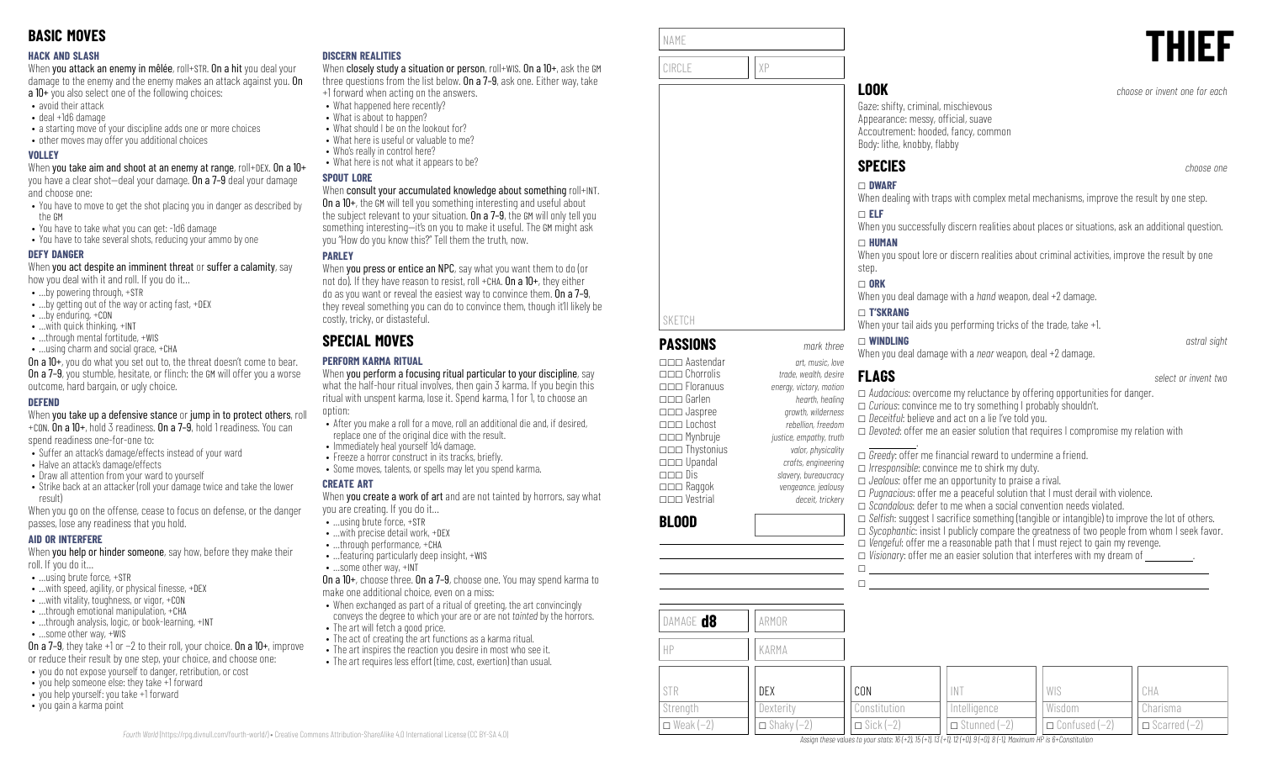### **HACK AND SLASH**

When you attack an enemy in mêlée, roll+STR. On a hit you deal your damage to the enemy and the enemy makes an attack against you. On a 10+ you also select one of the following choices:

- avoid their attack
- deal +1d6 damage
- a starting move of your discipline adds one or more choices
- other moves may offer you additional choices

### **VOLLEY**

When you take aim and shoot at an enemy at range, roll+DEX. On a 10+ you have a clear shot—deal your damage. On a 7–9 deal your damage and choose one:

- You have to move to get the shot placing you in danger as described by the GM
- You have to take what you can get: -1d6 damage
- You have to take several shots, reducing your ammo by one

### **DEFY DANGER**

When you act despite an imminent threat or suffer a calamity, say how you deal with it and roll. If you do it…

- …by powering through, +STR
- …by getting out of the way or acting fast, +DEX
- …by enduring, +CON
- …with quick thinking, +INT
- …through mental fortitude, +WIS
- …using charm and social grace, +CHA

On a 10+, you do what you set out to, the threat doesn't come to bear. **On a 7–9**, you stumble, hesitate, or flinch: the GM will offer you a worse outcome, hard bargain, or ugly choice.

### **DEFEND**

When you take up a defensive stance or jump in to protect others, roll +CON. On a 10+, hold 3 readiness. On a 7–9, hold 1 readiness. You can

spend readiness one-for-one to:

- Suffer an attack's damage/effects instead of your ward
- Halve an attack's damage/effects
- Draw all attention from your ward to yourself
- Strike back at an attacker (roll your damage twice and take the lower result)

When you go on the offense, cease to focus on defense, or the danger passes, lose any readiness that you hold.

### **AID OR INTERFERE**

When you help or hinder someone, say how, before they make their roll. If you do it…

- …using brute force, +STR
- $\bullet$  ... with speed, agility, or physical finesse,  $+$ DEX
- …with vitality, toughness, or vigor, +CON
- ...through emotional manipulation, +CHA • ...through analysis, logic, or book-learning, +INT
- …some other way, +WIS
- On a 7–9, they take +1 or −2 to their roll, your choice. On a 10+, improve
- or reduce their result by one step, your choice, and choose one:
- you do not expose yourself to danger, retribution, or cost
- you help someone else: they take +1 forward • you help yourself: you take +1 forward
- you gain a karma point

### **DISCERN REALITIES**

When closely study a situation or person, roll+WIS. On a 10+, ask the GM three questions from the list below. On a 7–9, ask one. Either way, take +1 forward when acting on the answers.

- What happened here recently?
	- What is about to happen?
- What should I be on the lookout for?
- What here is useful or valuable to me?
- Who's really in control here?
- What here is not what it appears to be?

### **SPOUT LORE**

### When consult your accumulated knowledge about something roll+INT.

On a 10+, the GM will tell you something interesting and useful about the subject relevant to your situation. On a 7-9, the GM will only tell you something interesting—it's on you to make it useful. The GM might ask you "How do you know this?" Tell them the truth, now.

### **PARLEY**

When you press or entice an NPC, say what you want them to do (or not do). If they have reason to resist, roll +CHA,  $0n a 10+$ , they either do as you want or reveal the easiest way to convince them. On a 7–9, they reveal something you can do to convince them, though it'll likely be costly, tricky, or distasteful.

# **SPECIAL MOVES**

### **PERFORM KARMA RITUAL**

When you perform a focusing ritual particular to your discipline, say what the half-hour ritual involves, then gain 3 karma. If you begin this ritual with unspent karma, lose it. Spend karma, 1 for 1, to choose an option:

- After you make a roll for a move, roll an additional die and, if desired, replace one of the original dice with the result.
- Immediately heal yourself 1d4 damage.
- Freeze a horror construct in its tracks, briefly.
- Some moves, talents, or spells may let you spend karma.

### **CREATE ART**

When **vou create a work of art** and are not tainted by horrors, say what you are creating. If you do it…

- …using brute force, +STR
- …with precise detail work, +DEX
- …through performance, +CHA • …featuring particularly deep insight, +WIS
- …some other way, +INT

On a 10+, choose three. On a 7–9, choose one. You may spend karma to make one additional choice, even on a miss:

- When exchanged as part of a ritual of greeting, the art convincingly conveys the degree to which your are or are not *tainted* by the horrors.
- The art will fetch a good price.
- The act of creating the art functions as a karma ritual.
- The art inspires the reaction you desire in most who see it.
- The art requires less effort (time, cost, exertion) than usual.

| NAME  |                             | <b>THII</b> |
|-------|-----------------------------|-------------|
| CIRCL | $\sim$ $\sim$ $\sim$ $\sim$ | L           |

**PASSIONS** *mark three*

\_\_\_ Upandal *crafts, engineering* \_\_\_ Dis *slavery, bureaucracy* \_\_\_ Raggok *vengeance, jealousy* \_\_\_ Vestrial *deceit, trickery*

SKETCH

**BLOOD**

Gaze: shifty, criminal, mischievous Appearance: messy, official, suave Accoutrement: hooded, fancy, common Body: lithe, knobby, flabby

# **SPECIES** *choose one*

\_ **DWARF** When dealing with traps with complex metal mechanisms, improve the result by one step.

### \_ **ELF**

When you successfully discern realities about places or situations, ask an additional question.

### \_ **HUMAN**

When you spout lore or discern realities about criminal activities, improve the result by one step.

### $\Box$  ORK

When you deal damage with a *hand* weapon, deal +2 damage.

### \_ **T'SKRANG**

When your tail aids you performing tricks of the trade, take  $+1$ .

### \_ **WINDLING** *astral sight*

When you deal damage with a *near* weapon, deal +2 damage.

### \_\_\_ Aastendar *art, music, love* \_\_\_ Chorrolis *trade, wealth, desire*

 $\Box$ 

\_\_\_ Floranuus *energy, victory, motion* \_\_\_ Garlen *hearth, healing* \_\_\_ Jaspree *growth, wilderness* \_\_\_ Lochost *rebellion, freedom* \_\_\_ Mynbruje *justice, empathy, truth* \_\_\_ Thystonius *valor, physicality* **FLAGS** *select or invent two* \_ *Audacious*: overcome my reluctance by offering opportunities for danger. \_ *Curious*: convince me to try something I probably shouldn't. □ *Deceitful*: believe and act on a lie I've told you. \_ *Devoted*: offer me an easier solution that requires I compromise my relation with .

□ *Greedy*: offer me financial reward to undermine a friend. \_ *Irresponsible*: convince me to shirk my duty. □ *Jealous*: offer me an opportunity to praise a rival.

□ *Pugnacious*: offer me a peaceful solution that I must derail with violence.

- \_ *Scandalous*: defer to me when a social convention needs violated.
- □ *Selfish*: suggest I sacrifice something (tangible or intangible) to improve the lot of others. □ *Sycophantic*: insist I publicly compare the greatness of two people from whom I seek favor. \_ *Vengeful*: offer me a reasonable path that I must reject to gain my revenge.  $\Box$  *Visionary:* offer me an easier solution that interferes with my dream of  $\Box$  $\Box$

| DAMAGE <b>d8</b><br>HP | ARMOR<br>KARMA      |                    |                       |                        |                       |
|------------------------|---------------------|--------------------|-----------------------|------------------------|-----------------------|
| STR                    | DEX                 | CON                | <b>INT</b>            | WIS                    | CHA                   |
| Strength               | Dexterity           | Constitution       | Intelligence          | Wisdom                 | Charisma              |
| $\Box$ Weak $(-2)$     | $\Box$ Shaky $(-2)$ | $\Box$ Sick $(-2)$ | $\Box$ Stunned $(-2)$ | $\Box$ Confused $(-2)$ | $\Box$ Scarred $(-2)$ |

Assign these values to your stats: 16 (+2), 15 (+1), 13 (+1), 12 (+0), 9 (+0), 8 (-1), Maximum HP is 6+Constitution

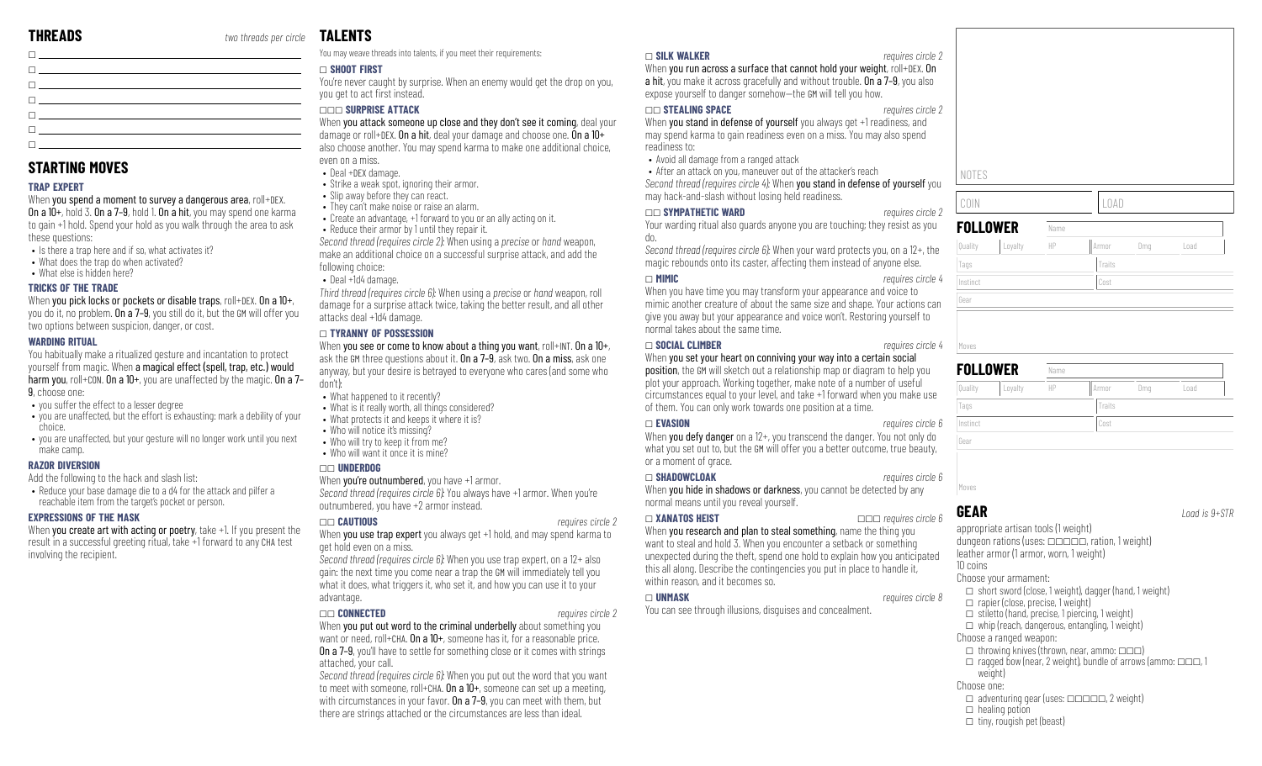$\Box$ 

# **TALENTS**

You may weave threads into talents, if you meet their requirements:

### \_ **SHOOT FIRST**

You're never caught by surprise. When an enemy would get the drop on you, you get to act first instead.

### \_\_\_ **SURPRISE ATTACK**

When you attack someone up close and they don't see it coming, deal your damage or roll+DEX. On a hit, deal your damage and choose one. On a 10+ also choose another. You may spend karma to make one additional choice, even on a miss.

- Deal +DEX damage.
- Strike a weak spot, ignoring their armor.
- Slip away before they can react.
- They can't make noise or raise an alarm.
- Create an advantage, +1 forward to you or an ally acting on it.
- Reduce their armor by 1 until they repair it. *Second thread (requires circle 2):* When using a *precise* or *hand* weapon, make an additional choice on a successful surprise attack, and add the

following choice:

• Deal +1d4 damage.

*Third thread (requires circle 6):* When using a *precise* or *hand* weapon, roll damage for a surprise attack twice, taking the better result, and all other attacks deal +1d4 damage.

### \_ **TYRANNY OF POSSESSION**

When you see or come to know about a thing you want, roll+INT. On a 10+, ask the GM three questions about it. On a 7-9, ask two. On a miss, ask one anyway, but your desire is betrayed to everyone who cares (and some who don't)

- What happened to it recently?
- What is it really worth, all things considered?
- What protects it and keeps it where it is?
- Who will notice it's missing?
- Who will try to keep it from me? • Who will want it once it is mine?
- 

get hold even on a miss.

advantage.

### \_\_ **UNDERDOG**

When you're outnumbered, you have +1 armor. *Second thread (requires circle 6):* You always have +1 armor. When you're outnumbered, you have +2 armor instead.

*Second thread (requires circle 6):* When you use trap expert, on a 12+ also gain: the next time you come near a trap the GM will immediately tell you what it does, what triggers it, who set it, and how you can use it to your

\_\_ **CAUTIOUS** *requires circle 2* When you use trap expert you always get +1 hold, and may spend karma to

### \_ **SILK WALKER** *requires circle 2*

When you run across a surface that cannot hold your weight, roll+DEX. On a hit, you make it across gracefully and without trouble. On a 7–9, you also expose yourself to danger somehow—the GM will tell you how.

### \_\_ **STEALING SPACE** *requires circle 2*

When you stand in defense of yourself you always get +1 readiness, and may spend karma to gain readiness even on a miss. You may also spend readiness to:

• Avoid all damage from a ranged attack

• After an attack on you, maneuver out of the attacker's reach *Second thread (requires circle 4):* When you stand in defense of yourself you may hack-and-slash without losing held readiness.

### \_\_ **SYMPATHETIC WARD** *requires circle 2*

Your warding ritual also guards anyone you are touching; they resist as you do.

*Second thread (requires circle 6):* When your ward protects you, on a 12+, the magic rebounds onto its caster, affecting them instead of anyone else.

When you have time you may transform your appearance and voice to mimic another creature of about the same size and shape. Your actions can give you away but your appearance and voice won't. Restoring yourself to normal takes about the same time.

When you set your heart on conniving your way into a certain social position, the GM will sketch out a relationship map or diagram to help you plot your approach. Working together, make note of a number of useful circumstances equal to your level, and take +1 forward when you make use of them. You can only work towards one position at a time.

### \_ **EVASION** *requires circle 6*

When you defy danger on a 12+, you transcend the danger. You not only do what you set out to, but the GM will offer you a better outcome, true beauty, or a moment of grace.

### \_ **SHADOWCLOAK** *requires circle 6*

When you hide in shadows or darkness, you cannot be detected by any normal means until you reveal yourself.

When you research and plan to steal something, name the thing you want to steal and hold 3. When you encounter a setback or something unexpected during the theft, spend one hold to explain how you anticipated this all along. Describe the contingencies you put in place to handle it, within reason, and it becomes so.

### \_ **UNMASK** *requires circle 8*

You can see through illusions, disguises and concealment.

# NOTES

COIN LOAD

| <b>FOLLOWER</b> |         | Name |        |     |      |
|-----------------|---------|------|--------|-----|------|
| Quality         | Loyalty | HP   | Armor  | Dmg | Load |
| Tags            |         |      | Traits |     |      |
| Instinct        |         | Cost |        |     |      |
| Gear            |         |      |        |     |      |
|                 |         |      |        |     |      |
|                 |         |      |        |     |      |
| Moves           |         |      |        |     |      |

| <b>FOLLOWER</b> |         | Name                       |        |  |  |  |
|-----------------|---------|----------------------------|--------|--|--|--|
| Quality         | Loyalty | HP<br>Dmg<br>Load<br>Armor |        |  |  |  |
| Tags            |         |                            | Traits |  |  |  |
| Instinct        |         |                            | Cost   |  |  |  |
| Gear            |         |                            |        |  |  |  |

**GEAR** *Load is 9+STR*

appropriate artisan tools (1 weight) dungeon rations (uses:  $\Box$  $\Box$  $\Box$ , ration, 1 weight) leather armor (1 armor, worn, 1 weight) 10 coins Choose your armament:  $\Box$  short sword (close, 1 weight), dagger (hand, 1 weight)  $\Box$  rapier (close, precise, 1 weight)  $\Box$  stiletto (hand, precise, 1 piercing, 1 weight)  $\Box$  whip (reach, dangerous, entangling, 1 weight) Choose a ranged weapon:  $\Box$  throwing knives (thrown, near, ammo:  $\Box \Box$ )  $\Box$  ragged bow (near, 2 weight), bundle of arrows (ammo:  $\Box \Box \Box$ , 1 weight) Choose one:  $\Box$  adventuring gear (uses:  $\Box$  $\Box$  $\Box$  $\Box$ , 2 weight)  $\Box$  healing potion  $\Box$  tiny, rougish pet (beast)

### \_\_ **CONNECTED** *requires circle 2*

When you put out word to the criminal underbelly about something you want or need, roll+CHA. On a 10+, someone has it, for a reasonable price. On a 7–9, you'll have to settle for something close or it comes with strings attached, your call.

*Second thread (requires circle 6):* When you put out the word that you want to meet with someone, roll+CHA. On a 10+, someone can set up a meeting, with circumstances in your favor. On a 7-9, you can meet with them, but there are strings attached or the circumstances are less than ideal.

\_ **XANATOS HEIST** \_\_\_ *requires circle 6*

# \_ **MIMIC** *requires circle 4*

## \_ **SOCIAL CLIMBER** *requires circle 4*





| $\Box$ . The contract of the contract of the contract of the contract of the contract of the contract of the contract of the contract of the contract of the contract of the contract of the contract of the contract of the co      |  |                                                                                                                                                                                                                                            |
|--------------------------------------------------------------------------------------------------------------------------------------------------------------------------------------------------------------------------------------|--|--------------------------------------------------------------------------------------------------------------------------------------------------------------------------------------------------------------------------------------------|
|                                                                                                                                                                                                                                      |  | $\overline{\phantom{a}}$ , and the contract of the contract of the contract of the contract of the contract of the contract of the contract of the contract of the contract of the contract of the contract of the contract of the contrac |
| <u> Tanzania de la contrada de la contrada de la contrada de la contrada de la contrada de la contrada de la con</u>                                                                                                                 |  |                                                                                                                                                                                                                                            |
| <u> El provincia de la característica de la característica de la característica de la característica de la característica de la característica de la característica de la característica de la característica de la característi</u> |  |                                                                                                                                                                                                                                            |
|                                                                                                                                                                                                                                      |  |                                                                                                                                                                                                                                            |
| the contract of the contract of the contract of the contract of the contract of                                                                                                                                                      |  |                                                                                                                                                                                                                                            |
| $\Box$ . The contract of the contract of the contract of the contract of the contract of the contract of the contract of the contract of the contract of the contract of the contract of the contract of the contract of the co      |  |                                                                                                                                                                                                                                            |

# **STARTING MOVES**

### **TRAP EXPERT**

When you spend a moment to survey a dangerous area, roll+DEX. On a 10+, hold 3. On a 7–9, hold 1. On a hit, you may spend one karma to gain +1 hold. Spend your hold as you walk through the area to ask these questions:

- Is there a tran here and if so, what activates it?
- What does the trap do when activated?
- What else is hidden here?

### **TRICKS OF THE TRADE**

When you pick locks or pockets or disable traps, roll+DEX, On a 10+, you do it, no problem. On a 7-9, you still do it, but the GM will offer you two options between suspicion, danger, or cost.

### **WARDING RITUAL**

You habitually make a ritualized gesture and incantation to protect yourself from magic. When a magical effect (spell, trap, etc.) would harm you, roll+CON. On a 10+, you are unaffected by the magic. On a 7-9, choose one:

- you suffer the effect to a lesser degree
- you are unaffected, but the effort is exhausting: mark a debility of your choice.
- you are unaffected, but your gesture will no longer work until you next make camp.

### **RAZOR DIVERSION**

Add the following to the hack and slash list:

• Reduce your base damage die to a d4 for the attack and pilfer a reachable item from the target's pocket or person.

### **EXPRESSIONS OF THE MASK**

When you create art with acting or poetry, take +1. If you present the result in a successful greeting ritual, take +1 forward to any CHA test involving the recipient.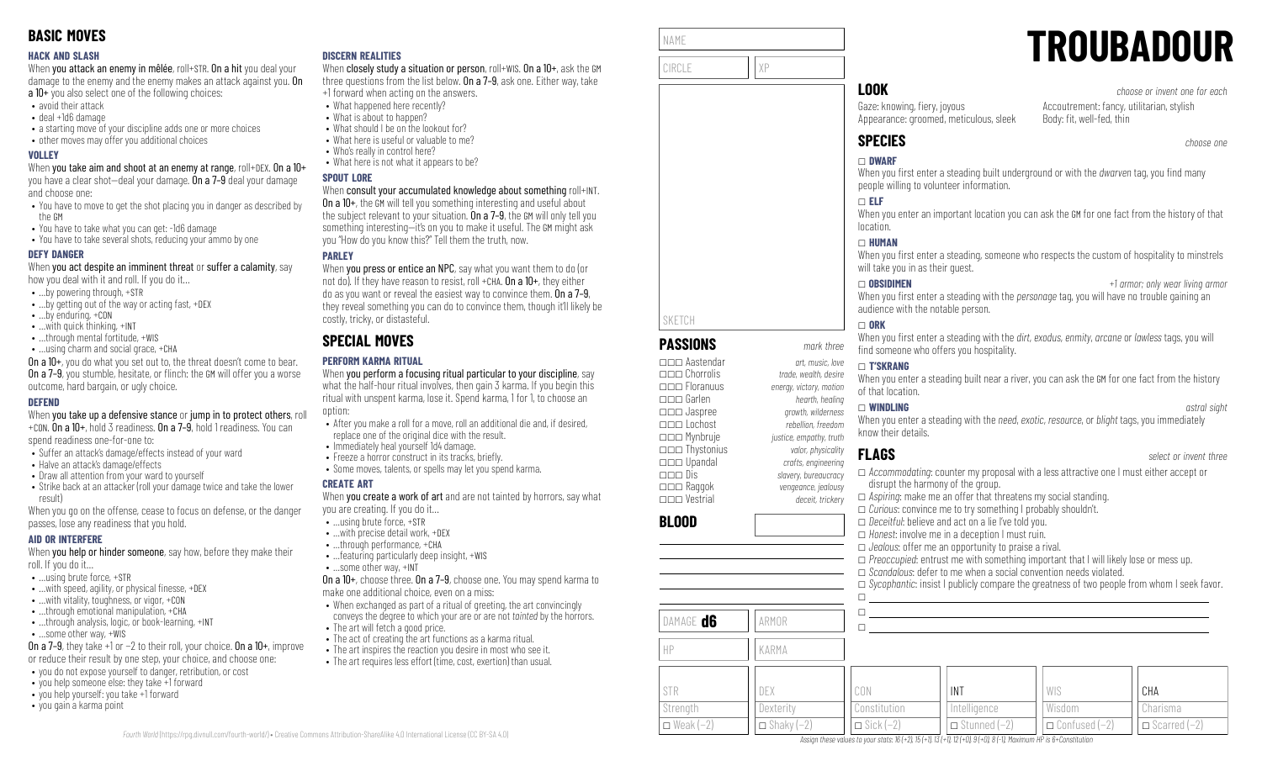### **HACK AND SLASH**

When you attack an enemy in mêlée, roll+STR. On a hit you deal your damage to the enemy and the enemy makes an attack against you. On a 10+ you also select one of the following choices:

- avoid their attack
- deal +1d6 damage
- a starting move of your discipline adds one or more choices
- other moves may offer you additional choices

### **VOLLEY**

When you take aim and shoot at an enemy at range, roll+DEX. On a 10+ you have a clear shot—deal your damage. On a 7–9 deal your damage and choose one:

- You have to move to get the shot placing you in danger as described by the GM
- You have to take what you can get: -1d6 damage
- You have to take several shots, reducing your ammo by one

### **DEFY DANGER**

When you act despite an imminent threat or suffer a calamity, say how you deal with it and roll. If you do it…

- …by powering through, +STR
- …by getting out of the way or acting fast, +DEX
- …by enduring, +CON
- …with quick thinking, +INT
- ...through mental fortitude, +WIS
- …using charm and social grace, +CHA

On a 10+, you do what you set out to, the threat doesn't come to bear. **On a 7–9**, you stumble, hesitate, or flinch: the GM will offer you a worse outcome, hard bargain, or ugly choice.

### **DEFEND**

When you take up a defensive stance or jump in to protect others, roll +CON. On a 10+, hold 3 readiness. On a 7–9, hold 1 readiness. You can

spend readiness one-for-one to:

- Suffer an attack's damage/effects instead of your ward
- Halve an attack's damage/effects
- Draw all attention from your ward to yourself
- Strike back at an attacker (roll your damage twice and take the lower result)

When you go on the offense, cease to focus on defense, or the danger passes, lose any readiness that you hold.

### **AID OR INTERFERE**

When you help or hinder someone, say how, before they make their roll. If you do it…

- …using brute force, +STR
- $\bullet$  ... with speed, agility, or physical finesse,  $+$ DEX
- …with vitality, toughness, or vigor, +CON
- ...through emotional manipulation, +CHA • ...through analysis, logic, or book-learning, +INT
- …some other way, +WIS
- On a 7–9, they take +1 or −2 to their roll, your choice. On a 10+, improve
- or reduce their result by one step, your choice, and choose one:
- you do not expose yourself to danger, retribution, or cost
- you help someone else: they take +1 forward
- you help yourself: you take +1 forward
- you gain a karma point

### **DISCERN REALITIES**

When closely study a situation or person, roll+WIS. On a 10+, ask the GM three questions from the list below. On a 7–9, ask one. Either way, take +1 forward when acting on the answers.

- What happened here recently?
	- What is about to happen?
- What should I be on the lookout for?
- What here is useful or valuable to me?
- Who's really in control here?
- What here is not what it appears to be?

### **SPOUT LORE**

### When consult your accumulated knowledge about something roll+INT.

On a 10+, the GM will tell you something interesting and useful about the subject relevant to your situation. On a 7-9, the GM will only tell you something interesting—it's on you to make it useful. The GM might ask you "How do you know this?" Tell them the truth, now.

### **PARLEY**

When you press or entice an NPC, say what you want them to do (or not do). If they have reason to resist, roll +CHA,  $0n a 10+$ , they either do as you want or reveal the easiest way to convince them. On a 7–9, they reveal something you can do to convince them, though it'll likely be costly, tricky, or distasteful.

# **SPECIAL MOVES**

### **PERFORM KARMA RITUAL**

When you perform a focusing ritual particular to your discipline, say what the half-hour ritual involves, then gain 3 karma. If you begin this ritual with unspent karma, lose it. Spend karma, 1 for 1, to choose an option:

- After you make a roll for a move, roll an additional die and, if desired, replace one of the original dice with the result.
- Immediately heal yourself 1d4 damage.
- Freeze a horror construct in its tracks, briefly.
- Some moves, talents, or spells may let you spend karma.

### **CREATE ART**

When **vou create a work of art** and are not tainted by horrors, say what you are creating. If you do it…

- …using brute force, +STR
- …with precise detail work, +DEX
- …through performance, +CHA • …featuring particularly deep insight, +WIS
- …some other way, +INT

On a 10+, choose three. On a 7–9, choose one. You may spend karma to make one additional choice, even on a miss:

- When exchanged as part of a ritual of greeting, the art convincingly conveys the degree to which your are or are not *tainted* by the horrors.
- The art will fetch a good price.
- The act of creating the art functions as a karma ritual.
- The art inspires the reaction you desire in most who see it.



| NAME   |    |
|--------|----|
| CIRCLE | γp |

**PASSIONS** *mark three* \_\_\_ Aastendar *art, music, love*

\_\_\_ Floranuus *energy, victory, motion* \_\_\_ Garlen *hearth, healing* \_\_\_ Jaspree *growth, wilderness* \_\_\_ Lochost *rebellion, freedom* \_\_\_ Mynbruje *justice, empathy, truth* \_\_\_ Thystonius *valor, physicality*

\_\_\_ Chorrolis *trade, wealth, desire*

SKETCH

**BLOOD**

DAMAGE **d6 ARMOR** 

HP KARMA

# **LOOK** *choose or invent one for each*

Gaze: knowing, fiery, joyous Appearance: groomed, meticulous, sleek

Accoutrement: fancy, utilitarian, stylish Body: fit, well-fed, thin

**TROUBADOUR**

# **SPECIES** *choose one*

### \_ **DWARF**

When you first enter a steading built underground or with the *dwarven* tag, you find many people willing to volunteer information.

### \_ **ELF**

When you enter an important location you can ask the GM for one fact from the history of that location.

### \_ **HUMAN**

When you first enter a steading, someone who respects the custom of hospitality to minstrels will take you in as their guest.

\_ **OBSIDIMEN** *+1 armor; only wear living armor* When you first enter a steading with the *personage* tag, you will have no trouble gaining an audience with the notable person.

### $\Box$  ORK

When you first enter a steading with the *dirt*, *exodus*, *enmity*, *arcane* or *lawless* tags, you will find someone who offers you hospitality.

### \_ **T'SKRANG**

When you enter a steading built near a river, you can ask the GM for one fact from the history of that location.

\_ **WINDLING** *astral sight*

When you enter a steading with the *need*, *exotic*, *resource*, or *blight* tags, you immediately know their details.

## **FLAGS** *select or invent three*

\_\_\_ Upandal *crafts, engineering* \_\_\_ Dis *slavery, bureaucracy* \_\_\_ Raggok *vengeance, jealousy* \_\_\_ Vestrial *deceit, trickery* \_ *Accommodating*: counter my proposal with a less attractive one I must either accept or disrupt the harmony of the group. \_ *Aspiring*: make me an offer that threatens my social standing. □ *Curious*: convince me to try something I probably shouldn't. □ *Deceitful*: believe and act on a lie I've told you. \_ *Honest*: involve me in a deception I must ruin. \_ *Jealous*: offer me an opportunity to praise a rival. \_ *Preoccupied*: entrust me with something important that I will likely lose or mess up. □ *Scandalous*: defer to me when a social convention needs violated. \_ *Sycophantic*: insist I publicly compare the greatness of two people from whom I seek favor.  $\Box$  $\square$  , where the contribution of the contribution of the contribution of the contribution of the contribution of the contribution of the contribution of the contribution of the contribution of the contribution of the cont  $\Box$ 

| STR              | DEX                 | CON              | INT                 | WIS                  | CHA                 |
|------------------|---------------------|------------------|---------------------|----------------------|---------------------|
| Strength         | Dexterity           | Constitution     | Intelligence        | Wisdom               | Charisma            |
| $\Box$ Weak (-2) | $\Box$ Shaky $(-2)$ | $\Box$ Sick (-2) | $\Box$ Stunned (-2) | $\Box$ Confused (-2) | $\Box$ Scarred (-2) |

Assign these values to your stats: 16 (+2), 15 (+1), 13 (+1), 12 (+0), 9 (+0), 8 (-1), Maximum HP is 6+Constitution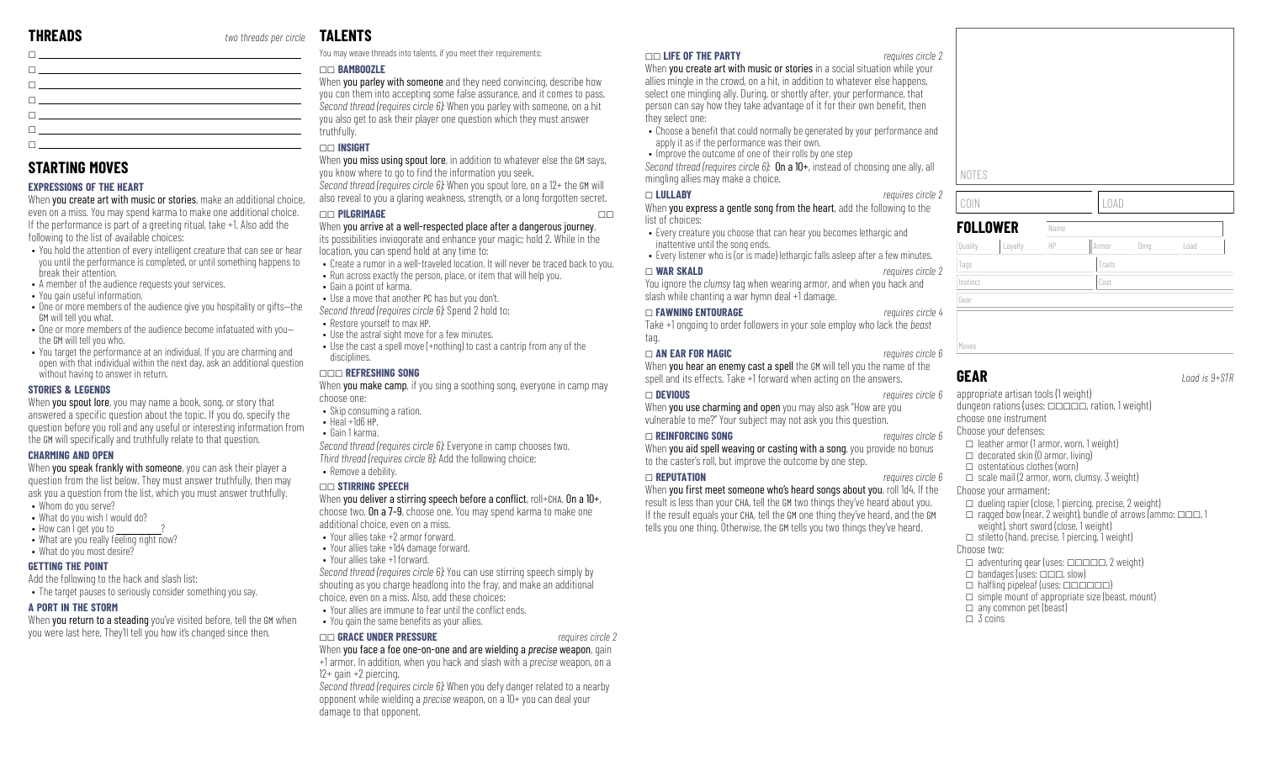# **TALENTS**

| <u> Tanzania de la contrada de la contrada de la contrada de la contrada de la contrada de la contrada de la con</u>                                                                                                            |  |
|---------------------------------------------------------------------------------------------------------------------------------------------------------------------------------------------------------------------------------|--|
| $\Box$ . The contract of the contract of the contract of the contract of the contract of the contract of the contract of the contract of the contract of the contract of the contract of the contract of the contract of the co |  |
| <u> 1988 - Johann Barn, amerikansk politiker (d. 1988)</u>                                                                                                                                                                      |  |
| $\Box$ . The contract of the contract of the contract of the contract of the contract of the contract of the contract of the contract of the contract of the contract of the contract of the contract of the contract of the co |  |

# **STARTING MOVES**

### **EXPRESSIONS OF THE HEART**

When you create art with music or stories, make an additional choice, even on a miss. You may spend karma to make one additional choice. If the performance is part of a greeting ritual, take +1. Also add the following to the list of available choices:

- You hold the attention of every intelligent creature that can see or hear you until the performance is completed, or until something happens to break their attention.
- A member of the audience requests your services.
- You gain useful information.
- One or more members of the audience give you hospitality or gifts—the GM will tell you what.
- One or more members of the audience become infatuated with you the GM will tell you who.
- You target the performance at an individual. If you are charming and open with that individual within the next day, ask an additional question without having to answer in return.

### **STORIES & LEGENDS**

When **you spout lore**, you may name a book, song, or story that answered a specific question about the topic. If you do, specify the question before you roll and any useful or interesting information from the GM will specifically and truthfully relate to that question.

### **CHARMING AND OPEN**

When you speak frankly with someone, you can ask their player a question from the list below. They must answer truthfully, then may ask you a question from the list, which you must answer truthfully.

- Whom do you serve?
- What do you wish I would do?
- $\bullet$  How can I get you to  $\__$
- What are you really feeling right now? • What do you most desire?

### **GETTING THE POINT**

Add the following to the hack and slash list:

• The target pauses to seriously consider something you say.

### **A PORT IN THE STORM**

When you return to a steading you've visited before, tell the GM when you were last here. They'll tell you how it's changed since then.

You may weave threads into talents, if you meet their requirements:

### \_\_ **BAMBOOZLE**

When you parley with someone and they need convincing, describe how you con them into accepting some false assurance, and it comes to pass. *Second thread (requires circle 6):* When you parley with someone, on a hit you also get to ask their player one question which they must answer truthfully.

### \_\_ **INSIGHT**

When you miss using spout lore, in addition to whatever else the GM says, you know where to go to find the information you seek. *Second thread (requires circle 6):* When you spout lore, on a 12+ the GM will also reveal to you a glaring weakness, strength, or a long forgotten secret.

### \_\_ **PILGRIMAGE** \_\_

# When you arrive at a well-respected place after a dangerous journey,

its possibilities inviogorate and enhance your magic; hold 2. While in the location, you can spend hold at any time to:

- Create a rumor in a well-traveled location. It will never be traced back to you.
- Run across exactly the person, place, or item that will help you. • Gain a point of karma.
- Use a move that another PC has but you don't.
- *Second thread (requires circle 6):* Spend 2 hold to:
- Restore yourself to max HP.
- Use the astral sight move for a few minutes.
- $\bullet$  Use the cast a spell move (+nothing) to cast a cantrip from any of the disciplines.

### \_\_\_ **REFRESHING SONG**

When you make camp, if you sing a soothing song, everyone in camp may choose one:

- Skip consuming a ration.
- Heal +1d6 HP.
- Gain 1 karma.

*Second thread (requires circle 6):* Everyone in camp chooses two. *Third thread (requires circle 8):* Add the following choice:

• Remove a debility.

### \_\_ **STIRRING SPEECH**

When you deliver a stirring speech before a conflict, roll+CHA. On a  $10+,$ choose two. On a 7–9, choose one. You may spend karma to make one additional choice, even on a miss.

- Your allies take +2 armor forward.
- Your allies take +1d4 damage forward.
- Your allies take +1 forward.

*Second thread (requires circle 6):* You can use stirring speech simply by shouting as you charge headlong into the fray, and make an additional choice, even on a miss. Also, add these choices:

- Your allies are immune to fear until the conflict ends.
- You gain the same benefits as your allies.

### \_\_ **GRACE UNDER PRESSURE** *requires circle 2*

When you face a foe one-on-one and are wielding a *precise* weapon, gain +1 armor. In addition, when you hack and slash with a *precise* weapon, on a 12+ gain +2 piercing.

*Second thread (requires circle 6):* When you defy danger related to a nearby opponent while wielding a *precise* weapon, on a 10+ you can deal your damage to that opponent.

### \_\_ **LIFE OF THE PARTY** *requires circle 2*

When you create art with music or stories in a social situation while your allies mingle in the crowd, on a hit, in addition to whatever else happens, select one mingling ally. During, or shortly after, your performance, that person can say how they take advantage of it for their own benefit, then they select one:

- Choose a benefit that could normally be generated by your performance and apply it as if the performance was their own.
- Improve the outcome of one of their rolls by one step

*Second thread (requires circle 6):* On a 10+, instead of choosing one ally, all mingling allies may make a choice.

### \_ **LULLABY** *requires circle 2*

When you express a gentle song from the heart, add the following to the list of choices:

- Every creature you choose that can hear you becomes lethargic and inattentive until the song ends.
- Every listener who is (or is made) lethargic falls asleep after a few minutes.

### \_ **WAR SKALD** *requires circle 2*

You ignore the *clumsy* tag when wearing armor, and when you hack and slash while chanting a war hymn deal +1 damage.

### \_ **FAWNING ENTOURAGE** *requires circle 4*

Take +1 ongoing to order followers in your sole employ who lack the *beast* tag.

### \_ **AN EAR FOR MAGIC** *requires circle 6*

When you hear an enemy cast a spell the GM will tell you the name of the spell and its effects. Take +1 forward when acting on the answers.

### \_ **DEVIOUS** *requires circle 6*

When you use charming and open you may also ask "How are you vulnerable to me?" Your subject may not ask you this question.

### \_ **REINFORCING SONG** *requires circle 6*

When you aid spell weaving or casting with a song, you provide no bonus to the caster's roll, but improve the outcome by one step.

### \_ **REPUTATION** *requires circle 6*

When you first meet someone who's heard songs about you, roll 1d4. If the result is less than your CHA, tell the GM two things they've heard about you. If the result equals your CHA, tell the GM one thing they've heard, and the GM tells you one thing. Otherwise, the GM tells you two things they've heard.

# Moves

Gear

**FOLLOW** 

**GEAR** *Load is 9+STR*

appropriate artisan tools (1 weight) dungeon rations (uses:  $\Box$  $\Box$  $\Box$ , ration, 1 weight) choose one instrument Choose your defenses:  $\Box$  leather armor (1 armor, worn, 1 weight)  $\Box$  decorated skin (0 armor, living)  $\Box$  ostentatious clothes (worn)  $\Box$  scale mail (2 armor, worn, clumsy, 3 weight) Choose your armament:  $\Box$  dueling rapier (close, 1 piercing, precise, 2 weight)  $\Box$  ragged bow (near, 2 weight), bundle of arrows (ammo:  $\Box \Box \Box$ , 1 weight), short sword (close, 1 weight)  $\Box$  stiletto (hand, precise, 1 piercing, 1 weight) Choose two:  $\Box$  adventuring gear (uses:  $\Box$  $\Box$  $\Box$  $\Box$  $\Box$ , 2 weight)  $\Box$  bandages (uses:  $\Box \Box \Box$ , slow)  $\Box$  halfling pipeleaf (uses:  $\Box$  $\Box$  $\Box$  $\Box$ )

Quality |Loyalty || HP || Armor || Dmg || Load

Tags Tags Traits Traits Traits Traits Traits Traits Traits Traits Traits Traits Traits Traits Traits Traits Traits Traits Traits Traits Traits Traits Traits Traits Traits Traits Traits Traits Traits Traits Traits Traits Tr Instinct Cost

 $\Box$  simple mount of appropriate size (beast, mount)

- $\Box$  any common pet (beast)
- $\Box$  3 coins

| <b>OLLOWER</b> | Name |      |  |
|----------------|------|------|--|
| COIN           |      | LOAD |  |
| NOTES          |      |      |  |
|                |      |      |  |
|                |      |      |  |
|                |      |      |  |
|                |      |      |  |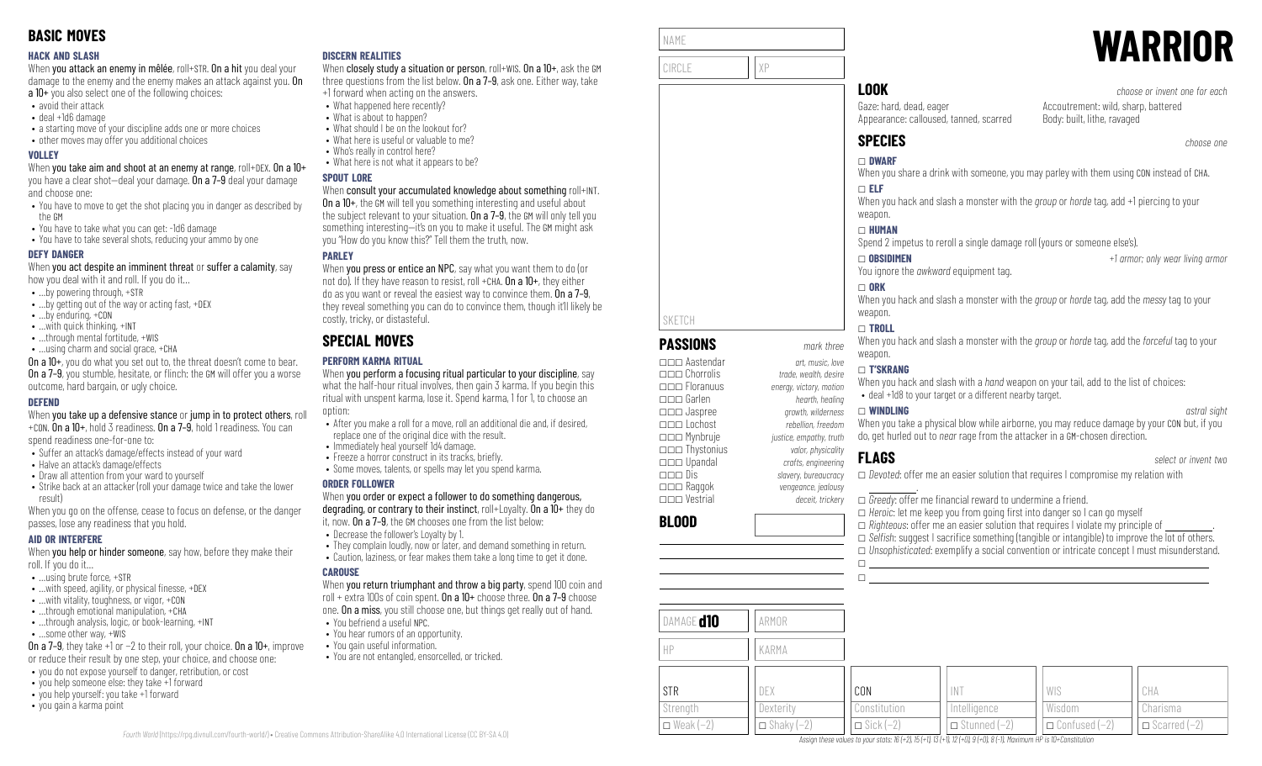### **HACK AND SLASH**

When you attack an enemy in mêlée, roll+STR. On a hit you deal your damage to the enemy and the enemy makes an attack against you. On a 10+ you also select one of the following choices:

- avoid their attack
- deal +1d6 damage
- a starting move of your discipline adds one or more choices
- other moves may offer you additional choices

### **VOLLEY**

When you take aim and shoot at an enemy at range, roll+DEX. On a 10+ you have a clear shot—deal your damage. On a 7–9 deal your damage and choose one:

- You have to move to get the shot placing you in danger as described by the GM
- You have to take what you can get: -1d6 damage
- You have to take several shots, reducing your ammo by one

### **DEFY DANGER**

When you act despite an imminent threat or suffer a calamity, say how you deal with it and roll. If you do it…

- …by powering through, +STR
- …by getting out of the way or acting fast, +DEX
- …by enduring, +CON
- …with quick thinking, +INT
- …through mental fortitude, +WIS
- …using charm and social grace, +CHA

On a 10+, you do what you set out to, the threat doesn't come to bear. **On a 7–9**, you stumble, hesitate, or flinch: the GM will offer you a worse outcome, hard bargain, or ugly choice.

### **DEFEND**

When you take up a defensive stance or jump in to protect others, roll +CON. On a 10+, hold 3 readiness. On a 7–9, hold 1 readiness. You can

spend readiness one-for-one to:

- Suffer an attack's damage/effects instead of your ward
- Halve an attack's damage/effects
- Draw all attention from your ward to yourself
- Strike back at an attacker (roll your damage twice and take the lower result)

When you go on the offense, cease to focus on defense, or the danger passes, lose any readiness that you hold.

### **AID OR INTERFERE**

When you help or hinder someone, say how, before they make their roll. If you do it…

- …using brute force, +STR
- $\bullet$  ... with speed, agility, or physical finesse,  $+$ DEX
- …with vitality, toughness, or vigor, +CON
- …through emotional manipulation, +CHA • ...through analysis, logic, or book-learning, +INT
- …some other way, +WIS

On a 7–9, they take +1 or −2 to their roll, your choice. On a 10+, improve or reduce their result by one step, your choice, and choose one:

- you do not expose yourself to danger, retribution, or cost
- you help someone else: they take +1 forward
- you help yourself: you take +1 forward
- you gain a karma point

### **DISCERN REALITIES**

When closely study a situation or person, roll+WIS. On a 10+, ask the GM three questions from the list below. On a 7–9, ask one. Either way, take +1 forward when acting on the answers.

- What happened here recently?
	- What is about to happen?
- What should I be on the lookout for?
- What here is useful or valuable to me?
- Who's really in control here?
- What here is not what it appears to be?

### **SPOUT LORE**

### When consult your accumulated knowledge about something roll+INT.

On a 10+, the GM will tell you something interesting and useful about the subject relevant to your situation. On a 7-9, the GM will only tell you something interesting—it's on you to make it useful. The GM might ask you "How do you know this?" Tell them the truth, now.

### **PARLEY**

When you press or entice an NPC, say what you want them to do (or not do). If they have reason to resist, roll +CHA. On a 10+, they either do as you want or reveal the easiest way to convince them. On a 7–9, they reveal something you can do to convince them, though it'll likely be costly, tricky, or distasteful.

# **SPECIAL MOVES**

### **PERFORM KARMA RITUAL**

When you perform a focusing ritual particular to your discipline, say what the half-hour ritual involves, then gain 3 karma. If you begin this ritual with unspent karma, lose it. Spend karma, 1 for 1, to choose an option:

- After you make a roll for a move, roll an additional die and, if desired, replace one of the original dice with the result.
- Immediately heal yourself 1d4 damage.
- Freeze a horror construct in its tracks, briefly.
- Some moves, talents, or spells may let you spend karma.

### **ORDER FOLLOWER**

When you order or expect a follower to do something dangerous, degrading, or contrary to their instinct, roll+Loyalty. On a 10+ they do

it, now. On a 7–9, the GM chooses one from the list below:

- Decrease the follower's Loyalty by 1.
- They complain loudly, now or later, and demand something in return. • Caution, laziness, or fear makes them take a long time to get it done.

### **CAROUSE**

When you return triumphant and throw a big party, spend 100 coin and roll + extra 100s of coin spent. On a 10+ choose three. On a 7–9 choose one. On a miss, you still choose one, but things get really out of hand. • You befriend a useful NPC.

- You hear rumors of an opportunity.
- You gain useful information.
- You are not entangled, ensorcelled, or tricked.

| NAME   |    |
|--------|----|
| CIRCLE | χP |

**PASSIONS** *mark three* \_\_\_ Aastendar *art, music, love*

\_\_\_ Floranuus *energy, victory, motion* \_\_\_ Garlen *hearth, healing* \_\_\_ Jaspree *growth, wilderness* \_\_\_ Lochost *rebellion, freedom* \_\_\_ Mynbruje *justice, empathy, truth* \_\_\_ Thystonius *valor, physicality* \_\_\_ Upandal *crafts, engineering* \_\_\_ Dis *slavery, bureaucracy*

\_\_\_ Vestrial *deceit, trickery*

\_\_\_ Chorrolis *trade, wealth, desire*

\_\_\_ Raggok *vengeance, jealousy*

SKETCH

**BLOOD**

# **LOOK** *choose or invent one for each*

Gaze: hard, dead, eager Appearance: calloused, tanned, scarred

Accoutrement: wild, sharp, battered Body: built, lithe, ravaged

# **SPECIES** *choose one*

### \_ **DWARF**

When you share a drink with someone, you may parley with them using CON instead of CHA. \_ **ELF**

When you hack and slash a monster with the *group* or *horde* tag, add +1 piercing to your weapon.

### \_ **HUMAN**

Spend 2 impetus to reroll a single damage roll (yours or someone else's).

\_ **OBSIDIMEN** *+1 armor; only wear living armor*

**WARRIOR**

You ignore the *awkward* equipment tag.

### $\sqcap$  ORK When you hack and slash a monster with the *group* or *horde* tag, add the *messy* tag to your weapon.

### \_ **TROLL**

When you hack and slash a monster with the *group* or *horde* tag, add the *forceful* tag to your weapon.

### \_ **T'SKRANG**

When you hack and slash with a *hand* weapon on your tail, add to the list of choices: • deal +1d8 to your target or a different nearby target.

### \_ **WINDLING** *astral sight*

When you take a physical blow while airborne, you may reduce damage by your CON but, if you do, get hurled out to *near* rage from the attacker in a GM-chosen direction.

 $\Box$ 

**FLAGS** *select or invent two*

\_ *Devoted*: offer me an easier solution that requires I compromise my relation with .

 $\Box$  *Greedy*: offer me financial reward to undermine a friend.

□ *Heroic*: let me keep you from going first into danger so I can go myself  $\Box$  *Righteous*: offer me an easier solution that requires I violate my principle of □ *Selfish:* suggest I sacrifice something (tangible or intangible) to improve the lot of others. \_ *Unsophisticated*: exemplify a social convention or intricate concept I must misunderstand.  $\Box$ 

| DAMAGE <b>d10</b>  | ARMOR               |                  |                                                                                                                                                             |                        |                     |
|--------------------|---------------------|------------------|-------------------------------------------------------------------------------------------------------------------------------------------------------------|------------------------|---------------------|
| H                  | KARMA               |                  |                                                                                                                                                             |                        |                     |
| STR                | DEX                 | CON              | IN1                                                                                                                                                         | WIS                    | CHA                 |
| Strength           | Dexterity           | Constitution     | Intelligence                                                                                                                                                | Wisdom                 | Charisma            |
| $\Box$ Weak $(-2)$ | $\Box$ Shaky $(-2)$ | $\Box$ Sick (-2) | $\Box$ Stunned $(-2)$<br>Assign these values to your stats: $16(+2)$ , $15(+1)$ , $13(+1)$ , $12(+0)$ , $9(+0)$ , $8(-1)$ , Maximum HP is $10+C$ and $10+0$ | $\Box$ Confused $(-2)$ | $\Box$ Scarred (-2) |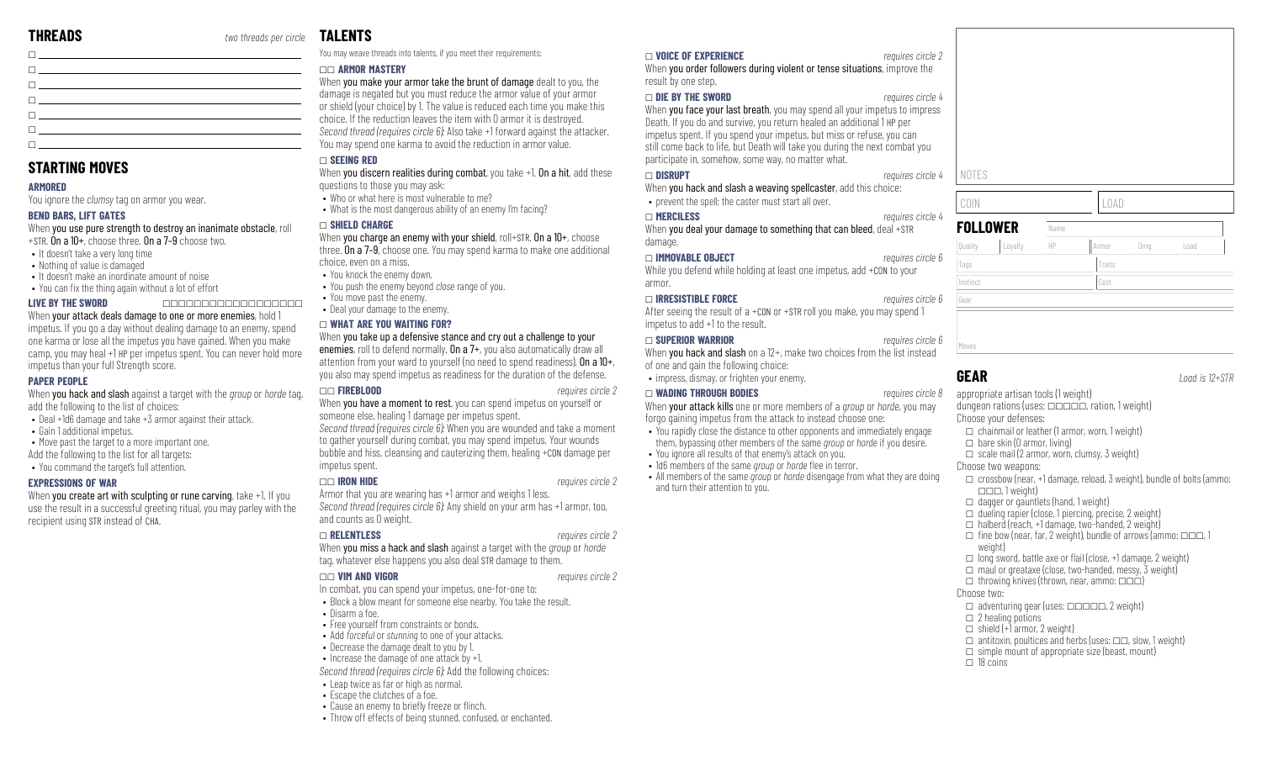| <u> De anticipa de la contrada de la contrada de la contrada de la contrada de la contrada de la contrada de la c</u>                                                                                                           |
|---------------------------------------------------------------------------------------------------------------------------------------------------------------------------------------------------------------------------------|
|                                                                                                                                                                                                                                 |
| The contract of the contract of the contract of the contract of the contract of                                                                                                                                                 |
| $\Box$ . The contract of the contract of the contract of the contract of the contract of the contract of the contract of the contract of the contract of the contract of the contract of the contract of the contract of the co |
| <u>ne de la componentación de la componentación de la componentación de la componentación de la componentación de</u>                                                                                                           |
| <u>ne de la componentación de la componentación de la componentación de la componentación de la componentación de</u>                                                                                                           |

### **STARTING MOVES**

### **ARMORED**

You ignore the *clumsy* tag on armor you wear.

### **BEND BARS, LIFT GATES**

When you use pure strength to destroy an inanimate obstacle, roll +STR. On a 10+, choose three. On a 7–9 choose two.

- It doesn't take a very long time
- Nothing of value is damaged
- It doesn't make an inordinate amount of noise
- You can fix the thing again without a lot of effort
- **LIVE BY THE SWORD** \_\_\_\_\_\_\_\_\_\_\_\_\_\_\_\_\_\_

### When your attack deals damage to one or more enemies, hold 1

impetus. If you go a day without dealing damage to an enemy, spend one karma or lose all the impetus you have gained. When you make camp, you may heal +1 HP per impetus spent. You can never hold more impetus than your full Strength score.

### **PAPER PEOPLE**

When you hack and slash against a target with the *group* or *horde* tag, add the following to the list of choices:

- Deal +1d6 damage and take +3 armor against their attack.
- Gain 1 additional impetus.
- Move past the target to a more important one.
- Add the following to the list for all targets:
- You command the target's full attention.

### **EXPRESSIONS OF WAR**

When you create art with sculpting or rune carving, take +1. If you use the result in a successful greeting ritual, you may parley with the recipient using STR instead of CHA.

# **TALENTS**

You may weave threads into talents, if you meet their requirements:

### \_\_ **ARMOR MASTERY**

When you make your armor take the brunt of damage dealt to you, the damage is negated but you must reduce the armor value of your armor or shield (your choice) by 1. The value is reduced each time you make this choice. If the reduction leaves the item with 0 armor it is destroyed. *Second thread (requires circle 6):* Also take +1 forward against the attacker. You may spend one karma to avoid the reduction in armor value.

### \_ **SEEING RED**

When you discern realities during combat, you take  $+1$ . On a hit, add these questions to those you may ask:

- Who or what here is most vulnerable to me?
- What is the most dangerous ability of an enemy I'm facing?

### \_ **SHIELD CHARGE**

When you charge an enemy with your shield, roll+STR, On a 10+, choose three. On a 7–9, choose one. You may spend karma to make one additional choice, even on a miss.

- You knock the enemy down.
- You push the enemy beyond *close* range of you.
- You move past the enemy.
- Deal your damage to the enemy.

### \_ **WHAT ARE YOU WAITING FOR?**

When you take up a defensive stance and cry out a challenge to your

enemies, roll to defend normally. On a 7+, you also automatically draw all attention from your ward to yourself (no need to spend readiness). On a 10+, you also may spend impetus as readiness for the duration of the defense.

### \_\_ **FIREBLOOD** *requires circle 2*

When you have a moment to rest, you can spend impetus on yourself or someone else, healing 1 damage per impetus spent. *Second thread (requires circle 6):* When you are wounded and take a moment to gather yourself during combat, you may spend impetus. Your wounds

bubble and hiss, cleansing and cauterizing them, healing +CON damage per impetus spent.

### \_\_ **IRON HIDE** *requires circle 2*

Armor that you are wearing has +1 armor and weighs 1 less. *Second thread (requires circle 6):* Any shield on your arm has +1 armor, too, and counts as 0 weight.

### \_ **RELENTLESS** *requires circle 2*

When you miss a hack and slash against a target with the *group* or *horde* tag, whatever else happens you also deal STR damage to them.

### \_\_ **VIM AND VIGOR** *requires circle 2*

In combat, you can spend your impetus, one-for-one to:

- Block a blow meant for someone else nearby. You take the result.
- Disarm a foe.
- Free yourself from constraints or bonds.
- Add *forceful* or *stunning* to one of your attacks.
- Decrease the damage dealt to you by 1.
- Increase the damage of one attack by +1.

*Second thread (requires circle 6):* Add the following choices:

- Leap twice as far or high as normal.
- Escape the clutches of a foe.
- Cause an enemy to briefly freeze or flinch.
- Throw off effects of being stunned, confused, or enchanted.

### \_ **VOICE OF EXPERIENCE** *requires circle 2*

When you order followers during violent or tense situations, improve the result by one step.

### \_ **DIE BY THE SWORD** *requires circle 4*

When **you face your last breath**, you may spend all your impetus to impress Death. If you do and survive, you return healed an additional 1 HP per impetus spent. If you spend your impetus, but miss or refuse, you can still come back to life, but Death will take you during the next combat you participate in, somehow, some way, no matter what.

### \_ **DISRUPT** *requires circle 4*

When you hack and slash a weaving spellcaster, add this choice:

• prevent the spell; the caster must start all over.

### \_ **MERCILESS** *requires circle 4*

When you deal your damage to something that can bleed, deal +STR damage.

### \_ **IMMOVABLE OBJECT** *requires circle 6*

While you defend while holding at least one impetus, add +CON to your armor.

### \_ **IRRESISTIBLE FORCE** *requires circle 6*

After seeing the result of a +CON or +STR roll you make, you may spend 1 impetus to add +1 to the result.

### \_ **SUPERIOR WARRIOR** *requires circle 6*

When you hack and slash on a 12+, make two choices from the list instead of one and gain the following choice:

• impress, dismay, or frighten your enemy.

### \_ **WADING THROUGH BODIES** *requires circle 8*

When your attack kills one or more members of a *group* or *horde*, you may forgo gaining impetus from the attack to instead choose one:

- You rapidly close the distance to other opponents and immediately engage them, bypassing other members of the same *group* or *horde* if you desire.
- You ignore all results of that enemy's attack on you.
- 1d6 members of the same *group* or *horde* flee in terror.
- All members of the same *group* or *horde* disengage from what they are doing and turn their attention to you.

| NOTES           |         |      |        |     |      |  |
|-----------------|---------|------|--------|-----|------|--|
| COIN            |         |      | LOAD   |     |      |  |
| <b>FOLLOWER</b> |         | Name |        |     |      |  |
| Quality         | Loyalty | HP   | Armor  | Dmg | Load |  |
| Tags            |         |      | Traits |     |      |  |
| Instinct        |         |      | Cost   |     |      |  |
| Gear            |         |      |        |     |      |  |
|                 |         |      |        |     |      |  |
|                 |         |      |        |     |      |  |

Gear

### **GEAR** *Load is 12+STR*

appropriate artisan tools (1 weight) dungeon rations (uses:  $\Box$  $\Box$  $\Box$ , ration, 1 weight)

Choose your defenses:

 $\Box$  chainmail or leather (1 armor, worn, 1 weight)

 $\Box$  bare skin (0 armor, living)

 $\Box$  scale mail (2 armor, worn, clumsy, 3 weight)

Choose two weapons:

 $\Box$  2 healing potions  $\Box$  shield (+1 armor, 2 weight)

 $\Box$  18 coins

 $\Box$  crossbow (near, +1 damage, reload, 3 weight), bundle of bolts (ammo:  $\Box$  $\Box$ , 1 weight)

 $\Box$  dagger or gauntlets (hand, 1 weight)

- $\Box$  dueling rapier (close, 1 piercing, precise, 2 weight)
- $\Box$  halberd (reach, +1 damage, two-handed, 2 weight)
- $\Box$  fine bow (near, far, 2 weight), bundle of arrows (ammo:  $\Box \Box \Box$ , 1 weight)
- $\Box$  long sword, battle axe or flail (close, +1 damage, 2 weight)

 $\Box$  antitoxin, poultices and herbs (uses:  $\Box \Box$ , slow, 1 weight)  $\Box$  simple mount of appropriate size (beast, mount)

- $\Box$  maul or greataxe (close, two-handed, messy, 3 weight)
- $\Box$  throwing knives (thrown, near, ammo:  $\Box \Box \Box$ ) Choose two:  $\Box$  adventuring gear (uses:  $\Box \Box \Box \Box \Box$ ) weight)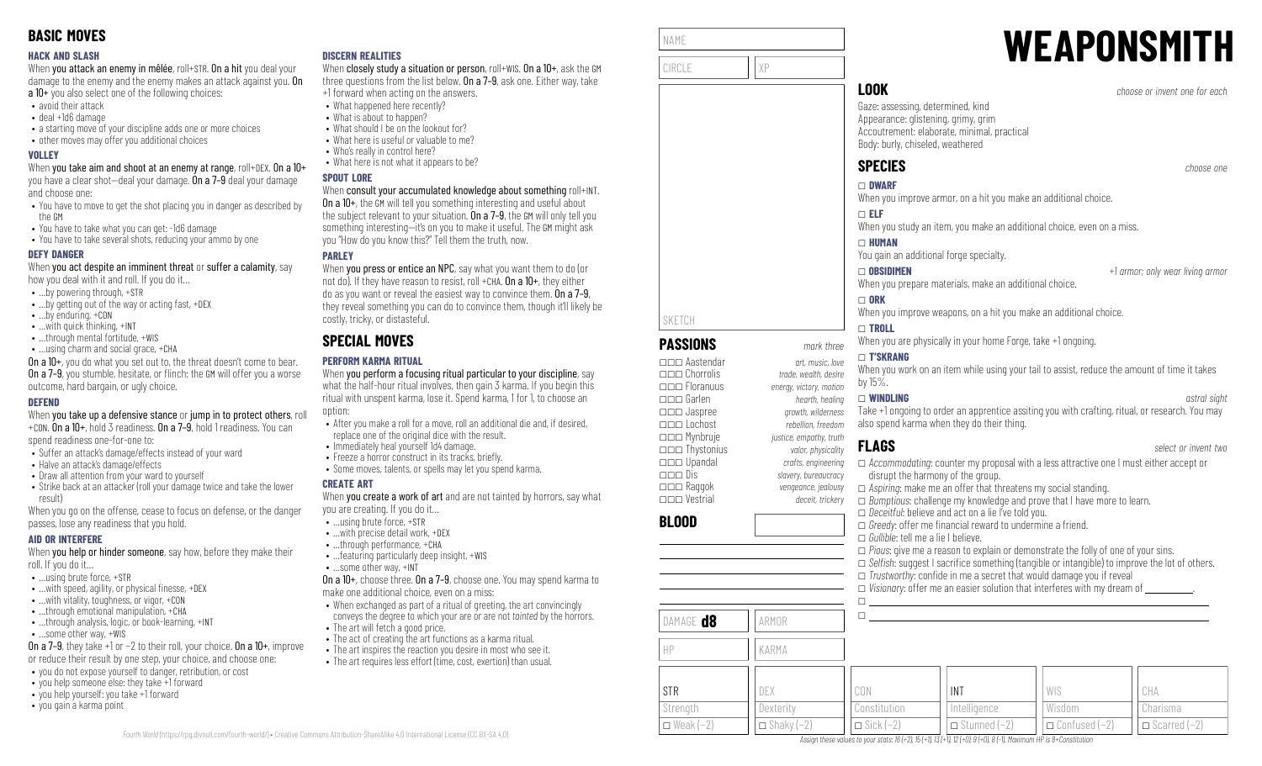### **HACK AND SLASH**

When you attack an enemy in mêlée, roll+STR. On a hit you deal your damage to the enemy and the enemy makes an attack against you. On a 10+ you also select one of the following choices:

- avoid their attack
- deal +1d6 damage
- a starting move of your discipline adds one or more choices
- other moves may offer you additional choices

### **VOLLEY**

When you take aim and shoot at an enemy at range, roll+DEX. On a 10+ you have a clear shot—deal your damage. On a 7–9 deal your damage and choose one:

- You have to move to get the shot placing you in danger as described by the GM
- You have to take what you can get: -1d6 damage
- You have to take several shots, reducing your ammo by one

### **DEFY DANGER**

When you act despite an imminent threat or suffer a calamity, say how you deal with it and roll. If you do it…

- …by powering through, +STR
- …by getting out of the way or acting fast, +DEX
- …by enduring, +CON
- …with quick thinking, +INT
- ...through mental fortitude, +WIS
- …using charm and social grace, +CHA

On a 10+, you do what you set out to, the threat doesn't come to bear. **On a 7–9**, you stumble, hesitate, or flinch: the GM will offer you a worse outcome, hard bargain, or ugly choice.

### **DEFEND**

When you take up a defensive stance or jump in to protect others, roll +CON. On a 10+, hold 3 readiness. On a 7–9, hold 1 readiness. You can

spend readiness one-for-one to:

- Suffer an attack's damage/effects instead of your ward
- Halve an attack's damage/effects
- Draw all attention from your ward to yourself
- Strike back at an attacker (roll your damage twice and take the lower result)

When you go on the offense, cease to focus on defense, or the danger passes, lose any readiness that you hold.

### **AID OR INTERFERE**

When you help or hinder someone, say how, before they make their roll. If you do it…

- …using brute force, +STR
- $\bullet$  ... with speed, agility, or physical finesse,  $+$ DEX
- …with vitality, toughness, or vigor, +CON
- ...through emotional manipulation, +CHA • ...through analysis, logic, or book-learning, +INT
- …some other way, +WIS
- On a 7–9, they take +1 or −2 to their roll, your choice. On a 10+, improve or reduce their result by one step, your choice, and choose one:
- you do not expose yourself to danger, retribution, or cost
- you help someone else: they take +1 forward
- you help yourself: you take +1 forward
- you gain a karma point

### **DISCERN REALITIES**

When closely study a situation or person, roll+WIS. On a 10+, ask the GM three questions from the list below. On a 7-9, ask one. Either way, take +1 forward when acting on the answers.

- What happened here recently?
	- What is about to happen?
- What should I be on the lookout for?
- What here is useful or valuable to me?
- Who's really in control here?
- What here is not what it appears to be?

### **SPOUT LORE**

### When consult your accumulated knowledge about something roll+INT.

On a 10+, the GM will tell you something interesting and useful about the subject relevant to your situation. On a 7-9, the GM will only tell you something interesting—it's on you to make it useful. The GM might ask you "How do you know this?" Tell them the truth, now.

### **PARLEY**

When you press or entice an NPC, say what you want them to do (or not do). If they have reason to resist, roll +CHA,  $0n a 10+$ , they either do as you want or reveal the easiest way to convince them. On a 7–9, they reveal something you can do to convince them, though it'll likely be costly, tricky, or distasteful.

# **SPECIAL MOVES**

### **PERFORM KARMA RITUAL**

When you perform a focusing ritual particular to your discipline, say what the half-hour ritual involves, then gain 3 karma. If you begin this ritual with unspent karma, lose it. Spend karma, 1 for 1, to choose an option:

- After you make a roll for a move, roll an additional die and, if desired, replace one of the original dice with the result.
- Immediately heal yourself 1d4 damage.
- Freeze a horror construct in its tracks, briefly.
- Some moves, talents, or spells may let you spend karma.

### **CREATE ART**

*Fourth World* [\(https://rpg.divnull.com/fourth-world/\)](https://rpg.divnull.com/fourth-world/) • Creative Commons Attribution-ShareAlike 4.0 International License (CC [BY-SA](https://creativecommons.org/licenses/by-sa/4.0/) 4.0)

When **vou create a work of art** and are not tainted by horrors, say what you are creating. If you do it…

- …using brute force, +STR
- …with precise detail work, +DEX
- …through performance, +CHA • …featuring particularly deep insight, +WIS
- …some other way, +INT

On a 10+, choose three. On a 7–9, choose one. You may spend karma to make one additional choice, even on a miss:

- When exchanged as part of a ritual of greeting, the art convincingly conveys the degree to which your are or are not *tainted* by the horrors.
- The art will fetch a good price.
- The act of creating the art functions as a karma ritual.
- The art inspires the reaction you desire in most who see it.
- The art requires less effort (time, cost, exertion) than usual.

| NAME   |    |
|--------|----|
|        |    |
| CIRCLE | XP |
|        |    |
|        |    |
|        |    |

**PASSIONS** *mark three* \_\_\_ Aastendar *art, music, love*

\_\_\_ Floranuus *energy, victory, motion* \_\_\_ Garlen *hearth, healing*

\_\_\_ Lochost *rebellion, freedom* \_\_\_ Mynbruje *justice, empathy, truth* \_\_\_ Thystonius *valor, physicality* \_\_\_ Upandal *crafts, engineering* \_\_\_ Dis *slavery, bureaucracy*

\_\_\_ Vestrial *deceit, trickery*

DAMAGE **d8 ARMOR** 

HP KARMA

DEX **Dexterity**  $\Box$  Shaky (-2)

SKETCH

**BLOOD**

STR **Strength**  $\Box$  Weak (−2)

# **WEAPONSMITH**

**LOOK** *choose or invent one for each*

Gaze: assessing, determined, kind Appearance: glistening, grimy, grim Accoutrement: elaborate, minimal, practical Body: burly, chiseled, weathered

# **SPECIES** *choose one*

\_ **ELF**

\_ **DWARF** When you improve armor, on a hit you make an additional choice.

When you study an item, you make an additional choice, even on a miss.

### \_ **HUMAN** You gain an additional forge specialty.

\_ **OBSIDIMEN** *+1 armor; only wear living armor*

When you prepare materials, make an additional choice.

### $\Box$  ORK

\_\_\_ Chorrolis *trade, wealth, desire*

\_\_\_ Jaspree *growth, wilderness*

\_\_\_ Raggok *vengeance, jealousy*

When you improve weapons, on a hit you make an additional choice.

### \_ **TROLL**

When you are physically in your home Forge, take +1 ongoing.

### \_ **T'SKRANG**

When you work on an item while using your tail to assist, reduce the amount of time it takes by 15%.

### \_ **WINDLING** *astral sight*

Take +1 ongoing to order an apprentice assiting you with crafting, ritual, or research. You may also spend karma when they do their thing.

# **FLAGS** *select or invent two*

 $\Box$  $\Box$ 

CON Constitution  $\Box$  Sick (−2)

\_ *Accommodating*: counter my proposal with a less attractive one I must either accept or disrupt the harmony of the group.

\_ *Aspiring*: make me an offer that threatens my social standing.

□ *Bumptious*: challenge my knowledge and prove that I have more to learn. □ *Deceitful*: believe and act on a lie I've told you.

 $\Box$  *Trustworthy:* confide in me a secret that would damage you if reveal

\_ *Pious*: give me a reason to explain or demonstrate the folly of one of your sins. □ *Selfish:* suggest I sacrifice something (tangible or intangible) to improve the lot of others.

 $\Box$  *Visionary:* offer me an easier solution that interferes with my dream of  $\Box$ 

WIS Wisdom

\_ Confused (−2)

CHA Charisma  $\Box$  Scarred (−2)

 $\Box$  *Greedy:* offer me financial reward to undermine a friend.

\_ *Gullible*: tell me a lie I believe.

INT **Intelligence**  $\Box$  Stunned (−2)

Assign these values to your stats:  $16 (+2)$ ,  $15 (+1)$ ,  $13 (+1)$ ,  $12 (+0)$ ,  $9 (+0)$ ,  $8 (-1)$ , Maximum HP is 8+Constitution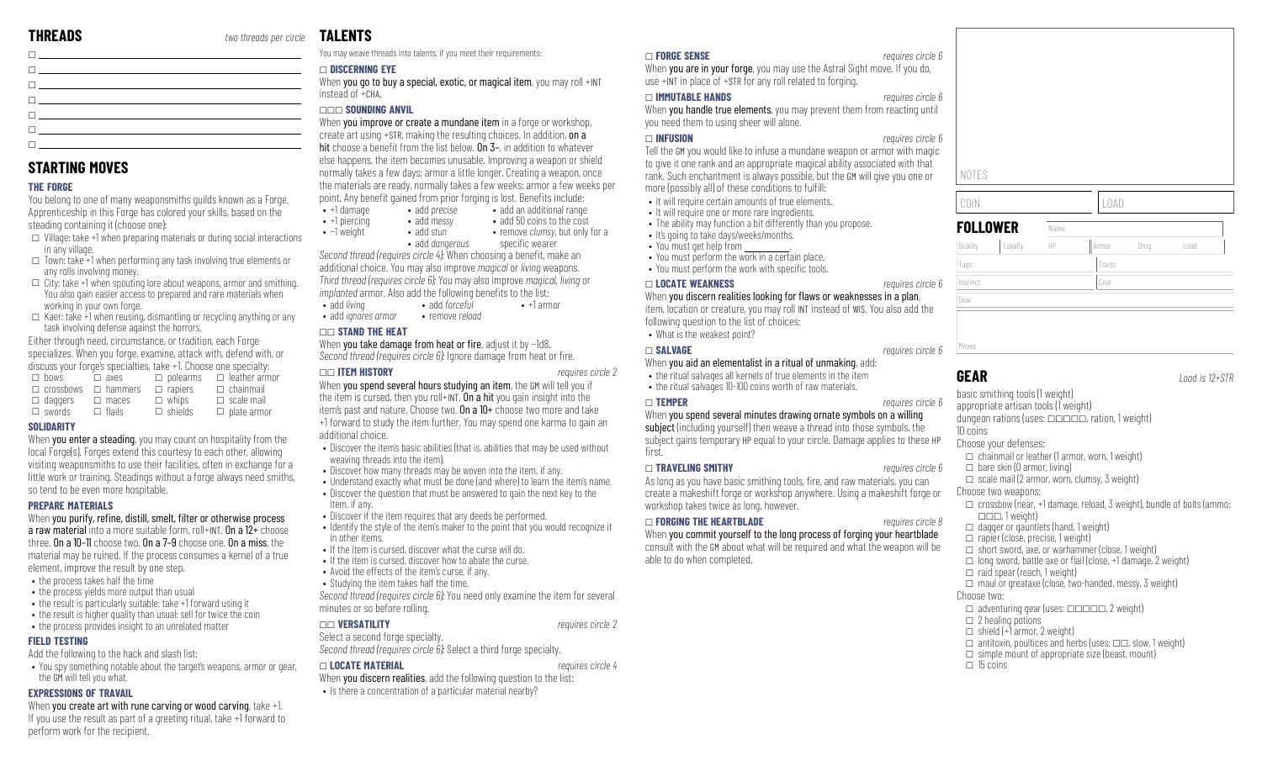**STARTING MOVES**

in any village.

 $\Box$  swords

**SOLIDARITY**

steading containing it (choose one):

any rolls involving money.

working in your own forge.

task involving defense against the horrors. Either through need, circumstance, or tradition, each Forge specializes. When you forge, examine, attack with, defend with, or discuss your forge's specialties, take +1. Choose one specialty:  $\square$  bows  $\square$  axes  $\square$  polearms  $\square$  leather armor  $\Box$  crossbows  $\Box$  hammers  $\Box$  rapiers  $\Box$  chainmail

 $\Box$  daggers  $\Box$  maces  $\Box$  whips

 $\Box$  flails

so tend to be even more hospitable.

element, improve the result by one step. • the process takes half the time • the process vields more output than usual

Add the following to the hack and slash list:

**PREPARE MATERIALS**

**FIELD TESTING**

the GM will tell you what. **EXPRESSIONS OF TRAVAIL**

perform work for the recipient.

**THE FORGE**

\_

\_ \_  $\Box$ \_ \_  $\Box$ 

You belong to one of many weaponsmiths guilds known as a Forge. Apprenticeship in this Forge has colored your skills, based on the

 $\square$  Village: take +1 when preparing materials or during social interactions

 $\Box$  Town: take +1 when performing any task involving true elements or

 $\square$  City: take +1 when spouting lore about weapons, armor and smithing. You also gain easier access to prepared and rare materials when

 $\Box$  Kaer: take +1 when reusing, dismantling or recycling anything or any

 $\Box$  shields

When you enter a steading, you may count on hospitality from the local Forge(s). Forges extend this courtesy to each other, allowing visiting weaponsmiths to use their facilities, often in exchange for a little work or training. Steadings without a forge always need smiths,

When you purify, refine, distill, smelt, filter or otherwise process a raw material into a more suitable form, roll+INT. On a  $12+$  choose three. On a 10–11 choose two. On a 7–9 choose one. On a miss, the material may be ruined. If the process consumes a kernel of a true

• the result is particularly suitable: take +1 forward using it • the result is higher quality than usual: sell for twice the coin • the process provides insight to an unrelated matter

When you create art with rune carving or wood carving, take +1. If you use the result as part of a greeting ritual, take +1 forward to

 $\Box$  scale mail  $\square$  plate armor

# **TALENTS**

You may weave threads into talents, if you meet their requirements:

### \_ **DISCERNING EYE**

When you go to buy a special, exotic, or magical item, you may roll +INT instead of +CHA.

### \_\_\_ **SOUNDING ANVIL**

When you improve or create a mundane item in a forge or workshop, create art using +STR, making the resulting choices. In addition, on a hit choose a benefit from the list below.  $\overline{0n}$  3–, in addition to whatever else happens, the item becomes unusable. Improving a weapon or shield normally takes a few days; armor a little longer. Creating a weapon, once the materials are ready, normally takes a few weeks; armor a few weeks per point. Any benefit gained from prior forging is lost. Benefits include:  $\cdot$  +1 damage

- add *precise* • add an additional range • add 50 coins to the cost
- $\bullet$  +1 piercing • add *messy* • add *stun* • remove *clumsy*, but only for a
- −1 weight
	- add *dangerous* specific wearer

*Second thread (requires circle 4):* When choosing a benefit, make an additional choice. You may also improve *magical* or *living* weapons. *Third thread (requires circle 6):* You may also improve *magical*, *living* or *implanted* armor. Also add the following benefits to the list:

- add *living* • add *forceful* • remove *reload*  $\bullet$  +1 armor
- add *ignores armor*

### \_\_ **STAND THE HEAT**

When you take damage from heat or fire, adjust it by −1d8. *Second thread <i>(requires circle 6)*: Ignore damage from heat or fire.

### \_\_ **ITEM HISTORY** *requires circle 2*

When you spend several hours studying an item, the GM will tell you if the item is cursed, then you roll+INT. On a hit you gain insight into the item's past and nature. Choose two. On a 10+ choose two more and take +1 forward to study the item further. You may spend one karma to gain an additional choice.

- Discover the item's basic abilities (that is, abilities that may be used without weaving threads into the item).
- Discover how many threads may be woven into the item, if any.
- Understand exactly what must be done (and where) to learn the item's name.
- Discover the question that must be answered to gain the next key to the item, if any.
- Discover if the item requires that any deeds be performed.
- Identify the style of the item's maker to the point that you would recognize it in other items.
- If the item is cursed, discover what the curse will do.
- If the item is cursed, discover how to abate the curse.
- Avoid the effects of the item's curse, if any. • Studying the item takes half the time.
- 

*Second thread (requires circle 6):* You need only examine the item for several minutes or so before rolling.

### \_\_ **VERSATILITY** *requires circle 2*

### Select a second forge specialty.

*Second thread (requires circle 6):* Select a third forge specialty.

### • You spy something notable about the target's weapons, armor or gear, \_ **LOCATE MATERIAL** *requires circle 4*

When **you discern realities**, add the following question to the list: • Is there a concentration of a particular material nearby?

### \_ **FORGE SENSE** *requires circle 6*

When **you are in your forge**, you may use the Astral Sight move. If you do, use +INT in place of +STR for any roll related to forging.

### \_ **IMMUTABLE HANDS** *requires circle 6*

When **you handle true elements**, you may prevent them from reacting until you need them to using sheer will alone.

### \_ **INFUSION** *requires circle 6*

Tell the GM you would like to infuse a mundane weapon or armor with magic to give it one rank and an appropriate magical ability associated with that rank. Such enchantment is always possible, but the GM will give you one or more (possibly all) of these conditions to fulfill:

- It will require certain amounts of true elements.
- It will require one or more rare ingredients.
- The ability may function a bit differently than you propose. • It's going to take days/weeks/months.
- You must get help from
- You must perform the work in a certain place.
- You must perform the work with specific tools.
- \_ **LOCATE WEAKNESS** *requires circle 6*

When you discern realities looking for flaws or weaknesses in a plan, item, location or creature, you may roll INT instead of WIS. You also add the

following question to the list of choices: • What is the weakest point?

### \_ **SALVAGE** *requires circle 6*

- When you aid an elementalist in a ritual of unmaking, add: • the ritual salvages all kernels of true elements in the item
- the ritual salvages 10-100 coins worth of raw materials.

### \_ **TEMPER** *requires circle 6*

When you spend several minutes drawing ornate symbols on a willing

### subject (including yourself) then weave a thread into those symbols, the

subject gains temporary HP equal to your circle. Damage applies to these HP first

### \_ **TRAVELING SMITHY** *requires circle 6*

As long as you have basic smithing tools, fire, and raw materials, you can create a makeshift forge or workshop anywhere. Using a makeshift forge or workshop takes twice as long, however.

### \_ **FORGING THE HEARTBLADE** *requires circle 8*

When you commit yourself to the long process of forging your heartblade consult with the GM about what will be required and what the weapon will be able to do when completed.

# **FOLLOWER** Name Quality Loyalty HP Armor Dmg Load Tags Tags Traits Traits Traits Traits Traits Traits Traits Traits Traits Traits Traits Traits Traits Traits Traits Traits Traits Traits Traits Traits Traits Traits Traits Traits Traits Traits Traits Traits Traits Traits Tr Instinct Cost Gear Moves

**GEAR** *Load is 12+STR*

basic smithing tools (1 weight) appropriate artisan tools (1 weight) dungeon rations (uses: \_\_\_\_\_, ration, 1 weight) 10 coins Choose your defenses:  $\Box$  chainmail or leather (1 armor, worn, 1 weight)  $\Box$  bare skin (0 armor, living)  $\Box$  scale mail (2 armor, worn, clumsy, 3 weight) Choose two weapons:  $\Box$  crossbow (near, +1 damage, reload, 3 weight), bundle of bolts (ammo:  $\Box$  $\Box$  1 weight)  $\Box$  dagger or gauntlets (hand, 1 weight)  $\Box$  rapier (close, precise, 1 weight)  $\Box$  short sword, axe, or warhammer (close, 1 weight)  $\Box$  long sword, battle axe or flail (close, +1 damage, 2 weight)  $\Box$  raid spear (reach, 1 weight)  $\Box$  maul or greataxe (close, two-handed, messy, 3 weight) Choose two:  $\Box$  adventuring gear (uses:  $\Box$  $\Box$  $\Box$  $\Box$  $\Box$ , 2 weight)  $\Box$  2 healing potions  $\Box$  shield (+1 armor, 2 weight)  $\Box$  antitoxin, poultices and herbs (uses:  $\Box \Box$ , slow, 1 weight)  $\Box$  simple mount of appropriate size (beast, mount)  $\Box$  15 coins

# COIN LOAD

NOTES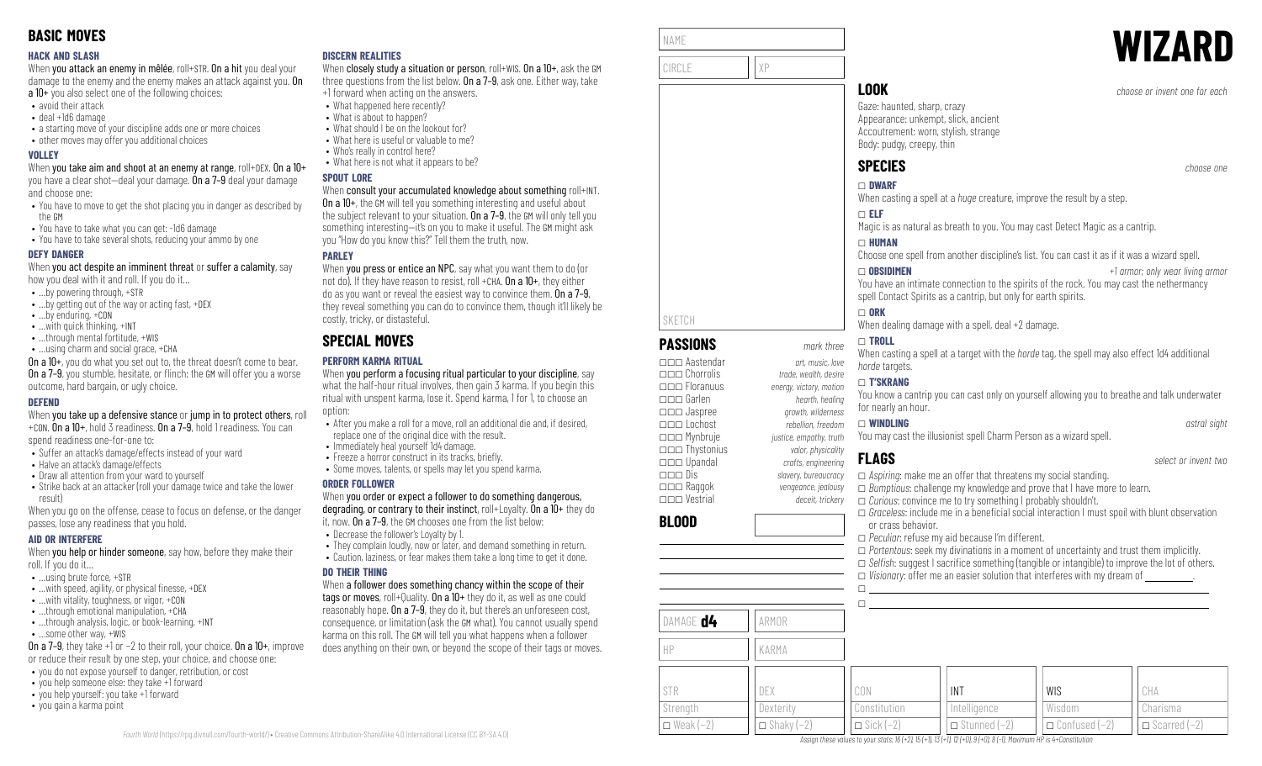### **HACK AND SLASH**

When you attack an enemy in mêlée, roll+STR. On a hit you deal your damage to the enemy and the enemy makes an attack against you. On a 10+ you also select one of the following choices:

- avoid their attack
- deal +1d6 damage
- a starting move of your discipline adds one or more choices
- other moves may offer you additional choices

### **VOLLEY**

When you take aim and shoot at an enemy at range, roll+DEX. On a 10+ you have a clear shot—deal your damage. On a 7–9 deal your damage and choose one:

- You have to move to get the shot placing you in danger as described by the GM
- You have to take what you can get: -1d6 damage
- You have to take several shots, reducing your ammo by one

### **DEFY DANGER**

When you act despite an imminent threat or suffer a calamity, say how you deal with it and roll. If you do it…

- …by powering through, +STR
- …by getting out of the way or acting fast, +DEX
- …by enduring, +CON
- …with quick thinking, +INT
- ...through mental fortitude, +WIS
- …using charm and social grace, +CHA

On a 10+, you do what you set out to, the threat doesn't come to bear. **On a 7–9**, you stumble, hesitate, or flinch: the GM will offer you a worse outcome, hard bargain, or ugly choice.

### **DEFEND**

When you take up a defensive stance or jump in to protect others, roll +CON. On a 10+, hold 3 readiness. On a 7–9, hold 1 readiness. You can

spend readiness one-for-one to:

- Suffer an attack's damage/effects instead of your ward
- Halve an attack's damage/effects
- Draw all attention from your ward to yourself
- Strike back at an attacker (roll your damage twice and take the lower result)

When you go on the offense, cease to focus on defense, or the danger passes, lose any readiness that you hold.

### **AID OR INTERFERE**

When you help or hinder someone, say how, before they make their roll. If you do it…

- …using brute force, +STR
- $\bullet$  ... with speed, agility, or physical finesse,  $+$ DEX
- …with vitality, toughness, or vigor, +CON
- …through emotional manipulation, +CHA • ...through analysis, logic, or book-learning, +INT
- …some other way, +WIS

On a 7–9, they take +1 or −2 to their roll, your choice. On a 10+, improve or reduce their result by one step, your choice, and choose one:

- you do not expose yourself to danger, retribution, or cost
- you help someone else: they take +1 forward
- you help yourself: you take +1 forward
- you gain a karma point

### **DISCERN REALITIES**

When closely study a situation or person, roll+WIS. On a 10+, ask the GM three questions from the list below. On a 7–9, ask one. Either way, take +1 forward when acting on the answers.

- What happened here recently?
	- What is about to happen?
- What should I be on the lookout for?
- What here is useful or valuable to me?
- Who's really in control here?
- What here is not what it appears to be?

### **SPOUT LORE**

### When consult your accumulated knowledge about something roll+INT.

On a 10+, the GM will tell you something interesting and useful about the subject relevant to your situation. On a 7-9, the GM will only tell you something interesting—it's on you to make it useful. The GM might ask you "How do you know this?" Tell them the truth, now.

### **PARLEY**

When **you press or entice an NPC**, say what you want them to do (or not do). If they have reason to resist, roll +CHA,  $0n a 10+$ , they either do as you want or reveal the easiest way to convince them. On a 7–9, they reveal something you can do to convince them, though it'll likely be costly, tricky, or distasteful.

# **SPECIAL MOVES**

### **PERFORM KARMA RITUAL**

When you perform a focusing ritual particular to your discipline, say what the half-hour ritual involves, then gain 3 karma. If you begin this ritual with unspent karma, lose it. Spend karma, 1 for 1, to choose an option:

- After you make a roll for a move, roll an additional die and, if desired, replace one of the original dice with the result.
- Immediately heal yourself 1d4 damage.
- Freeze a horror construct in its tracks, briefly. • Some moves, talents, or spells may let you spend karma.
- 

### **ORDER FOLLOWER**

When you order or expect a follower to do something dangerous, degrading, or contrary to their instinct, roll+Loyalty. On a 10+ they do

- it, now. On a 7–9, the GM chooses one from the list below: • Decrease the follower's Loyalty by 1.
- 
- They complain loudly, now or later, and demand something in return. • Caution, laziness, or fear makes them take a long time to get it done.

### **DO THEIR THING**

When a follower does something chancy within the scope of their tags or moves, roll+Quality. On a 10+ they do it, as well as one could reasonably hope. On a 7–9, they do it, but there's an unforeseen cost, consequence, or limitation (ask the GM what). You cannot usually spend karma on this roll. The GM will tell you what happens when a follower does anything on their own, or beyond the scope of their tags or moves.

| NAME  |       | <b>WIZARD</b>                 |
|-------|-------|-------------------------------|
| CIRCI |       |                               |
|       | . UUK | choses or invent and for each |

**PASSIONS** *mark three* \_\_\_ Aastendar *art, music, love*

\_\_\_ Floranuus *energy, victory, motion* \_\_\_ Garlen *hearth, healing*

\_\_\_ Mynbruje *justice, empathy, truth* \_\_\_ Thystonius *valor, physicality*

SKETCH

**BLOOD**

DAMAGE **d4** ARMOR

HP KARMA

Gaze: haunted, sharp, crazy Appearance: unkempt, slick, ancient Accoutrement: worn, stylish, strange Body: pudgy, creepy, thin

When casting a spell at a *huge* creature, improve the result by a step.

Magic is as natural as breath to you. You may cast Detect Magic as a cantrip.

Choose one spell from another discipline's list. You can cast it as if it was a wizard spell.

You have an intimate connection to the spirits of the rock. You may cast the nethermancy spell Contact Spirits as a cantrip, but only for earth spirits.

### $\Box$  ORK

When dealing damage with a spell, deal +2 damage.

### \_ **TROLL**

When casting a spell at a target with the *horde* tag, the spell may also effect 1d4 additional *horde* targets.

### \_ **T'SKRANG**

You know a cantrip you can cast only on yourself allowing you to breathe and talk underwater for nearly an hour.

### \_\_\_ Lochost *rebellion, freedom* \_ **WINDLING** *astral sight*

You may cast the illusionist spell Charm Person as a wizard spell.

# **FLAGS** *select or invent two*

\_\_\_ Upandal *crafts, engineering* \_\_\_ Dis *slavery, bureaucracy* \_\_\_ Raggok *vengeance, jealousy* \_\_\_ Vestrial *deceit, trickery* \_ *Aspiring*: make me an offer that threatens my social standing. \_ *Bumptious*: challenge my knowledge and prove that I have more to learn. \_ *Curious*: convince me to try something I probably shouldn't.  $\Box$  *Graceless*: include me in a beneficial social interaction I must spoil with blunt observation or crass behavior. \_ *Peculiar*: refuse my aid because I'm different. \_ *Portentous*: seek my divinations in a moment of uncertainty and trust them implicitly. □ *Selfish:* suggest I sacrifice something (tangible or intangible) to improve the lot of others.  $\Box$  *Visionary:* offer me an easier solution that interferes with my dream of  $\Box$  $\Box$ 

| 1 \ / \ 1 \ 1 \ 1 / \ |                  |                        |                      |                                                                                                                            |
|-----------------------|------------------|------------------------|----------------------|----------------------------------------------------------------------------------------------------------------------------|
|                       |                  |                        |                      |                                                                                                                            |
|                       |                  |                        |                      | CHA                                                                                                                        |
| Dexteritv             | Constitution     | Intelligence           | Wisdom               | Charisma                                                                                                                   |
| $\Box$ Shaky $(-2)$   | $\Box$ Sick (-2) | Stunned (–2)<br>$\Box$ | $\Box$ Confused (-2) | $\Box$ Scarred $(-2)$                                                                                                      |
|                       | DEX              | CON                    | INT                  | <b>WIS</b><br>Analog Henry Golden Harvey at the 1.0 1.0 15 (1.1 17 (11 10 (10 0 0 0 0 0 1 1 Macdonia UD to 1. Constitution |

Assian these values to vour stats: 16 (+2), 15 (+1), 13 (+1), 12 (+0), 9 (+0), 8 (-1), Maximum HP is 4+Constitutio



**LOOK** *choose or invent one for each*

**SPECIES** *choose one* \_ **DWARF** \_ **ELF** \_ **HUMAN**

\_\_\_ Chorrolis *trade, wealth, desire*

\_\_\_ Jaspree *growth, wilderness*

\_ **OBSIDIMEN** *+1 armor; only wear living armor*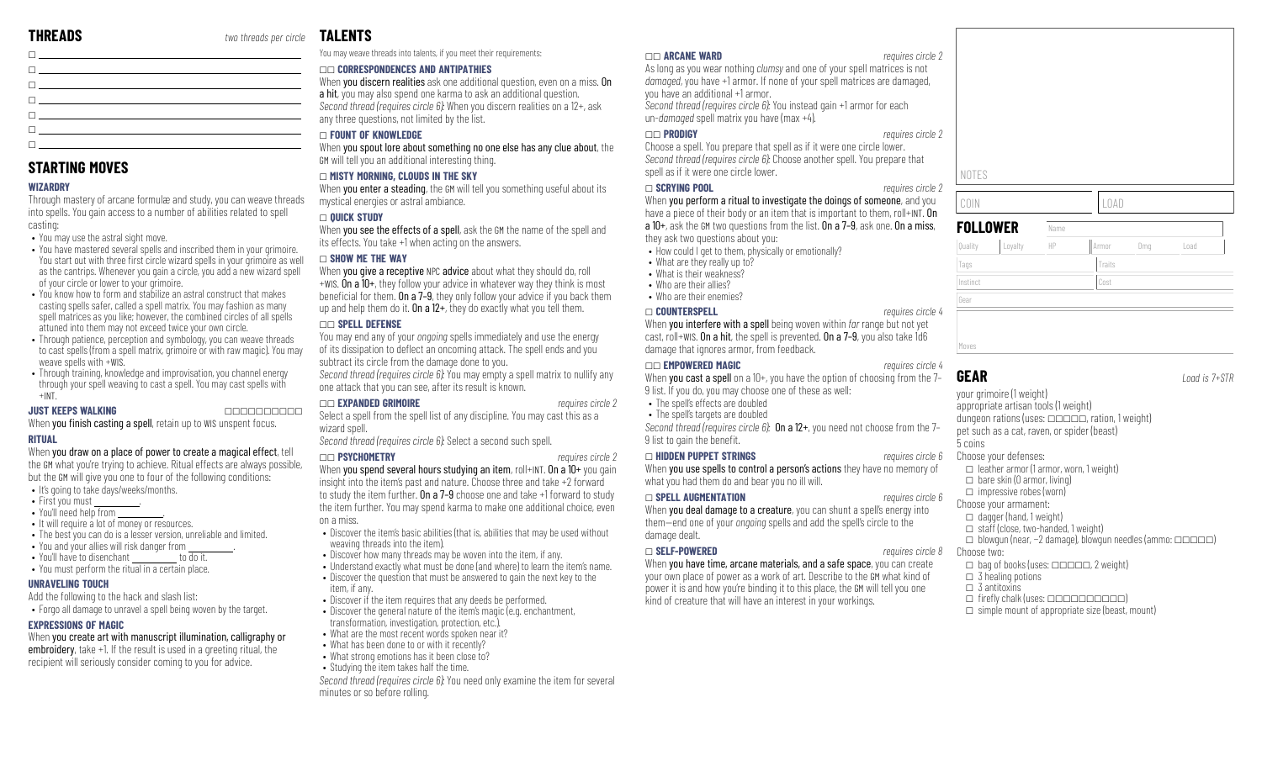| <b>n</b> and the state of the state of the state of the state of the state of the state of the state of the state of                                                                                                                |  |
|-------------------------------------------------------------------------------------------------------------------------------------------------------------------------------------------------------------------------------------|--|
| <b>n</b> and the contract of the contract of the contract of the contract of the contract of the contract of the contract of the contract of the contract of the contract of the contract of the contract of the contract of the co |  |
| $\Box$ . The contract of the contract of the contract of the contract of the contract of the contract of the contract of the contract of the contract of the contract of the contract of the contract of the contract of the co     |  |
| The contract of the contract of the contract of the contract of the contract of                                                                                                                                                     |  |
| n <u>dia any kaominina mpikambana amin'ny fivondronan-kaominin'i A</u>                                                                                                                                                              |  |

### **STARTING MOVES**

### **WIZARDRY**

Through mastery of arcane formulæ and study, you can weave threads into spells. You gain access to a number of abilities related to spell casting:

• You may use the astral sight move.

- You have mastered several spells and inscribed them in your grimoire. You start out with three first circle wizard spells in your grimoire as well as the cantrips. Whenever you gain a circle, you add a new wizard spell of your circle or lower to your grimoire.
- You know how to form and stabilize an astral construct that makes casting spells safer, called a spell matrix. You may fashion as many spell matrices as you like; however, the combined circles of all spells attuned into them may not exceed twice your own circle.
- Through patience, perception and symbology, you can weave threads to cast spells (from a spell matrix, grimoire or with raw magic). You may weave spells with +WIS.
- Through training, knowledge and improvisation, you channel energy through your spell weaving to cast a spell. You may cast spells with  $+INT$ .

### **JUST KEEPS WALKING** \_\_\_\_\_\_\_\_\_\_

When you finish casting a spell, retain up to WIS unspent focus.

### **RITUAL**

When you draw on a place of power to create a magical effect, tell the GM what you're trying to achieve. Ritual effects are always possible, but the GM will give you one to four of the following conditions:

- It's going to take days/weeks/months.
- First you must
- You'll need help from
- It will require a lot of money or resources.
- The best you can do is a lesser version, unreliable and limited.
- You and your allies will risk danger from
- You'll have to disenchant to do it.
- You must perform the ritual in a certain place.

### **UNRAVELING TOUCH**

Add the following to the hack and slash list:

• Forgo all damage to unravel a spell being woven by the target.

### **EXPRESSIONS OF MAGIC**

When you create art with manuscript illumination, calligraphy or embroidery, take +1. If the result is used in a greeting ritual, the recipient will seriously consider coming to you for advice.

# **TALENTS**

You may weave threads into talents, if you meet their requirements:

### \_\_ **CORRESPONDENCES AND ANTIPATHIES**

When vou discern realities ask one additional question, even on a miss. On a hit, you may also spend one karma to ask an additional question. *Second thread (requires circle 6):* When you discern realities on a 12+, ask any three questions, not limited by the list.

### \_ **FOUNT OF KNOWLEDGE**

When you spout lore about something no one else has any clue about, the GM will tell you an additional interesting thing.

### \_ **MISTY MORNING, CLOUDS IN THE SKY**

When you enter a steading, the GM will tell you something useful about its mystical energies or astral ambiance.

### \_ **QUICK STUDY**

When you see the effects of a spell, ask the GM the name of the spell and its effects. You take +1 when acting on the answers.

### \_ **SHOW ME THE WAY**

When you give a receptive NPC advice about what they should do, roll +WIS. On a 10+, they follow your advice in whatever way they think is most beneficial for them. On a  $7-9$ , they only follow your advice if you back them up and help them do it. On a  $12+$ , they do exactly what you tell them.

### \_\_ **SPELL DEFENSE**

You may end any of your *ongoing* spells immediately and use the energy of its dissipation to deflect an oncoming attack. The spell ends and you subtract its circle from the damage done to you.

*Second thread (requires circle 6):* You may empty a spell matrix to nullify any one attack that you can see, after its result is known.

### \_\_ **EXPANDED GRIMOIRE** *requires circle 2*

Select a spell from the spell list of any discipline. You may cast this as a wizard spell.

*Second thread (requires circle 6):* Select a second such spell.

### \_\_ **PSYCHOMETRY** *requires circle 2*

When you spend several hours studying an item, roll+INT. On a 10+ you gain insight into the item's past and nature. Choose three and take +2 forward to study the item further. On a 7-9 choose one and take +1 forward to study the item further. You may spend karma to make one additional choice, even on a miss.

- Discover the item's basic abilities (that is, abilities that may be used without weaving threads into the item).
- Discover how many threads may be woven into the item, if any.
- Understand exactly what must be done (and where) to learn the item's name.
- Discover the question that must be answered to gain the next key to the item, if any.
- Discover if the item requires that any deeds be performed.
- Discover the general nature of the item's magic (e.g. enchantment, transformation, investigation, protection, etc.).
- What are the most recent words spoken near it?
- What has been done to or with it recently?
- What strong emotions has it been close to?

• Studying the item takes half the time. *Second thread (requires circle 6):* You need only examine the item for several

minutes or so before rolling.

### \_\_ **ARCANE WARD** *requires circle 2*

As long as you wear nothing *clumsy* and one of your spell matrices is not *damaged*, you have +1 armor. If none of your spell matrices are damaged, you have an additional +1 armor. *Second thread (requires circle 6):* You instead gain +1 armor for each

un-*damaged* spell matrix you have (max +4).

### \_\_ **PRODIGY** *requires circle 2*

Choose a spell. You prepare that spell as if it were one circle lower. *Second thread (requires circle 6):* Choose another spell. You prepare that spell as if it were one circle lower.

### \_ **SCRYING POOL** *requires circle 2*

When you perform a ritual to investigate the doings of someone, and you have a piece of their body or an item that is important to them, roll+INT. On a 10+, ask the GM two questions from the list. On a 7–9, ask one. On a miss, they ask two questions about you:

- How could I get to them, physically or emotionally?
- What are they really up to?
- What is their weakness? • Who are their allies?
- Who are their enemies?

### \_ **COUNTERSPELL** *requires circle 4*

When you interfere with a spell being woven within *far* range but not yet cast, roll+WIS. On a hit, the spell is prevented. On a 7–9, you also take 1d6 damage that ignores armor, from feedback.

### \_\_ **EMPOWERED MAGIC** *requires circle 4*

When you cast a spell on a 10+, you have the option of choosing from the 7-9 list. If you do, you may choose one of these as well:

- The spell's effects are doubled
- The spell's targets are doubled

*Second thread (requires circle 6):* On a 12+, you need not choose from the 7– 9 list to gain the benefit.

### \_ **HIDDEN PUPPET STRINGS** *requires circle 6*

When you use spells to control a person's actions they have no memory of what you had them do and bear you no ill will.

### \_ **SPELL AUGMENTATION** *requires circle 6*

When you deal damage to a creature, you can shunt a spell's energy into them—end one of your *ongoing* spells and add the spell's circle to the damage dealt.

### \_ **SELF-POWERED** *requires circle 8*

When you have time, arcane materials, and a safe space, you can create your own place of power as a work of art. Describe to the GM what kind of power it is and how you're binding it to this place, the GM will tell you one kind of creature that will have an interest in your workings.

NOTES

**GEAR** *Load is 7+STR* your grimoire (1 weight) appropriate artisan tools (1 weight) dungeon rations (uses:  $\Box$  $\Box$  $\Box$ , ration, 1 weight) pet such as a cat, raven, or spider (beast) 5 coins Choose your defenses:  $\Box$  leather armor (1 armor, worn, 1 weight)  $\Box$  bare skin (0 armor, living)  $\Box$  impressive robes (worn) Choose your armament:  $\Box$  dagger (hand, 1 weight)  $\Box$  staff (close, two-handed, 1 weight)  $\Box$  blowgun (near, -2 damage), blowgun needles (ammo:  $\Box$ Choose two:  $\Box$  bag of books (uses:  $\Box \Box \Box \Box \Box$ , 2 weight)  $\Box$  3 healing potions  $\Box$  3 antitoxins  $\Box$  firefly chalk (uses:  $\Box \Box \Box \Box \Box \Box \Box \Box \Box$ )  $\Box$  simple mount of appropriate size (beast, mount)

| <b>FOLLOWER</b> |         | Name |        |     |      |  |
|-----------------|---------|------|--------|-----|------|--|
| Quality         | Loyalty | HP   | Armor  | Dmg | Load |  |
| Tags            |         |      | Traits |     |      |  |
| Instinct        |         |      | Cost   |     |      |  |
| Gear            |         |      |        |     |      |  |
|                 |         |      |        |     |      |  |
| Moves           |         |      |        |     |      |  |

COIN LOAD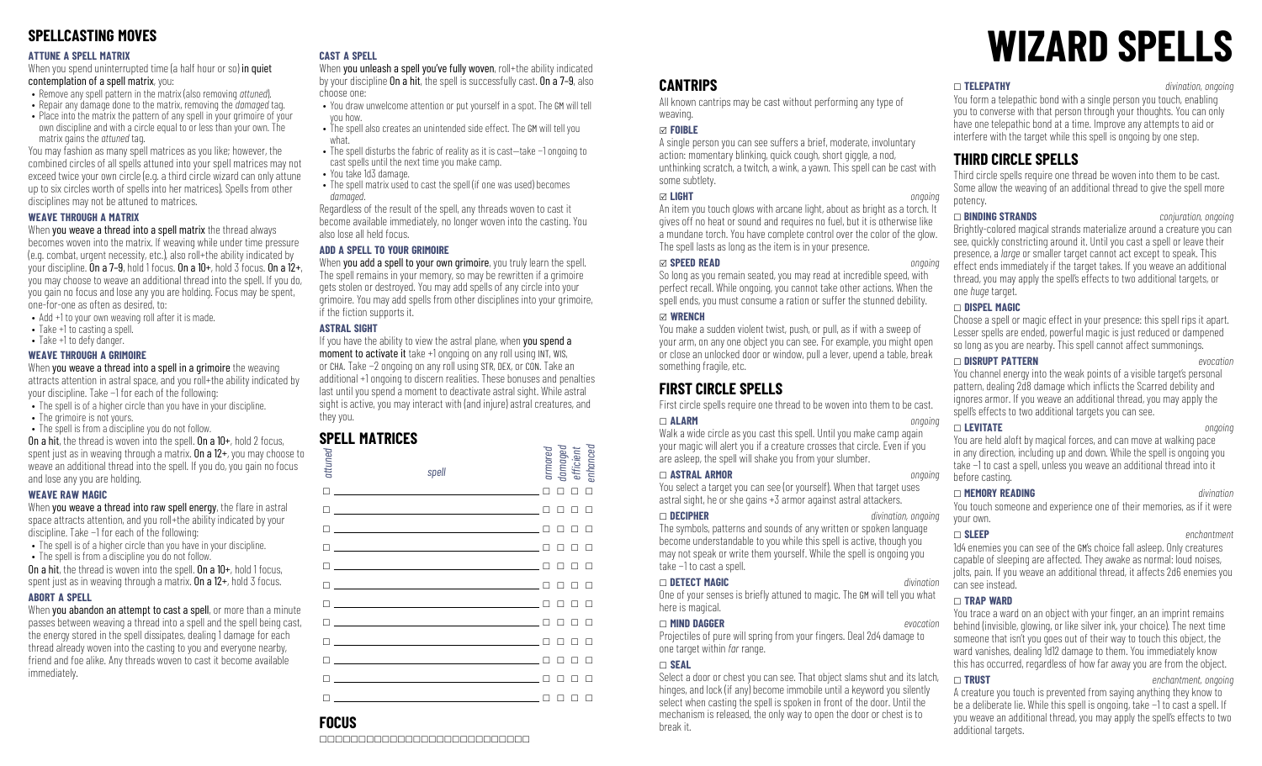## **SPELLCASTING MOVES**

### **ATTUNE A SPELL MATRIX**

When you spend uninterrupted time (a half hour or so) in quiet contemplation of a spell matrix, you:

- Remove any spell pattern in the matrix (also removing *attuned*).
- Repair any damage done to the matrix, removing the *damaged* tag.
- Place into the matrix the pattern of any spell in your grimoire of your own discipline and with a circle equal to or less than your own. The matrix gains the *attuned* tag.

You may fashion as many spell matrices as you like; however, the combined circles of all spells attuned into your spell matrices may not exceed twice your own circle (e.g. a third circle wizard can only attune up to six circles worth of spells into her matrices). Spells from other disciplines may not be attuned to matrices.

### **WEAVE THROUGH A MATRIX**

### When you weave a thread into a spell matrix the thread always

becomes woven into the matrix. If weaving while under time pressure (e.g. combat, urgent necessity, etc.), also roll+the ability indicated by your discipline. On a 7-9, hold 1 focus. On a  $10+$ , hold 3 focus. On a  $12+$ , you may choose to weave an additional thread into the spell. If you do, you gain no focus and lose any you are holding. Focus may be spent, one-for-one as often as desired, to:

- Add +1 to your own weaving roll after it is made.
- Take +1 to casting a spell.
- Take +1 to defy danger.

### **WEAVE THROUGH A GRIMOIRE**

When you weave a thread into a spell in a grimoire the weaving attracts attention in astral space, and you roll+the ability indicated by your discipline. Take −1 for each of the following:

- The spell is of a higher circle than you have in your discipline.
- The grimoire is not yours.
- The spell is from a discipline you do not follow. On a hit, the thread is woven into the spell. On a 10+, hold 2 focus,

spent just as in weaving through a matrix. On a 12+, you may choose to weave an additional thread into the spell. If you do, you gain no focus and lose any you are holding.

### **WEAVE RAW MAGIC**

When you weave a thread into raw spell energy, the flare in astral space attracts attention, and you roll+the ability indicated by your discipline. Take −1 for each of the following:

- The spell is of a higher circle than you have in your discipline. • The spell is from a discipline you do not follow.
- On a hit, the thread is woven into the spell. On a 10+, hold 1 focus,

spent just as in weaving through a matrix. **On a**  $12+$ , hold 3 focus.

### **ABORT A SPELL**

When you abandon an attempt to cast a spell, or more than a minute passes between weaving a thread into a spell and the spell being cast, the energy stored in the spell dissipates, dealing 1 damage for each thread already woven into the casting to you and everyone nearby, friend and foe alike. Any threads woven to cast it become available immediately.

### **CAST A SPELL**

When you unleash a spell you've fully woven, roll+the ability indicated by your discipline On a hit, the spell is successfully cast. On a 7–9, also choose one:

- You draw unwelcome attention or put yourself in a spot. The GM will tell you how.
- The spell also creates an unintended side effect. The GM will tell you what.
- The spell disturbs the fabric of reality as it is cast—take −1 ongoing to cast spells until the next time you make camp.
- You take 1d3 damage.
- The spell matrix used to cast the spell (if one was used) becomes *damaged*.

Regardless of the result of the spell, any threads woven to cast it become available immediately, no longer woven into the casting. You also lose all held focus.

### **ADD A SPELL TO YOUR GRIMOIRE**

When you add a spell to your own grimoire, you truly learn the spell. The spell remains in your memory, so may be rewritten if a grimoire gets stolen or destroyed. You may add spells of any circle into your grimoire. You may add spells from other disciplines into your grimoire, if the fiction supports it.

### **ASTRAL SIGHT**

If you have the ability to view the astral plane, when you spend a moment to activate it take +1 ongoing on any roll using INT, WIS, or CHA. Take −2 ongoing on any roll using STR, DEX, or CON. Take an additional +1 ongoing to discern realities. These bonuses and penalties last until you spend a moment to deactivate astral sight. While astral sight is active, you may interact with (and injure) astral creatures, and they you.

## **SPELL MATRICES**

| attuned                      | spell                                                                                                                                                                                                                                | armored<br>damaged<br>efficient<br>enhanced |
|------------------------------|--------------------------------------------------------------------------------------------------------------------------------------------------------------------------------------------------------------------------------------|---------------------------------------------|
| П                            | the control of the control of the control of the control of the control of                                                                                                                                                           | П<br>п<br>п                                 |
| П                            | <u>and the control of the control of the control of the control of the control of the control of the control of</u>                                                                                                                  | П                                           |
|                              | <u> 1989 - Andrea Stadt Britain, amerikansk politiker (</u>                                                                                                                                                                          |                                             |
|                              | $\blacksquare$ . The contract of the contract of the contract of the contract of the contract of the contract of the contract of the contract of the contract of the contract of the contract of the contract of the contract of the |                                             |
|                              | $\Box$ and the contract of the contract of the contract of the contract of the contract of the contract of the contract of the contract of the contract of the contract of the contract of the contract of the contract of the       |                                             |
|                              | <u>n en som som som som som som som som som s</u>                                                                                                                                                                                    |                                             |
| п                            | the control of the control of the control of the control of the control of the control of                                                                                                                                            |                                             |
| П                            | <u> 1989 - Johann Barn, amerikansk politiker (d. 1989)</u>                                                                                                                                                                           | П<br>п                                      |
| п                            | <u> 1989 - Andrea Station Barbara, politik eta politikaria (h. 1982).</u>                                                                                                                                                            | П                                           |
|                              | <u> 1989 - Andrea Stadt Britain, amerikansk politiker (</u>                                                                                                                                                                          |                                             |
|                              |                                                                                                                                                                                                                                      |                                             |
| $\Box$ and the set of $\Box$ |                                                                                                                                                                                                                                      | □<br>П                                      |

# **FOCUS**

\_\_\_\_\_\_\_\_\_\_\_\_\_\_\_\_\_\_\_\_\_\_\_\_\_\_\_

# **WIZARD SPELLS**

### **CANTRIPS**

All known cantrips may be cast without performing any type of weaving.

### x **FOIBLE**

A single person you can see suffers a brief, moderate, involuntary action: momentary blinking, quick cough, short giggle, a nod, unthinking scratch, a twitch, a wink, a yawn. This spell can be cast with some subtlety.

### x **LIGHT** *ongoing*

An item you touch glows with arcane light, about as bright as a torch. It gives off no heat or sound and requires no fuel, but it is otherwise like a mundane torch. You have complete control over the color of the glow. The spell lasts as long as the item is in your presence.

### x **SPEED READ** *ongoing*

So long as you remain seated, you may read at incredible speed, with perfect recall. While ongoing, you cannot take other actions. When the spell ends, you must consume a ration or suffer the stunned debility.

### x **WRENCH**

You make a sudden violent twist, push, or pull, as if with a sweep of your arm, on any one object you can see. For example, you might open or close an unlocked door or window, pull a lever, upend a table, break something fragile, etc.

# **FIRST CIRCLE SPELLS**

First circle spells require one thread to be woven into them to be cast.

### \_ **ALARM** *ongoing*

Walk a wide circle as you cast this spell. Until you make camp again your magic will alert you if a creature crosses that circle. Even if you are asleep, the spell will shake you from your slumber.

### \_ **ASTRAL ARMOR** *ongoing*

You select a target you can see (or yourself). When that target uses astral sight, he or she gains +3 armor against astral attackers.

### \_ **DECIPHER** *divination, ongoing*

The symbols, patterns and sounds of any written or spoken language become understandable to you while this spell is active, though you may not speak or write them yourself. While the spell is ongoing you take −1 to cast a spell.

### \_ **DETECT MAGIC** *divination*

One of your senses is briefly attuned to magic. The GM will tell you what here is magical.

### \_ **MIND DAGGER** *evocation*

Projectiles of pure will spring from your fingers. Deal 2d4 damage to one target within *far* range.

### \_ **SEAL**

Select a door or chest you can see. That object slams shut and its latch, hinges, and lock (if any) become immobile until a keyword you silently select when casting the spell is spoken in front of the door. Until the mechanism is released, the only way to open the door or chest is to break it.

### \_ **TELEPATHY** *divination, ongoing*

You form a telepathic bond with a single person you touch, enabling you to converse with that person through your thoughts. You can only have one telepathic bond at a time. Improve any attempts to aid or interfere with the target while this spell is ongoing by one step.

### **THIRD CIRCLE SPELLS**

Third circle spells require one thread be woven into them to be cast. Some allow the weaving of an additional thread to give the spell more potency.

### \_ **BINDING STRANDS** *conjuration, ongoing*

Brightly-colored magical strands materialize around a creature you can see, quickly constricting around it. Until you cast a spell or leave their presence, a *large* or smaller target cannot act except to speak. This effect ends immediately if the target takes. If you weave an additional thread, you may apply the spell's effects to two additional targets, or one *huge* target.

### \_ **DISPEL MAGIC**

Choose a spell or magic effect in your presence: this spell rips it apart. Lesser spells are ended, powerful magic is just reduced or dampened so long as you are nearby. This spell cannot affect summonings.

### \_ **DISRUPT PATTERN** *evocation*

You channel energy into the weak points of a visible target's personal pattern, dealing 2d8 damage which inflicts the Scarred debility and ignores armor. If you weave an additional thread, you may apply the spell's effects to two additional targets you can see.

\_ **LEVITATE** *ongoing* You are held aloft by magical forces, and can move at walking pace in any direction, including up and down. While the spell is ongoing you take −1 to cast a spell, unless you weave an additional thread into it before casting.

### \_ **MEMORY READING** *divination*

You touch someone and experience one of their memories, as if it were your own. \_ **SLEEP** *enchantment*

1d4 enemies you can see of the GM's choice fall asleep. Only creatures capable of sleeping are affected. They awake as normal: loud noises, jolts, pain. If you weave an additional thread, it affects 2d6 enemies you can see instead.

### \_ **TRAP WARD**

You trace a ward on an object with your finger, an an imprint remains behind (invisible, glowing, or like silver ink, your choice). The next time someone that isn't you goes out of their way to touch this object, the ward vanishes, dealing 1d12 damage to them. You immediately know this has occurred, regardless of how far away you are from the object.

### \_ **TRUST** *enchantment, ongoing*

A creature you touch is prevented from saying anything they know to be a deliberate lie. While this spell is ongoing, take −1 to cast a spell. If you weave an additional thread, you may apply the spell's effects to two additional targets.